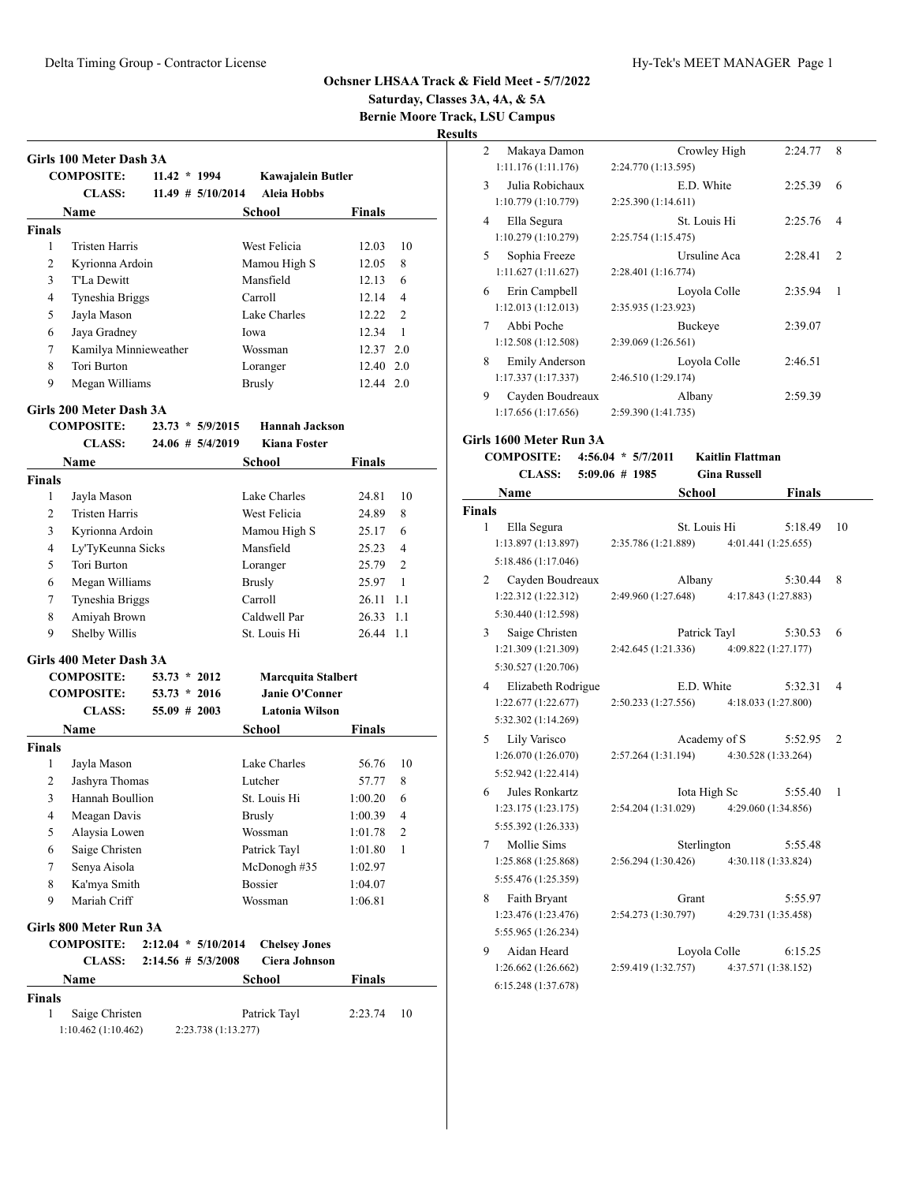**Saturday, Classes 3A, 4A, & 5A**

**Bernie Moore Track, LSU Campus**

**Results**

|               | <b>COMPOSITE:</b>     | $11.42 * 1994$       |      | Kawajalein Butler |               |                |
|---------------|-----------------------|----------------------|------|-------------------|---------------|----------------|
|               | <b>CLASS:</b>         | $11.49 \# 5/10/2014$ |      | Aleia Hobbs       |               |                |
|               | Name                  |                      |      | School            | <b>Finals</b> |                |
| <b>Finals</b> |                       |                      |      |                   |               |                |
| 1             | <b>Tristen Harris</b> |                      |      | West Felicia      | 12.03         | 10             |
| 2             | Kyrionna Ardoin       |                      |      | Mamou High S      | 12.05         | 8              |
| 3             | T'La Dewitt           |                      |      | Mansfield         | 12.13         | 6              |
| 4             | Tyneshia Briggs       |                      |      | Carroll           | 12.14         | $\overline{4}$ |
| 5             | Jayla Mason           |                      |      | Lake Charles      | 12.22         | $\mathfrak{D}$ |
| 6             | Jaya Gradney          |                      | Iowa |                   | 12.34         | $\mathbf{1}$   |
| 7             | Kamilya Minnieweather |                      |      | Wossman           | 12.37 2.0     |                |
| 8             | Tori Burton           |                      |      | Loranger          | 12.40         | 2.0            |
| 9             | Megan Williams        |                      |      | Brusly            | 12.44 2.0     |                |

|                    | <b>CLASS:</b>           |                | $24.06 \# 5/4/2019$   |               | <b>Kiana Foster</b>       |               |                |
|--------------------|-------------------------|----------------|-----------------------|---------------|---------------------------|---------------|----------------|
|                    | <b>Name</b>             |                |                       |               | <b>School</b>             | <b>Finals</b> |                |
| <b>Finals</b>      |                         |                |                       |               |                           |               |                |
| 1                  | Jayla Mason             |                |                       |               | Lake Charles              | 24.81         | 10             |
| 2                  | <b>Tristen Harris</b>   |                |                       |               | West Felicia              | 24.89         | 8              |
| 3                  | Kyrionna Ardoin         |                |                       |               | Mamou High S              | 25.17         | 6              |
| 4                  | Ly'TyKeunna Sicks       |                |                       |               | Mansfield                 | 25.23         | 4              |
| 5                  | Tori Burton             |                |                       |               | Loranger                  | 25.79         | $\overline{2}$ |
| 6                  | Megan Williams          |                |                       | <b>Brusly</b> |                           | 25.97         | $\mathbf{1}$   |
| 7                  | Tyneshia Briggs         |                |                       |               | Carroll                   | 26.11         | 1.1            |
| 8                  | Amiyah Brown            |                |                       |               | Caldwell Par              | 26.33         | 1.1            |
| 9                  | Shelby Willis           |                |                       |               | St. Louis Hi              | 26.44         | 1.1            |
|                    | Girls 400 Meter Dash 3A |                |                       |               |                           |               |                |
|                    | <b>COMPOSITE:</b>       | $53.73 * 2012$ |                       |               | <b>Marcquita Stalbert</b> |               |                |
|                    | <b>COMPOSITE:</b>       | $53.73 * 2016$ |                       |               | Janie O'Conner            |               |                |
|                    | <b>CLASS:</b>           | 55.09 # 2003   |                       |               | <b>Latonia Wilson</b>     |               |                |
|                    | Name                    |                |                       |               | <b>School</b>             | <b>Finals</b> |                |
| <b>Finals</b>      |                         |                |                       |               |                           |               |                |
| 1                  | Jayla Mason             |                |                       |               | Lake Charles              | 56.76         | 10             |
| 2                  | Jashyra Thomas          |                |                       |               | Lutcher                   | 57.77         | 8              |
| 3                  | Hannah Boullion         |                |                       |               | St. Louis Hi              | 1:00.20       | 6              |
| 4                  | Meagan Davis            |                |                       | Brusly        |                           | 1:00.39       | $\overline{4}$ |
| 5                  | Alaysia Lowen           |                |                       |               | Wossman                   | 1:01.78       | $\overline{c}$ |
| 6                  | Saige Christen          |                |                       |               | Patrick Tayl              | 1:01.80       | 1              |
| 7                  | Senya Aisola            |                |                       |               | McDonogh #35              | 1:02.97       |                |
| 8                  | Ka'mya Smith            |                |                       |               | <b>Bossier</b>            | 1:04.07       |                |
| 9                  | Mariah Criff            |                |                       |               | Wossman                   | 1:06.81       |                |
|                    | Girls 800 Meter Run 3A  |                |                       |               |                           |               |                |
|                    | <b>COMPOSITE:</b>       |                | $2:12.04 * 5/10/2014$ |               | <b>Chelsey Jones</b>      |               |                |
|                    | <b>CLASS:</b>           |                | $2:14.56 \# 5/3/2008$ |               | Ciera Johnson             |               |                |
|                    | Name                    |                |                       |               | <b>School</b>             | <b>Finals</b> |                |
|                    |                         |                |                       |               |                           |               |                |
|                    |                         |                |                       |               |                           |               |                |
| <b>Finals</b><br>1 | Saige Christen          |                |                       |               | Patrick Tayl              | 2:23.74       | 10             |

| $\mathfrak{D}$ | Makaya Damon          |                     | Crowley High | 2:24.77 | 8              |
|----------------|-----------------------|---------------------|--------------|---------|----------------|
|                | 1:11.176(1:11.176)    | 2:24.770 (1:13.595) |              |         |                |
| 3              | Julia Robichaux       |                     | E.D. White   | 2:25.39 | 6              |
|                | 1:10.779 (1:10.779)   | 2:25.390 (1:14.611) |              |         |                |
| 4              | Ella Segura           |                     | St. Louis Hi | 2:25.76 | $\overline{4}$ |
|                | 1:10.279 (1:10.279)   | 2:25.754 (1:15.475) |              |         |                |
| 5              | Sophia Freeze         |                     | Ursuline Aca | 2:28.41 | $\overline{c}$ |
|                | 1:11.627(1:11.627)    | 2:28.401 (1:16.774) |              |         |                |
| 6              | Erin Campbell         |                     | Loyola Colle | 2:35.94 | 1              |
|                | 1:12.013(1:12.013)    | 2:35.935 (1:23.923) |              |         |                |
| 7              | Abbi Poche            |                     | Buckeye      | 2:39.07 |                |
|                | 1:12.508(1:12.508)    | 2:39.069 (1:26.561) |              |         |                |
| 8              | <b>Emily Anderson</b> |                     | Loyola Colle | 2:46.51 |                |
|                | 1:17.337 (1:17.337)   | 2:46.510 (1:29.174) |              |         |                |
| 9              | Cayden Boudreaux      |                     | Albany       | 2:59.39 |                |
|                | 1:17.656(1:17.656)    | 2:59.390 (1:41.735) |              |         |                |

# **Girls 1600 Meter Run 3A**

|               | COMPOSITE: 4:56.04 * 5/7/2011 | Kaitlin Flattman    |               |
|---------------|-------------------------------|---------------------|---------------|
|               | CLASS: $5:09.06 \neq 1985$    | <b>Gina Russell</b> |               |
| <b>Name</b>   |                               | School              | <b>Finals</b> |
| <b>Finals</b> |                               |                     |               |

| 1 | Ella Segura                                                       |                                         | St. Louis Hi |                     | 5:18.49 | 10 |
|---|-------------------------------------------------------------------|-----------------------------------------|--------------|---------------------|---------|----|
|   | $1:13.897(1:13.897)$ $2:35.786(1:21.889)$                         |                                         |              | 4:01.441 (1:25.655) |         |    |
|   | 5:18.486 (1:17.046)                                               |                                         |              |                     |         |    |
| 2 | Cayden Boudreaux                                                  |                                         | Albany       |                     | 5:30.44 | 8  |
|   | 1:22.312 (1:22.312)                                               | 2:49.960 (1:27.648) 4:17.843 (1:27.883) |              |                     |         |    |
|   | 5:30.440 (1:12.598)                                               |                                         |              |                     |         |    |
| 3 | Saige Christen                                                    |                                         | Patrick Tayl |                     | 5:30.53 | 6  |
|   | $1:21.309 (1:21.309)$ $2:42.645 (1:21.336)$ $4:09.822 (1:27.177)$ |                                         |              |                     |         |    |
|   | 5:30.527 (1:20.706)                                               |                                         |              |                     |         |    |
| 4 | Elizabeth Rodrigue                                                |                                         | E.D. White   |                     | 5:32.31 | 4  |
|   | 1:22.677(1:22.677)                                                | 2:50.233 (1:27.556) 4:18.033 (1:27.800) |              |                     |         |    |
|   | 5:32.302 (1:14.269)                                               |                                         |              |                     |         |    |
|   | Lily Varisco<br>5                                                 |                                         | Academy of S |                     | 5:52.95 | 2  |
|   | 1:26.070(1:26.070)                                                | 2:57.264 (1:31.194)                     |              | 4:30.528 (1:33.264) |         |    |
|   | 5:52.942 (1:22.414)                                               |                                         |              |                     |         |    |
|   | Jules Ronkartz<br>6.                                              |                                         | Iota High Sc |                     | 5:55.40 | 1  |
|   | 1:23.175(1:23.175)                                                | 2:54.204 (1:31.029) 4:29.060 (1:34.856) |              |                     |         |    |
|   | 5:55.392 (1:26.333)                                               |                                         |              |                     |         |    |
|   | $7\degree$<br>Mollie Sims                                         |                                         | Sterlington  |                     | 5:55.48 |    |
|   | 1:25.868(1:25.868)                                                | 2:56.294 (1:30.426) 4:30.118 (1:33.824) |              |                     |         |    |
|   | 5:55.476 (1:25.359)                                               |                                         |              |                     |         |    |
| 8 | Faith Bryant                                                      |                                         | Grant        |                     | 5:55.97 |    |
|   | $1:23.476(1:23.476)$ $2:54.273(1:30.797)$                         |                                         |              | 4:29.731 (1:35.458) |         |    |
|   | 5:55.965 (1:26.234)                                               |                                         |              |                     |         |    |
| 9 | Aidan Heard                                                       |                                         |              | Loyola Colle        | 6:15.25 |    |
|   | 1:26.662(1:26.662)                                                | 2:59.419 (1:32.757)                     |              | 4:37.571 (1:38.152) |         |    |
|   | 6:15.248 (1:37.678)                                               |                                         |              |                     |         |    |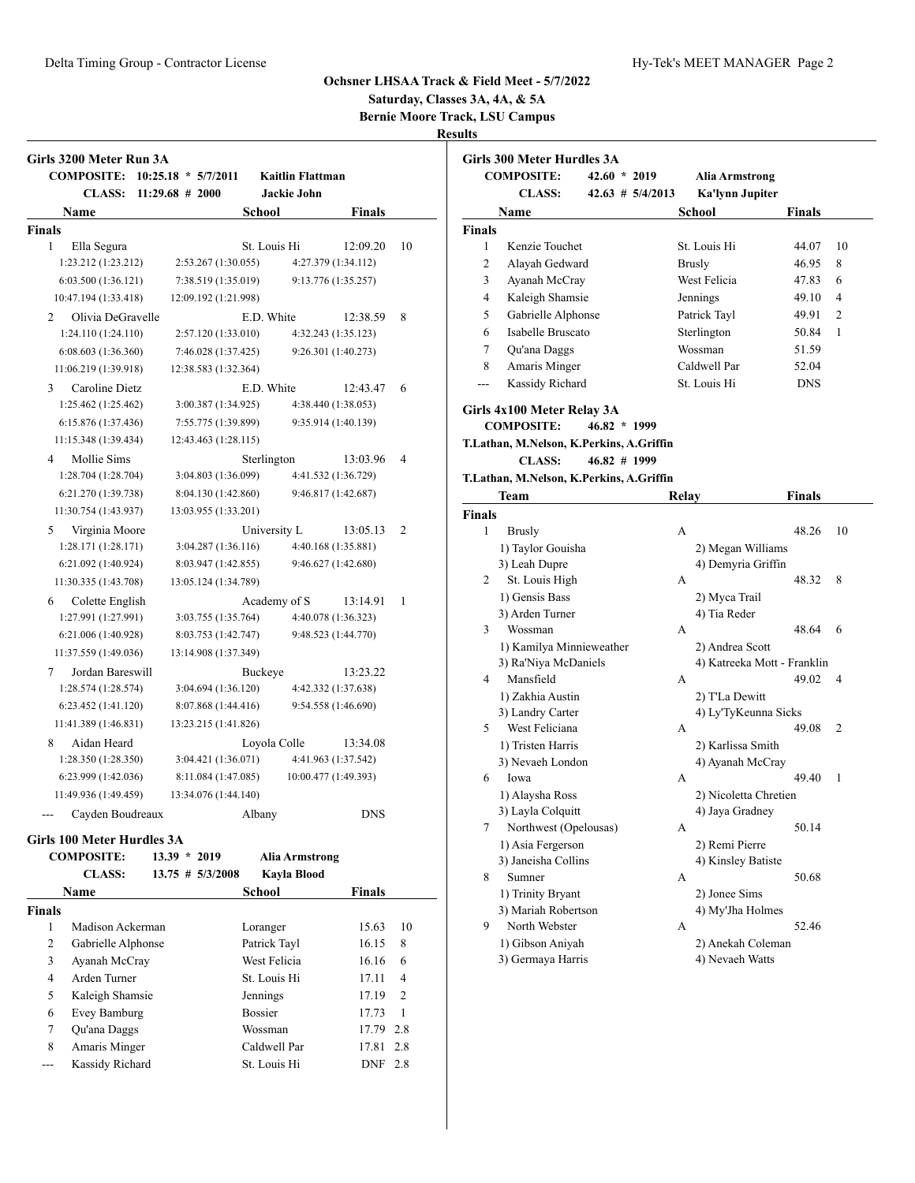# **Saturday, Classes 3A, 4A, & 5A Bernie Moore Track, LSU Campus**

| Girls 3200 Meter Run 3A           |                       |              |                         |                      |                |
|-----------------------------------|-----------------------|--------------|-------------------------|----------------------|----------------|
| <b>COMPOSITE:</b>                 | $10:25.18 * 5/7/2011$ |              | <b>Kaitlin Flattman</b> |                      |                |
| CLASS:                            | $11:29.68 \# 2000$    |              | Jackie John             |                      |                |
| <b>Name</b>                       |                       | School       |                         | <b>Finals</b>        |                |
| <b>Finals</b>                     |                       |              |                         |                      |                |
| 1<br>Ella Segura                  |                       | St. Louis Hi |                         | 12:09.20             | 10             |
| 1:23.212 (1:23.212)               | 2:53.267 (1:30.055)   |              |                         | 4:27.379 (1:34.112)  |                |
| 6:03.500(1:36.121)                | 7:38.519 (1:35.019)   |              |                         | 9:13.776 (1:35.257)  |                |
| 10:47.194 (1:33.418)              | 12:09.192 (1:21.998)  |              |                         |                      |                |
| Olivia DeGravelle<br>2            |                       | E.D. White   |                         | 12:38.59             | 8              |
| 1:24.110 (1:24.110)               | 2:57.120 (1:33.010)   |              |                         | 4:32.243 (1:35.123)  |                |
| 6:08.603(1:36.360)                | 7:46.028 (1:37.425)   |              |                         | 9:26.301 (1:40.273)  |                |
| 11:06.219 (1:39.918)              | 12:38.583 (1:32.364)  |              |                         |                      |                |
| Caroline Dietz<br>3               |                       | E.D. White   |                         | 12:43.47             | 6              |
| 1:25.462 (1:25.462)               | 3:00.387 (1:34.925)   |              |                         | 4:38.440 (1:38.053)  |                |
| 6:15.876(1:37.436)                | 7:55.775 (1:39.899)   |              |                         | 9:35.914 (1:40.139)  |                |
| 11:15.348 (1:39.434)              | 12:43.463 (1:28.115)  |              |                         |                      |                |
| Mollie Sims<br>4                  |                       | Sterlington  |                         | 13:03.96             | 4              |
| 1:28.704 (1:28.704)               | 3:04.803 (1:36.099)   |              |                         | 4:41.532 (1:36.729)  |                |
| 6:21.270 (1:39.738)               | 8:04.130 (1:42.860)   |              |                         | 9:46.817 (1:42.687)  |                |
| 11:30.754 (1:43.937)              | 13:03.955 (1:33.201)  |              |                         |                      |                |
| 5<br>Virginia Moore               |                       | University L |                         | 13:05.13             | $\overline{c}$ |
| 1:28.171(1:28.171)                | 3:04.287 (1:36.116)   |              |                         | 4:40.168 (1:35.881)  |                |
| 6:21.092 (1:40.924)               | 8:03.947 (1:42.855)   |              |                         | 9:46.627 (1:42.680)  |                |
| 11:30.335 (1:43.708)              | 13:05.124 (1:34.789)  |              |                         |                      |                |
| Colette English<br>6              |                       | Academy of S |                         | 13:14.91             | 1              |
| 1:27.991 (1:27.991)               | 3:03.755 (1:35.764)   |              |                         | 4:40.078 (1:36.323)  |                |
| 6:21.006 (1:40.928)               | 8:03.753 (1:42.747)   |              |                         | 9:48.523 (1:44.770)  |                |
| 11:37.559 (1:49.036)              | 13:14.908 (1:37.349)  |              |                         |                      |                |
| Jordan Bareswill<br>7             |                       | Buckeye      |                         | 13:23.22             |                |
| 1:28.574 (1:28.574)               | 3:04.694 (1:36.120)   |              |                         | 4:42.332 (1:37.638)  |                |
| 6:23.452 (1:41.120)               | 8:07.868 (1:44.416)   |              |                         | 9:54.558 (1:46.690)  |                |
| 11:41.389 (1:46.831)              | 13:23.215 (1:41.826)  |              |                         |                      |                |
| 8<br>Aidan Heard                  |                       | Loyola Colle |                         | 13:34.08             |                |
| 1:28.350 (1:28.350)               | 3:04.421 (1:36.071)   |              |                         | 4:41.963 (1:37.542)  |                |
| 6:23.999 (1:42.036)               | 8:11.084 (1:47.085)   |              |                         | 10:00.477 (1:49.393) |                |
| 11:49.936 (1:49.459)              | 13:34.076 (1:44.140)  |              |                         |                      |                |
| Cayden Boudreaux                  |                       | Albany       |                         | <b>DNS</b>           |                |
| <b>Girls 100 Meter Hurdles 3A</b> |                       |              |                         |                      |                |
| <b>COMPOSITE:</b>                 | $13.39 * 2019$        |              | <b>Alia Armstrong</b>   |                      |                |
| <b>CLASS:</b>                     | $13.75$ # $5/3/2008$  |              | Kayla Blood             |                      |                |

|               | COMI OSHLE.        | 13.J <i>J</i><br>40 L Z | тина ти низи он 2 |               |                |
|---------------|--------------------|-------------------------|-------------------|---------------|----------------|
|               | <b>CLASS:</b>      | $13.75$ # $5/3/2008$    | Kayla Blood       |               |                |
|               | Name               |                         | School            | <b>Finals</b> |                |
| <b>Finals</b> |                    |                         |                   |               |                |
| 1             | Madison Ackerman   |                         | Loranger          | 15.63         | 10             |
| 2             | Gabrielle Alphonse |                         | Patrick Tayl      | 16.15         | 8              |
| 3             | Ayanah McCray      |                         | West Felicia      | 16.16         | 6              |
| 4             | Arden Turner       |                         | St. Louis Hi      | 17.11         | 4              |
| 5             | Kaleigh Shamsie    |                         | Jennings          | 17.19         | $\overline{2}$ |
| 6             | Evey Bamburg       |                         | <b>Bossier</b>    | 17.73         | -1             |
| 7             | Ou'ana Daggs       |                         | Wossman           | 17.79         | 2.8            |
| 8             | Amaris Minger      |                         | Caldwell Par      | 17.81         | 2.8            |
|               | Kassidy Richard    |                         | St. Louis Hi      | DNF           | 2.8            |

|                | Girls 300 Meter Hurdles 3A<br><b>COMPOSITE:</b> | $42.60 * 2019$   |                     |                                          |                             |                |
|----------------|-------------------------------------------------|------------------|---------------------|------------------------------------------|-----------------------------|----------------|
|                | <b>CLASS:</b>                                   |                  | $42.63 \# 5/4/2013$ | <b>Alia Armstrong</b><br>Ka'lynn Jupiter |                             |                |
|                | Name                                            |                  |                     | School                                   | Finals                      |                |
| <b>Finals</b>  |                                                 |                  |                     |                                          |                             |                |
| 1              | Kenzie Touchet                                  |                  |                     | St. Louis Hi                             | 44.07                       | 10             |
| $\overline{c}$ | Alayah Gedward                                  |                  |                     | <b>Brusly</b>                            | 46.95                       | 8              |
| 3              | Ayanah McCray                                   |                  |                     | West Felicia                             | 47.83                       | 6              |
| 4              |                                                 |                  |                     |                                          |                             | 4              |
| 5              | Kaleigh Shamsie                                 |                  |                     | Jennings                                 | 49.10                       | $\overline{2}$ |
| 6              | Gabrielle Alphonse<br>Isabelle Bruscato         |                  |                     | Patrick Tayl<br>Sterlington              | 49.91                       | 1              |
|                |                                                 |                  |                     |                                          | 50.84                       |                |
| 7              | Qu'ana Daggs                                    |                  |                     | Wossman                                  | 51.59                       |                |
| 8              | Amaris Minger                                   |                  |                     | Caldwell Par                             | 52.04                       |                |
| $---$          | Kassidy Richard                                 |                  |                     | St. Louis Hi                             | <b>DNS</b>                  |                |
|                | Girls 4x100 Meter Relay 3A                      |                  |                     |                                          |                             |                |
|                | <b>COMPOSITE:</b>                               | $46.82 * 1999$   |                     |                                          |                             |                |
|                | T.Lathan, M.Nelson, K.Perkins, A.Griffin        |                  |                     |                                          |                             |                |
|                | <b>CLASS:</b>                                   | $46.82 \pm 1999$ |                     |                                          |                             |                |
|                | T.Lathan, M.Nelson, K.Perkins, A.Griffin        |                  |                     |                                          |                             |                |
|                | Team                                            |                  | Relay               |                                          | Finals                      |                |
| Finals         |                                                 |                  |                     |                                          |                             |                |
| 1              | <b>Brusly</b>                                   |                  | A                   |                                          | 48.26                       | 10             |
|                | 1) Taylor Gouisha                               |                  |                     | 2) Megan Williams                        |                             |                |
|                | 3) Leah Dupre                                   |                  |                     | 4) Demyria Griffin                       |                             |                |
| 2              | St. Louis High                                  |                  | A                   |                                          | 48.32                       | 8              |
|                | 1) Gensis Bass                                  |                  |                     | 2) Myca Trail                            |                             |                |
|                | 3) Arden Turner                                 |                  |                     | 4) Tia Reder                             |                             |                |
| 3              | Wossman                                         |                  | А                   |                                          | 48.64                       | 6              |
|                | 1) Kamilya Minnieweather                        |                  |                     | 2) Andrea Scott                          |                             |                |
|                | 3) Ra'Niya McDaniels                            |                  |                     |                                          | 4) Katreeka Mott - Franklin |                |
| 4              | Mansfield                                       |                  | А                   |                                          | 49.02                       | 4              |
|                | 1) Zakhia Austin                                |                  |                     | 2) T'La Dewitt                           |                             |                |
|                | 3) Landry Carter                                |                  |                     | 4) Ly'TyKeunna Sicks                     |                             |                |
| 5              | West Feliciana                                  |                  | А                   |                                          | 49.08                       | 2              |
|                | 1) Tristen Harris                               |                  |                     | 2) Karlissa Smith                        |                             |                |
|                | 3) Nevaeh London                                |                  |                     | 4) Ayanah McCray                         |                             |                |
| 6              | Iowa                                            |                  | А                   |                                          | 49.40                       | 1              |
|                | 1) Alaysha Ross                                 |                  |                     | 2) Nicoletta Chretien                    |                             |                |
|                | 3) Layla Colquitt                               |                  |                     | 4) Jaya Gradney                          |                             |                |
| 7              | Northwest (Opelousas)                           |                  | А                   |                                          | 50.14                       |                |
|                | 1) Asia Fergerson                               |                  |                     | 2) Remi Pierre                           |                             |                |
|                | 3) Janeisha Collins                             |                  |                     | 4) Kinsley Batiste                       |                             |                |
| 8              | Sumner                                          |                  | А                   |                                          | 50.68                       |                |
|                | 1) Trinity Bryant                               |                  |                     | 2) Jonee Sims                            |                             |                |
|                | 3) Mariah Robertson                             |                  |                     | 4) My'Jha Holmes                         |                             |                |
| 9              | North Webster                                   |                  | А                   |                                          | 52.46                       |                |
|                | 1) Gibson Aniyah                                |                  |                     | 2) Anekah Coleman                        |                             |                |
|                | 3) Germaya Harris                               |                  |                     | 4) Nevaeh Watts                          |                             |                |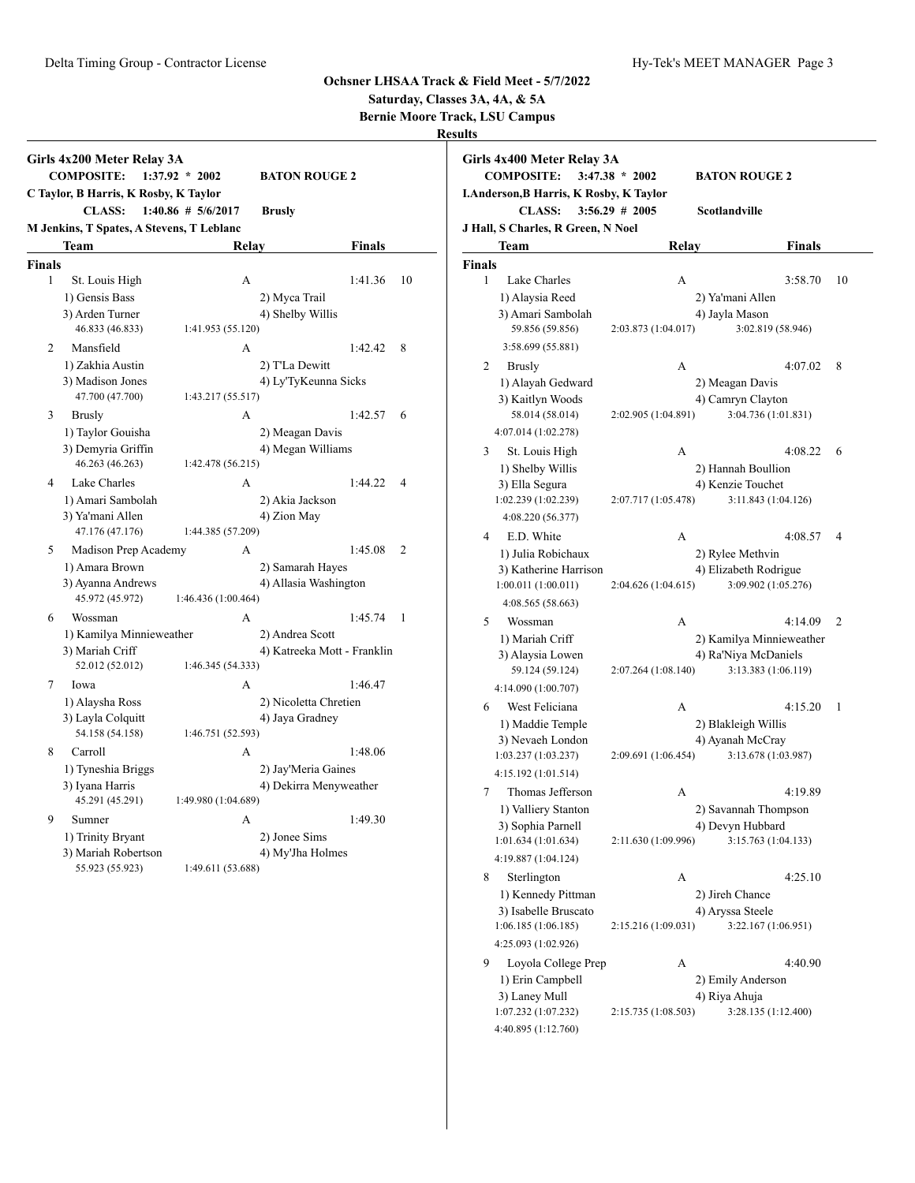**Saturday, Classes 3A, 4A, & 5A**

**Bernie Moore Track, LSU Campus**

|                | Girls 4x200 Meter Relay 3A<br><b>COMPOSITE:</b>   | $1:37.92 * 2002$      | <b>BATON ROUGE 2</b>        |         |                |
|----------------|---------------------------------------------------|-----------------------|-----------------------------|---------|----------------|
|                | C Taylor, B Harris, K Rosby, K Taylor             |                       |                             |         |                |
|                | <b>CLASS:</b>                                     | $1:40.86 \# 5/6/2017$ | <b>Brusly</b>               |         |                |
|                | M Jenkins, T Spates, A Stevens, T Leblanc<br>Team | Relay                 |                             | Finals  |                |
| <b>Finals</b>  |                                                   |                       |                             |         |                |
| 1              | St. Louis High                                    | А                     |                             | 1:41.36 | 10             |
|                | 1) Gensis Bass                                    |                       | 2) Myca Trail               |         |                |
|                | 3) Arden Turner                                   |                       | 4) Shelby Willis            |         |                |
|                | 46.833 (46.833)                                   | 1:41.953 (55.120)     |                             |         |                |
| 2              | Mansfield                                         | A                     |                             | 1:42.42 | 8              |
|                | 1) Zakhia Austin                                  |                       | 2) T'La Dewitt              |         |                |
|                | 3) Madison Jones                                  |                       | 4) Ly'TyKeunna Sicks        |         |                |
|                | 47.700 (47.700)                                   | 1:43.217 (55.517)     |                             |         |                |
| 3              | <b>Brusly</b>                                     | А                     |                             | 1:42.57 | 6              |
|                | 1) Taylor Gouisha                                 |                       | 2) Meagan Davis             |         |                |
|                | 3) Demyria Griffin                                |                       | 4) Megan Williams           |         |                |
|                | 46.263 (46.263)                                   | 1:42.478 (56.215)     |                             |         |                |
| $\overline{4}$ | Lake Charles                                      | A                     |                             | 1:44.22 | $\overline{4}$ |
|                | 1) Amari Sambolah                                 |                       | 2) Akia Jackson             |         |                |
|                | 3) Ya'mani Allen                                  |                       | 4) Zion May                 |         |                |
|                | 47.176 (47.176)                                   | 1:44.385 (57.209)     |                             |         |                |
| 5              | Madison Prep Academy                              | A                     |                             | 1:45.08 | 2              |
|                | 1) Amara Brown                                    |                       | 2) Samarah Hayes            |         |                |
|                | 3) Ayanna Andrews                                 |                       | 4) Allasia Washington       |         |                |
|                | 45.972 (45.972)                                   | 1:46.436 (1:00.464)   |                             |         |                |
| 6              | Wossman                                           | А                     |                             | 1:45.74 | 1              |
|                | 1) Kamilya Minnieweather                          |                       | 2) Andrea Scott             |         |                |
|                | 3) Mariah Criff                                   |                       | 4) Katreeka Mott - Franklin |         |                |
|                | 52.012 (52.012)                                   | 1:46.345 (54.333)     |                             |         |                |
| 7              | Iowa                                              | A                     |                             | 1:46.47 |                |
|                | 1) Alaysha Ross                                   |                       | 2) Nicoletta Chretien       |         |                |
|                | 3) Layla Colquitt                                 |                       | 4) Jaya Gradney             |         |                |
|                | 54.158 (54.158)                                   | 1:46.751 (52.593)     |                             |         |                |
| 8              | Carroll                                           | A                     |                             | 1:48.06 |                |
|                | 1) Tyneshia Briggs                                |                       | 2) Jay'Meria Gaines         |         |                |
|                | 3) Iyana Harris                                   |                       | 4) Dekirra Menyweather      |         |                |
|                | 45.291 (45.291)                                   | 1:49.980 (1:04.689)   |                             |         |                |
| 9              | Sumner                                            | A                     |                             | 1:49.30 |                |
|                | 1) Trinity Bryant                                 |                       | 2) Jonee Sims               |         |                |
|                | 3) Mariah Robertson                               |                       | 4) My'Jha Holmes            |         |                |
|                | 55.923 (55.923)                                   | 1:49.611 (53.688)     |                             |         |                |

| Girls 4x400 Meter Relay 3A<br><b>COMPOSITE:</b><br>I.Anderson, B Harris, K Rosby, K Taylor<br><b>CLASS:</b> | $3:47.38 * 2002$<br><b>BATON ROUGE 2</b><br>$3:56.29$ # 2005<br>Scotlandville |                           |
|-------------------------------------------------------------------------------------------------------------|-------------------------------------------------------------------------------|---------------------------|
| J Hall, S Charles, R Green, N Noel                                                                          |                                                                               |                           |
| Team                                                                                                        | Relay                                                                         | Finals                    |
| <b>Finals</b>                                                                                               |                                                                               |                           |
| 1<br>Lake Charles                                                                                           | А                                                                             | 3:58.70<br>10             |
| 1) Alaysia Reed                                                                                             | 2) Ya'mani Allen                                                              |                           |
| 3) Amari Sambolah                                                                                           | 4) Jayla Mason                                                                |                           |
| 59.856 (59.856)                                                                                             | 2:03.873 (1:04.017)                                                           | 3:02.819 (58.946)         |
| 3:58.699 (55.881)                                                                                           |                                                                               |                           |
| 2<br><b>Brusly</b>                                                                                          | A                                                                             | 4:07.02<br>8              |
| 1) Alayah Gedward                                                                                           | 2) Meagan Davis                                                               |                           |
| 3) Kaitlyn Woods<br>58.014 (58.014)                                                                         | 4) Camryn Clayton<br>2:02.905 (1:04.891)                                      | 3:04.736 (1:01.831)       |
| 4:07.014 (1:02.278)                                                                                         |                                                                               |                           |
|                                                                                                             |                                                                               |                           |
| 3<br>St. Louis High<br>1) Shelby Willis                                                                     | А<br>2) Hannah Boullion                                                       | 4:08.22<br>6              |
| 3) Ella Segura                                                                                              | 4) Kenzie Touchet                                                             |                           |
| 1:02.239 (1:02.239)                                                                                         | 2:07.717 (1:05.478)                                                           | 3:11.843 (1:04.126)       |
| 4:08.220 (56.377)                                                                                           |                                                                               |                           |
| E.D. White<br>4                                                                                             | A                                                                             | 4:08.57<br>$\overline{4}$ |
| 1) Julia Robichaux                                                                                          | 2) Rylee Methvin                                                              |                           |
| 3) Katherine Harrison                                                                                       | 4) Elizabeth Rodrigue                                                         |                           |
| 1:00.011(1:00.011)                                                                                          | 2:04.626 (1:04.615)                                                           | 3:09.902 (1:05.276)       |
| 4:08.565 (58.663)                                                                                           |                                                                               |                           |
| 5<br>Wossman                                                                                                | A                                                                             | 4:14.09<br>2              |
| 1) Mariah Criff                                                                                             |                                                                               | 2) Kamilya Minnieweather  |
| 3) Alaysia Lowen                                                                                            | 4) Ra'Niya McDaniels                                                          |                           |
| 59.124 (59.124)                                                                                             | 2:07.264 (1:08.140)                                                           | 3:13.383 (1:06.119)       |
| 4:14.090 (1:00.707)                                                                                         |                                                                               |                           |
| West Feliciana<br>6                                                                                         | А                                                                             | 4:15.20<br>1              |
| 1) Maddie Temple                                                                                            | 2) Blakleigh Willis                                                           |                           |
| 3) Nevaeh London<br>1:03.237 (1:03.237)                                                                     | 4) Ayanah McCray<br>2:09.691 (1:06.454)                                       | 3:13.678 (1:03.987)       |
| 4:15.192 (1:01.514)                                                                                         |                                                                               |                           |
| 7<br>Thomas Jefferson                                                                                       | А                                                                             | 4:19.89                   |
| 1) Valliery Stanton                                                                                         | 2) Savannah Thompson                                                          |                           |
| 3) Sophia Parnell                                                                                           | 4) Devyn Hubbard                                                              |                           |
| 1:01.634 (1:01.634)                                                                                         | 2:11.630 (1:09.996)                                                           | 3:15.763 (1:04.133)       |
| 4:19.887 (1:04.124)                                                                                         |                                                                               |                           |
| 8<br>Sterlington                                                                                            | А                                                                             | 4:25.10                   |
| 1) Kennedy Pittman                                                                                          | 2) Jireh Chance                                                               |                           |
| 3) Isabelle Bruscato                                                                                        | 4) Aryssa Steele                                                              |                           |
| 1:06.185(1:06.185)                                                                                          | 2:15.216 (1:09.031)                                                           | 3:22.167 (1:06.951)       |
| 4:25.093 (1:02.926)                                                                                         |                                                                               |                           |
| Loyola College Prep<br>9                                                                                    | А                                                                             | 4:40.90                   |
| 1) Erin Campbell                                                                                            | 2) Emily Anderson                                                             |                           |
| 3) Laney Mull                                                                                               | 4) Riya Ahuja                                                                 |                           |
| 1:07.232 (1:07.232)                                                                                         | 2:15.735 (1:08.503)                                                           | 3:28.135 (1:12.400)       |
| 4:40.895 (1:12.760)                                                                                         |                                                                               |                           |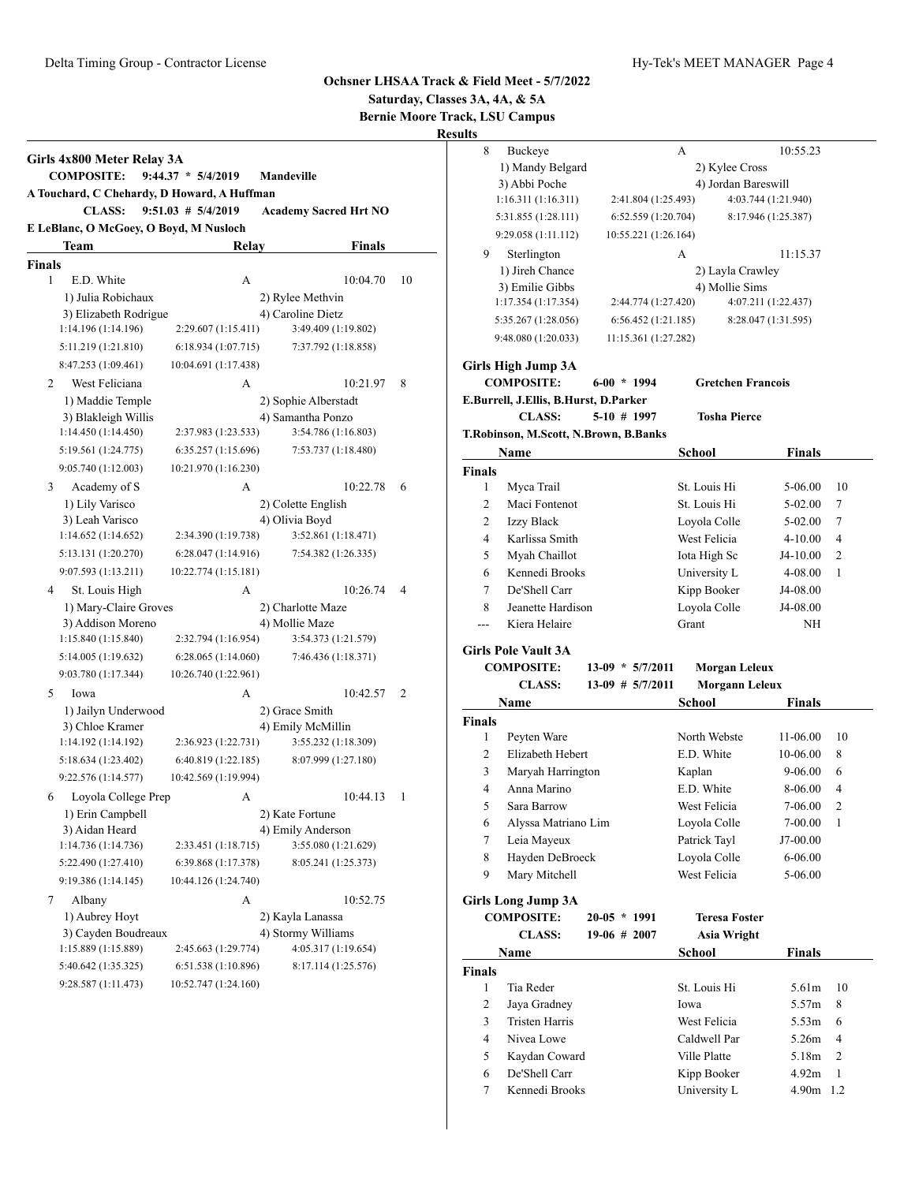# **Saturday, Classes 3A, 4A, & 5A**

**Bernie Moore Track, LSU Campus**

|                    | Girls 4x800 Meter Relay 3A                                   |                        |                              |    |
|--------------------|--------------------------------------------------------------|------------------------|------------------------------|----|
|                    | <b>COMPOSITE:</b>                                            | $9:44.37 * 5/4/2019$   | <b>Mandeville</b>            |    |
|                    | A Touchard, C Chehardy, D Howard, A Huffman<br><b>CLASS:</b> | $9:51.03$ # $5/4/2019$ |                              |    |
|                    |                                                              |                        | <b>Academy Sacred Hrt NO</b> |    |
|                    | E LeBlanc, O McGoey, O Boyd, M Nusloch                       |                        |                              |    |
|                    | Team                                                         | Relay                  | Finals                       |    |
| <b>Finals</b><br>1 | E.D. White                                                   | А                      | 10:04.70                     | 10 |
|                    | 1) Julia Robichaux                                           |                        | 2) Rylee Methvin             |    |
|                    | 3) Elizabeth Rodrigue                                        |                        | 4) Caroline Dietz            |    |
|                    | 1:14.196 (1:14.196)                                          | 2:29.607 (1:15.411)    | 3:49.409 (1:19.802)          |    |
|                    | 5:11.219 (1:21.810)                                          | 6:18.934(1:07.715)     | 7:37.792 (1:18.858)          |    |
|                    | 8:47.253 (1:09.461)                                          | 10:04.691 (1:17.438)   |                              |    |
| 2                  | West Feliciana                                               | А                      | 10:21.97                     | 8  |
|                    | 1) Maddie Temple                                             |                        | 2) Sophie Alberstadt         |    |
|                    | 3) Blakleigh Willis                                          |                        | 4) Samantha Ponzo            |    |
|                    | 1:14.450 (1:14.450)                                          | 2:37.983 (1:23.533)    | 3:54.786 (1:16.803)          |    |
|                    | 5:19.561 (1:24.775)                                          | 6:35.257 (1:15.696)    | 7:53.737 (1:18.480)          |    |
|                    | 9:05.740 (1:12.003)                                          | 10:21.970 (1:16.230)   |                              |    |
|                    |                                                              | А                      | 10:22.78                     | 6  |
| 3                  | Academy of S<br>1) Lily Varisco                              |                        | 2) Colette English           |    |
|                    | 3) Leah Varisco                                              |                        | 4) Olivia Boyd               |    |
|                    | 1:14.652(1:14.652)                                           | 2:34.390 (1:19.738)    | 3:52.861 (1:18.471)          |    |
|                    | 5:13.131 (1:20.270)                                          | 6:28.047 (1:14.916)    | 7:54.382 (1:26.335)          |    |
|                    | 9:07.593 (1:13.211)                                          | 10:22.774 (1:15.181)   |                              |    |
| 4                  | St. Louis High                                               | А                      | 10:26.74                     | 4  |
|                    | 1) Mary-Claire Groves                                        |                        | 2) Charlotte Maze            |    |
|                    | 3) Addison Moreno                                            |                        | 4) Mollie Maze               |    |
|                    | 1:15.840 (1:15.840)                                          | 2:32.794 (1:16.954)    | 3:54.373 (1:21.579)          |    |
|                    | 5:14.005 (1:19.632)                                          | 6:28.065(1:14.060)     | 7:46.436 (1:18.371)          |    |
|                    | 9:03.780 (1:17.344)                                          | 10:26.740 (1:22.961)   |                              |    |
| 5                  | Iowa                                                         | А                      | 10:42.57                     | 2  |
|                    | 1) Jailyn Underwood                                          |                        | 2) Grace Smith               |    |
|                    | 3) Chloe Kramer                                              |                        | 4) Emily McMillin            |    |
|                    | 1:14.192 (1:14.192)                                          | 2:36.923 (1:22.731)    | 3:55.232 (1:18.309)          |    |
|                    | 5:18.634 (1:23.402)                                          | 6:40.819 (1:22.185)    | 8:07.999 (1:27.180)          |    |
|                    | 9:22.576 (1:14.577)                                          | 10:42.569 (1:19.994)   |                              |    |
| 6                  | Loyola College Prep                                          | А                      | 10:44.13                     | 1  |
|                    | 1) Erin Campbell                                             |                        | 2) Kate Fortune              |    |
|                    | 3) Aidan Heard                                               |                        | 4) Emily Anderson            |    |
|                    | 1:14.736 (1:14.736)                                          | 2:33.451 (1:18.715)    | 3:55.080 (1:21.629)          |    |
|                    | 5:22.490 (1:27.410)                                          | 6:39.868 (1:17.378)    | 8:05.241 (1:25.373)          |    |
|                    | 9:19.386 (1:14.145)                                          | 10:44.126 (1:24.740)   |                              |    |
| 7                  | Albany                                                       | А                      | 10:52.75                     |    |
|                    | 1) Aubrey Hoyt                                               |                        | 2) Kayla Lanassa             |    |
|                    | 3) Cayden Boudreaux                                          |                        | 4) Stormy Williams           |    |
|                    | 1:15.889 (1:15.889)                                          | 2:45.663 (1:29.774)    | 4:05.317 (1:19.654)          |    |
|                    | 5:40.642 (1:35.325)                                          | 6:51.538 (1:10.896)    | 8:17.114 (1:25.576)          |    |
|                    | 9:28.587 (1:11.473)                                          | 10:52.747 (1:24.160)   |                              |    |
|                    |                                                              |                        |                              |    |

| 8                  | Buckeye                               |                      | A                               | 10:55.23            |    |
|--------------------|---------------------------------------|----------------------|---------------------------------|---------------------|----|
|                    | 1) Mandy Belgard                      |                      | 2) Kylee Cross                  |                     |    |
|                    | 3) Abbi Poche                         |                      | 4) Jordan Bareswill             |                     |    |
|                    | 1:16.311(1:16.311)                    | 2:41.804 (1:25.493)  |                                 | 4:03.744 (1:21.940) |    |
|                    | 5:31.855 (1:28.111)                   | 6:52.559(1:20.704)   |                                 | 8:17.946 (1:25.387) |    |
|                    | 9:29.058 (1:11.112)                   | 10:55.221 (1:26.164) |                                 |                     |    |
| 9                  | Sterlington                           |                      | А                               | 11:15.37            |    |
|                    | 1) Jireh Chance                       |                      | 2) Layla Crawley                |                     |    |
|                    | 3) Emilie Gibbs                       |                      | 4) Mollie Sims                  |                     |    |
|                    | 1:17.354(1:17.354)                    | 2:44.774 (1:27.420)  |                                 | 4:07.211 (1:22.437) |    |
|                    | 5:35.267 (1:28.056)                   | 6:56.452(1:21.185)   |                                 | 8:28.047 (1:31.595) |    |
|                    | 9:48.080 (1:20.033)                   | 11:15.361 (1:27.282) |                                 |                     |    |
|                    |                                       |                      |                                 |                     |    |
|                    | Girls High Jump 3A                    |                      |                                 |                     |    |
|                    | <b>COMPOSITE:</b>                     | $6-00 * 1994$        | <b>Gretchen Francois</b>        |                     |    |
|                    | E.Burrell, J.Ellis, B.Hurst, D.Parker |                      |                                 |                     |    |
|                    | <b>CLASS:</b>                         | $5-10$ # 1997        | <b>Tosha Pierce</b>             |                     |    |
|                    | T.Robinson, M.Scott, N.Brown, B.Banks |                      |                                 |                     |    |
|                    | Name                                  |                      | School                          | Finals              |    |
| Finals             |                                       |                      |                                 |                     |    |
| 1                  | Myca Trail                            |                      | St. Louis Hi                    | 5-06.00             | 10 |
| 2                  | Maci Fontenot                         |                      | St. Louis Hi                    | 5-02.00             | 7  |
| 2                  | Izzy Black                            |                      | Loyola Colle                    | $5-02.00$           | 7  |
| 4                  | Karlissa Smith                        |                      | West Felicia                    | 4-10.00             | 4  |
| 5                  | Myah Chaillot                         |                      | Iota High Sc                    | J4-10.00            | 2  |
| 6                  | Kennedi Brooks                        |                      | University L                    | 4-08.00             | 1  |
| 7                  | De'Shell Carr                         |                      | Kipp Booker                     | J4-08.00            |    |
| 8                  | Jeanette Hardison                     |                      | Loyola Colle                    | J4-08.00            |    |
| ---                | Kiera Helaire                         |                      | Grant                           | NH                  |    |
|                    | <b>Girls Pole Vault 3A</b>            |                      |                                 |                     |    |
|                    | <b>COMPOSITE:</b>                     | $13-09 * 5/7/2011$   | <b>Morgan Leleux</b>            |                     |    |
|                    |                                       |                      |                                 |                     |    |
|                    | <b>CLASS:</b>                         | $13-09$ # $5/7/2011$ |                                 |                     |    |
|                    | Name                                  |                      | <b>Morgann Leleux</b><br>School | Finals              |    |
|                    |                                       |                      |                                 |                     |    |
| 1                  | Peyten Ware                           |                      | North Webste                    | 11-06.00            | 10 |
| 2                  | Elizabeth Hebert                      |                      | E.D. White                      | 10-06.00            | 8  |
| 3                  | Maryah Harrington                     |                      | Kaplan                          | 9-06.00             | 6  |
| 4                  | Anna Marino                           |                      | E.D. White                      | 8-06.00             | 4  |
| 5                  | Sara Barrow                           |                      | West Felicia                    | 7-06.00             | 2  |
|                    |                                       |                      |                                 |                     | 1  |
| 6                  | Alyssa Matriano Lim                   |                      | Loyola Colle                    | 7-00.00             |    |
| 7                  | Leia Mayeux                           |                      | Patrick Tayl                    | J7-00.00            |    |
| 8                  | Hayden DeBroeck                       |                      | Loyola Colle                    | 6-06.00             |    |
| 9                  | Mary Mitchell                         |                      | West Felicia                    | 5-06.00             |    |
|                    | <b>Girls Long Jump 3A</b>             |                      |                                 |                     |    |
|                    | <b>COMPOSITE:</b>                     | $20-05 * 1991$       | <b>Teresa Foster</b>            |                     |    |
| <b>Finals</b>      | <b>CLASS:</b>                         | $19-06$ # 2007       | Asia Wright                     |                     |    |
|                    | Name                                  |                      | School                          | Finals              |    |
|                    |                                       |                      |                                 |                     |    |
| <b>Finals</b><br>1 | Tia Reder                             |                      | St. Louis Hi                    | 5.61m               | 10 |
| 2                  | Jaya Gradney                          |                      | Iowa                            | 5.57m               | 8  |
| 3                  | Tristen Harris                        |                      | West Felicia                    | 5.53m               | 6  |
| 4                  | Nivea Lowe                            |                      | Caldwell Par                    | 5.26m               | 4  |
| 5                  | Kaydan Coward                         |                      | Ville Platte                    | 5.18m               | 2  |
| 6                  | De'Shell Carr                         |                      | Kipp Booker                     | 4.92m               | 1  |
| 7                  | Kennedi Brooks                        |                      | University L                    | 4.90m 1.2           |    |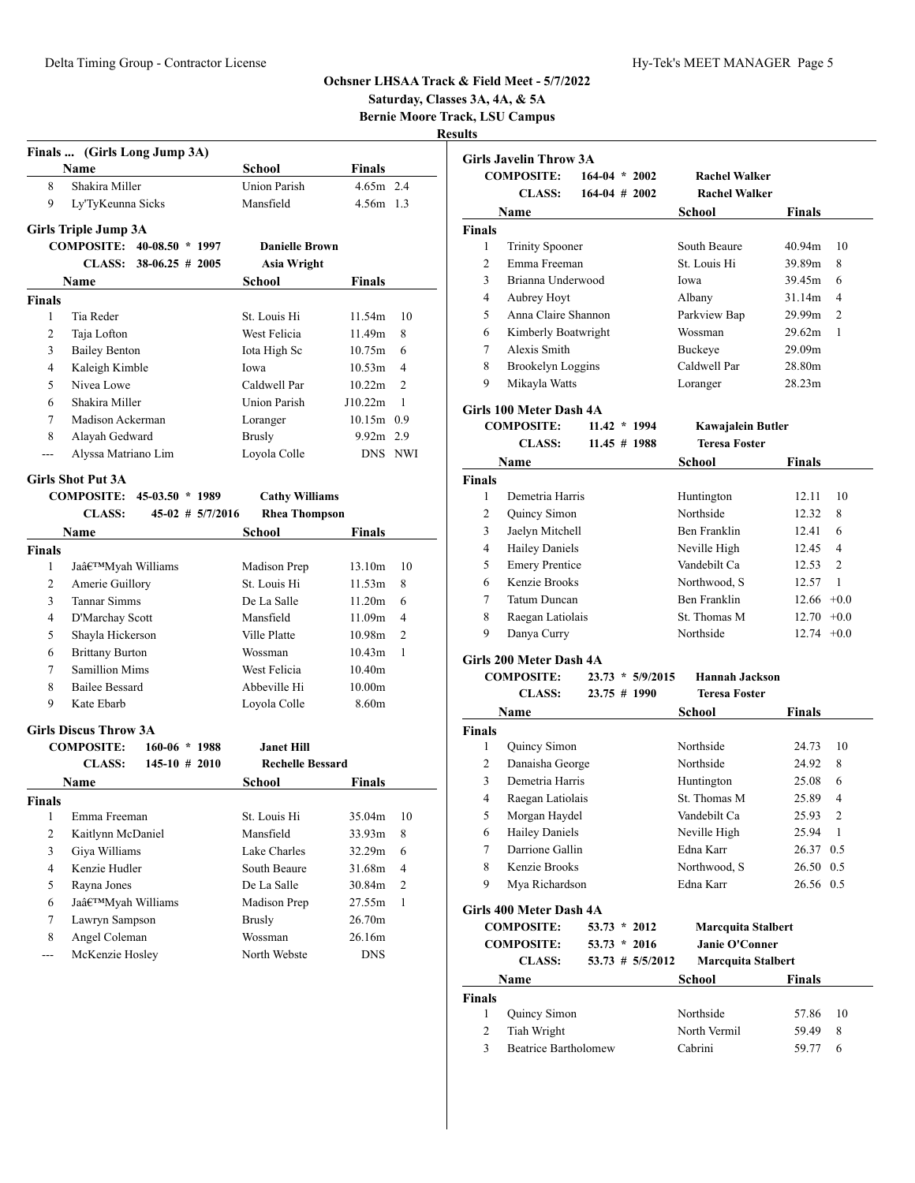|                |                                               |                         |               |                | Saturday, Classes 3A, 4A, & 5A                          |                                        |                    |                                           |                |                     |
|----------------|-----------------------------------------------|-------------------------|---------------|----------------|---------------------------------------------------------|----------------------------------------|--------------------|-------------------------------------------|----------------|---------------------|
|                |                                               |                         |               |                | <b>Bernie Moore Track, LSU Campus</b><br><b>Results</b> |                                        |                    |                                           |                |                     |
|                | Finals  (Girls Long Jump 3A)                  |                         |               |                |                                                         | <b>Girls Javelin Throw 3A</b>          |                    |                                           |                |                     |
|                | Name                                          | School                  | Finals        |                |                                                         | <b>COMPOSITE:</b>                      | $164-04$ * 2002    | <b>Rachel Walker</b>                      |                |                     |
| 8              | Shakira Miller                                | <b>Union Parish</b>     | $4.65m$ 2.4   |                |                                                         | <b>CLASS:</b>                          | $164-04$ # 2002    | <b>Rachel Walker</b>                      |                |                     |
| 9              | Ly'TyKeunna Sicks                             | Mansfield               | 4.56m 1.3     |                |                                                         | Name                                   |                    | School                                    | <b>Finals</b>  |                     |
|                | <b>Girls Triple Jump 3A</b>                   |                         |               |                | Finals                                                  |                                        |                    |                                           |                |                     |
|                | COMPOSITE: 40-08.50 * 1997                    | <b>Danielle Brown</b>   |               |                | $\mathbf{1}$                                            | <b>Trinity Spooner</b>                 |                    | South Beaure                              | 40.94m         | - 10                |
|                | CLASS: $38-06.25 \neq 2005$                   | <b>Asia Wright</b>      |               |                | $\overline{2}$                                          | Emma Freeman                           |                    | St. Louis Hi                              | 39.89m         | - 8                 |
|                | Name                                          | School                  | Finals        |                | 3                                                       | Brianna Underwood                      |                    | Iowa                                      | 39.45m         | - 6                 |
| <b>Finals</b>  |                                               |                         |               |                | 4                                                       | Aubrey Hoyt                            |                    | Albany                                    | 31.14m         | $\overline{4}$      |
| 1              | Tia Reder                                     | St. Louis Hi            | 11.54m        | 10             | 5                                                       | Anna Claire Shannon                    |                    | Parkview Bap                              | 29.99m         | 2                   |
| $\overline{c}$ | Taja Lofton                                   | West Felicia            | 11.49m        | 8              | 6                                                       | Kimberly Boatwright                    |                    | Wossman                                   | 29.62m         | $\overline{1}$      |
| 3              | <b>Bailey Benton</b>                          | Iota High Sc            | 10.75m        | - 6            | 7                                                       | Alexis Smith                           |                    | Buckeye                                   | 29.09m         |                     |
| 4              | Kaleigh Kimble                                | Iowa                    | 10.53m        | $\overline{4}$ | 8                                                       | <b>Brookelyn Loggins</b>               |                    | Caldwell Par                              | 28.80m         |                     |
| 5              | Nivea Lowe                                    | Caldwell Par            | 10.22m        | 2              | 9                                                       | Mikayla Watts                          |                    | Loranger                                  | 28.23m         |                     |
| 6              | Shakira Miller                                | <b>Union Parish</b>     | J10.22m       | -1             |                                                         |                                        |                    |                                           |                |                     |
| 7              | Madison Ackerman                              | Loranger                | $10.15m$ 0.9  |                |                                                         | Girls 100 Meter Dash 4A                |                    |                                           |                |                     |
| 8              | Alayah Gedward                                | <b>Brusly</b>           | 9.92m 2.9     |                |                                                         | <b>COMPOSITE:</b><br><b>CLASS:</b>     | $11.42 * 1994$     | Kawajalein Butler<br><b>Teresa Foster</b> |                |                     |
| ---            | Alyssa Matriano Lim                           | Loyola Colle            |               | DNS NWI        |                                                         |                                        | $11.45 \# 1988$    |                                           |                |                     |
|                |                                               |                         |               |                |                                                         | Name                                   |                    | School                                    | <b>Finals</b>  |                     |
|                | <b>Girls Shot Put 3A</b><br>$45-03.50 * 1989$ |                         |               |                | Finals                                                  |                                        |                    |                                           |                |                     |
|                | <b>COMPOSITE:</b>                             | <b>Cathy Williams</b>   |               |                | 1                                                       | Demetria Harris<br>Quincy Simon        |                    | Huntington<br>Northside                   | 12.11<br>12.32 | -10<br>-8           |
|                | <b>CLASS:</b><br>45-02 # 5/7/2016             | <b>Rhea Thompson</b>    |               |                | $\overline{c}$<br>3                                     |                                        |                    |                                           | 12.41          | - 6                 |
|                | Name                                          | School                  | <b>Finals</b> |                |                                                         | Jaelyn Mitchell                        |                    | Ben Franklin                              |                |                     |
| <b>Finals</b>  |                                               |                         |               |                | 4<br>5                                                  | <b>Hailey Daniels</b>                  |                    | Neville High<br>Vandebilt Ca              | 12.45<br>12.53 | $\overline{4}$<br>2 |
| 1              | Ja'Myah Williams                              | Madison Prep            | 13.10m        | 10             |                                                         | <b>Emery Prentice</b><br>Kenzie Brooks |                    | Northwood, S                              | 12.57          | -1                  |
| $\overline{c}$ | Amerie Guillory                               | St. Louis Hi            | 11.53m        | 8              | 6<br>7                                                  | <b>Tatum Duncan</b>                    |                    | Ben Franklin                              | $12.66 + 0.0$  |                     |
| 3              | Tannar Simms                                  | De La Salle             | 11.20m        | 6              | 8                                                       |                                        |                    | St. Thomas M                              | $12.70 +0.0$   |                     |
| 4              | D'Marchay Scott                               | Mansfield               | 11.09m        | $\overline{4}$ | 9                                                       | Raegan Latiolais                       |                    |                                           |                |                     |
| 5              | Shayla Hickerson                              | Ville Platte            | 10.98m        | 2              |                                                         | Danya Curry                            |                    | Northside                                 | $12.74 +0.0$   |                     |
| 6              | <b>Brittany Burton</b>                        | Wossman                 | 10.43m        | -1             |                                                         | Girls 200 Meter Dash 4A                |                    |                                           |                |                     |
| 7              | Samillion Mims                                | West Felicia            | 10.40m        |                |                                                         | <b>COMPOSITE:</b>                      | $23.73 * 5/9/2015$ | <b>Hannah Jackson</b>                     |                |                     |
| 8              | <b>Bailee Bessard</b>                         | Abbeville Hi            | 10.00m        |                |                                                         | <b>CLASS:</b>                          | 23.75 # 1990       | <b>Teresa Foster</b>                      |                |                     |
| 9              | Kate Ebarb                                    | Loyola Colle            | 8.60m         |                |                                                         | Name                                   |                    | School                                    | <b>Finals</b>  |                     |
|                | <b>Girls Discus Throw 3A</b>                  |                         |               |                | Finals                                                  |                                        |                    |                                           |                |                     |
|                | <b>COMPOSITE:</b><br>$160-06 * 1988$          | <b>Janet Hill</b>       |               |                | 1                                                       | Quincy Simon                           |                    | Northside                                 | 24.73          | - 10                |
|                | <b>CLASS:</b><br>$145-10$ # 2010              | <b>Rechelle Bessard</b> |               |                | $\overline{\mathbf{c}}$                                 | Danaisha George                        |                    | Northside                                 | 24.92 8        |                     |
|                | Name                                          | <b>School</b>           | <b>Finals</b> |                | 3                                                       | Demetria Harris                        |                    | Huntington                                | 25.08          | - 6                 |
| <b>Finals</b>  |                                               |                         |               |                | 4                                                       | Raegan Latiolais                       |                    | St. Thomas M                              | 25.89          | $\overline{4}$      |
| $\mathbf{1}$   | Emma Freeman                                  | St. Louis Hi            | 35.04m        | 10             | 5                                                       | Morgan Haydel                          |                    | Vandebilt Ca                              | 25.93          | $\overline{2}$      |
| $\overline{c}$ | Kaitlynn McDaniel                             | Mansfield               | 33.93m        | 8              | 6                                                       | <b>Hailey Daniels</b>                  |                    | Neville High                              | 25.94          | $\overline{1}$      |
| 3              | Giya Williams                                 | Lake Charles            | 32.29m 6      |                | 7                                                       | Darrione Gallin                        |                    | Edna Karr                                 | 26.37 0.5      |                     |
| 4              | Kenzie Hudler                                 | South Beaure            | 31.68m        | $\overline{4}$ | 8                                                       | Kenzie Brooks                          |                    | Northwood, S                              | 26.50 0.5      |                     |
| 5              | Rayna Jones                                   | De La Salle             | 30.84m        | 2              | 9                                                       | Mya Richardson                         |                    | Edna Karr                                 | 26.56 0.5      |                     |
| 6              | Ja'Myah Williams                              | Madison Prep            | $27.55m$ 1    |                |                                                         | Girls 400 Meter Dash 4A                |                    |                                           |                |                     |
| 7              | Lawryn Sampson                                | <b>Brusly</b>           | 26.70m        |                |                                                         | <b>COMPOSITE:</b>                      | $53.73 * 2012$     | <b>Marcquita Stalbert</b>                 |                |                     |
| 8              | Angel Coleman                                 | Wossman                 | 26.16m        |                |                                                         | <b>COMPOSITE:</b>                      | $53.73 * 2016$     | <b>Janie O'Conner</b>                     |                |                     |
| ---            | McKenzie Hosley                               | North Webste            | <b>DNS</b>    |                |                                                         | <b>CLASS:</b>                          | 53.73 # 5/5/2012   | <b>Marcquita Stalbert</b>                 |                |                     |
|                |                                               |                         |               |                |                                                         |                                        |                    |                                           |                |                     |
|                |                                               |                         |               |                |                                                         | Name                                   |                    | <b>School</b>                             | <b>Finals</b>  |                     |
|                |                                               |                         |               |                | Finals                                                  |                                        |                    |                                           |                |                     |

| тпату |                      |              |         |      |
|-------|----------------------|--------------|---------|------|
|       | 1 Quincy Simon       | Northside    | 57.86   | - 10 |
|       | 2 Tiah Wright        | North Vermil | 59.49 8 |      |
|       | Beatrice Bartholomew | Cabrini      | 59.77 6 |      |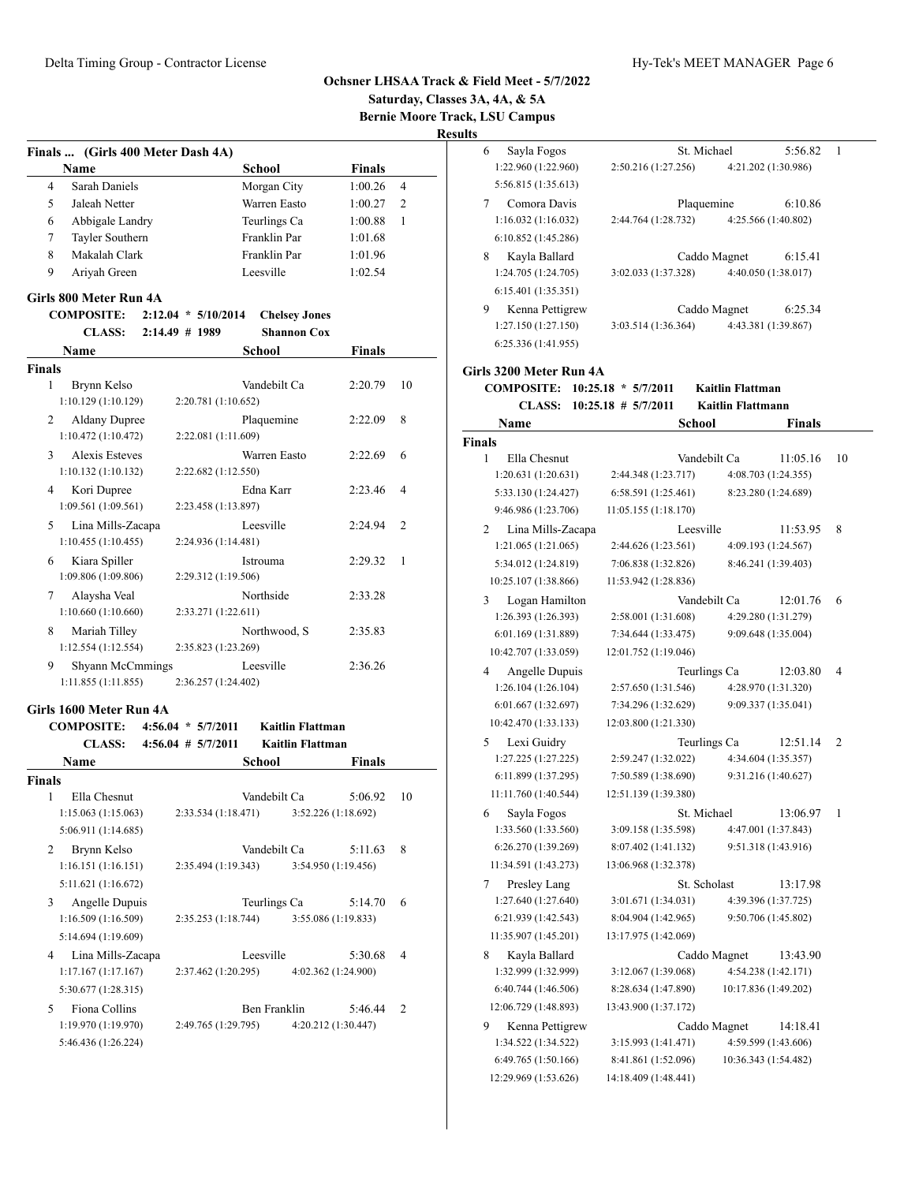**Saturday, Classes 3A, 4A, & 5A Bernie Moore Track, LSU Campus**

| Finals  (Girls 400 Meter Dash 4A)          |                        |              |                         |               |                |
|--------------------------------------------|------------------------|--------------|-------------------------|---------------|----------------|
|                                            |                        |              |                         |               |                |
| Name                                       |                        | School       |                         | <b>Finals</b> |                |
| Sarah Daniels<br>4                         |                        | Morgan City  |                         | 1:00.26       | $\overline{4}$ |
| 5<br>Jaleah Netter                         |                        | Warren Easto |                         | 1:00.27       | 2              |
| 6<br>Abbigale Landry                       |                        | Teurlings Ca |                         | 1:00.88       | 1              |
| 7<br>Tayler Southern                       |                        | Franklin Par |                         | 1:01.68       |                |
| 8<br>Makalah Clark                         |                        | Franklin Par |                         | 1:01.96       |                |
| 9<br>Ariyah Green                          |                        | Leesville    |                         | 1:02.54       |                |
| Girls 800 Meter Run 4A                     |                        |              |                         |               |                |
|                                            |                        |              |                         |               |                |
| <b>COMPOSITE:</b>                          | $2:12.04 * 5/10/2014$  |              | <b>Chelsey Jones</b>    |               |                |
| <b>CLASS:</b>                              | 2:14.49 # 1989         |              | <b>Shannon Cox</b>      |               |                |
| <b>Name</b>                                |                        | School       |                         | <b>Finals</b> |                |
| <b>Finals</b>                              |                        |              |                         |               |                |
| 1<br>Brynn Kelso                           |                        | Vandebilt Ca |                         | 2:20.79       | 10             |
| 1:10.129 (1:10.129)                        | 2:20.781 (1:10.652)    |              |                         |               |                |
| 2<br><b>Aldany Dupree</b>                  |                        | Plaquemine   |                         | 2:22.09       | 8              |
| 1:10.472(1:10.472)                         | 2:22.081 (1:11.609)    |              |                         |               |                |
| <b>Alexis Esteves</b><br>3                 |                        | Warren Easto |                         | 2:22.69       | 6              |
| 1:10.132(1:10.132)                         | 2:22.682 (1:12.550)    |              |                         |               |                |
| 4<br>Kori Dupree                           |                        | Edna Karr    |                         | 2:23.46       | 4              |
| 1:09.561(1:09.561)                         | 2:23.458 (1:13.897)    |              |                         |               |                |
| 5<br>Lina Mills-Zacapa                     |                        | Leesville    |                         | 2:24.94       | 2              |
| 1:10.455(1:10.455)                         | 2:24.936 (1:14.481)    |              |                         |               |                |
| Kiara Spiller<br>6                         |                        | Istrouma     |                         | 2:29.32       | 1              |
| 1:09.806 (1:09.806)                        | 2:29.312 (1:19.506)    |              |                         |               |                |
| 7<br>Alaysha Veal                          |                        | Northside    |                         | 2:33.28       |                |
| 1:10.660(1:10.660)                         | 2:33.271 (1:22.611)    |              |                         |               |                |
| 8<br>Mariah Tilley                         |                        | Northwood, S |                         | 2:35.83       |                |
| 1:12.554 (1:12.554)                        | 2:35.823 (1:23.269)    |              |                         |               |                |
| 9<br>Shyann McCmmings                      |                        | Leesville    |                         | 2:36.26       |                |
| 1:11.855(1:11.855)                         | 2:36.257 (1:24.402)    |              |                         |               |                |
|                                            |                        |              |                         |               |                |
| Girls 1600 Meter Run 4A                    |                        |              |                         |               |                |
| <b>COMPOSITE:</b>                          | $4:56.04 * 5/7/2011$   |              | <b>Kaitlin Flattman</b> |               |                |
| <b>CLASS:</b>                              | $4:56.04$ # $5/7/2011$ |              | <b>Kaitlin Flattman</b> |               |                |
| <b>Name</b>                                |                        | School       |                         | Finals        |                |
| <b>Finals</b>                              |                        |              |                         |               |                |
| Ella Chesnut<br>1                          |                        | Vandebilt Ca |                         | 5:06.92       | 10             |
|                                            |                        |              | 3:52.226 (1:18.692)     |               |                |
| 1:15.063(1:15.063)                         | 2:33.534 (1:18.471)    |              |                         |               |                |
| 5:06.911 (1:14.685)                        |                        |              |                         |               |                |
| Brynn Kelso<br>$\overline{2}$              |                        | Vandebilt Ca |                         | 5:11.63       | 8              |
| 1:16.151(1:16.151)                         | 2:35.494 (1:19.343)    |              | 3:54.950 (1:19.456)     |               |                |
| 5:11.621 (1:16.672)                        |                        |              |                         |               |                |
| 3<br>Angelle Dupuis                        |                        | Teurlings Ca |                         | 5:14.70       | 6              |
| 1:16.509 (1:16.509)                        | 2:35.253 (1:18.744)    |              | 3:55.086 (1:19.833)     |               |                |
| 5:14.694 (1:19.609)                        |                        |              |                         |               |                |
| 4                                          |                        |              |                         |               | 4              |
| Lina Mills-Zacapa                          |                        | Leesville    |                         | 5:30.68       |                |
| 1:17.167(1:17.167)                         | 2:37.462 (1:20.295)    |              | 4:02.362 (1:24.900)     |               |                |
| 5:30.677 (1:28.315)                        |                        |              |                         |               |                |
| Fiona Collins<br>5                         |                        | Ben Franklin |                         | 5:46.44       | 2              |
| 1:19.970 (1:19.970)<br>5:46.436 (1:26.224) | 2:49.765 (1:29.795)    |              | 4:20.212 (1:30.447)     |               |                |

| 6   | Sayla Fogos                                 | St. Michael                                 | 5:56.82                         | 1  |
|-----|---------------------------------------------|---------------------------------------------|---------------------------------|----|
|     | 1:22.960 (1:22.960)                         | 2:50.216 (1:27.256)                         | 4:21.202 (1:30.986)             |    |
|     | 5:56.815 (1:35.613)                         |                                             |                                 |    |
| 7   | Comora Davis                                | Plaquemine                                  | 6:10.86                         |    |
|     | 1:16.032(1:16.032)                          | 2:44.764 (1:28.732)                         | 4:25.566 (1:40.802)             |    |
|     | 6:10.852(1:45.286)                          |                                             |                                 |    |
| 8   | Kayla Ballard                               |                                             | Caddo Magnet<br>6:15.41         |    |
|     | 1:24.705 (1:24.705)                         | 3:02.033 (1:37.328)                         | 4:40.050 (1:38.017)             |    |
|     | 6:15.401 (1:35.351)                         |                                             |                                 |    |
| 9   | Kenna Pettigrew                             |                                             | Caddo Magnet<br>6:25.34         |    |
|     | 1:27.150(1:27.150)                          | 3:03.514(1:36.364)                          | 4:43.381 (1:39.867)             |    |
|     | 6:25.336 (1:41.955)                         |                                             |                                 |    |
|     | ls 3200 Meter Run 4A                        |                                             |                                 |    |
|     | <b>COMPOSITE:</b>                           | $10:25.18 * 5/7/2011$                       | <b>Kaitlin Flattman</b>         |    |
|     | <b>CLASS:</b>                               | $10:25.18$ # $5/7/2011$                     | Kaitlin Flattmann               |    |
|     | Name                                        | School                                      | Finals                          |    |
| als |                                             |                                             |                                 |    |
| 1   | Ella Chesnut                                | Vandebilt Ca                                | 11:05.16                        | 10 |
|     | 1:20.631 (1:20.631)                         | 2:44.348 (1:23.717)                         | 4:08.703 (1:24.355)             |    |
|     | 5:33.130 (1:24.427)<br>9:46.986 (1:23.706)  | 6:58.591(1:25.461)<br>11:05.155(1:18.170)   | 8:23.280 (1:24.689)             |    |
|     |                                             | Leesville                                   | 11:53.95                        | 8  |
| 2   | Lina Mills-Zacapa<br>1:21.065(1:21.065)     | 2:44.626 (1:23.561)                         | 4:09.193 (1:24.567)             |    |
|     | 5:34.012 (1:24.819)                         | 7:06.838 (1:32.826)                         | 8:46.241 (1:39.403)             |    |
|     | 10:25.107 (1:38.866)                        | 11:53.942 (1:28.836)                        |                                 |    |
| 3   | Logan Hamilton                              | Vandebilt Ca                                | 12:01.76                        | 6  |
|     | 1:26.393 (1:26.393)                         | 2:58.001 (1:31.608)                         | 4:29.280 (1:31.279)             |    |
|     | 6:01.169 (1:31.889)                         | 7:34.644 (1:33.475)                         | 9:09.648 (1:35.004)             |    |
|     | 10:42.707 (1:33.059)                        | 12:01.752 (1:19.046)                        |                                 |    |
| 4   | Angelle Dupuis                              | Teurlings Ca                                | 12:03.80                        | 4  |
|     | 1:26.104(1:26.104)                          | 2:57.650 (1:31.546)                         | 4:28.970 (1:31.320)             |    |
|     | 6:01.667 (1:32.697)                         | 7:34.296 (1:32.629)                         | 9:09.337 (1:35.041)             |    |
|     | 10:42.470 (1:33.133)                        | 12:03.800 (1:21.330)                        |                                 |    |
| 5   | Lexi Guidry                                 | Teurlings Ca                                | 12:51.14                        | 2  |
|     | 1:27.225(1:27.225)                          | 2:59.247 (1:32.022)                         | 4:34.604 (1:35.357)             |    |
|     | 6:11.899 (1:37.295)                         | 7:50.589 (1:38.690)                         | 9:31.216 (1:40.627)             |    |
|     | 11:11.760 (1:40.544)                        | 12:51.139 (1:39.380)                        |                                 |    |
| 6   | Sayla Fogos                                 | St. Michael                                 | 13:06.97                        | 1  |
|     | 1:33.560 (1:33.560)                         | 3:09.158 (1:35.598)                         | 4:47.001 (1:37.843)             |    |
|     | 6:26.270 (1:39.269)<br>11:34.591 (1:43.273) | 8:07.402 (1:41.132)<br>13:06.968 (1:32.378) | 9:51.318 (1:43.916)             |    |
|     |                                             |                                             |                                 |    |
| 7   | Presley Lang<br>1:27.640 (1:27.640)         | St. Scholast<br>3:01.671 (1:34.031)         | 13:17.98<br>4:39.396 (1:37.725) |    |
|     | 6:21.939 (1:42.543)                         | 8:04.904 (1:42.965)                         | 9:50.706 (1:45.802)             |    |
|     | 11:35.907 (1:45.201)                        | 13:17.975 (1:42.069)                        |                                 |    |
| 8   | Kayla Ballard                               |                                             | Caddo Magnet<br>13:43.90        |    |
|     | 1:32.999 (1:32.999)                         | 3:12.067 (1:39.068)                         | 4:54.238 (1:42.171)             |    |
|     | 6:40.744 (1:46.506)                         | 8:28.634 (1:47.890)                         | 10:17.836 (1:49.202)            |    |
|     | 12:06.729 (1:48.893)                        | 13:43.900 (1:37.172)                        |                                 |    |
| 9   | Kenna Pettigrew                             |                                             | Caddo Magnet<br>14:18.41        |    |
|     | 1:34.522 (1:34.522)                         | 3:15.993 (1:41.471)                         | 4:59.599 (1:43.606)             |    |
|     | 6:49.765 (1:50.166)                         | 8:41.861 (1:52.096)                         | 10:36.343 (1:54.482)            |    |
|     | 12:29.969 (1:53.626)                        | 14:18.409 (1:48.441)                        |                                 |    |
|     |                                             |                                             |                                 |    |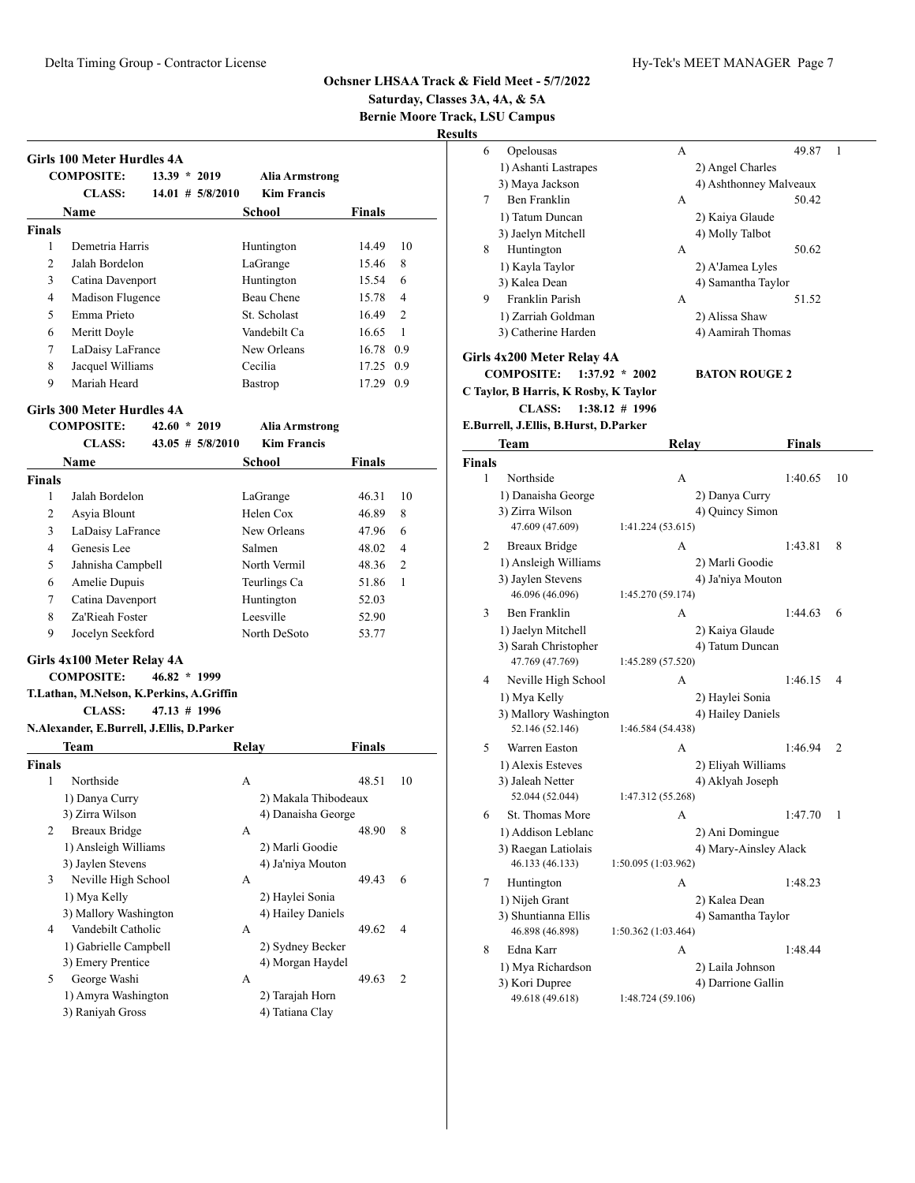**Saturday, Classes 3A, 4A, & 5A**

**Bernie Moore Track, LSU Campus**

|                    | <b>Girls 100 Meter Hurdles 4A</b>         |                |                      |                    |                       |               |                |
|--------------------|-------------------------------------------|----------------|----------------------|--------------------|-----------------------|---------------|----------------|
|                    | <b>COMPOSITE:</b>                         | $13.39 * 2019$ |                      |                    | <b>Alia Armstrong</b> |               |                |
|                    | <b>CLASS:</b>                             |                | $14.01$ # 5/8/2010   | <b>Kim Francis</b> |                       |               |                |
|                    | <b>Name</b>                               |                |                      | <b>School</b>      |                       | <b>Finals</b> |                |
| <b>Finals</b>      |                                           |                |                      |                    |                       |               |                |
| 1                  | Demetria Harris                           |                |                      | Huntington         |                       | 14.49         | 10             |
| 2                  | Jalah Bordelon                            |                |                      | LaGrange           |                       | 15.46         | 8              |
| 3                  | Catina Davenport                          |                |                      | Huntington         |                       | 15.54         | 6              |
| 4                  | Madison Flugence                          |                |                      | <b>Beau Chene</b>  |                       | 15.78         | $\overline{4}$ |
| 5                  | Emma Prieto                               |                |                      | St. Scholast       |                       | 16.49         | $\overline{c}$ |
| 6                  | Meritt Doyle                              |                |                      | Vandebilt Ca       |                       | 16.65         | 1              |
| 7                  | LaDaisy LaFrance                          |                |                      | New Orleans        |                       | 16.78 0.9     |                |
| 8                  | Jacquel Williams                          |                |                      | Cecilia            |                       | 17.25 0.9     |                |
| 9                  | Mariah Heard                              |                |                      | <b>Bastrop</b>     |                       | 17.29 0.9     |                |
|                    | <b>Girls 300 Meter Hurdles 4A</b>         |                |                      |                    |                       |               |                |
|                    | <b>COMPOSITE:</b>                         | $42.60 * 2019$ |                      |                    | <b>Alia Armstrong</b> |               |                |
|                    | <b>CLASS:</b>                             |                | $43.05$ # $5/8/2010$ | <b>Kim Francis</b> |                       |               |                |
|                    | <b>Name</b>                               |                |                      | School             |                       | Finals        |                |
| <b>Finals</b>      |                                           |                |                      |                    |                       |               |                |
| 1                  | Jalah Bordelon                            |                |                      | LaGrange           |                       | 46.31         | 10             |
| 2                  | Asyia Blount                              |                |                      | Helen Cox          |                       | 46.89         | 8              |
| 3                  | LaDaisy LaFrance                          |                |                      | New Orleans        |                       | 47.96         | 6              |
| 4                  | Genesis Lee                               |                |                      | Salmen             |                       | 48.02         | $\overline{4}$ |
| 5                  | Jahnisha Campbell                         |                |                      | North Vermil       |                       | 48.36         | $\overline{c}$ |
| 6                  | Amelie Dupuis                             |                |                      | Teurlings Ca       |                       | 51.86         | 1              |
| 7                  | Catina Davenport                          |                |                      | Huntington         |                       | 52.03         |                |
| 8                  | Za'Rieah Foster                           |                |                      | Leesville          |                       | 52.90         |                |
| 9                  | Jocelyn Seekford                          |                |                      | North DeSoto       |                       | 53.77         |                |
|                    |                                           |                |                      |                    |                       |               |                |
|                    |                                           |                |                      |                    |                       |               |                |
|                    | Girls 4x100 Meter Relay 4A                |                |                      |                    |                       |               |                |
|                    | <b>COMPOSITE:</b>                         | $46.82 * 1999$ |                      |                    |                       |               |                |
|                    | T.Lathan, M.Nelson, K.Perkins, A.Griffin  |                |                      |                    |                       |               |                |
|                    | <b>CLASS:</b>                             | 47.13 # 1996   |                      |                    |                       |               |                |
|                    | N.Alexander, E.Burrell, J.Ellis, D.Parker |                |                      |                    |                       |               |                |
|                    | Team                                      |                |                      | Relay              |                       | Finals        |                |
|                    |                                           |                |                      |                    |                       |               |                |
| 1                  | Northside                                 |                |                      | A                  |                       | 48.51         |                |
|                    | 1) Danya Curry                            |                |                      |                    | 2) Makala Thibodeaux  |               |                |
|                    | 3) Zirra Wilson                           |                |                      |                    | 4) Danaisha George    |               |                |
| 2                  | <b>Breaux Bridge</b>                      |                |                      | А                  |                       | 48.90         | 8              |
|                    | 1) Ansleigh Williams                      |                |                      |                    | 2) Marli Goodie       |               |                |
|                    | 3) Jaylen Stevens                         |                |                      |                    | 4) Ja'niya Mouton     |               |                |
| 3                  | Neville High School                       |                |                      | А                  |                       | 49.43         | 6              |
|                    | 1) Mya Kelly                              |                |                      |                    | 2) Haylei Sonia       |               |                |
|                    | 3) Mallory Washington                     |                |                      |                    | 4) Hailey Daniels     |               |                |
| 4                  | Vandebilt Catholic                        |                |                      | А                  |                       | 49.62         | 4              |
|                    | 1) Gabrielle Campbell                     |                |                      |                    | 2) Sydney Becker      |               |                |
|                    | 3) Emery Prentice                         |                |                      |                    | 4) Morgan Haydel      |               |                |
| <b>Finals</b><br>5 | George Washi<br>1) Amyra Washington       |                |                      | А                  | 2) Tarajah Horn       | 49.63         | 10<br>2        |

| uits          |                                        |                     |                        |               |    |
|---------------|----------------------------------------|---------------------|------------------------|---------------|----|
| 6             | Opelousas                              | А                   |                        | 49.87         | 1  |
|               | 1) Ashanti Lastrapes                   |                     | 2) Angel Charles       |               |    |
|               | 3) Maya Jackson                        |                     | 4) Ashthonney Malveaux |               |    |
| 7             | <b>Ben Franklin</b>                    | А                   |                        | 50.42         |    |
|               | 1) Tatum Duncan                        |                     | 2) Kaiya Glaude        |               |    |
|               | 3) Jaelyn Mitchell                     |                     | 4) Molly Talbot        |               |    |
| 8             | Huntington                             | А                   |                        | 50.62         |    |
|               | 1) Kayla Taylor                        |                     | 2) A'Jamea Lyles       |               |    |
|               | 3) Kalea Dean                          |                     | 4) Samantha Taylor     |               |    |
| 9             | Franklin Parish                        | А                   |                        | 51.52         |    |
|               | 1) Zarriah Goldman                     |                     | 2) Alissa Shaw         |               |    |
|               | 3) Catherine Harden                    |                     | 4) Aamirah Thomas      |               |    |
|               |                                        |                     |                        |               |    |
|               | Girls 4x200 Meter Relay 4A             |                     |                        |               |    |
|               | <b>COMPOSITE:</b>                      | $1:37.92 * 2002$    | <b>BATON ROUGE 2</b>   |               |    |
|               | C Taylor, B Harris, K Rosby, K Taylor  |                     |                        |               |    |
|               | <b>CLASS:</b>                          | $1:38.12 \# 1996$   |                        |               |    |
|               | E.Burrell, J.Ellis, B.Hurst, D.Parker  |                     |                        |               |    |
|               | Team                                   | Relay               |                        | <b>Finals</b> |    |
| <b>Finals</b> |                                        |                     |                        |               |    |
| $\mathbf{1}$  | Northside                              | А                   |                        | 1:40.65       | 10 |
|               | 1) Danaisha George                     |                     | 2) Danya Curry         |               |    |
|               | 3) Zirra Wilson                        |                     | 4) Quincy Simon        |               |    |
|               | 47.609 (47.609)                        | 1:41.224 (53.615)   |                        |               |    |
| 2             | <b>Breaux Bridge</b>                   | А                   |                        | 1:43.81       | 8  |
|               | 1) Ansleigh Williams                   |                     | 2) Marli Goodie        |               |    |
|               | 3) Jaylen Stevens                      |                     | 4) Ja'niya Mouton      |               |    |
|               | 46.096 (46.096)                        | 1:45.270 (59.174)   |                        |               |    |
| 3             | Ben Franklin                           | A                   |                        | 1:44.63       | 6  |
|               | 1) Jaelyn Mitchell                     |                     | 2) Kaiya Glaude        |               |    |
|               | 3) Sarah Christopher                   |                     | 4) Tatum Duncan        |               |    |
|               | 47.769 (47.769)                        | 1:45.289 (57.520)   |                        |               |    |
| 4             | Neville High School                    | A                   |                        | 1:46.15       | 4  |
|               | 1) Mya Kelly                           |                     | 2) Haylei Sonia        |               |    |
|               | 3) Mallory Washington                  |                     | 4) Hailey Daniels      |               |    |
|               | 52.146 (52.146)                        | 1:46.584 (54.438)   |                        |               |    |
| 5             | Warren Easton                          | А                   |                        | 1:46.94       | 2  |
|               | 1) Alexis Esteves                      |                     | 2) Eliyah Williams     |               |    |
|               | 3) Jaleah Netter                       |                     | 4) Aklyah Joseph       |               |    |
|               | 52.044 (52.044)                        | 1:47.312 (55.268)   |                        |               |    |
|               |                                        |                     |                        |               |    |
| 6             | St. Thomas More<br>1) Addison Leblanc  | А                   |                        | 1:47.70       | 1  |
|               |                                        |                     | 2) Ani Domingue        |               |    |
|               | 3) Raegan Latiolais<br>46.133 (46.133) | 1:50.095 (1:03.962) | 4) Mary-Ainsley Alack  |               |    |
|               |                                        |                     |                        |               |    |
| 7             | Huntington                             | А                   |                        | 1:48.23       |    |
|               | 1) Nijeh Grant                         |                     | 2) Kalea Dean          |               |    |
|               | 3) Shuntianna Ellis                    |                     | 4) Samantha Taylor     |               |    |
|               | 46.898 (46.898)                        | 1:50.362 (1:03.464) |                        |               |    |
| 8             | Edna Karr                              | А                   |                        | 1:48.44       |    |
|               | 1) Mya Richardson                      |                     | 2) Laila Johnson       |               |    |
|               | 3) Kori Dupree                         |                     | 4) Darrione Gallin     |               |    |
|               | 49.618 (49.618)                        | 1:48.724 (59.106)   |                        |               |    |
|               |                                        |                     |                        |               |    |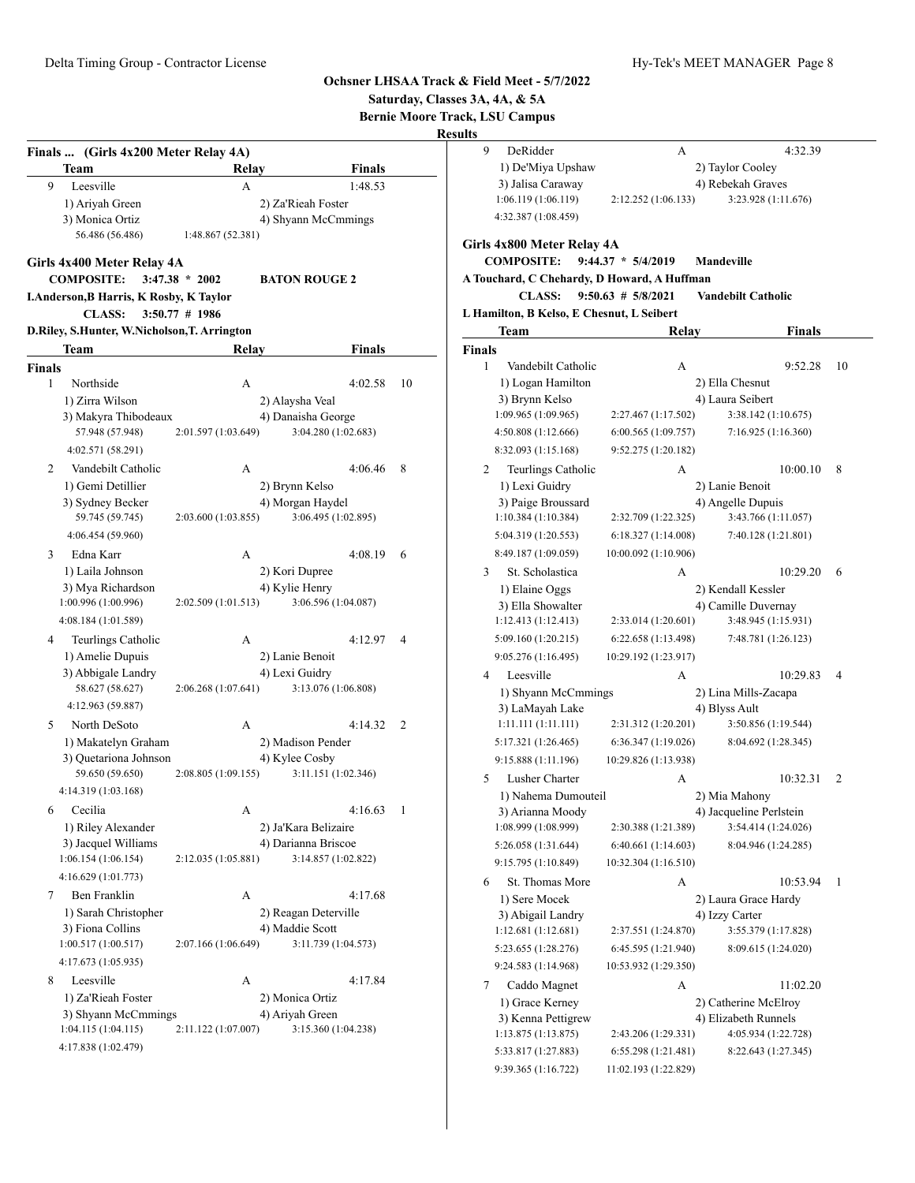|                    |                                                                                                             |                                                              |                          |                | Saturday, Classes 3A, 4A, & 5A<br><b>Bernie Moore Track, LSU Campus</b><br><b>Results</b> |                                                                                                                                |                                               |                                                |                |
|--------------------|-------------------------------------------------------------------------------------------------------------|--------------------------------------------------------------|--------------------------|----------------|-------------------------------------------------------------------------------------------|--------------------------------------------------------------------------------------------------------------------------------|-----------------------------------------------|------------------------------------------------|----------------|
|                    |                                                                                                             |                                                              |                          |                | 9                                                                                         | DeRidder                                                                                                                       | А                                             | 4:32.39                                        |                |
|                    | Finals  (Girls 4x200 Meter Relay 4A)                                                                        |                                                              |                          |                |                                                                                           | 1) De'Miya Upshaw                                                                                                              |                                               | 2) Taylor Cooley                               |                |
| 9                  | <b>Team</b><br>Leesville                                                                                    | Relay<br>A                                                   | <b>Finals</b><br>1:48.53 |                |                                                                                           | 3) Jalisa Caraway                                                                                                              |                                               | 4) Rebekah Graves                              |                |
|                    | 1) Ariyah Green                                                                                             | 2) Za'Rieah Foster                                           |                          |                |                                                                                           | 1:06.119(1:06.119)                                                                                                             | 2:12.252 (1:06.133)                           | 3:23.928 (1:11.676)                            |                |
|                    | 3) Monica Ortiz                                                                                             |                                                              | 4) Shyann McCmmings      |                |                                                                                           | 4:32.387 (1:08.459)                                                                                                            |                                               |                                                |                |
|                    | 56.486 (56.486)                                                                                             | 1:48.867 (52.381)                                            |                          |                |                                                                                           | Girls 4x800 Meter Relay 4A                                                                                                     |                                               |                                                |                |
|                    | Girls 4x400 Meter Relay 4A<br><b>COMPOSITE:</b><br>I.Anderson, B Harris, K Rosby, K Taylor<br><b>CLASS:</b> | $3:47.38 * 2002$<br><b>BATON ROUGE 2</b><br>$3:50.77$ # 1986 |                          |                |                                                                                           | <b>COMPOSITE:</b><br>A Touchard, C Chehardy, D Howard, A Huffman<br><b>CLASS:</b><br>L Hamilton, B Kelso, E Chesnut, L Seibert | $9:44.37 * 5/4/2019$<br>$9:50.63 \# 5/8/2021$ | Mandeville<br><b>Vandebilt Catholic</b>        |                |
|                    | D.Riley, S.Hunter, W.Nicholson, T. Arrington                                                                |                                                              |                          |                |                                                                                           | Team                                                                                                                           | Relav                                         | <b>Finals</b>                                  |                |
|                    | Team                                                                                                        | Relay                                                        | <b>Finals</b>            |                | <b>Finals</b>                                                                             |                                                                                                                                |                                               |                                                |                |
|                    |                                                                                                             |                                                              |                          |                | 1                                                                                         | Vandebilt Catholic                                                                                                             | A                                             | 9:52.28                                        | 10             |
| <b>Finals</b><br>1 | Northside                                                                                                   | A                                                            | 4:02.58                  | 10             |                                                                                           | 1) Logan Hamilton                                                                                                              |                                               | 2) Ella Chesnut                                |                |
|                    | 1) Zirra Wilson                                                                                             | 2) Alaysha Veal                                              |                          |                |                                                                                           | 3) Brynn Kelso                                                                                                                 |                                               | 4) Laura Seibert                               |                |
|                    | 3) Makyra Thibodeaux                                                                                        | 4) Danaisha George                                           |                          |                |                                                                                           | 1:09.965 (1:09.965)                                                                                                            | 2:27.467 (1:17.502)                           | 3:38.142 (1:10.675)                            |                |
|                    | 57.948 (57.948)                                                                                             | 2:01.597 (1:03.649)                                          | 3:04.280 (1:02.683)      |                |                                                                                           | 4:50.808 (1:12.666)                                                                                                            | 6:00.565 (1:09.757)                           | 7:16.925(1:16.360)                             |                |
|                    | 4:02.571 (58.291)                                                                                           |                                                              |                          |                |                                                                                           | 8:32.093 (1:15.168)                                                                                                            | 9:52.275 (1:20.182)                           |                                                |                |
| 2                  | Vandebilt Catholic                                                                                          | A                                                            | 4:06.46                  | 8              | 2                                                                                         | Teurlings Catholic                                                                                                             | A                                             | 10:00.10                                       | - 8            |
|                    | 1) Gemi Detillier                                                                                           | 2) Brynn Kelso                                               |                          |                |                                                                                           | 1) Lexi Guidry                                                                                                                 |                                               | 2) Lanie Benoit                                |                |
|                    | 3) Sydney Becker                                                                                            | 4) Morgan Haydel                                             |                          |                |                                                                                           | 3) Paige Broussard                                                                                                             |                                               | 4) Angelle Dupuis                              |                |
|                    | 59.745 (59.745)                                                                                             | 2:03.600 (1:03.855)                                          | 3:06.495 (1:02.895)      |                |                                                                                           | 1:10.384(1:10.384)                                                                                                             | 2:32.709 (1:22.325)                           | 3:43.766 (1:11.057)                            |                |
|                    | 4:06.454 (59.960)                                                                                           |                                                              |                          |                |                                                                                           | 5:04.319 (1:20.553)                                                                                                            | 6:18.327 (1:14.008)                           | 7:40.128 (1:21.801)                            |                |
| 3                  | Edna Karr                                                                                                   | A                                                            | 4:08.19                  | 6              |                                                                                           | 8:49.187 (1:09.059)                                                                                                            | 10:00.092 (1:10.906)                          |                                                |                |
|                    | 1) Laila Johnson                                                                                            | 2) Kori Dupree                                               |                          |                | 3                                                                                         | St. Scholastica                                                                                                                | А                                             | 10:29.20                                       | -6             |
|                    | 3) Mya Richardson                                                                                           | 4) Kylie Henry                                               |                          |                |                                                                                           | 1) Elaine Oggs                                                                                                                 |                                               | 2) Kendall Kessler                             |                |
|                    | 1:00.996 (1:00.996)                                                                                         | 2:02.509 (1:01.513)                                          | 3:06.596 (1:04.087)      |                |                                                                                           | 3) Ella Showalter                                                                                                              |                                               | 4) Camille Duvernay                            |                |
|                    | 4:08.184 (1:01.589)                                                                                         |                                                              |                          |                |                                                                                           | 1:12.413(1:12.413)                                                                                                             | 2:33.014 (1:20.601)                           | 3:48.945 (1:15.931)                            |                |
| 4                  | Teurlings Catholic                                                                                          | A                                                            | 4:12.97                  | $\overline{4}$ |                                                                                           | 5:09.160 (1:20.215)                                                                                                            | 6:22.658 (1:13.498)                           | 7:48.781 (1:26.123)                            |                |
|                    | 1) Amelie Dupuis                                                                                            | 2) Lanie Benoit                                              |                          |                |                                                                                           | 9:05.276 (1:16.495)                                                                                                            | 10:29.192 (1:23.917)                          |                                                |                |
|                    | 3) Abbigale Landry                                                                                          | 4) Lexi Guidry                                               |                          |                | 4                                                                                         | Leesville                                                                                                                      | A                                             | 10:29.83                                       | $\overline{4}$ |
|                    | 58.627 (58.627)                                                                                             | 2:06.268 (1:07.641)                                          | 3:13.076 (1:06.808)      |                |                                                                                           | 1) Shyann McCmmings                                                                                                            |                                               | 2) Lina Mills-Zacapa                           |                |
|                    | 4:12.963 (59.887)                                                                                           |                                                              |                          |                |                                                                                           | 3) LaMayah Lake                                                                                                                |                                               | 4) Blyss Ault                                  |                |
| 5                  | North DeSoto                                                                                                | A                                                            | 4:14.32                  | 2              |                                                                                           | 1:11.111(1:11.111)                                                                                                             | 2:31.312 (1:20.201)                           | 3:50.856 (1:19.544)                            |                |
|                    | 1) Makatelyn Graham                                                                                         | 2) Madison Pender                                            |                          |                |                                                                                           | 5:17.321 (1:26.465)                                                                                                            | 6:36.347 (1:19.026)                           | 8:04.692 (1:28.345)                            |                |
|                    | 3) Quetariona Johnson<br>59.650 (59.650)                                                                    | 4) Kylee Cosby<br>2:08.805 (1:09.155)                        | 3:11.151 (1:02.346)      |                |                                                                                           | 9:15.888 (1:11.196)                                                                                                            | 10:29.826 (1:13.938)                          |                                                |                |
|                    | 4:14.319 (1:03.168)                                                                                         |                                                              |                          |                | 5                                                                                         | Lusher Charter                                                                                                                 | А                                             | $10:32.31$ 2                                   |                |
|                    |                                                                                                             |                                                              |                          |                |                                                                                           | 1) Nahema Dumouteil                                                                                                            |                                               | 2) Mia Mahony                                  |                |
| 6                  | Cecilia<br>1) Riley Alexander                                                                               | A<br>2) Ja'Kara Belizaire                                    | 4:16.63                  | $\overline{1}$ |                                                                                           | 3) Arianna Moody<br>1:08.999 (1:08.999)                                                                                        | 2:30.388 (1:21.389)                           | 4) Jacqueline Perlstein<br>3:54.414 (1:24.026) |                |
|                    | 3) Jacquel Williams                                                                                         | 4) Darianna Briscoe                                          |                          |                |                                                                                           |                                                                                                                                |                                               |                                                |                |
|                    | 1:06.154(1:06.154)                                                                                          | 2:12.035 (1:05.881)                                          | 3:14.857 (1:02.822)      |                |                                                                                           | 5:26.058 (1:31.644)<br>9:15.795 (1:10.849)                                                                                     | 6:40.661 (1:14.603)<br>10:32.304 (1:16.510)   | 8:04.946 (1:24.285)                            |                |
|                    | 4:16.629 (1:01.773)                                                                                         |                                                              |                          |                |                                                                                           |                                                                                                                                |                                               |                                                |                |
| 7                  | Ben Franklin                                                                                                | A                                                            | 4:17.68                  |                | 6                                                                                         | St. Thomas More                                                                                                                | А                                             | 10:53.94 1                                     |                |
|                    | 1) Sarah Christopher                                                                                        | 2) Reagan Deterville                                         |                          |                |                                                                                           | 1) Sere Mocek<br>3) Abigail Landry                                                                                             |                                               | 2) Laura Grace Hardy<br>4) Izzy Carter         |                |
|                    | 3) Fiona Collins                                                                                            | 4) Maddie Scott                                              |                          |                |                                                                                           | 1:12.681(1:12.681)                                                                                                             | 2:37.551 (1:24.870)                           | 3:55.379 (1:17.828)                            |                |
|                    | 1:00.517(1:00.517)                                                                                          | 2:07.166 (1:06.649)                                          | 3:11.739 (1:04.573)      |                |                                                                                           | 5:23.655 (1:28.276)                                                                                                            | 6:45.595 (1:21.940)                           | 8:09.615 (1:24.020)                            |                |
|                    | 4:17.673 (1:05.935)                                                                                         |                                                              |                          |                |                                                                                           | 9:24.583 (1:14.968)                                                                                                            | 10:53.932 (1:29.350)                          |                                                |                |
| 8                  | Leesville                                                                                                   | A                                                            | 4:17.84                  |                | 7                                                                                         | Caddo Magnet                                                                                                                   | А                                             | 11:02.20                                       |                |
|                    | 1) Za'Rieah Foster                                                                                          | 2) Monica Ortiz                                              |                          |                |                                                                                           | 1) Grace Kerney                                                                                                                |                                               | 2) Catherine McElroy                           |                |
|                    | 3) Shyann McCmmings                                                                                         | 4) Ariyah Green                                              |                          |                |                                                                                           | 3) Kenna Pettigrew                                                                                                             |                                               | 4) Elizabeth Runnels                           |                |
|                    | 1:04.115(1:04.115)                                                                                          | 2:11.122 (1:07.007)                                          | 3:15.360 (1:04.238)      |                |                                                                                           | 1:13.875(1:13.875)                                                                                                             | 2:43.206 (1:29.331)                           | 4:05.934 (1:22.728)                            |                |
|                    | 4:17.838 (1:02.479)                                                                                         |                                                              |                          |                |                                                                                           | 5:33.817 (1:27.883)                                                                                                            | 6:55.298 (1:21.481)                           | 8:22.643 (1:27.345)                            |                |
|                    |                                                                                                             |                                                              |                          |                |                                                                                           | 9:39.365 (1:16.722)                                                                                                            | 11:02.193 (1:22.829)                          |                                                |                |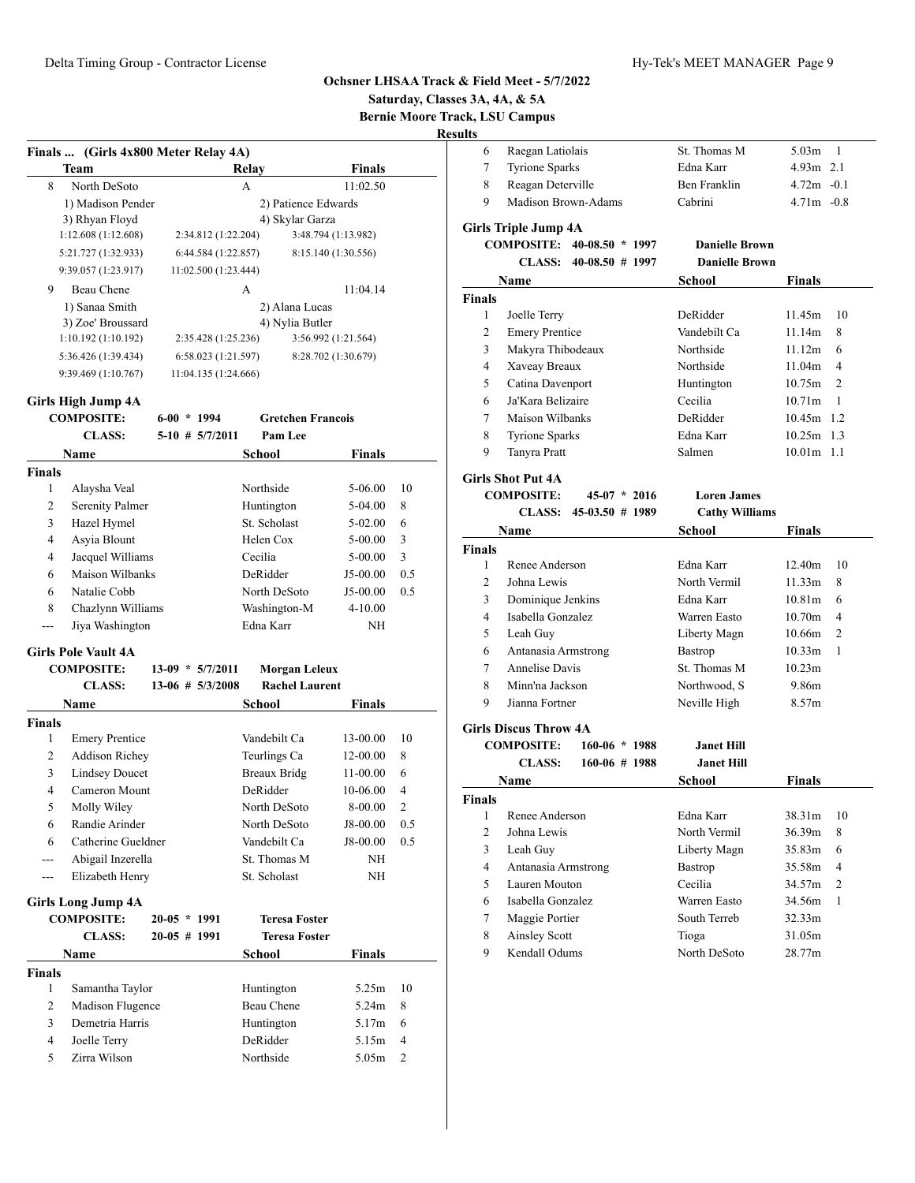**Saturday, Classes 3A, 4A, & 5A**

**Bernie Moore Track, LSU Campus**

| ш<br>× |
|--------|
|        |

| Finals  (Girls 4x800 Meter Relay 4A) |                      |                     |
|--------------------------------------|----------------------|---------------------|
| <b>Team</b>                          | Relay                | <b>Finals</b>       |
| 8<br>North DeSoto                    | A                    | 11:02.50            |
| 1) Madison Pender                    |                      | 2) Patience Edwards |
| 3) Rhyan Floyd                       |                      | 4) Skylar Garza     |
| 1:12.608(1:12.608)                   | 2:34.812 (1:22.204)  | 3:48.794 (1:13.982) |
| 5:21.727 (1:32.933)                  | 6:44.584(1:22.857)   | 8:15.140 (1:30.556) |
| 9:39.057 (1:23.917)                  | 11:02.500 (1:23.444) |                     |
| 9<br>Beau Chene                      | A                    | 11:04.14            |
| 1) Sanaa Smith                       |                      | 2) Alana Lucas      |
| 3) Zoe' Broussard                    |                      | 4) Nylia Butler     |
| 1:10.192(1:10.192)                   | 2:35.428 (1:25.236)  | 3:56.992 (1:21.564) |
| 5:36.426 (1:39.434)                  | 6:58.023(1:21.597)   | 8:28.702 (1:30.679) |
| 9:39.469(1:10.767)                   | 11:04.135 (1:24.666) |                     |
|                                      |                      |                     |

# **Girls High Jump 4A**

| <b>Gretchen Francois</b><br><b>COMPOSITE:</b><br>$6-00 * 1994$<br>Pam Lee<br><b>CLASS:</b><br>$5-10$ # $5/7/2011$<br>Name<br>School<br>Finals<br><b>Finals</b><br>Alaysha Veal<br>Northside<br>1<br>5-06.00<br><b>Serenity Palmer</b><br>2<br>Huntington<br>5-04.00<br>St. Scholast<br>3<br>Hazel Hymel<br>5-02.00<br>$\overline{4}$<br>Asyia Blount<br>Helen Cox<br>5-00.00<br>Jacquel Williams<br>Cecilia<br>4<br>5-00.00<br>Maison Wilbanks<br>DeRidder<br>6<br>J5-00.00<br>6<br>Natalie Cobb<br>North DeSoto<br>J5-00.00<br>Chazlynn Williams<br>8<br>Washington-M<br>$4 - 10.00$<br>Edna Karr<br>Jiya Washington<br>NΗ<br>--- | 10<br>8<br>6<br>3<br>3<br>0.5<br>0.5 |
|------------------------------------------------------------------------------------------------------------------------------------------------------------------------------------------------------------------------------------------------------------------------------------------------------------------------------------------------------------------------------------------------------------------------------------------------------------------------------------------------------------------------------------------------------------------------------------------------------------------------------------|--------------------------------------|
|                                                                                                                                                                                                                                                                                                                                                                                                                                                                                                                                                                                                                                    |                                      |
|                                                                                                                                                                                                                                                                                                                                                                                                                                                                                                                                                                                                                                    |                                      |
|                                                                                                                                                                                                                                                                                                                                                                                                                                                                                                                                                                                                                                    |                                      |
|                                                                                                                                                                                                                                                                                                                                                                                                                                                                                                                                                                                                                                    |                                      |
|                                                                                                                                                                                                                                                                                                                                                                                                                                                                                                                                                                                                                                    |                                      |
|                                                                                                                                                                                                                                                                                                                                                                                                                                                                                                                                                                                                                                    |                                      |
|                                                                                                                                                                                                                                                                                                                                                                                                                                                                                                                                                                                                                                    |                                      |
|                                                                                                                                                                                                                                                                                                                                                                                                                                                                                                                                                                                                                                    |                                      |
|                                                                                                                                                                                                                                                                                                                                                                                                                                                                                                                                                                                                                                    |                                      |
|                                                                                                                                                                                                                                                                                                                                                                                                                                                                                                                                                                                                                                    |                                      |
|                                                                                                                                                                                                                                                                                                                                                                                                                                                                                                                                                                                                                                    |                                      |
|                                                                                                                                                                                                                                                                                                                                                                                                                                                                                                                                                                                                                                    |                                      |
|                                                                                                                                                                                                                                                                                                                                                                                                                                                                                                                                                                                                                                    |                                      |
| <b>Girls Pole Vault 4A</b>                                                                                                                                                                                                                                                                                                                                                                                                                                                                                                                                                                                                         |                                      |
| <b>COMPOSITE:</b><br>$13-09 * 5/7/2011$<br><b>Morgan Leleux</b>                                                                                                                                                                                                                                                                                                                                                                                                                                                                                                                                                                    |                                      |
| <b>Rachel Laurent</b><br><b>CLASS:</b><br>$13-06$ # $5/3/2008$                                                                                                                                                                                                                                                                                                                                                                                                                                                                                                                                                                     |                                      |
| <b>Name</b><br>School<br><b>Finals</b>                                                                                                                                                                                                                                                                                                                                                                                                                                                                                                                                                                                             |                                      |
| <b>Finals</b>                                                                                                                                                                                                                                                                                                                                                                                                                                                                                                                                                                                                                      |                                      |
| <b>Emery Prentice</b><br>Vandebilt Ca<br>1<br>13-00.00                                                                                                                                                                                                                                                                                                                                                                                                                                                                                                                                                                             | 10                                   |
| <b>Addison Richey</b><br>Teurlings Ca<br>2<br>12-00.00                                                                                                                                                                                                                                                                                                                                                                                                                                                                                                                                                                             | 8                                    |
| 3<br><b>Lindsey Doucet</b><br><b>Breaux Bridg</b><br>11-00.00                                                                                                                                                                                                                                                                                                                                                                                                                                                                                                                                                                      | 6                                    |
| Cameron Mount<br>DeRidder<br>4<br>10-06.00                                                                                                                                                                                                                                                                                                                                                                                                                                                                                                                                                                                         | $\overline{4}$                       |
| 5<br>Molly Wiley<br>North DeSoto<br>8-00.00                                                                                                                                                                                                                                                                                                                                                                                                                                                                                                                                                                                        | $\overline{c}$                       |
| Randie Arinder<br>6<br>North DeSoto<br>J8-00.00                                                                                                                                                                                                                                                                                                                                                                                                                                                                                                                                                                                    | 0.5                                  |
| 6<br>Catherine Gueldner<br>Vandebilt Ca<br>J8-00.00                                                                                                                                                                                                                                                                                                                                                                                                                                                                                                                                                                                | 0.5                                  |
| Abigail Inzerella<br>St. Thomas M<br>NH<br>---                                                                                                                                                                                                                                                                                                                                                                                                                                                                                                                                                                                     |                                      |
| Elizabeth Henry<br>St. Scholast<br>NH<br>---                                                                                                                                                                                                                                                                                                                                                                                                                                                                                                                                                                                       |                                      |
| <b>Girls Long Jump 4A</b>                                                                                                                                                                                                                                                                                                                                                                                                                                                                                                                                                                                                          |                                      |
| <b>COMPOSITE:</b><br>$20-05 * 1991$<br><b>Teresa Foster</b>                                                                                                                                                                                                                                                                                                                                                                                                                                                                                                                                                                        |                                      |
| <b>CLASS:</b><br>$20-05$ # 1991<br><b>Teresa Foster</b>                                                                                                                                                                                                                                                                                                                                                                                                                                                                                                                                                                            |                                      |
| <b>Name</b><br>Finals                                                                                                                                                                                                                                                                                                                                                                                                                                                                                                                                                                                                              |                                      |
| School                                                                                                                                                                                                                                                                                                                                                                                                                                                                                                                                                                                                                             |                                      |
| <b>Finals</b><br>1<br>5.25m                                                                                                                                                                                                                                                                                                                                                                                                                                                                                                                                                                                                        | 10                                   |
| Samantha Taylor<br>Huntington<br>Beau Chene<br>2<br>Madison Flugence<br>5.24m                                                                                                                                                                                                                                                                                                                                                                                                                                                                                                                                                      | 8                                    |
| 3<br>Demetria Harris<br>Huntington<br>5.17m                                                                                                                                                                                                                                                                                                                                                                                                                                                                                                                                                                                        | 6                                    |
| DeRidder<br>4<br>Joelle Terry<br>5.15m                                                                                                                                                                                                                                                                                                                                                                                                                                                                                                                                                                                             | $\overline{4}$                       |
| 5<br>Zirra Wilson<br>Northside<br>5.05m                                                                                                                                                                                                                                                                                                                                                                                                                                                                                                                                                                                            | $\overline{2}$                       |
|                                                                                                                                                                                                                                                                                                                                                                                                                                                                                                                                                                                                                                    |                                      |

| 6              | Raegan Latiolais             |                   | St. Thomas M          | 5.03 <sub>m</sub>  | 1              |
|----------------|------------------------------|-------------------|-----------------------|--------------------|----------------|
| 7              | <b>Tyrione Sparks</b>        |                   | Edna Karr             | $4.93m$ 2.1        |                |
| 8              | Reagan Deterville            |                   | <b>Ben Franklin</b>   | $4.72m - 0.1$      |                |
| 9              | Madison Brown-Adams          |                   | Cabrini               | $4.71m - 0.8$      |                |
|                | <b>Girls Triple Jump 4A</b>  |                   |                       |                    |                |
|                | <b>COMPOSITE:</b>            | $40-08.50 * 1997$ | <b>Danielle Brown</b> |                    |                |
|                | <b>CLASS:</b>                | $40-08.50$ # 1997 | <b>Danielle Brown</b> |                    |                |
|                | Name                         |                   | School                | Finals             |                |
| <b>Finals</b>  |                              |                   |                       |                    |                |
| 1              | Joelle Terry                 |                   | DeRidder              | 11.45m             | 10             |
| $\overline{c}$ | <b>Emery Prentice</b>        |                   | Vandebilt Ca          | 11.14m             | 8              |
| 3              | Makyra Thibodeaux            |                   | Northside             | 11.12m             | 6              |
| $\overline{4}$ | Xaveay Breaux                |                   | Northside             | 11.04m             | 4              |
| 5              | Catina Davenport             |                   | Huntington            | 10.75m             | $\overline{c}$ |
| 6              | Ja'Kara Belizaire            |                   | Cecilia               | 10.71 <sub>m</sub> | 1              |
| 7              | Maison Wilbanks              |                   | DeRidder              | 10.45m 1.2         |                |
| 8              | <b>Tyrione Sparks</b>        |                   | Edna Karr             | $10.25m$ 1.3       |                |
| 9              | Tanyra Pratt                 |                   | Salmen                | $10.01m$ 1.1       |                |
|                | <b>Girls Shot Put 4A</b>     |                   |                       |                    |                |
|                | <b>COMPOSITE:</b>            | $45-07 * 2016$    | <b>Loren James</b>    |                    |                |
|                | <b>CLASS:</b>                | $45-03.50$ # 1989 | <b>Cathy Williams</b> |                    |                |
|                | Name                         |                   | School                | Finals             |                |
| <b>Finals</b>  |                              |                   |                       |                    |                |
| 1              | Renee Anderson               |                   | Edna Karr             | 12.40m             | 10             |
| $\overline{c}$ | Johna Lewis                  |                   | North Vermil          | 11.33m             | 8              |
| 3              | Dominique Jenkins            |                   | Edna Karr             | 10.81 <sub>m</sub> | 6              |
| 4              | Isabella Gonzalez            |                   | Warren Easto          | 10.70 <sub>m</sub> | 4              |
| 5              | Leah Guy                     |                   | Liberty Magn          | 10.66m             | $\overline{2}$ |
| 6              | Antanasia Armstrong          |                   | Bastrop               | 10.33 <sub>m</sub> | 1              |
| 7              | <b>Annelise Davis</b>        |                   | St. Thomas M          | 10.23m             |                |
| 8              | Minn'na Jackson              |                   | Northwood, S          | 9.86m              |                |
| 9              | Jianna Fortner               |                   | Neville High          | 8.57m              |                |
|                | <b>Girls Discus Throw 4A</b> |                   |                       |                    |                |
|                | <b>COMPOSITE:</b>            | $160 - 06 * 1988$ | <b>Janet Hill</b>     |                    |                |
|                | <b>CLASS:</b>                | $160-06$ # 1988   | <b>Janet Hill</b>     |                    |                |
|                | <b>Name</b>                  |                   | <b>School</b>         | Finals             |                |
| Finals         |                              |                   |                       |                    |                |

| inals |                     |                |        |     |
|-------|---------------------|----------------|--------|-----|
|       | Renee Anderson      | Edna Karr      | 38.31m | -10 |
| 2     | Johna Lewis         | North Vermil   | 36.39m | 8   |
| 3     | Leah Guy            | Liberty Magn   | 35.83m | 6   |
| 4     | Antanasia Armstrong | <b>Bastrop</b> | 35.58m | 4   |
| 5     | Lauren Mouton       | Cecilia        | 34.57m | 2   |
| 6     | Isabella Gonzalez   | Warren Easto   | 34.56m | 1   |
| 7     | Maggie Portier      | South Terreb   | 32.33m |     |
| 8     | Ainsley Scott       | Tioga          | 31.05m |     |
| 9     | Kendall Odums       | North DeSoto   | 28.77m |     |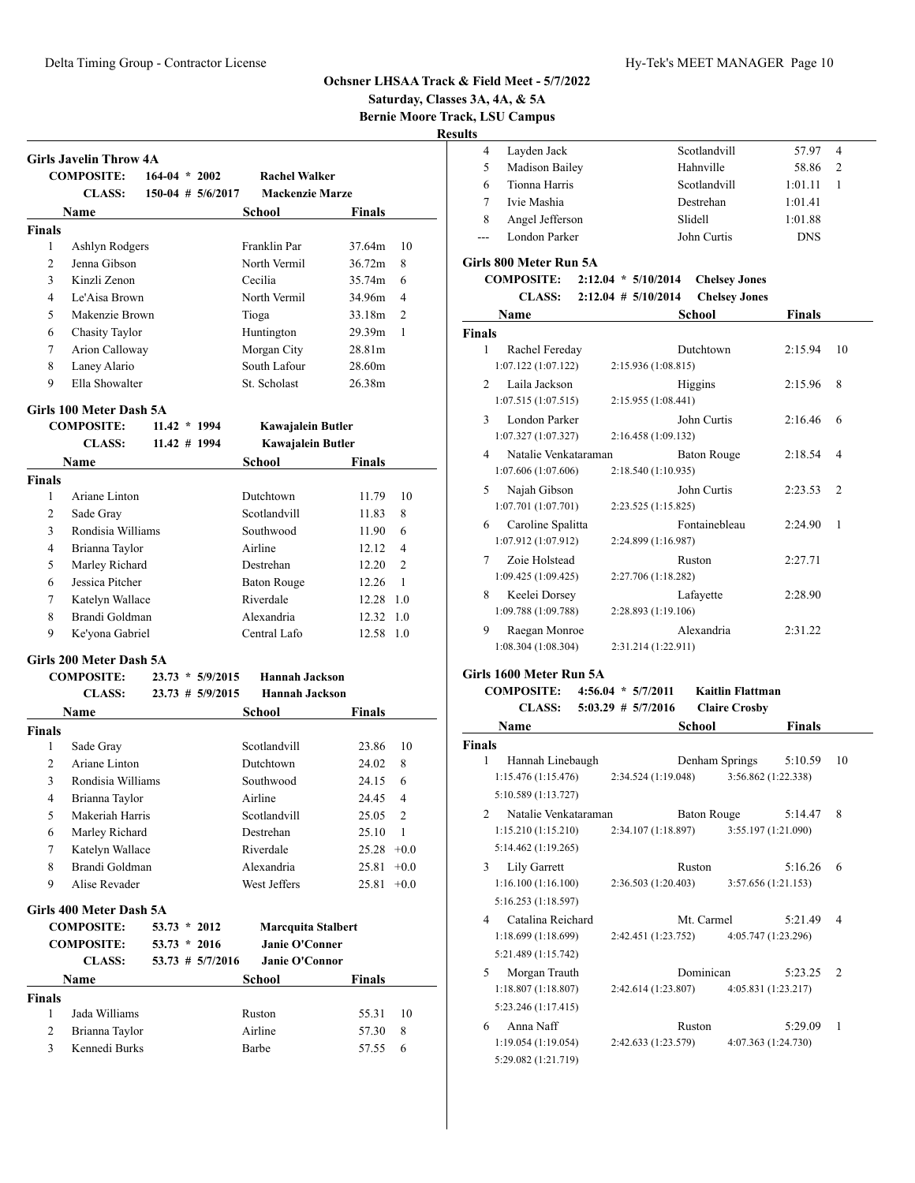**Saturday, Classes 3A, 4A, & 5A**

**Bernie Moore Track, LSU Campus**

**Results**

|   | Layden Jack     | Scotlandvill | 57.97      | $\overline{4}$ |
|---|-----------------|--------------|------------|----------------|
| 5 | Madison Bailey  | Hahnville    | 58.86      | $\mathcal{D}$  |
| 6 | Tionna Harris   | Scotlandvill | 1:01.11    |                |
|   | Ivie Mashia     | Destrehan    | 1:01.41    |                |
| 8 | Angel Jefferson | Slidell      | 1:01.88    |                |
|   | London Parker   | John Curtis  | <b>DNS</b> |                |

#### **Girls 800 Meter Run 5A**

| <b>COMPOSITE:</b> | $2:12.04 * 5/10/2014$   | <b>Chelsey Jones</b> |
|-------------------|-------------------------|----------------------|
| CLASS:            | $2:12.04$ # $5/10/2014$ | <b>Chelsey Jones</b> |

| Name                                                 | School                                    | <b>Finals</b> |                          |
|------------------------------------------------------|-------------------------------------------|---------------|--------------------------|
| <b>Finals</b>                                        |                                           |               |                          |
| Rachel Fereday<br>1<br>1:07.122(1:07.122)            | Dutchtown<br>2:15.936 (1:08.815)          | 2:15.94       | 10                       |
| Laila Jackson<br>$\mathcal{P}$<br>1:07.515(1:07.515) | Higgins<br>2:15.955 (1:08.441)            | 2:15.96       | 8                        |
| London Parker<br>3<br>1:07.327 (1:07.327)            | John Curtis<br>2:16.458 (1:09.132)        | 2:16.46       | 6                        |
| Natalie Venkataraman<br>4<br>1:07.606(1:07.606)      | <b>Baton Rouge</b><br>2:18.540(1:10.935)  | 2:18.54       | $\overline{\mathcal{A}}$ |
| 5<br>Najah Gibson<br>1:07.701(1:07.701)              | <b>John Curtis</b><br>2:23.525 (1:15.825) | 2:23.53       | $\overline{c}$           |
| Caroline Spalitta<br>6<br>1:07.912 (1:07.912)        | Fontainebleau<br>2:24.899 (1:16.987)      | 2:24.90       | 1                        |
| Zoie Holstead<br>7<br>1:09.425(1:09.425)             | Ruston<br>2:27.706 (1:18.282)             | 2:27.71       |                          |
| Keelei Dorsey<br>8<br>1:09.788 (1:09.788)            | Lafayette<br>2:28.893 (1:19.106)          | 2:28.90       |                          |
| 9<br>Raegan Monroe<br>1:08.304(1:08.304)             | Alexandria<br>2:31.214 (1:22.911)         | 2:31.22       |                          |

#### **Girls 1600 Meter Run 5A**

**COMPOSITE: 4:56.04 \* 5/7/2011 Kaitlin Flattman**

| ЛМГОЗПЕ: 4:50.04 ° 5///2011 |  | - Kaitiin Fiattman                      |               |  |
|-----------------------------|--|-----------------------------------------|---------------|--|
|                             |  | CLASS: 5:03.29 # 5/7/2016 Claire Crosby |               |  |
| Name                        |  | School                                  | <b>Finals</b> |  |
|                             |  |                                         |               |  |
|                             |  |                                         |               |  |

| <b>Finals</b>  |                      |                                         |                |                     |         |               |
|----------------|----------------------|-----------------------------------------|----------------|---------------------|---------|---------------|
| 1              | Hannah Linebaugh     |                                         | Denham Springs |                     | 5:10.59 | 10            |
|                | 1:15.476(1:15.476)   | 2:34.524 (1:19.048)                     |                | 3:56.862 (1:22.338) |         |               |
|                | 5:10.589 (1:13.727)  |                                         |                |                     |         |               |
| $\mathfrak{D}$ | Natalie Venkataraman |                                         | Baton Rouge    |                     | 5:14.47 | 8             |
|                | 1:15.210(1:15.210)   | 2:34.107 (1:18.897)                     |                | 3:55.197 (1:21.090) |         |               |
|                | 5:14.462 (1:19.265)  |                                         |                |                     |         |               |
| 3              | Lily Garrett         |                                         | <b>Ruston</b>  |                     | 5:16.26 | 6             |
|                | 1:16.100(1:16.100)   | 2:36.503(1:20.403)                      |                | 3:57.656 (1:21.153) |         |               |
|                | 5:16.253 (1:18.597)  |                                         |                |                     |         |               |
| 4              | Catalina Reichard    |                                         | Mt. Carmel     |                     | 5:21.49 | 4             |
|                | 1:18.699(1:18.699)   | 2:42.451 (1:23.752) 4:05.747 (1:23.296) |                |                     |         |               |
|                | 5:21.489 (1:15.742)  |                                         |                |                     |         |               |
| 5              | Morgan Trauth        |                                         | Dominican      |                     | 5:23.25 | $\mathcal{P}$ |
|                | 1:18.807(1:18.807)   | 2:42.614 (1:23.807)                     |                | 4:05.831 (1:23.217) |         |               |
|                | 5:23.246 (1:17.415)  |                                         |                |                     |         |               |
| 6              | Anna Naff            |                                         | <b>Ruston</b>  |                     | 5:29.09 | 1             |
|                | 1:19.054(1:19.054)   | 2:42.633 (1:23.579)                     |                | 4:07.363 (1:24.730) |         |               |
|                | 5:29.082 (1:21.719)  |                                         |                |                     |         |               |
|                |                      |                                         |                |                     |         |               |

|                | <b>COMPOSITE:</b>       | $164-04 * 2002$ |                       | <b>Rachel Walker</b>      |                    |                |
|----------------|-------------------------|-----------------|-----------------------|---------------------------|--------------------|----------------|
|                | <b>CLASS:</b>           |                 | $150-04$ # $5/6/2017$ | <b>Mackenzie Marze</b>    |                    |                |
|                | Name                    |                 |                       | School                    | Finals             |                |
| <b>Finals</b>  |                         |                 |                       |                           |                    |                |
| 1              | Ashlyn Rodgers          |                 |                       | Franklin Par              | 37.64m             | 10             |
| 2              | Jenna Gibson            |                 |                       | North Vermil              | 36.72m             | 8              |
| 3              | Kinzli Zenon            |                 |                       | Cecilia                   | 35.74m             | 6              |
| 4              | Le'Aisa Brown           |                 |                       | North Vermil              | 34.96m             | $\overline{4}$ |
| 5              | Makenzie Brown          |                 |                       | Tioga                     | 33.18m             | $\overline{c}$ |
| 6              | <b>Chasity Taylor</b>   |                 |                       | Huntington                | 29.39 <sub>m</sub> | 1              |
| 7              | Arion Calloway          |                 |                       | Morgan City               | 28.81m             |                |
| 8              | Laney Alario            |                 |                       | South Lafour              | 28.60m             |                |
| 9              | Ella Showalter          |                 |                       | St. Scholast              | 26.38m             |                |
|                | Girls 100 Meter Dash 5A |                 |                       |                           |                    |                |
|                | <b>COMPOSITE:</b>       | $11.42 * 1994$  |                       | Kawajalein Butler         |                    |                |
|                | <b>CLASS:</b>           | $11.42$ # 1994  |                       | Kawajalein Butler         |                    |                |
|                | Name                    |                 |                       | School                    | Finals             |                |
| <b>Finals</b>  |                         |                 |                       |                           |                    |                |
| 1              | Ariane Linton           |                 |                       | Dutchtown                 | 11.79              | 10             |
| 2              | Sade Gray               |                 |                       | Scotlandvill              | 11.83              | 8              |
| 3              | Rondisia Williams       |                 |                       | Southwood                 | 11.90              | 6              |
| $\overline{4}$ | Brianna Taylor          |                 |                       | Airline                   | 12.12              | $\overline{4}$ |
| 5              | Marley Richard          |                 |                       | Destrehan                 | 12.20              | $\overline{c}$ |
| 6              | Jessica Pitcher         |                 |                       | <b>Baton Rouge</b>        | 12.26              | $\mathbf{1}$   |
| 7              | Katelyn Wallace         |                 |                       | Riverdale                 | 12.28 1.0          |                |
| 8              | Brandi Goldman          |                 |                       | Alexandria                | 12.32              | 1.0            |
| 9              | Ke'yona Gabriel         |                 |                       | Central Lafo              | 12.58 1.0          |                |
|                | Girls 200 Meter Dash 5A |                 |                       |                           |                    |                |
|                | <b>COMPOSITE:</b>       |                 | $23.73 * 5/9/2015$    | <b>Hannah Jackson</b>     |                    |                |
|                | <b>CLASS:</b>           |                 | $23.73$ # $5/9/2015$  | <b>Hannah Jackson</b>     |                    |                |
|                | Name                    |                 |                       | School                    | Finals             |                |
| <b>Finals</b>  |                         |                 |                       |                           |                    |                |
| 1              | Sade Gray               |                 |                       | Scotlandvill              | 23.86              | 10             |
| 2              | Ariane Linton           |                 |                       | Dutchtown                 | 24.02              | 8              |
| 3              | Rondisia Williams       |                 |                       | Southwood                 | 24.15              | 6              |
| $\overline{4}$ | Brianna Taylor          |                 |                       | Airline                   | 24.45              | $\overline{4}$ |
| 5              | Makeriah Harris         |                 |                       | Scotlandvill              | 25.05              | $\mathfrak{2}$ |
| 6              | Marley Richard          |                 |                       | Destrehan                 | 25.10              | $\overline{1}$ |
| 7              | Katelyn Wallace         |                 |                       | Riverdale                 | $25.28 +0.0$       |                |
| 8              | Brandi Goldman          |                 |                       | Alexandria                | 25.81              | $+0.0$         |
| 9              | Alise Revader           |                 |                       | West Jeffers              | 25.81              | $+0.0$         |
|                | Girls 400 Meter Dash 5A |                 |                       |                           |                    |                |
|                | <b>COMPOSITE:</b>       | $53.73 * 2012$  |                       | <b>Marcquita Stalbert</b> |                    |                |
|                | <b>COMPOSITE:</b>       | $53.73 * 2016$  |                       | Janie O'Conner            |                    |                |
|                | <b>CLASS:</b>           |                 | 53.73 # 5/7/2016      | <b>Janie O'Connor</b>     |                    |                |
|                | <b>Name</b>             |                 |                       | <b>School</b>             | <b>Finals</b>      |                |
| Finals         |                         |                 |                       |                           |                    |                |
| 1              | Jada Williams           |                 |                       | Ruston                    | 55.31              | 10             |
| 2              | Brianna Taylor          |                 |                       | Airline                   | 57.30              | 8              |
| 3              | Kennedi Burks           |                 |                       | Barbe                     | 57.55              | 6              |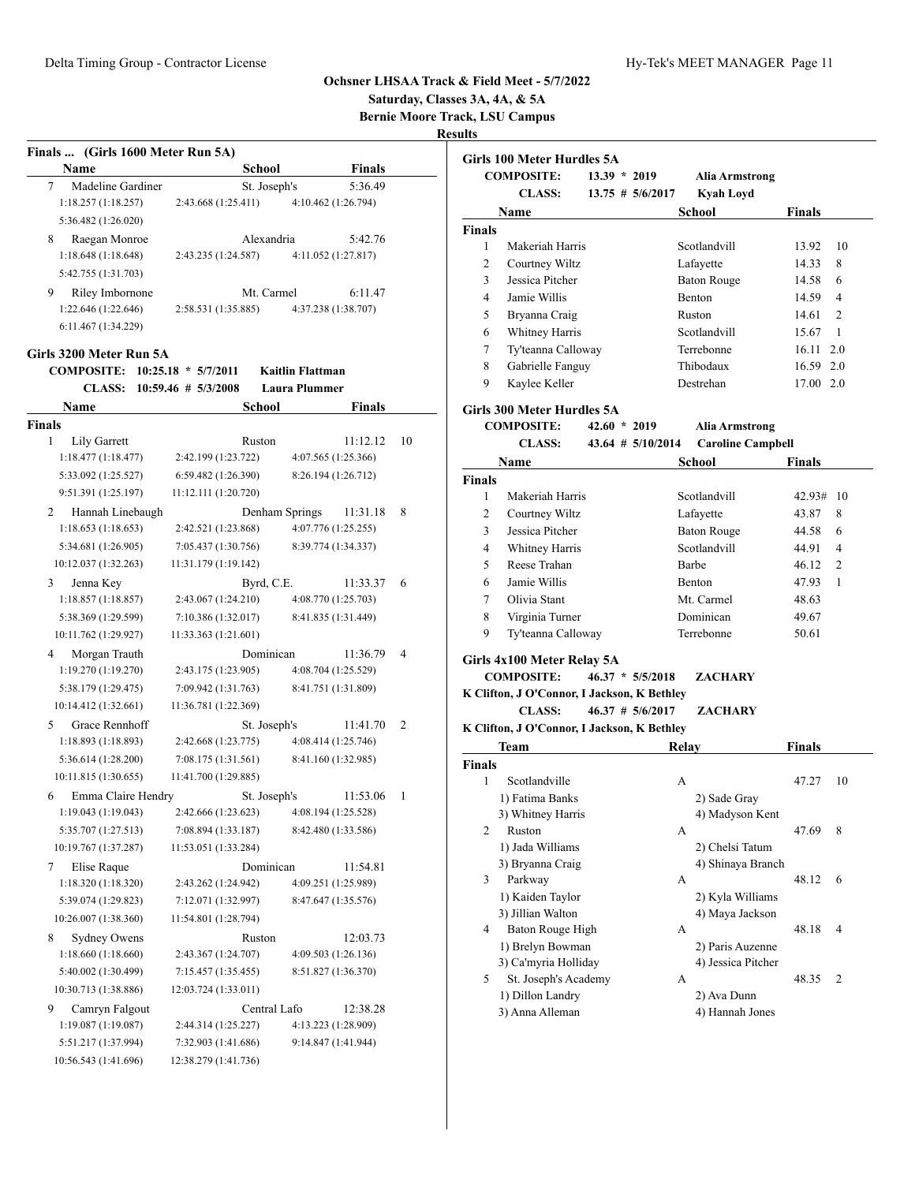# **Saturday, Classes 3A, 4A, & 5A Bernie Moore Track, LSU Campus**

| Finals  (Girls 1600 Meter Run 5A) |                         |                         |
|-----------------------------------|-------------------------|-------------------------|
| Name                              | School                  | Finals                  |
| 7<br>Madeline Gardiner            | St. Joseph's            | 5:36.49                 |
| 1:18.257(1:18.257)                | 2:43.668 (1:25.411)     | 4:10.462 (1:26.794)     |
| 5:36.482 (1:26.020)               |                         |                         |
| Raegan Monroe<br>8                | Alexandria              | 5:42.76                 |
| 1:18.648(1:18.648)                | 2:43.235 (1:24.587)     | 4:11.052 (1:27.817)     |
| 5:42.755 (1:31.703)               |                         |                         |
| Riley Imbornone<br>9              | Mt. Carmel              | 6:11.47                 |
| 1:22.646 (1:22.646)               | 2:58.531 (1:35.885)     | 4:37.238 (1:38.707)     |
| 6:11.467 (1:34.229)               |                         |                         |
| Girls 3200 Meter Run 5A           |                         |                         |
| <b>COMPOSITE:</b>                 | $10:25.18 * 5/7/2011$   | <b>Kaitlin Flattman</b> |
| <b>CLASS:</b>                     | $10:59.46$ # $5/3/2008$ | <b>Laura Plummer</b>    |
| Name                              | School                  | Finals                  |
| <b>Finals</b>                     |                         |                         |
| 1<br>Lily Garrett                 | Ruston                  | 11:12.12<br>10          |
| 1:18.477(1:18.477)                | 2:42.199 (1:23.722)     | 4:07.565 (1:25.366)     |
| 5:33.092 (1:25.527)               | 6:59.482 (1:26.390)     | 8:26.194 (1:26.712)     |
| 9:51.391 (1:25.197)               | 11:12.111 (1:20.720)    |                         |
| Hannah Linebaugh<br>2             | Denham Springs          | 11:31.18<br>8           |
| 1:18.653(1:18.653)                | 2:42.521 (1:23.868)     | 4:07.776 (1:25.255)     |
| 5:34.681 (1:26.905)               | 7:05.437 (1:30.756)     | 8:39.774 (1:34.337)     |
| 10:12.037 (1:32.263)              | 11:31.179 (1:19.142)    |                         |
| Jenna Key<br>3                    | Byrd, C.E.              | 11:33.37<br>6           |
| 1:18.857(1:18.857)                | 2:43.067 (1:24.210)     | 4:08.770 (1:25.703)     |
| 5:38.369 (1:29.599)               | 7:10.386 (1:32.017)     | 8:41.835 (1:31.449)     |
| 10:11.762 (1:29.927)              | 11:33.363 (1:21.601)    |                         |
| Morgan Trauth<br>4                | Dominican               | 4<br>11:36.79           |
| 1:19.270 (1:19.270)               | 2:43.175 (1:23.905)     | 4:08.704 (1:25.529)     |
| 5:38.179 (1:29.475)               | 7:09.942 (1:31.763)     | 8:41.751 (1:31.809)     |
| 10:14.412 (1:32.661)              | 11:36.781 (1:22.369)    |                         |
| Grace Rennhoff<br>5               | St. Joseph's            | 11:41.70<br>2           |
| 1:18.893 (1:18.893)               | 2:42.668 (1:23.775)     | 4:08.414 (1:25.746)     |
| 5:36.614 (1:28.200)               | 7:08.175 (1:31.561)     | 8:41.160 (1:32.985)     |
| 10:11.815 (1:30.655)              | 11:41.700 (1:29.885)    |                         |
| Emma Claire Hendry<br>6           | St. Joseph's            | 11:53.06<br>1           |
| 1:19.043 (1:19.043)               | 2:42.666 (1:23.623)     | 4:08.194 (1:25.528)     |
| 5:35.707 (1:27.513)               | 7:08.894 (1:33.187)     | 8:42.480 (1:33.586)     |
| 10:19.767 (1:37.287)              | 11:53.051 (1:33.284)    |                         |
| 7<br>Elise Raque                  | Dominican               | 11:54.81                |
| 1:18.320 (1:18.320)               | 2:43.262 (1:24.942)     | 4:09.251 (1:25.989)     |
| 5:39.074 (1:29.823)               | 7:12.071 (1:32.997)     | 8:47.647 (1:35.576)     |
| 10:26.007 (1:38.360)              | 11:54.801 (1:28.794)    |                         |
| 8<br>Sydney Owens                 | Ruston                  | 12:03.73                |
| 1:18.660(1:18.660)                | 2:43.367 (1:24.707)     | 4:09.503 (1:26.136)     |
| 5:40.002 (1:30.499)               | 7:15.457 (1:35.455)     | 8:51.827 (1:36.370)     |
| 10:30.713 (1:38.886)              | 12:03.724 (1:33.011)    |                         |
| 9<br>Camryn Falgout               | Central Lafo            | 12:38.28                |
| 1:19.087 (1:19.087)               | 2:44.314 (1:25.227)     | 4:13.223 (1:28.909)     |
| 5:51.217 (1:37.994)               | 7:32.903 (1:41.686)     | 9:14.847 (1:41.944)     |
| 10:56.543 (1:41.696)              | 12:38.279 (1:41.736)    |                         |

|                | Girls 100 Meter Hurdles 5A                  |                |                       |       |                          |                   |    |
|----------------|---------------------------------------------|----------------|-----------------------|-------|--------------------------|-------------------|----|
|                | <b>COMPOSITE:</b>                           | $13.39 * 2019$ |                       |       | Alia Armstrong           |                   |    |
|                | <b>CLASS:</b>                               |                | $13.75 \# 5/6/2017$   |       | <b>Kyah Loyd</b>         |                   |    |
|                | Name                                        |                |                       |       | School                   | <b>Finals</b>     |    |
| <b>Finals</b>  |                                             |                |                       |       |                          |                   |    |
| 1              | Makeriah Harris                             |                |                       |       | Scotlandvill             | 13.92             | 10 |
| $\overline{c}$ | Courtney Wiltz                              |                |                       |       | Lafayette                | 14.33             | 8  |
| 3              | Jessica Pitcher                             |                |                       |       | <b>Baton Rouge</b>       | 14.58             | 6  |
| 4              | Jamie Willis                                |                |                       |       | Benton                   | 14.59             | 4  |
| 5              | Bryanna Craig                               |                |                       |       | Ruston                   | 14.61             | 2  |
| 6              | Whitney Harris                              |                |                       |       | Scotlandvill             | 15.67             | 1  |
| 7              | Ty'teanna Calloway                          |                |                       |       | Terrebonne               | $16.11 \quad 2.0$ |    |
| 8              | Gabrielle Fanguy                            |                |                       |       | Thibodaux                | 16.59 2.0         |    |
| 9              | Kaylee Keller                               |                |                       |       | Destrehan                | 17.00 2.0         |    |
|                |                                             |                |                       |       |                          |                   |    |
|                | <b>Girls 300 Meter Hurdles 5A</b>           |                |                       |       |                          |                   |    |
|                | <b>COMPOSITE:</b>                           | $42.60 * 2019$ |                       |       | Alia Armstrong           |                   |    |
|                | <b>CLASS:</b>                               |                | $43.64$ # $5/10/2014$ |       | <b>Caroline Campbell</b> |                   |    |
|                | Name                                        |                |                       |       | School                   | <b>Finals</b>     |    |
| <b>Finals</b>  |                                             |                |                       |       |                          |                   |    |
| 1              | Makeriah Harris                             |                |                       |       | Scotlandvill             | 42.93#            | 10 |
| 2              | Courtney Wiltz                              |                |                       |       | Lafayette                | 43.87             | 8  |
| 3              | Jessica Pitcher                             |                |                       |       | <b>Baton Rouge</b>       | 44.58             | 6  |
| $\overline{4}$ | Whitney Harris                              |                |                       |       | Scotlandvill             | 44.91             | 4  |
| 5              | Reese Trahan                                |                |                       |       | <b>Barbe</b>             | 46.12             | 2  |
| 6              | Jamie Willis                                |                |                       |       | <b>Benton</b>            | 47.93             | 1  |
| 7              | Olivia Stant                                |                |                       |       | Mt. Carmel               | 48.63             |    |
| 8              | Virginia Turner                             |                |                       |       | Dominican                | 49.67             |    |
| 9              | Ty'teanna Calloway                          |                |                       |       | Terrebonne               | 50.61             |    |
|                |                                             |                |                       |       |                          |                   |    |
|                | Girls 4x100 Meter Relay 5A                  |                |                       |       |                          |                   |    |
|                | <b>COMPOSITE:</b>                           |                | $46.37 * 5/5/2018$    |       | ZACHARY                  |                   |    |
|                | K Clifton, J O'Connor, I Jackson, K Bethley |                |                       |       |                          |                   |    |
|                | <b>CLASS:</b>                               |                | $46.37$ # $5/6/2017$  |       | <b>ZACHARY</b>           |                   |    |
|                | K Clifton, J O'Connor, I Jackson, K Bethley |                |                       |       |                          |                   |    |
|                | Team                                        |                |                       | Relay |                          | Finals            |    |
| <b>Finals</b>  |                                             |                |                       |       |                          |                   |    |
| 1              | Scotlandville                               |                |                       | A     |                          | 47.27             | 10 |
|                | 1) Fatima Banks                             |                |                       |       | 2) Sade Gray             |                   |    |
|                | 3) Whitney Harris                           |                |                       |       | 4) Madyson Kent          |                   |    |
| 2              | Ruston                                      |                |                       | А     |                          | 47.69             | 8  |
|                | 1) Jada Williams                            |                |                       |       | 2) Chelsi Tatum          |                   |    |
|                | 3) Bryanna Craig                            |                |                       |       | 4) Shinaya Branch        |                   |    |
| 3              | Parkway                                     |                |                       | А     |                          | 48.12             | 6  |
|                | 1) Kaiden Taylor                            |                |                       |       | 2) Kyla Williams         |                   |    |
|                | 3) Jillian Walton                           |                |                       |       | 4) Maya Jackson          |                   |    |
| 4              | Baton Rouge High                            |                |                       | А     |                          | 48.18             | 4  |
|                | 1) Brelyn Bowman                            |                |                       |       | 2) Paris Auzenne         |                   |    |
|                | 3) Ca'myria Holliday                        |                |                       |       | 4) Jessica Pitcher       |                   |    |
| 5              | St. Joseph's Academy                        |                |                       | А     |                          | 48.35             | 2  |
|                | 1) Dillon Landry                            |                |                       |       | 2) Ava Dunn              |                   |    |
|                | 3) Anna Alleman                             |                |                       |       | 4) Hannah Jones          |                   |    |
|                |                                             |                |                       |       |                          |                   |    |
|                |                                             |                |                       |       |                          |                   |    |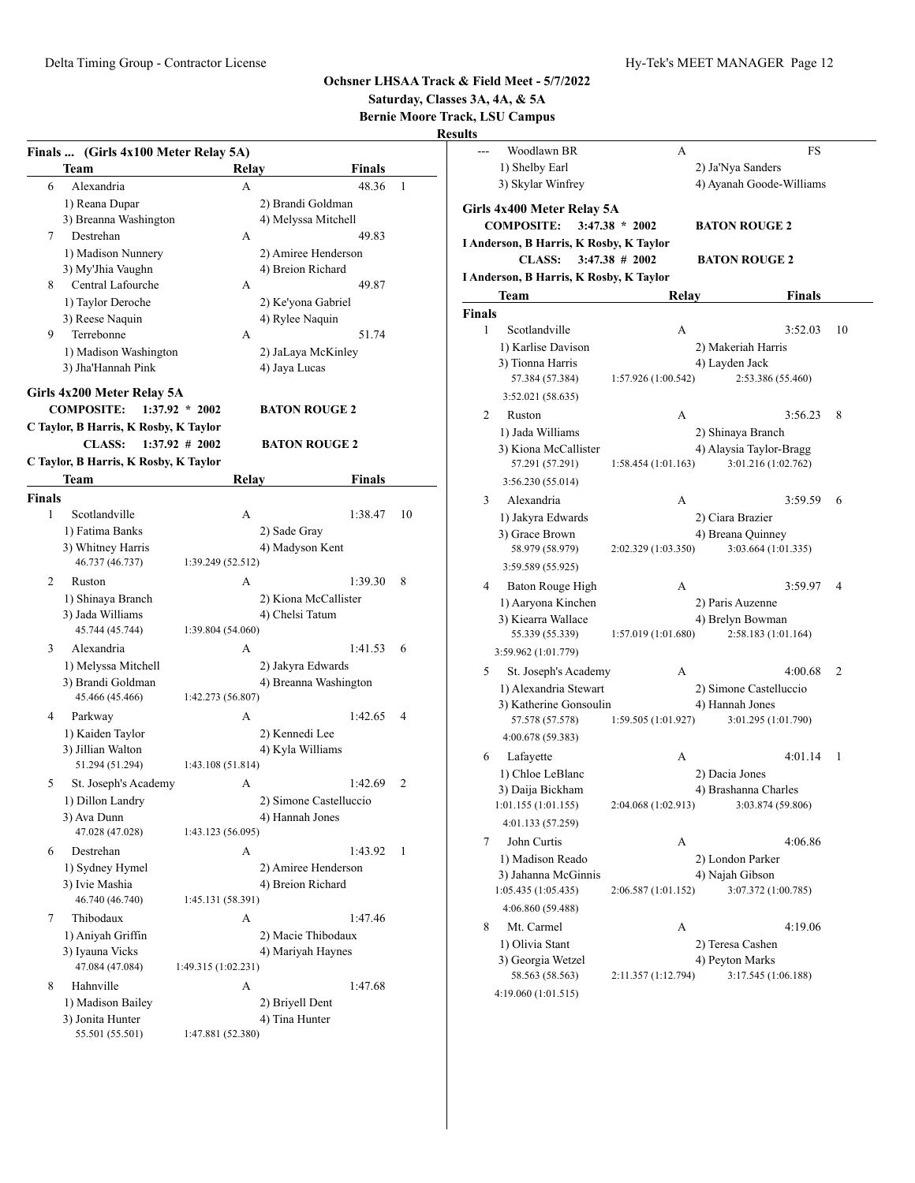**Saturday, Classes 3A, 4A, & 5A**

**Bernie Moore Track, LSU Campus**

|               | Finals  (Girls 4x100 Meter Relay 5A)  |                     |                        |    |
|---------------|---------------------------------------|---------------------|------------------------|----|
|               | Team                                  | Relav               | Finals                 |    |
| 6             | Alexandria                            | A                   | 48.36                  | 1  |
|               | 1) Reana Dupar                        |                     | 2) Brandi Goldman      |    |
|               | 3) Breanna Washington                 |                     | 4) Melyssa Mitchell    |    |
| 7             | Destrehan                             | A                   | 49.83                  |    |
|               | 1) Madison Nunnery                    |                     | 2) Amiree Henderson    |    |
|               | 3) My'Jhia Vaughn                     |                     | 4) Breion Richard      |    |
| 8             | Central Lafourche                     | A                   | 49.87                  |    |
|               | 1) Taylor Deroche                     |                     | 2) Ke'yona Gabriel     |    |
|               | 3) Reese Naquin                       |                     | 4) Rylee Naquin        |    |
| 9             | Terrebonne                            | А                   | 51.74                  |    |
|               | 1) Madison Washington                 |                     | 2) JaLaya McKinley     |    |
|               | 3) Jha'Hannah Pink                    |                     | 4) Jaya Lucas          |    |
|               | Girls 4x200 Meter Relay 5A            |                     |                        |    |
|               | <b>COMPOSITE:</b>                     | $1:37.92 * 2002$    | <b>BATON ROUGE 2</b>   |    |
|               | C Taylor, B Harris, K Rosby, K Taylor |                     |                        |    |
|               | <b>CLASS:</b>                         | $1:37.92 \# 2002$   | <b>BATON ROUGE 2</b>   |    |
|               | C Taylor, B Harris, K Rosby, K Taylor |                     |                        |    |
|               | Team                                  | Relay               | Finals                 |    |
| <b>Finals</b> |                                       |                     |                        |    |
| 1             | Scotlandville                         | A                   | 1:38.47                | 10 |
|               | 1) Fatima Banks                       |                     | 2) Sade Gray           |    |
|               | 3) Whitney Harris                     |                     | 4) Madyson Kent        |    |
|               | 46.737 (46.737)                       | 1:39.249 (52.512)   |                        |    |
| 2             | Ruston                                | A                   | 1:39.30                | 8  |
|               | 1) Shinaya Branch                     |                     | 2) Kiona McCallister   |    |
|               | 3) Jada Williams                      |                     | 4) Chelsi Tatum        |    |
|               | 45.744 (45.744)                       | 1:39.804 (54.060)   |                        |    |
| 3             | Alexandria                            | A                   | 1:41.53                | 6  |
|               | 1) Melyssa Mitchell                   |                     | 2) Jakyra Edwards      |    |
|               | 3) Brandi Goldman                     |                     | 4) Breanna Washington  |    |
|               | 45.466 (45.466)                       | 1:42.273 (56.807)   |                        |    |
| 4             | Parkway                               | А                   | 1:42.65                | 4  |
|               | 1) Kaiden Taylor                      |                     | 2) Kennedi Lee         |    |
|               | 3) Jillian Walton                     |                     | 4) Kyla Williams       |    |
|               | 51.294 (51.294)                       | 1:43.108 (51.814)   |                        |    |
| 5             | St. Joseph's Academy                  | A                   | 1:42.69                | 2  |
|               | 1) Dillon Landry                      |                     | 2) Simone Castelluccio |    |
|               | 3) Ava Dunn                           |                     | 4) Hannah Jones        |    |
|               | 47.028 (47.028)                       | 1:43.123 (56.095)   |                        |    |
| 6             | Destrehan                             | A                   | 1:43.92                | 1  |
|               | 1) Sydney Hymel                       |                     | 2) Amiree Henderson    |    |
|               | 3) Ivie Mashia                        |                     | 4) Breion Richard      |    |
|               | 46.740 (46.740)                       | 1:45.131 (58.391)   |                        |    |
| 7             | Thibodaux                             | A                   | 1:47.46                |    |
|               | 1) Aniyah Griffin                     |                     | 2) Macie Thibodaux     |    |
|               | 3) Iyauna Vicks                       |                     | 4) Mariyah Haynes      |    |
|               | 47.084 (47.084)                       | 1:49.315 (1:02.231) |                        |    |
| 8             | Hahnville                             | A                   | 1:47.68                |    |
|               | 1) Madison Bailey                     |                     | 2) Briyell Dent        |    |
|               | 3) Jonita Hunter                      |                     | 4) Tina Hunter         |    |
|               | 55.501 (55.501)                       | 1:47.881 (52.380)   |                        |    |

| ults   |                                         |                     |                                           |    |
|--------|-----------------------------------------|---------------------|-------------------------------------------|----|
|        | Woodlawn BR                             | А                   | FS                                        |    |
|        | 1) Shelby Earl                          |                     | 2) Ja'Nya Sanders                         |    |
|        | 3) Skylar Winfrey                       |                     | 4) Ayanah Goode-Williams                  |    |
|        | Girls 4x400 Meter Relay 5A              |                     |                                           |    |
|        | <b>COMPOSITE:</b>                       | $3:47.38 * 2002$    | <b>BATON ROUGE 2</b>                      |    |
|        | I Anderson, B Harris, K Rosby, K Taylor |                     |                                           |    |
|        | <b>CLASS:</b>                           | $3:47.38$ # 2002    | <b>BATON ROUGE 2</b>                      |    |
|        | I Anderson, B Harris, K Rosby, K Taylor |                     |                                           |    |
|        | Team                                    | Relay               | <b>Finals</b>                             |    |
| Finals |                                         |                     |                                           |    |
| 1      | Scotlandville                           | A                   | 3:52.03                                   | 10 |
|        | 1) Karlise Davison                      |                     | 2) Makeriah Harris                        |    |
|        | 3) Tionna Harris                        |                     | 4) Layden Jack                            |    |
|        | 57.384 (57.384)                         | 1:57.926 (1:00.542) | 2:53.386 (55.460)                         |    |
|        | 3:52.021 (58.635)                       |                     |                                           |    |
| 2      | Ruston                                  | A                   | 3:56.23                                   | 8  |
|        | 1) Jada Williams                        |                     | 2) Shinaya Branch                         |    |
|        | 3) Kiona McCallister                    |                     | 4) Alaysia Taylor-Bragg                   |    |
|        | 57.291 (57.291)                         | 1:58.454 (1:01.163) | 3:01.216 (1:02.762)                       |    |
|        | 3:56.230 (55.014)                       |                     |                                           |    |
| 3      | Alexandria                              | A                   | 3:59.59                                   | 6  |
|        | 1) Jakyra Edwards                       |                     | 2) Ciara Brazier                          |    |
|        | 3) Grace Brown<br>58.979 (58.979)       | 2:02.329 (1:03.350) | 4) Breana Quinney<br>3:03.664 (1:01.335)  |    |
|        | 3:59.589 (55.925)                       |                     |                                           |    |
| 4      | Baton Rouge High                        | А                   | 3:59.97                                   | 4  |
|        | 1) Aaryona Kinchen                      |                     | 2) Paris Auzenne                          |    |
|        | 3) Kiearra Wallace                      |                     | 4) Brelyn Bowman                          |    |
|        | 55.339 (55.339)                         | 1:57.019 (1:01.680) | 2:58.183 (1:01.164)                       |    |
|        | 3:59.962 (1:01.779)                     |                     |                                           |    |
| 5      | St. Joseph's Academy                    | А                   | 4:00.68                                   | 2  |
|        | 1) Alexandria Stewart                   |                     | 2) Simone Castelluccio                    |    |
|        | 3) Katherine Gonsoulin                  |                     | 4) Hannah Jones                           |    |
|        | 57.578 (57.578)                         | 1:59.505(1:01.927)  | 3:01.295 (1:01.790)                       |    |
|        | 4:00.678 (59.383)                       |                     |                                           |    |
| 6      | Lafayette                               | А                   | 4:01.14                                   | 1  |
|        | 1) Chloe LeBlanc                        |                     | 2) Dacia Jones                            |    |
|        | 3) Daija Bickham                        |                     | 4) Brashanna Charles<br>3:03.874 (59.806) |    |
|        | 1:01.155(1:01.155)<br>4:01.133 (57.259) | 2:04.068 (1:02.913) |                                           |    |
| 7      | John Curtis                             |                     | 4:06.86                                   |    |
|        | 1) Madison Reado                        | А                   | 2) London Parker                          |    |
|        | 3) Jahanna McGinnis                     |                     | 4) Najah Gibson                           |    |
|        | 1:05.435 (1:05.435)                     | 2:06.587 (1:01.152) | 3:07.372 (1:00.785)                       |    |
|        | 4:06.860 (59.488)                       |                     |                                           |    |
| 8      | Mt. Carmel                              | А                   | 4:19.06                                   |    |
|        | 1) Olivia Stant                         |                     | 2) Teresa Cashen                          |    |
|        | 3) Georgia Wetzel                       |                     | 4) Peyton Marks                           |    |
|        | 58.563 (58.563)                         | 2:11.357 (1:12.794) | 3:17.545 (1:06.188)                       |    |
|        | 4:19.060 (1:01.515)                     |                     |                                           |    |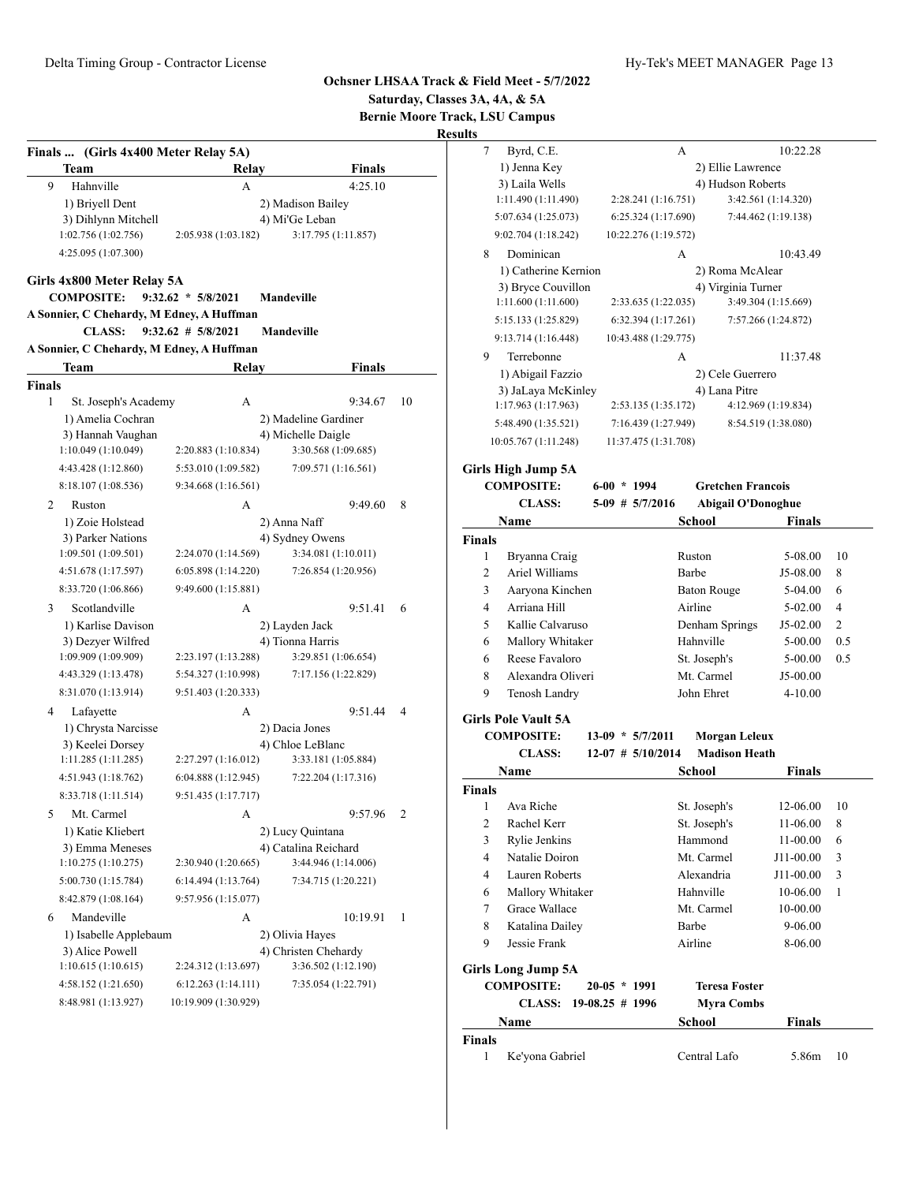**Saturday, Classes 3A, 4A, & 5A Bernie Moore Track, LSU Campus**

|        | Finals  (Girls 4x400 Meter Relay 5A)      |                       |                      |    |
|--------|-------------------------------------------|-----------------------|----------------------|----|
|        | Team                                      | Relay                 | Finals               |    |
| 9      | Hahnville                                 | A                     | 4:25.10              |    |
|        | 1) Briyell Dent                           |                       | 2) Madison Bailey    |    |
|        | 3) Dihlynn Mitchell                       |                       | 4) Mi'Ge Leban       |    |
|        | 1:02.756 (1:02.756)                       | 2:05.938 (1:03.182)   | 3:17.795 (1:11.857)  |    |
|        | 4:25.095 (1:07.300)                       |                       |                      |    |
|        | Girls 4x800 Meter Relay 5A                |                       |                      |    |
|        | <b>COMPOSITE:</b>                         | $9:32.62 * 5/8/2021$  | Mandeville           |    |
|        | A Sonnier, C Chehardy, M Edney, A Huffman |                       |                      |    |
|        | <b>CLASS:</b>                             | $9:32.62 \# 5/8/2021$ | <b>Mandeville</b>    |    |
|        | A Sonnier, C Chehardy, M Edney, A Huffman |                       |                      |    |
|        | Team                                      | Relay                 | Finals               |    |
| Finals |                                           |                       |                      |    |
| 1      | St. Joseph's Academy                      | A                     | 9:34.67              | 10 |
|        | 1) Amelia Cochran                         |                       | 2) Madeline Gardiner |    |
|        | 3) Hannah Vaughan                         |                       | 4) Michelle Daigle   |    |
|        | 1:10.049 (1:10.049)                       | 2:20.883 (1:10.834)   | 3:30.568 (1:09.685)  |    |
|        | 4:43.428 (1:12.860)                       | 5:53.010 (1:09.582)   | 7:09.571 (1:16.561)  |    |
|        | 8:18.107 (1:08.536)                       | 9:34.668 (1:16.561)   |                      |    |
| 2      | Ruston                                    | А                     | 9:49.60              | 8  |
|        | 1) Zoie Holstead                          |                       | 2) Anna Naff         |    |
|        | 3) Parker Nations                         |                       | 4) Sydney Owens      |    |
|        | 1:09.501(1:09.501)                        | 2:24.070 (1:14.569)   | 3:34.081 (1:10.011)  |    |
|        | 4:51.678 (1:17.597)                       | 6:05.898(1:14.220)    | 7:26.854 (1:20.956)  |    |
|        | 8:33.720 (1:06.866)                       | 9:49.600 (1:15.881)   |                      |    |
| 3      | Scotlandville                             | А                     | 9:51.41              | 6  |
|        | 1) Karlise Davison                        |                       | 2) Layden Jack       |    |
|        | 3) Dezyer Wilfred                         |                       | 4) Tionna Harris     |    |
|        | 1:09.909 (1:09.909)                       | 2:23.197 (1:13.288)   | 3:29.851 (1:06.654)  |    |
|        | 4:43.329 (1:13.478)                       | 5:54.327 (1:10.998)   | 7:17.156 (1:22.829)  |    |
|        | 8:31.070 (1:13.914)                       | 9:51.403 (1:20.333)   |                      |    |
| 4      | Lafayette                                 | А                     | 9:51.44              | 4  |
|        | 1) Chrysta Narcisse                       |                       | 2) Dacia Jones       |    |
|        | 3) Keelei Dorsey                          |                       | 4) Chloe LeBlanc     |    |
|        | 1:11.285(1:11.285)                        | 2:27.297 (1:16.012)   | 3:33.181 (1:05.884)  |    |
|        | 4:51.943 (1:18.762)                       | 6:04.888(1:12.945)    | 7:22.204 (1:17.316)  |    |
|        | 8:33.718 (1:11.514)                       | 9:51.435 (1:17.717)   |                      |    |
| 5      | Mt. Carmel                                | А                     | 9:57.96              | 2  |
|        | 1) Katie Kliebert                         |                       | 2) Lucy Quintana     |    |
|        | 3) Emma Meneses                           |                       | 4) Catalina Reichard |    |
|        | 1:10.275(1:10.275)                        | 2:30.940 (1:20.665)   | 3:44.946 (1:14.006)  |    |
|        | 5:00.730 (1:15.784)                       | 6:14.494 (1:13.764)   | 7:34.715 (1:20.221)  |    |
|        | 8:42.879 (1:08.164)                       | 9:57.956 (1:15.077)   |                      |    |
| 6      | Mandeville                                | А                     | 10:19.91             | 1  |
|        | 1) Isabelle Applebaum                     |                       | 2) Olivia Hayes      |    |
|        | 3) Alice Powell                           |                       | 4) Christen Chehardy |    |
|        | 1:10.615 (1:10.615)                       | 2:24.312 (1:13.697)   | 3:36.502 (1:12.190)  |    |
|        | 4:58.152 (1:21.650)                       | 6:12.263(1:14.111)    | 7:35.054 (1:22.791)  |    |
|        | 8:48.981 (1:13.927)                       | 10:19.909 (1:30.929)  |                      |    |

| ults              |                                 |                   |                      |                         |                           |                     |                |
|-------------------|---------------------------------|-------------------|----------------------|-------------------------|---------------------------|---------------------|----------------|
| 7                 | Byrd, C.E.                      |                   |                      | А                       |                           | 10:22.28            |                |
|                   | 1) Jenna Key                    |                   |                      |                         | 2) Ellie Lawrence         |                     |                |
|                   | 3) Laila Wells                  |                   |                      |                         | 4) Hudson Roberts         |                     |                |
|                   | 1:11.490 (1:11.490)             |                   | 2:28.241 (1:16.751)  |                         |                           | 3:42.561 (1:14.320) |                |
|                   | 5:07.634 (1:25.073)             |                   | 6:25.324 (1:17.690)  |                         |                           | 7:44.462 (1:19.138) |                |
|                   | 9:02.704 (1:18.242)             |                   | 10:22.276 (1:19.572) |                         |                           |                     |                |
| 8                 | Dominican                       |                   |                      | А                       |                           | 10:43.49            |                |
|                   | 1) Catherine Kernion            |                   |                      |                         | 2) Roma McAlear           |                     |                |
|                   | 3) Bryce Couvillon              |                   |                      |                         | 4) Virginia Turner        |                     |                |
|                   | 1:11.600(1:11.600)              |                   | 2:33.635 (1:22.035)  |                         |                           | 3:49.304 (1:15.669) |                |
|                   | 5:15.133 (1:25.829)             |                   | 6:32.394(1:17.261)   |                         |                           | 7:57.266 (1:24.872) |                |
|                   | 9:13.714 (1:16.448)             |                   | 10:43.488 (1:29.775) |                         |                           |                     |                |
| 9                 | Terrebonne                      |                   |                      | А                       |                           | 11:37.48            |                |
|                   | 1) Abigail Fazzio               |                   |                      |                         | 2) Cele Guerrero          |                     |                |
|                   | 3) JaLaya McKinley              |                   |                      |                         | 4) Lana Pitre             |                     |                |
|                   | 1:17.963 (1:17.963)             |                   | 2:53.135 (1:35.172)  |                         |                           | 4:12.969 (1:19.834) |                |
|                   | 5:48.490 (1:35.521)             |                   | 7:16.439 (1:27.949)  |                         |                           | 8:54.519 (1:38.080) |                |
|                   | 10:05.767 (1:11.248)            |                   | 11:37.475 (1:31.708) |                         |                           |                     |                |
|                   | Girls High Jump 5A              |                   |                      |                         |                           |                     |                |
|                   | <b>COMPOSITE:</b>               | $6-00 * 1994$     |                      |                         | <b>Gretchen Francois</b>  |                     |                |
|                   | <b>CLASS:</b>                   |                   | $5-09$ # $5/7/2016$  |                         | <b>Abigail O'Donoghue</b> |                     |                |
|                   | Name                            |                   |                      | School                  |                           | Finals              |                |
| <b>Finals</b>     |                                 |                   |                      |                         |                           |                     |                |
| 1                 | Bryanna Craig                   |                   |                      | Ruston                  |                           | 5-08.00             | 10             |
| 2                 | Ariel Williams                  |                   |                      | Barbe                   |                           | J5-08.00            | 8              |
| 3                 | Aaryona Kinchen                 |                   |                      | <b>Baton Rouge</b>      |                           | 5-04.00             | 6              |
| 4                 | Arriana Hill                    |                   |                      | Airline                 |                           | 5-02.00             | 4              |
| 5                 | Kallie Calvaruso                |                   |                      | Denham Springs          |                           | $J5-02.00$          | $\overline{c}$ |
| 6                 | Mallory Whitaker                |                   |                      | Hahnville               |                           | 5-00.00             | 0.5            |
| 6                 | Reese Favaloro                  |                   |                      | St. Joseph's            |                           | 5-00.00             | 0.5            |
| 8                 | Alexandra Oliveri               |                   |                      | Mt. Carmel              |                           | $J5-00.00$          |                |
| 9                 | Tenosh Landry                   |                   |                      | John Ehret              |                           | $4 - 10.00$         |                |
|                   |                                 |                   |                      |                         |                           |                     |                |
|                   | <b>Girls Pole Vault 5A</b>      |                   |                      |                         |                           |                     |                |
|                   | <b>COMPOSITE:</b>               |                   | $13-09 * 5/7/2011$   |                         | Morgan Leleux             |                     |                |
|                   | <b>CLASS:</b>                   |                   | $12-07$ # 5/10/2014  |                         | <b>Madison Heath</b>      |                     |                |
|                   | Name                            |                   |                      | School                  |                           | Finals              |                |
| <b>Finals</b>     | Ava Riche                       |                   |                      |                         |                           |                     |                |
| $\mathbf{1}$<br>2 | Rachel Kerr                     |                   |                      | St. Joseph's            |                           | 12-06.00            | 10             |
|                   |                                 |                   |                      | St. Joseph's<br>Hammond |                           | 11-06.00            | 8              |
| 3<br>4            | Rylie Jenkins<br>Natalie Doiron |                   |                      | Mt. Carmel              |                           | 11-00.00            | 6<br>3         |
| 4                 | Lauren Roberts                  |                   |                      | Alexandria              |                           | J11-00.00           |                |
|                   | Mallory Whitaker                |                   |                      |                         |                           | J11-00.00           | 3              |
| 6<br>7            | Grace Wallace                   |                   |                      | Hahnville<br>Mt. Carmel |                           | 10-06.00            | $\mathbf{1}$   |
|                   |                                 |                   |                      |                         |                           | 10-00.00            |                |
| 8<br>9            | Katalina Dailey<br>Jessie Frank |                   |                      | Barbe                   |                           | 9-06.00             |                |
|                   |                                 |                   |                      | Airline                 |                           | 8-06.00             |                |
|                   | <b>Girls Long Jump 5A</b>       |                   |                      |                         |                           |                     |                |
|                   | <b>COMPOSITE:</b>               | $20-05 * 1991$    |                      |                         | <b>Teresa Foster</b>      |                     |                |
|                   | <b>CLASS:</b>                   | $19-08.25$ # 1996 |                      |                         | <b>Myra Combs</b>         |                     |                |
|                   | Name                            |                   |                      | <b>School</b>           |                           | <b>Finals</b>       |                |
| <b>Finals</b>     |                                 |                   |                      |                         |                           |                     |                |
| 1                 | Ke'yona Gabriel                 |                   |                      | Central Lafo            |                           | 5.86m               | 10             |
|                   |                                 |                   |                      |                         |                           |                     |                |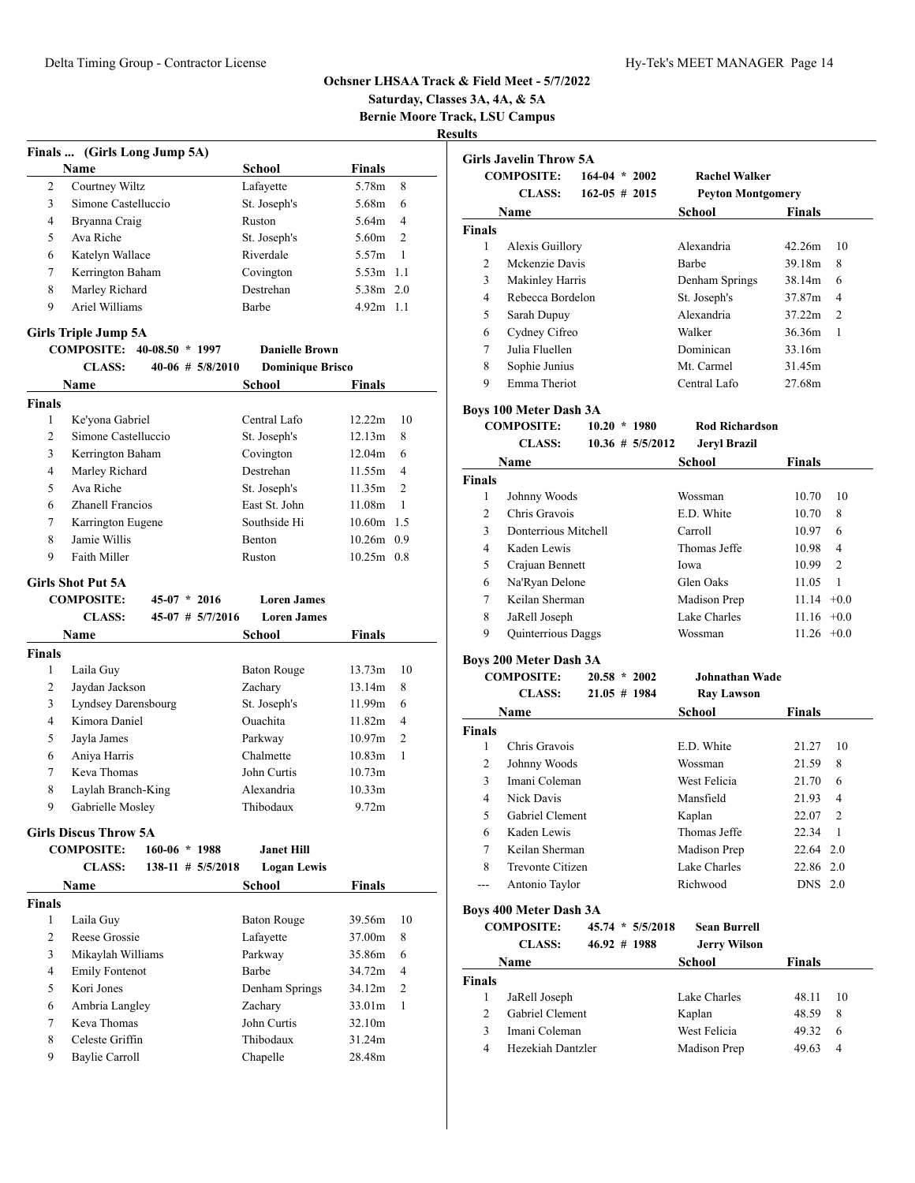**Saturday, Classes 3A, 4A, & 5A**

**Bernie Moore Track, LSU Campus**

|                    | Finals  (Girls Long Jump 5A) |                       |                         |                    |                |
|--------------------|------------------------------|-----------------------|-------------------------|--------------------|----------------|
|                    | Name                         |                       | <b>School</b>           | <b>Finals</b>      |                |
| 2                  | Courtney Wiltz               |                       | Lafayette               | 5.78m              | 8              |
| 3                  | Simone Castelluccio          |                       | St. Joseph's            | 5.68m              | 6              |
| 4                  | Bryanna Craig                |                       | Ruston                  | 5.64m              | 4              |
| 5                  | Ava Riche                    |                       | St. Joseph's            | 5.60m              | $\overline{c}$ |
| 6                  | Katelyn Wallace              |                       | Riverdale               | 5.57m              | 1              |
| 7                  | Kerrington Baham             |                       | Covington               | 5.53m 1.1          |                |
| 8                  | Marley Richard               |                       | Destrehan               | 5.38m 2.0          |                |
| 9                  | Ariel Williams               |                       | Barbe                   | $4.92m$ 1.1        |                |
|                    |                              |                       |                         |                    |                |
|                    | <b>Girls Triple Jump 5A</b>  |                       |                         |                    |                |
|                    | COMPOSITE: 40-08.50 * 1997   |                       | <b>Danielle Brown</b>   |                    |                |
|                    | <b>CLASS:</b>                | $40-06$ # $5/8/2010$  | <b>Dominique Brisco</b> |                    |                |
|                    | Name                         |                       | School                  | Finals             |                |
| <b>Finals</b>      |                              |                       |                         |                    |                |
| 1                  | Ke'yona Gabriel              |                       | Central Lafo            | 12.22m             | 10             |
| 2                  | Simone Castelluccio          |                       | St. Joseph's            | 12.13m             | 8              |
| 3                  | Kerrington Baham             |                       | Covington               | 12.04m             | 6              |
| 4                  | Marley Richard               |                       | Destrehan               | 11.55m             | 4              |
| 5                  | Ava Riche                    |                       | St. Joseph's            | 11.35m             | $\overline{2}$ |
| 6                  | <b>Zhanell Francios</b>      |                       | East St. John           | 11.08m             | 1              |
| 7                  | Karrington Eugene            |                       | Southside Hi            | 10.60m 1.5         |                |
| 8                  | Jamie Willis                 |                       | Benton                  | 10.26m 0.9         |                |
| 9                  | Faith Miller                 |                       | Ruston                  | $10.25m$ 0.8       |                |
|                    | <b>Girls Shot Put 5A</b>     |                       |                         |                    |                |
|                    | <b>COMPOSITE:</b>            | $45-07 * 2016$        | <b>Loren James</b>      |                    |                |
|                    | <b>CLASS:</b>                | $45-07$ # $5/7/2016$  | <b>Loren James</b>      |                    |                |
|                    | Name                         |                       | School                  | <b>Finals</b>      |                |
| <b>Finals</b>      |                              |                       |                         |                    |                |
| 1                  | Laila Guy                    |                       | <b>Baton Rouge</b>      | 13.73m             | 10             |
| 2                  | Jaydan Jackson               |                       | Zachary                 | 13.14m             | 8              |
| 3                  | Lyndsey Darensbourg          |                       | St. Joseph's            | 11.99m             | 6              |
| 4                  | Kimora Daniel                |                       | Ouachita                | 11.82m             | $\overline{4}$ |
| 5                  | Jayla James                  |                       | Parkway                 | 10.97 <sub>m</sub> | $\overline{2}$ |
| 6                  | Aniya Harris                 |                       |                         |                    |                |
| 7                  | Keva Thomas                  |                       | Chalmette               | 10.83m             | 1              |
| 8                  |                              |                       | John Curtis             | 10.73m             |                |
|                    |                              |                       | Alexandria              | 10.33m             |                |
| 9                  | Laylah Branch-King           |                       |                         |                    |                |
|                    | Gabrielle Mosley             |                       | Thibodaux               | 9.72m              |                |
|                    | <b>Girls Discus Throw 5A</b> |                       |                         |                    |                |
|                    | <b>COMPOSITE:</b>            | $160-06 * 1988$       | <b>Janet Hill</b>       |                    |                |
|                    | <b>CLASS:</b>                | $138-11$ # $5/5/2018$ | <b>Logan Lewis</b>      |                    |                |
|                    | Name                         |                       | <b>School</b>           | <b>Finals</b>      |                |
|                    |                              |                       |                         |                    |                |
| <b>Finals</b><br>1 | Laila Guy                    |                       | <b>Baton Rouge</b>      | 39.56m             | 10             |
| 2                  | Reese Grossie                |                       | Lafayette               | 37.00m             | 8              |
| 3                  | Mikaylah Williams            |                       | Parkway                 | 35.86m             | 6              |
| 4                  | <b>Emily Fontenot</b>        |                       | Barbe                   | 34.72m             | $\overline{4}$ |
| 5                  | Kori Jones                   |                       | Denham Springs          | 34.12m             | 2              |
| 6                  | Ambria Langley               |                       | Zachary                 | 33.01m             | 1              |
| 7                  | Keva Thomas                  |                       | John Curtis             | 32.10m             |                |
| 8                  | Celeste Griffin              |                       | Thibodaux               | 31.24m             |                |
| 9                  | Baylie Carroll               |                       | Chapelle                | 28.48m             |                |

|                    | <b>Girls Javelin Throw 5A</b> |                    |                     |                          |               |                |
|--------------------|-------------------------------|--------------------|---------------------|--------------------------|---------------|----------------|
|                    | <b>COMPOSITE:</b>             | $164-04 * 2002$    |                     | <b>Rachel Walker</b>     |               |                |
|                    | <b>CLASS:</b>                 | $162 - 05 \# 2015$ |                     | <b>Peyton Montgomery</b> |               |                |
|                    | Name                          |                    |                     | School                   | <b>Finals</b> |                |
|                    |                               |                    |                     |                          |               |                |
| <b>Finals</b><br>1 | Alexis Guillory               |                    |                     | Alexandria               | 42.26m        | 10             |
| $\overline{c}$     | Mckenzie Davis                |                    |                     | <b>Barbe</b>             | 39.18m        | 8              |
| 3                  |                               |                    |                     |                          | 38.14m        | 6              |
|                    | <b>Makinley Harris</b>        |                    |                     | Denham Springs           | 37.87m        | 4              |
| 4                  | Rebecca Bordelon              |                    |                     | St. Joseph's             |               |                |
| 5                  | Sarah Dupuy                   |                    |                     | Alexandria               | 37.22m        | $\overline{c}$ |
| 6                  | Cydney Cifreo                 |                    |                     | Walker                   | 36.36m        | 1              |
| 7                  | Julia Fluellen                |                    |                     | Dominican                | 33.16m        |                |
| 8                  | Sophie Junius                 |                    |                     | Mt. Carmel               | 31.45m        |                |
| 9                  | Emma Theriot                  |                    |                     | Central Lafo             | 27.68m        |                |
|                    | <b>Boys 100 Meter Dash 3A</b> |                    |                     |                          |               |                |
|                    | <b>COMPOSITE:</b>             | $10.20 * 1980$     |                     | <b>Rod Richardson</b>    |               |                |
|                    | <b>CLASS:</b>                 |                    | $10.36 \# 5/5/2012$ | <b>Jeryl Brazil</b>      |               |                |
|                    | Name                          |                    |                     | School                   | Finals        |                |
| <b>Finals</b>      |                               |                    |                     |                          |               |                |
| 1                  | Johnny Woods                  |                    |                     | Wossman                  | 10.70         | 10             |
| $\overline{c}$     | Chris Gravois                 |                    |                     | E.D. White               | 10.70         | 8              |
| 3                  | Donterrious Mitchell          |                    |                     | Carroll                  | 10.97         | 6              |
| 4                  | Kaden Lewis                   |                    |                     | Thomas Jeffe             | 10.98         | $\overline{4}$ |
| 5                  | Crajuan Bennett               |                    |                     | Iowa                     | 10.99         | $\overline{c}$ |
| 6                  | Na'Ryan Delone                |                    |                     | Glen Oaks                | 11.05         | $\mathbf{1}$   |
| 7                  | Keilan Sherman                |                    |                     | Madison Prep             | $11.14 +0.0$  |                |
| 8                  | JaRell Joseph                 |                    |                     | Lake Charles             | 11.16         | $+0.0$         |
| 9                  | Quinterrious Daggs            |                    |                     | Wossman                  | $11.26 +0.0$  |                |
|                    | <b>Boys 200 Meter Dash 3A</b> |                    |                     |                          |               |                |
|                    | <b>COMPOSITE:</b>             | $20.58 * 2002$     |                     | Johnathan Wade           |               |                |
|                    | <b>CLASS:</b>                 | $21.05 \# 1984$    |                     | <b>Ray Lawson</b>        |               |                |
|                    |                               |                    |                     |                          |               |                |
|                    | Name                          |                    |                     | School                   | Finals        |                |
| <b>Finals</b>      |                               |                    |                     |                          |               |                |
| 1                  | Chris Gravois                 |                    |                     | E.D. White               | 21.27         | 10             |
| 2                  | Johnny Woods                  |                    |                     | Wossman                  | 21.59         | 8              |
| 3                  | Imani Coleman                 |                    |                     | West Felicia             | 21.70         | 6              |
| 4                  | Nick Davis                    |                    |                     | Mansfield                | 21.93         | 4              |
| 5                  | Gabriel Clement               |                    |                     | Kaplan                   | 22.07         | 2              |
| 6                  | Kaden Lewis                   |                    |                     | Thomas Jeffe             | 22.34         | 1              |
| 7                  | Keilan Sherman                |                    |                     | Madison Prep             | 22.64 2.0     |                |
| 8                  | Trevonte Citizen              |                    |                     | Lake Charles             | 22.86 2.0     |                |
| ---                | Antonio Taylor                |                    |                     | Richwood                 | DNS 2.0       |                |
|                    | <b>Boys 400 Meter Dash 3A</b> |                    |                     |                          |               |                |
|                    | <b>COMPOSITE:</b>             |                    | 45.74 * 5/5/2018    | <b>Sean Burrell</b>      |               |                |
|                    | <b>CLASS:</b>                 | $46.92 \# 1988$    |                     | <b>Jerry Wilson</b>      |               |                |
|                    | Name                          |                    |                     | School                   | <b>Finals</b> |                |
| <b>Finals</b>      |                               |                    |                     |                          |               |                |
| 1                  | JaRell Joseph                 |                    |                     | Lake Charles             | 48.11         | 10             |
| 2                  | Gabriel Clement               |                    |                     | Kaplan                   | 48.59         | 8              |
| 3                  | Imani Coleman                 |                    |                     | West Felicia             | 49.32         | 6              |
| 4                  | Hezekiah Dantzler             |                    |                     | Madison Prep             | 49.63         | 4              |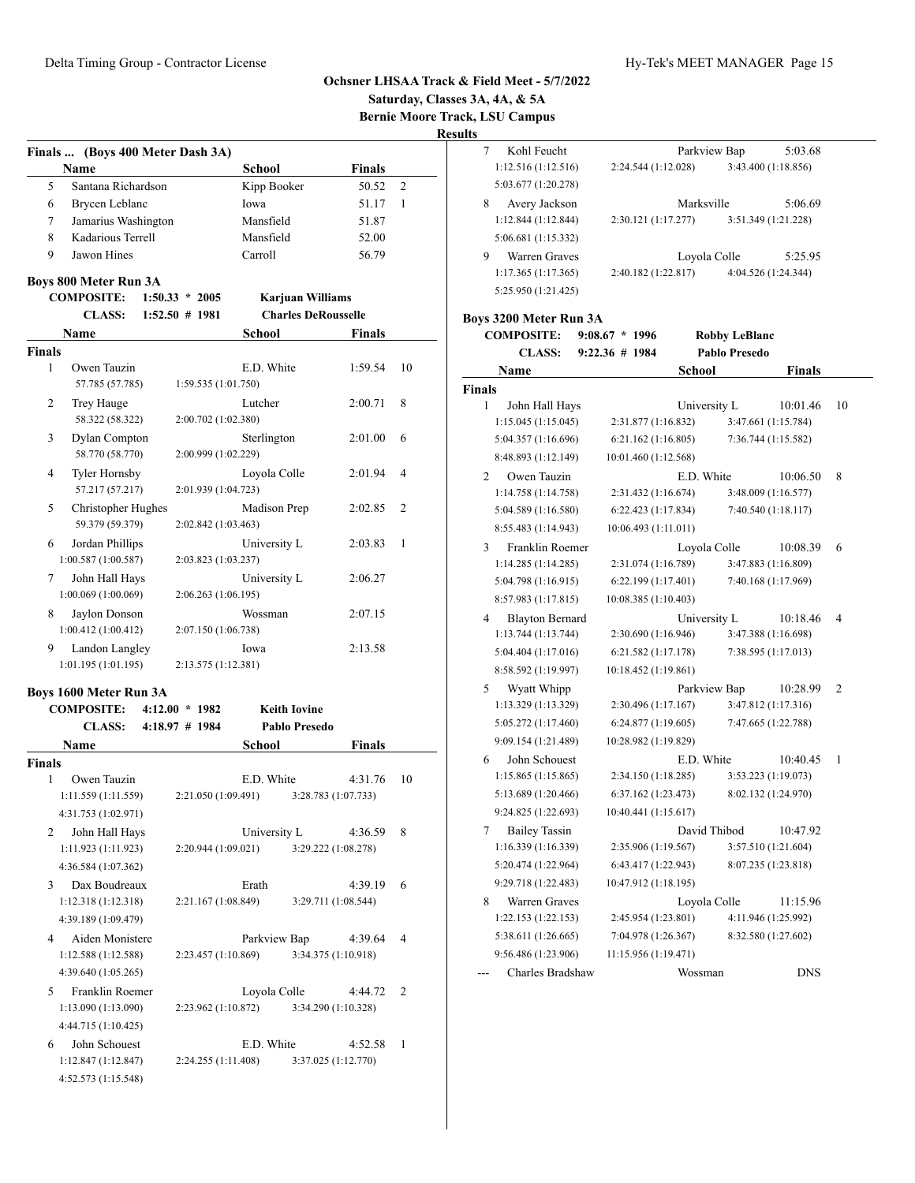|               |                                            |                     |                         |                                    |         |                | Saturday, Classes 3A, 4A, & 5A |                                            |                                            |              |                      |                                 |                |
|---------------|--------------------------------------------|---------------------|-------------------------|------------------------------------|---------|----------------|--------------------------------|--------------------------------------------|--------------------------------------------|--------------|----------------------|---------------------------------|----------------|
|               |                                            |                     |                         |                                    |         |                | <b>Results</b>                 | <b>Bernie Moore Track, LSU Campus</b>      |                                            |              |                      |                                 |                |
|               | Finals  (Boys 400 Meter Dash 3A)           |                     |                         |                                    |         |                | $\tau$                         | Kohl Feucht                                |                                            | Parkview Bap |                      | 5:03.68                         |                |
|               | Name                                       |                     | <b>School</b>           | <b>Finals</b>                      |         |                |                                | 1:12.516(1:12.516)                         | 2:24.544 (1:12.028)                        |              |                      | 3:43.400 (1:18.856)             |                |
| 5             | Santana Richardson                         |                     | Kipp Booker             |                                    | 50.52 2 |                |                                | 5:03.677 (1:20.278)                        |                                            |              |                      |                                 |                |
| 6             | Brycen Leblanc                             |                     | Iowa                    |                                    | 51.17   | $\overline{1}$ | 8                              | Avery Jackson                              |                                            | Marksville   |                      | 5:06.69                         |                |
| 7             | Jamarius Washington                        |                     | Mansfield               | 51.87                              |         |                |                                | 1:12.844 (1:12.844)                        | 2:30.121 (1:17.277)                        |              |                      | 3:51.349 (1:21.228)             |                |
| 8             | Kadarious Terrell                          |                     | Mansfield               | 52.00                              |         |                |                                | 5:06.681 (1:15.332)                        |                                            |              |                      |                                 |                |
| 9             | Jawon Hines                                |                     | Carroll                 |                                    | 56.79   |                | 9                              | Warren Graves<br>1:17.365(1:17.365)        | 2:40.182 (1:22.817)                        | Loyola Colle |                      | 5:25.95<br>4:04.526 (1:24.344)  |                |
|               | Boys 800 Meter Run 3A<br><b>COMPOSITE:</b> | $1:50.33 * 2005$    | <b>Karjuan Williams</b> |                                    |         |                |                                | 5:25.950 (1:21.425)                        |                                            |              |                      |                                 |                |
|               | <b>CLASS:</b>                              | $1:52.50 \# 1981$   |                         | <b>Charles DeRousselle</b>         |         |                |                                | Boys 3200 Meter Run 3A                     |                                            |              |                      |                                 |                |
| Name          |                                            |                     | School                  | <b>Finals</b>                      |         |                |                                | <b>COMPOSITE:</b>                          | $9:08.67 * 1996$                           |              | <b>Robby LeBlanc</b> |                                 |                |
| <b>Finals</b> |                                            |                     |                         |                                    |         |                |                                | <b>CLASS:</b>                              | $9:22.36 \# 1984$                          |              | Pablo Presedo        |                                 |                |
| 1             | Owen Tauzin                                |                     | E.D. White              | 1:59.54                            |         | 10             |                                | Name                                       |                                            | School       |                      | <b>Finals</b>                   |                |
|               | 57.785 (57.785)                            | 1:59.535(1:01.750)  |                         |                                    |         |                | <b>Finals</b>                  |                                            |                                            |              |                      |                                 |                |
| 2             | Trey Hauge<br>58.322 (58.322)              | 2:00.702 (1:02.380) | Lutcher                 | 2:00.71                            |         | 8              | 1                              | John Hall Hays<br>1:15.045 (1:15.045)      | 2:31.877 (1:16.832)                        | University L |                      | 10:01.46<br>3:47.661 (1:15.784) | -10            |
| 3             | Dylan Compton                              |                     | Sterlington             | 2:01.00                            |         | -6             |                                | 5:04.357 (1:16.696)                        | 6:21.162(1:16.805)                         |              |                      | 7:36.744 (1:15.582)             |                |
|               | 58.770 (58.770)                            | 2:00.999 (1:02.229) |                         |                                    |         |                |                                | 8:48.893 (1:12.149)                        | 10:01.460 (1:12.568)                       |              |                      |                                 |                |
| 4             | <b>Tyler Hornsby</b>                       |                     | Loyola Colle            | 2:01.94                            |         | $\overline{4}$ | $\overline{2}$                 | Owen Tauzin                                |                                            | E.D. White   |                      | 10:06.50                        | - 8            |
|               | 57.217 (57.217)                            | 2:01.939 (1:04.723) |                         |                                    |         |                |                                | 1:14.758 (1:14.758)                        | 2:31.432 (1:16.674)                        |              |                      | 3:48.009 (1:16.577)             |                |
| 5             | Christopher Hughes<br>59.379 (59.379)      | 2:02.842 (1:03.463) | Madison Prep            | 2:02.85                            |         | 2              |                                | 5:04.589 (1:16.580)                        | 6:22.423(1:17.834)                         |              |                      | 7:40.540 (1:18.117)             |                |
| 6             | Jordan Phillips                            |                     | University L            | 2:03.83                            |         | - 1            |                                | 8:55.483 (1:14.943)                        | 10:06.493 (1:11.011)                       |              |                      |                                 |                |
|               | 1:00.587(1:00.587)                         | 2:03.823 (1:03.237) |                         |                                    |         |                | 3                              | Franklin Roemer<br>1:14.285(1:14.285)      | 2:31.074 (1:16.789)                        | Loyola Colle |                      | 10:08.39<br>3:47.883 (1:16.809) | - 6            |
| 7             | John Hall Hays                             |                     | University L            | 2:06.27                            |         |                |                                | 5:04.798 (1:16.915)                        | 6:22.199(1:17.401)                         |              |                      | 7:40.168 (1:17.969)             |                |
|               | 1:00.069(1:00.069)                         | 2:06.263 (1:06.195) |                         |                                    |         |                |                                | 8:57.983 (1:17.815)                        | 10:08.385(1:10.403)                        |              |                      |                                 |                |
| 8             | Jaylon Donson                              |                     | Wossman                 | 2:07.15                            |         |                | 4                              | <b>Blayton Bernard</b>                     |                                            | University L |                      | 10:18.46                        | $\overline{4}$ |
|               | 1:00.412(1:00.412)                         | 2:07.150 (1:06.738) |                         |                                    |         |                |                                | 1:13.744(1:13.744)                         | 2:30.690 (1:16.946)                        |              |                      | 3:47.388 (1:16.698)             |                |
| 9             | Landon Langley<br>1:01.195(1:01.195)       | 2:13.575 (1:12.381) | Iowa                    | 2:13.58                            |         |                |                                | 5:04.404 (1:17.016)                        | 6:21.582(1:17.178)                         |              |                      | 7:38.595 (1:17.013)             |                |
|               |                                            |                     |                         |                                    |         |                |                                | 8:58.592 (1:19.997)                        | 10:18.452 (1:19.861)                       |              |                      |                                 |                |
|               | Boys 1600 Meter Run 3A                     |                     |                         |                                    |         |                | 5                              | Wyatt Whipp                                |                                            | Parkview Bap |                      | 10:28.99                        | <sup>2</sup>   |
|               | <b>COMPOSITE:</b>                          | $4:12.00 * 1982$    | <b>Keith Iovine</b>     |                                    |         |                |                                | 1:13.329 (1:13.329)                        | 2:30.496 (1:17.167)                        |              |                      | 3:47.812 (1:17.316)             |                |
|               | <b>CLASS:</b>                              | $4:18.97$ # 1984    | Pablo Presedo           |                                    |         |                |                                | 5:05.272 (1:17.460)                        | 6:24.877 (1:19.605)                        |              |                      | 7:47.665 (1:22.788)             |                |
| Name          |                                            |                     | School                  | <b>Finals</b>                      |         |                |                                | 9:09.154 (1:21.489)                        | 10:28.982 (1:19.829)                       |              |                      |                                 |                |
| <b>Finals</b> |                                            |                     |                         |                                    |         |                |                                | 6 John Schouest                            |                                            | E.D. White   |                      | $10:40.45$ 1                    |                |
| 1             | Owen Tauzin                                |                     | E.D. White              | 4:31.76 10                         |         |                |                                | 1:15.865(1:15.865)                         | 2:34.150 (1:18.285)                        |              |                      | 3:53.223 (1:19.073)             |                |
|               | 1:11.559 (1:11.559)                        | 2:21.050 (1:09.491) |                         | 3:28.783 (1:07.733)                |         |                |                                | 5:13.689 (1:20.466)                        | 6:37.162 (1:23.473)                        |              |                      | 8:02.132 (1:24.970)             |                |
|               | 4:31.753 (1:02.971)                        |                     |                         |                                    |         |                |                                | 9:24.825 (1:22.693)                        | 10:40.441 (1:15.617)                       |              |                      |                                 |                |
| 2             | John Hall Hays                             |                     | University L            | 4:36.59 8                          |         |                | 7                              | <b>Bailey Tassin</b>                       |                                            | David Thibod |                      | 10:47.92                        |                |
|               | 1:11.923(1:11.923)                         | 2:20.944 (1:09.021) |                         | 3:29.222 (1:08.278)                |         |                |                                | 1:16.339(1:16.339)                         | 2:35.906 (1:19.567)                        |              |                      | 3:57.510 (1:21.604)             |                |
|               | 4:36.584 (1:07.362)                        |                     |                         |                                    |         |                |                                | 5:20.474 (1:22.964)                        | 6:43.417 (1:22.943)                        |              |                      | 8:07.235 (1:23.818)             |                |
| 3             | Dax Boudreaux                              |                     | Erath                   | $4:39.19$ 6                        |         |                |                                | 9:29.718 (1:22.483)                        | 10:47.912 (1:18.195)                       |              |                      |                                 |                |
|               | 1:12.318(1:12.318)                         | 2:21.167 (1:08.849) |                         | 3:29.711 (1:08.544)                |         |                | 8                              | Warren Graves                              |                                            | Loyola Colle |                      | 11:15.96<br>4:11.946 (1:25.992) |                |
|               | 4:39.189 (1:09.479)                        |                     |                         |                                    |         |                |                                | 1:22.153 (1:22.153)<br>5:38.611 (1:26.665) | 2:45.954 (1:23.801)<br>7:04.978 (1:26.367) |              |                      | 8:32.580 (1:27.602)             |                |
| 4             | Aiden Monistere                            |                     | Parkview Bap            | 4:39.64 4                          |         |                |                                | 9:56.486 (1:23.906)                        | 11:15.956 (1:19.471)                       |              |                      |                                 |                |
|               | 1:12.588(1:12.588)                         | 2:23.457 (1:10.869) |                         | 3:34.375 (1:10.918)                |         |                |                                |                                            |                                            |              |                      | <b>DNS</b>                      |                |
|               | 4:39.640 (1:05.265)                        |                     |                         |                                    |         |                |                                | Charles Bradshaw                           |                                            | Wossman      |                      |                                 |                |
| 5             | Franklin Roemer<br>1:13.090(1:13.090)      | 2:23.962 (1:10.872) | Loyola Colle            | 4:44.72 2<br>3:34.290 (1:10.328)   |         |                |                                |                                            |                                            |              |                      |                                 |                |
|               |                                            |                     |                         |                                    |         |                |                                |                                            |                                            |              |                      |                                 |                |
|               | 4:44.715 (1:10.425)                        |                     |                         |                                    |         |                |                                |                                            |                                            |              |                      |                                 |                |
| 6             | John Schouest<br>1:12.847(1:12.847)        | 2:24.255 (1:11.408) | E.D. White              | $4:52.58$ 1<br>3:37.025 (1:12.770) |         |                |                                |                                            |                                            |              |                      |                                 |                |
|               | 4:52.573 (1:15.548)                        |                     |                         |                                    |         |                |                                |                                            |                                            |              |                      |                                 |                |
|               |                                            |                     |                         |                                    |         |                |                                |                                            |                                            |              |                      |                                 |                |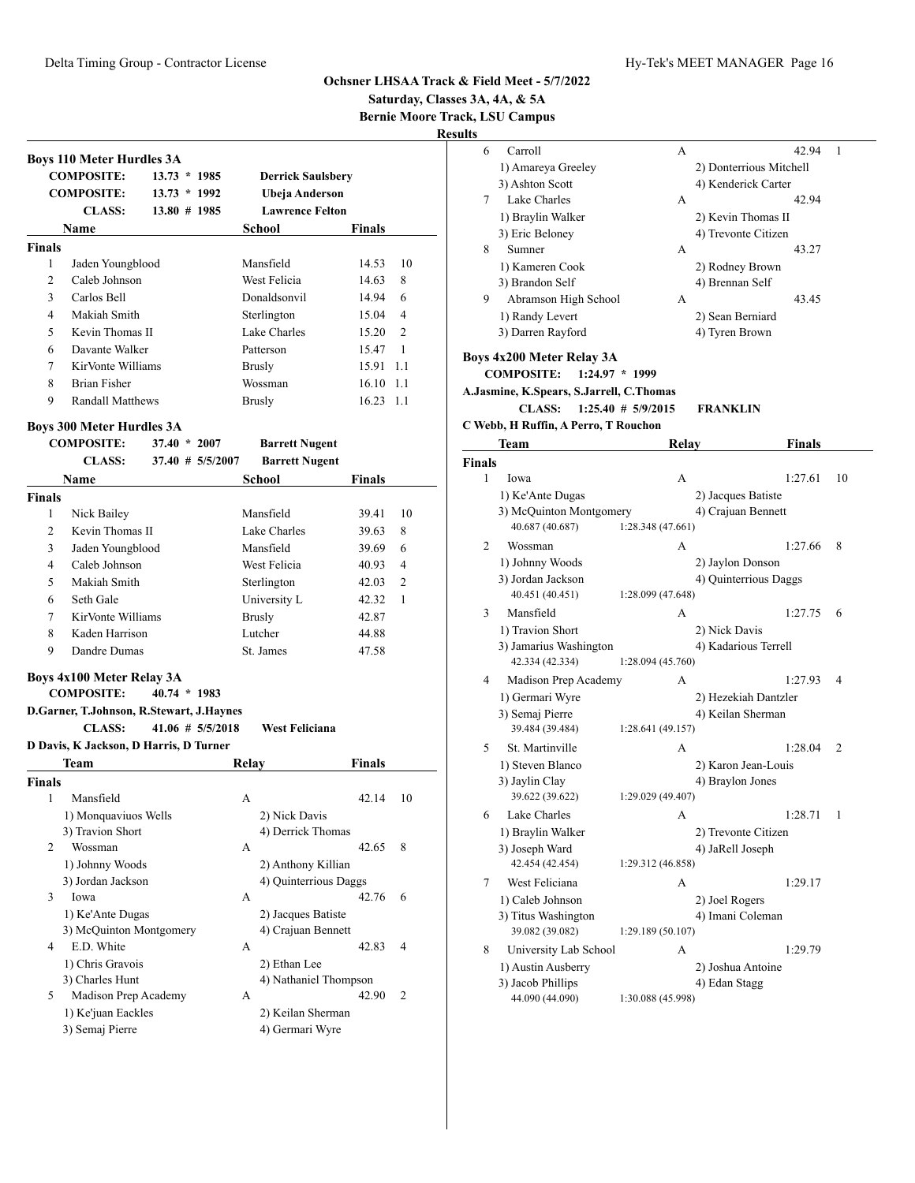**Bernie Moore Track, LSU Campus**

| <b>Boys 110 Meter Hurdles 3A</b>         |                     |       |                                      |        |                |
|------------------------------------------|---------------------|-------|--------------------------------------|--------|----------------|
| <b>COMPOSITE:</b>                        | $13.73 * 1985$      |       | <b>Derrick Saulsbery</b>             |        |                |
| <b>COMPOSITE:</b>                        | $13.73 * 1992$      |       | Ubeja Anderson                       |        |                |
| <b>CLASS:</b>                            | $13.80 \# 1985$     |       | <b>Lawrence Felton</b>               |        |                |
| <b>Name</b>                              |                     |       | School                               | Finals |                |
| <b>Finals</b>                            |                     |       |                                      |        |                |
| 1<br>Jaden Youngblood                    |                     |       | Mansfield                            | 14.53  | 10             |
| $\overline{c}$<br>Caleb Johnson          |                     |       | West Felicia                         | 14.63  | 8              |
| 3<br>Carlos Bell                         |                     |       | Donaldsonvil                         | 14.94  | 6              |
| Makiah Smith<br>4                        |                     |       | Sterlington                          | 15.04  | 4              |
| 5<br>Kevin Thomas II                     |                     |       | Lake Charles                         | 15.20  | $\overline{2}$ |
| 6<br>Davante Walker                      |                     |       | Patterson                            | 15.47  | 1              |
| KirVonte Williams<br>7                   |                     |       | <b>Brusly</b>                        | 15.91  | 1.1            |
| 8<br><b>Brian Fisher</b>                 |                     |       | Wossman                              | 16.10  | 1.1            |
| 9<br><b>Randall Matthews</b>             |                     |       | <b>Brusly</b>                        | 16.23  | 1.1            |
| <b>Boys 300 Meter Hurdles 3A</b>         |                     |       |                                      |        |                |
| <b>COMPOSITE:</b>                        | $37.40 * 2007$      |       | <b>Barrett Nugent</b>                |        |                |
| <b>CLASS:</b>                            | $37.40 \# 5/5/2007$ |       | <b>Barrett Nugent</b>                |        |                |
| <b>Name</b>                              |                     |       | School                               | Finals |                |
| <b>Finals</b>                            |                     |       |                                      |        |                |
| 1<br>Nick Bailey                         |                     |       | Mansfield                            | 39.41  | 10             |
| 2<br>Kevin Thomas II                     |                     |       | Lake Charles                         | 39.63  | 8              |
| 3<br>Jaden Youngblood                    |                     |       | Mansfield                            | 39.69  | 6              |
| $\overline{4}$<br>Caleb Johnson          |                     |       | West Felicia                         | 40.93  | $\overline{4}$ |
| 5<br>Makiah Smith                        |                     |       | Sterlington                          | 42.03  | $\overline{2}$ |
| 6<br>Seth Gale                           |                     |       | University L                         | 42.32  | 1              |
| 7<br>KirVonte Williams                   |                     |       | <b>Brusly</b>                        | 42.87  |                |
| Kaden Harrison<br>8                      |                     |       | Lutcher                              | 44.88  |                |
| 9<br>Dandre Dumas                        |                     |       | St. James                            | 47.58  |                |
| Boys 4x100 Meter Relay 3A                |                     |       |                                      |        |                |
| <b>COMPOSITE:</b>                        | $40.74 * 1983$      |       |                                      |        |                |
| D.Garner, T.Johnson, R.Stewart, J.Haynes |                     |       |                                      |        |                |
| <b>CLASS:</b>                            | $41.06 \# 5/5/2018$ |       | <b>West Feliciana</b>                |        |                |
| D Davis, K Jackson, D Harris, D Turner   |                     |       |                                      |        |                |
| <b>Team</b>                              |                     | Relay |                                      | Finals |                |
| <b>Finals</b>                            |                     |       |                                      |        |                |
| Mansfield<br>1                           |                     | А     |                                      | 42.14  | 10             |
|                                          |                     |       | 2) Nick Davis                        |        |                |
| 1) Monquaviuos Wells                     |                     |       | 4) Derrick Thomas                    |        |                |
| 3) Travion Short                         |                     |       |                                      | 42.65  | 8              |
| 2<br>Wossman                             |                     | А     |                                      |        |                |
| 1) Johnny Woods                          |                     |       | 2) Anthony Killian                   |        |                |
| 3) Jordan Jackson                        |                     |       | 4) Quinterrious Daggs                |        |                |
| 3<br>Iowa                                |                     | А     |                                      | 42.76  | 6              |
| 1) Ke'Ante Dugas                         |                     |       | 2) Jacques Batiste                   |        |                |
| 3) McQuinton Montgomery                  |                     |       | 4) Crajuan Bennett                   |        |                |
| E.D. White<br>4                          |                     | А     |                                      | 42.83  | 4              |
| 1) Chris Gravois                         |                     |       | 2) Ethan Lee                         |        |                |
| 3) Charles Hunt                          |                     |       | 4) Nathaniel Thompson                |        |                |
| Madison Prep Academy<br>5                |                     | А     |                                      | 42.90  | 2              |
| 1) Ke'juan Eackles<br>3) Semaj Pierre    |                     |       | 2) Keilan Sherman<br>4) Germari Wyre |        |                |

| ults   |                                                                                                                                                     |                                            |                                         |                |
|--------|-----------------------------------------------------------------------------------------------------------------------------------------------------|--------------------------------------------|-----------------------------------------|----------------|
| 6      | Carroll                                                                                                                                             | А                                          | 42.94                                   | 1              |
|        | 1) Amareya Greeley                                                                                                                                  |                                            | 2) Donterrious Mitchell                 |                |
|        | 3) Ashton Scott                                                                                                                                     |                                            | 4) Kenderick Carter                     |                |
| 7      | Lake Charles                                                                                                                                        | А                                          | 42.94                                   |                |
|        | 1) Braylin Walker                                                                                                                                   |                                            | 2) Kevin Thomas II                      |                |
|        | 3) Eric Beloney                                                                                                                                     |                                            | 4) Trevonte Citizen                     |                |
| 8      | Sumner                                                                                                                                              | А                                          | 43.27                                   |                |
|        | 1) Kameren Cook                                                                                                                                     |                                            | 2) Rodney Brown                         |                |
|        | 3) Brandon Self                                                                                                                                     |                                            | 4) Brennan Self                         |                |
| 9      | Abramson High School                                                                                                                                | А                                          | 43.45                                   |                |
|        | 1) Randy Levert                                                                                                                                     |                                            | 2) Sean Berniard                        |                |
|        | 3) Darren Rayford                                                                                                                                   |                                            | 4) Tyren Brown                          |                |
|        | Boys 4x200 Meter Relay 3A<br><b>COMPOSITE:</b><br>A.Jasmine, K.Spears, S.Jarrell, C.Thomas<br><b>CLASS:</b><br>C Webb, H Ruffin, A Perro, T Rouchon | $1:24.97 * 1999$<br>$1:25.40$ # $5/9/2015$ | <b>FRANKLIN</b>                         |                |
|        | Team                                                                                                                                                | Relay                                      | Finals                                  |                |
| Finals |                                                                                                                                                     |                                            |                                         |                |
| 1      | Iowa                                                                                                                                                | А                                          | 1:27.61                                 | 10             |
|        | 1) Ke'Ante Dugas                                                                                                                                    |                                            | 2) Jacques Batiste                      |                |
|        | 3) McQuinton Montgomery                                                                                                                             |                                            | 4) Crajuan Bennett                      |                |
|        | 40.687 (40.687)                                                                                                                                     | 1:28.348 (47.661)                          |                                         |                |
| 2      | Wossman                                                                                                                                             | А                                          | 1:27.66                                 | 8              |
|        | 1) Johnny Woods                                                                                                                                     |                                            | 2) Jaylon Donson                        |                |
|        | 3) Jordan Jackson                                                                                                                                   |                                            | 4) Quinterrious Daggs                   |                |
|        | 40.451 (40.451)                                                                                                                                     | 1:28.099 (47.648)                          |                                         |                |
| 3      | Mansfield                                                                                                                                           | A                                          | 1:27.75                                 | 6              |
|        | 1) Travion Short                                                                                                                                    |                                            | 2) Nick Davis                           |                |
|        | 3) Jamarius Washington                                                                                                                              |                                            | 4) Kadarious Terrell                    |                |
|        | 42.334 (42.334)                                                                                                                                     | 1:28.094 (45.760)                          |                                         |                |
| 4      | Madison Prep Academy                                                                                                                                | А                                          | 1:27.93                                 | 4              |
|        | 1) Germari Wyre                                                                                                                                     |                                            | 2) Hezekiah Dantzler                    |                |
|        | 3) Semaj Pierre                                                                                                                                     |                                            | 4) Keilan Sherman                       |                |
|        | 39.484 (39.484)                                                                                                                                     | 1:28.641 (49.157)                          |                                         |                |
| 5      | St. Martinville                                                                                                                                     | А                                          | 1:28.04                                 | $\overline{c}$ |
|        | 1) Steven Blanco                                                                                                                                    |                                            | 2) Karon Jean-Louis                     |                |
|        | 3) Jaylin Clay                                                                                                                                      |                                            | 4) Braylon Jones                        |                |
|        | 39.622 (39.622)                                                                                                                                     | 1:29.029 (49.407)                          |                                         |                |
|        |                                                                                                                                                     |                                            |                                         |                |
| 6      | Lake Charles<br>1) Braylin Walker                                                                                                                   | А                                          | 1:28.71                                 | 1              |
|        | 3) Joseph Ward                                                                                                                                      |                                            | 2) Trevonte Citizen<br>4) JaRell Joseph |                |
|        | 42.454 (42.454)                                                                                                                                     | 1:29.312 (46.858)                          |                                         |                |
|        |                                                                                                                                                     |                                            |                                         |                |
| 7      | West Feliciana                                                                                                                                      | А                                          | 1:29.17                                 |                |
|        | 1) Caleb Johnson                                                                                                                                    |                                            | 2) Joel Rogers                          |                |
|        | 3) Titus Washington                                                                                                                                 |                                            | 4) Imani Coleman                        |                |
|        | 39.082 (39.082)                                                                                                                                     | 1:29.189 (50.107)                          |                                         |                |
| 8      | University Lab School                                                                                                                               | А                                          | 1:29.79                                 |                |
|        | 1) Austin Ausberry                                                                                                                                  |                                            | 2) Joshua Antoine                       |                |
|        | 3) Jacob Phillips                                                                                                                                   |                                            | 4) Edan Stagg                           |                |
|        | 44.090 (44.090)                                                                                                                                     | 1:30.088 (45.998)                          |                                         |                |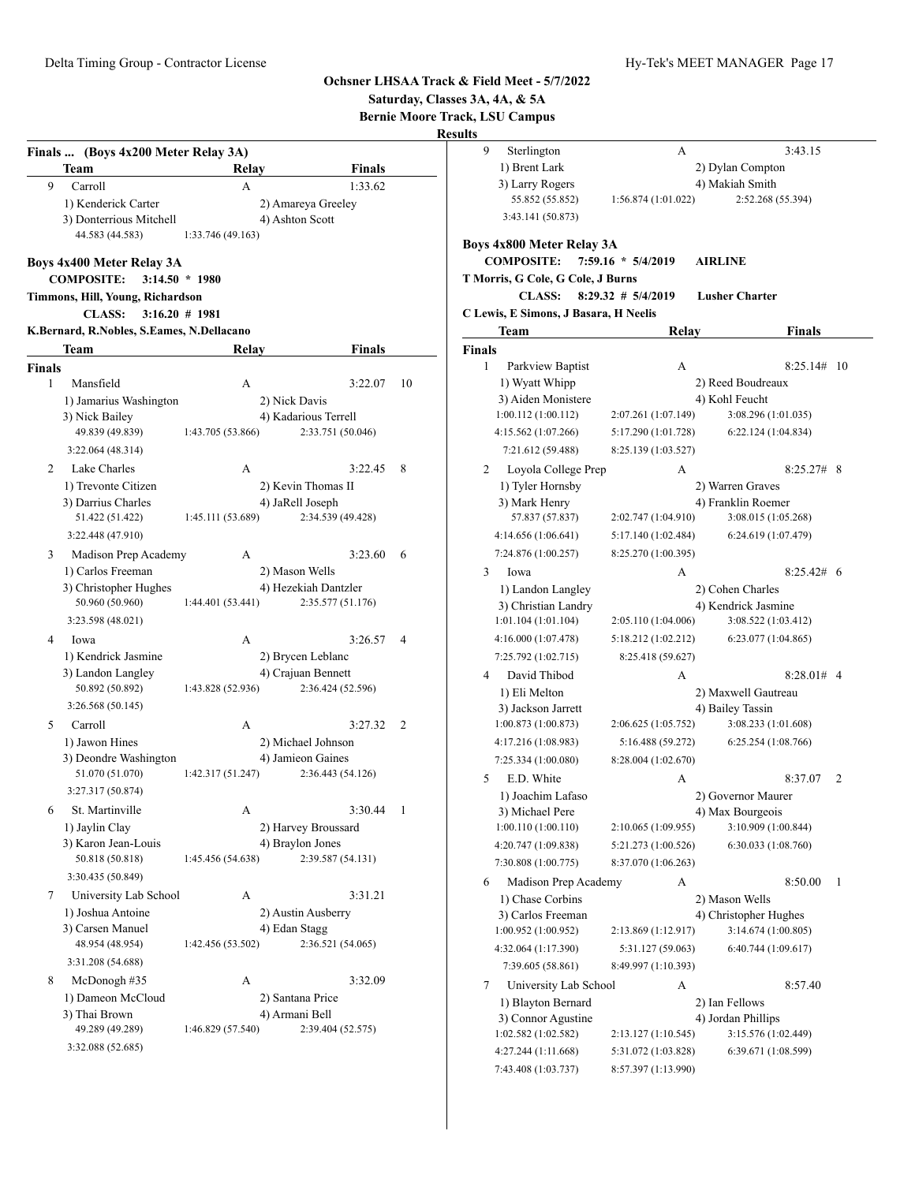|                               |                                                                                                                                          |                                             |                                                                                   |                          |                |                | Saturday, Classes 3A, 4A, & 5A<br><b>Bernie Moore Track, LSU Campus</b>                                                         |                                                                        |                                                                                       |               |                |
|-------------------------------|------------------------------------------------------------------------------------------------------------------------------------------|---------------------------------------------|-----------------------------------------------------------------------------------|--------------------------|----------------|----------------|---------------------------------------------------------------------------------------------------------------------------------|------------------------------------------------------------------------|---------------------------------------------------------------------------------------|---------------|----------------|
|                               |                                                                                                                                          |                                             |                                                                                   |                          |                | <b>Results</b> |                                                                                                                                 |                                                                        |                                                                                       |               |                |
| 9                             | Finals  (Boys 4x200 Meter Relay 3A)<br>Team<br>Carroll                                                                                   | Relav<br>A                                  |                                                                                   | <b>Finals</b><br>1:33.62 |                | 9              | Sterlington<br>1) Brent Lark<br>3) Larry Rogers                                                                                 | A                                                                      | 2) Dylan Compton<br>4) Makiah Smith                                                   | 3:43.15       |                |
|                               | 1) Kenderick Carter<br>3) Donterrious Mitchell<br>44.583 (44.583)                                                                        | 1:33.746 (49.163)                           | 2) Amareya Greeley<br>4) Ashton Scott                                             |                          |                |                | 55.852 (55.852)<br>3:43.141 (50.873)<br><b>Boys 4x800 Meter Relay 3A</b>                                                        | 1:56.874 (1:01.022)                                                    | 2:52.268 (55.394)                                                                     |               |                |
|                               | <b>Boys 4x400 Meter Relay 3A</b><br><b>COMPOSITE:</b><br>Timmons, Hill, Young, Richardson<br><b>CLASS:</b>                               | $3:14.50 * 1980$<br>$3:16.20 \# 1981$       |                                                                                   |                          |                |                | <b>COMPOSITE:</b><br>T Morris, G Cole, G Cole, J Burns<br><b>CLASS:</b><br>C Lewis, E Simons, J Basara, H Neelis                | 7:59.16 * 5/4/2019<br>$8:29.32$ # $5/4/2019$                           | <b>AIRLINE</b><br><b>Lusher Charter</b>                                               |               |                |
|                               | K.Bernard, R.Nobles, S.Eames, N.Dellacano                                                                                                |                                             |                                                                                   |                          |                |                | Team                                                                                                                            | Relay                                                                  |                                                                                       | Finals        |                |
|                               | Team                                                                                                                                     | Relav                                       |                                                                                   | <b>Finals</b>            |                | Finals         |                                                                                                                                 |                                                                        |                                                                                       |               |                |
| <b>Finals</b><br>$\mathbf{1}$ | Mansfield<br>1) Jamarius Washington<br>3) Nick Bailey<br>49.839 (49.839)                                                                 | A<br>1:43.705 (53.866)                      | 2) Nick Davis<br>4) Kadarious Terrell<br>2:33.751 (50.046)                        | 3:22.07                  | 10             | $\mathbf{1}$   | Parkview Baptist<br>1) Wyatt Whipp<br>3) Aiden Monistere<br>1:00.112(1:00.112)<br>4:15.562 (1:07.266)                           | А<br>2:07.261 (1:07.149)<br>5:17.290 (1:01.728)                        | 2) Reed Boudreaux<br>4) Kohl Feucht<br>3:08.296 (1:01.035)<br>6:22.124(1:04.834)      | $8:25.14#$ 10 |                |
|                               | 3:22.064 (48.314)                                                                                                                        |                                             |                                                                                   |                          |                |                | 7:21.612 (59.488)                                                                                                               | 8:25.139 (1:03.527)                                                    |                                                                                       |               |                |
| 2                             | Lake Charles<br>1) Trevonte Citizen<br>3) Darrius Charles<br>51.422 (51.422)<br>3:22.448 (47.910)                                        | А<br>1:45.111 (53.689)                      | 2) Kevin Thomas II<br>4) JaRell Joseph<br>2:34.539 (49.428)                       | 3:22.45                  | 8              | 2              | Loyola College Prep<br>1) Tyler Hornsby<br>3) Mark Henry<br>57.837 (57.837)<br>4:14.656 (1:06.641)                              | А<br>2:02.747 (1:04.910)<br>5:17.140 (1:02.484)                        | 2) Warren Graves<br>4) Franklin Roemer<br>3:08.015 (1:05.268)<br>6:24.619 (1:07.479)  | $8:25.27#$ 8  |                |
| 3                             | Madison Prep Academy                                                                                                                     | A                                           |                                                                                   | 3:23.60                  | 6              |                | 7:24.876 (1:00.257)                                                                                                             | 8:25.270 (1:00.395)                                                    |                                                                                       |               |                |
|                               | 1) Carlos Freeman<br>3) Christopher Hughes<br>50.960 (50.960)<br>3:23.598 (48.021)                                                       | 1:44.401 (53.441)                           | 2) Mason Wells<br>4) Hezekiah Dantzler<br>2:35.577 (51.176)                       |                          |                | 3              | Iowa<br>1) Landon Langley<br>3) Christian Landry<br>1:01.104(1:01.104)                                                          | А<br>2:05.110 (1:04.006)                                               | 2) Cohen Charles<br>4) Kendrick Jasmine<br>3:08.522 (1:03.412)                        | $8:25.42#$ 6  |                |
| 4                             | Iowa<br>1) Kendrick Jasmine<br>3) Landon Langley<br>50.892 (50.892)                                                                      | A<br>1:43.828 (52.936)                      | 2) Brycen Leblanc<br>4) Crajuan Bennett<br>2:36.424 (52.596)                      | 3:26.57                  | $\overline{4}$ | 4              | 4:16.000 (1:07.478)<br>7:25.792 (1:02.715)<br>David Thibod<br>1) Eli Melton                                                     | 5:18.212 (1:02.212)<br>8:25.418 (59.627)<br>А                          | 6:23.077(1:04.865)<br>2) Maxwell Gautreau                                             | $8:28.01#$ 4  |                |
| 5                             | 3:26.568 (50.145)<br>Carroll<br>1) Jawon Hines<br>3) Deondre Washington                                                                  | A                                           | 2) Michael Johnson<br>4) Jamieon Gaines                                           | 3:27.32                  | 2              |                | 3) Jackson Jarrett<br>1:00.873 (1:00.873)<br>4:17.216 (1:08.983)<br>7:25.334 (1:00.080)                                         | 2:06.625 (1:05.752)<br>5:16.488 (59.272)<br>8:28.004 (1:02.670)        | 4) Bailey Tassin<br>3:08.233 (1:01.608)<br>6:25.254(1:08.766)                         |               |                |
| 6                             | 51.070 (51.070)<br>3:27.317 (50.874)<br>St. Martinville<br>1) Jaylin Clay<br>3) Karon Jean-Louis<br>50.818 (50.818)<br>3:30.435 (50.849) | 1:42.317 (51.247)<br>А<br>1:45.456 (54.638) | 2:36.443 (54.126)<br>2) Harvey Broussard<br>4) Braylon Jones<br>2:39.587 (54.131) | 3:30.44                  | -1             | 5              | E.D. White<br>1) Joachim Lafaso<br>3) Michael Pere<br>1:00.110(1:00.110)<br>4:20.747 (1:09.838)<br>7:30.808 (1:00.775)          | A<br>2:10.065 (1:09.955)<br>5:21.273 (1:00.526)<br>8:37.070 (1:06.263) | 2) Governor Maurer<br>4) Max Bourgeois<br>3:10.909 (1:00.844)<br>6:30.033 (1:08.760)  | 8:37.07       | $\overline{2}$ |
| 7                             | University Lab School<br>1) Joshua Antoine<br>3) Carsen Manuel<br>48.954 (48.954)<br>3:31.208 (54.688)                                   | A<br>1:42.456 (53.502)                      | 2) Austin Ausberry<br>4) Edan Stagg<br>2:36.521 (54.065)                          | 3:31.21                  |                | 6              | Madison Prep Academy<br>1) Chase Corbins<br>3) Carlos Freeman<br>1:00.952(1:00.952)<br>4:32.064 (1:17.390)<br>7:39.605 (58.861) | А<br>2:13.869 (1:12.917)<br>5:31.127 (59.063)<br>8:49.997 (1:10.393)   | 2) Mason Wells<br>4) Christopher Hughes<br>3:14.674 (1:00.805)<br>6:40.744 (1:09.617) | 8:50.00       | $\mathbf{1}$   |
| 8                             | McDonogh #35<br>1) Dameon McCloud<br>3) Thai Brown<br>49.289 (49.289)<br>3:32.088 (52.685)                                               | A<br>1:46.829 (57.540)                      | 2) Santana Price<br>4) Armani Bell<br>2:39.404 (52.575)                           | 3:32.09                  |                | 7              | University Lab School<br>1) Blayton Bernard<br>3) Connor Agustine<br>1:02.582(1:02.582)<br>4:27.244 (1:11.668)                  | А<br>2:13.127 (1:10.545)<br>5:31.072 (1:03.828)                        | 2) Ian Fellows<br>4) Jordan Phillips<br>3:15.576 (1:02.449)<br>6:39.671 (1:08.599)    | 8:57.40       |                |

7:43.408 (1:03.737) 8:57.397 (1:13.990)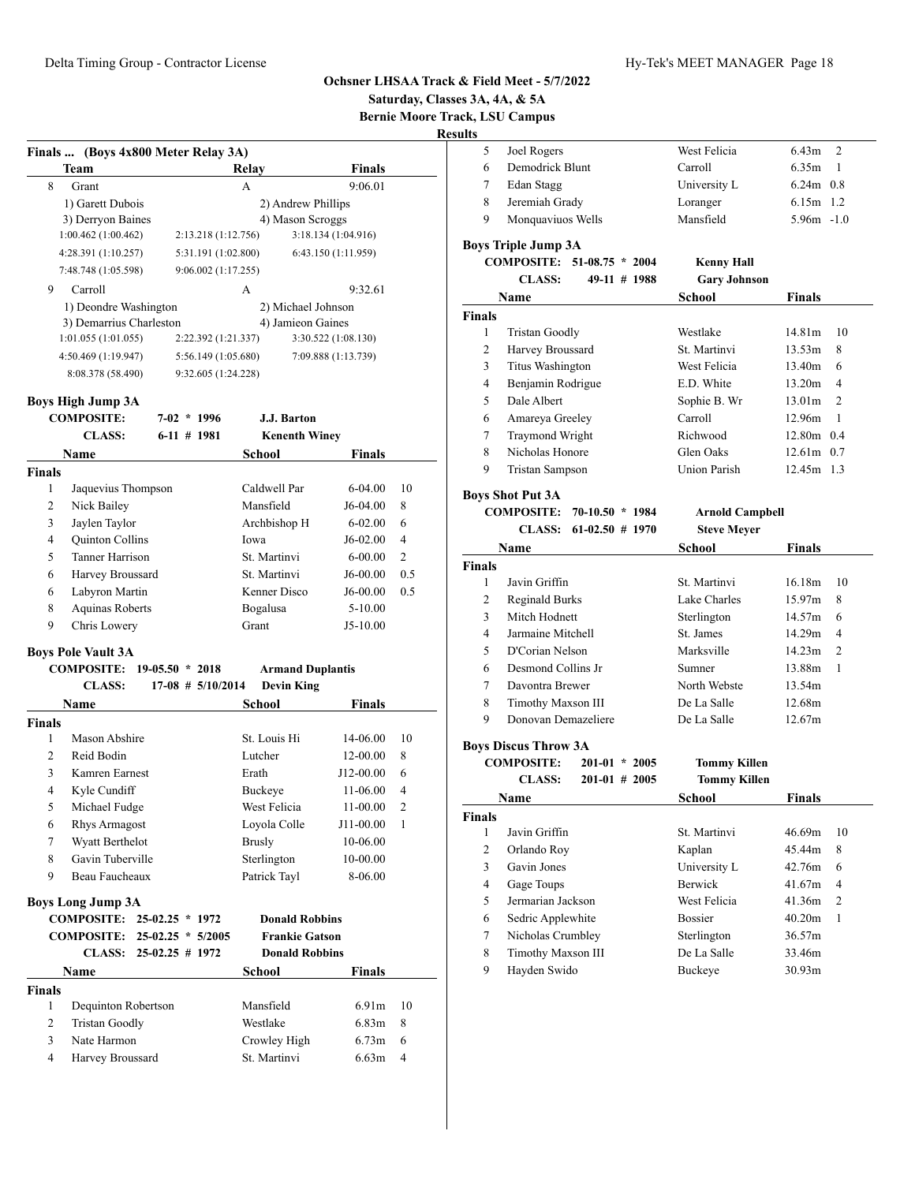# **Saturday, Classes 3A, 4A, & 5A**

**Bernie Moore Track, LSU Campus**

**Boys Triple Jump 3A**

| Finals  (Boys 4x800 Meter Relay 3A) |                     |                     |  |  |  |  |
|-------------------------------------|---------------------|---------------------|--|--|--|--|
| Team                                | Relay               | <b>Finals</b>       |  |  |  |  |
| 8<br>Grant                          | A                   | 9:06.01             |  |  |  |  |
| 1) Garett Dubois                    |                     | 2) Andrew Phillips  |  |  |  |  |
| 3) Derryon Baines                   |                     | 4) Mason Scroggs    |  |  |  |  |
| 1:00.462(1:00.462)                  | 2:13.218(1:12.756)  | 3:18.134(1:04.916)  |  |  |  |  |
| 4:28.391 (1:10.257)                 | 5:31.191 (1:02.800) | 6:43.150 (1:11.959) |  |  |  |  |
| 7:48.748 (1:05.598)                 | 9:06.002(1:17.255)  |                     |  |  |  |  |
| 9<br>Carroll                        | А                   | 9:32.61             |  |  |  |  |
| 1) Deondre Washington               |                     | 2) Michael Johnson  |  |  |  |  |
| 3) Demarrius Charleston             |                     | 4) Jamieon Gaines   |  |  |  |  |
| 1:01.055(1:01.055)                  | 2:22.392 (1:21.337) | 3:30.522(1:08.130)  |  |  |  |  |
| 4:50.469(1:19.947)                  | 5:56.149(1:05.680)  | 7:09.888 (1:13.739) |  |  |  |  |
| 8:08.378 (58.490)                   | 9:32.605 (1:24.228) |                     |  |  |  |  |

#### **Boys High Jump 3A**

**Boys Long Jump 3A**

**Finals**

|               | <b>COMPOSITE:</b>          | $7 - 02$<br>$*1996$   | J.J. Barton             |               |                |
|---------------|----------------------------|-----------------------|-------------------------|---------------|----------------|
|               | <b>CLASS:</b>              | $6-11$ # 1981         | <b>Kenenth Winey</b>    |               |                |
|               | <b>Name</b>                |                       | School                  | Finals        |                |
| <b>Finals</b> |                            |                       |                         |               |                |
| 1             | Jaquevius Thompson         |                       | Caldwell Par            | $6 - 04.00$   | 10             |
| 2             | Nick Bailey                |                       | Mansfield               | $J6-04.00$    | 8              |
| 3             | Jaylen Taylor              |                       | Archbishop H            | $6 - 02.00$   | 6              |
| 4             | Quinton Collins            |                       | Iowa                    | J6-02.00      | 4              |
| 5             | <b>Tanner Harrison</b>     |                       | St. Martinvi            | $6 - 00.00$   | $\overline{2}$ |
| 6             | Harvey Broussard           |                       | St. Martinvi            | $J6-00.00$    | 0.5            |
| 6             | Labyron Martin             |                       | Kenner Disco            | $J6-00.00$    | 0.5            |
| 8             | Aquinas Roberts            |                       | Bogalusa                | $5-10.00$     |                |
| 9             | Chris Lowery               |                       | Grant                   | $J5-10.00$    |                |
|               | <b>Boys Pole Vault 3A</b>  |                       |                         |               |                |
|               | <b>COMPOSITE: 19-05.50</b> | $*2018$               | <b>Armand Duplantis</b> |               |                |
|               | <b>CLASS:</b>              | $17-08$ # $5/10/2014$ | <b>Devin King</b>       |               |                |
|               | Name                       |                       | School                  | <b>Finals</b> |                |
| <b>Finals</b> |                            |                       |                         |               |                |
| 1             | Mason Abshire              |                       | St. Louis Hi            | 14-06.00      | 10             |
| 2             | Reid Bodin                 |                       | Lutcher                 | 12-00.00      | 8              |

 Kamren Earnest Erath J12-00.00 6 Kyle Cundiff Buckeye 11-06.00 4 Michael Fudge West Felicia 11-00.00 2 Rhys Armagost Loyola Colle J11-00.00 1 Wyatt Berthelot Brusly 10-06.00 8 Gavin Tuberville Sterlington 10-00.00 9 Beau Faucheaux Patrick Tayl 8-06.00

 Dequinton Robertson Mansfield 6.91m 10 Tristan Goodly Westlake 6.83m 8 3 Nate Harmon Crowley High 6.73m 6 Harvey Broussard St. Martinvi 6.63m 4

**COMPOSITE: 25-02.25 \* 1972 Donald Robbins COMPOSITE: 25-02.25 \* 5/2005 Frankie Gatson CLASS: 25-02.25 # 1972 Donald Robbins Name School Finals** 

|               | <b>CLASS:</b><br>49-11 # 1988            | <b>Gary Johnson</b>    |                          |
|---------------|------------------------------------------|------------------------|--------------------------|
|               | Name                                     | School                 | Finals                   |
| <b>Finals</b> |                                          |                        |                          |
| 1             | Tristan Goodly                           | Westlake               | 14.81m<br>10             |
| 2             | Harvey Broussard                         | St. Martinvi           | 8<br>13.53m              |
| 3             | Titus Washington                         | West Felicia           | 13.40m<br>6              |
| 4             | Benjamin Rodrigue                        | E.D. White             | 13.20m<br>4              |
| 5             | Dale Albert                              | Sophie B. Wr           | 13.01m<br>$\overline{2}$ |
| 6             | Amareya Greeley                          | Carroll                | 12.96m<br>1              |
| 7             | Traymond Wright                          | Richwood               | 12.80m 0.4               |
| 8             | Nicholas Honore                          | Glen Oaks              | $12.61m$ 0.7             |
| 9             | <b>Tristan Sampson</b>                   | <b>Union Parish</b>    | $12.45m$ 1.3             |
|               | <b>Boys Shot Put 3A</b>                  |                        |                          |
|               | <b>COMPOSITE:</b><br>70-10.50<br>$*1984$ | <b>Arnold Campbell</b> |                          |
|               | <b>CLASS:</b><br>$61-02.50$ # 1970       | <b>Steve Meyer</b>     |                          |
|               | Name                                     | School                 | Finals                   |
| <b>Finals</b> |                                          |                        |                          |
| 1             | Javin Griffin                            | St. Martinvi           | 16.18m<br>10             |

 Joel Rogers West Felicia 6.43m 2 Demodrick Blunt Carroll 6.35m 1 7 Edan Stagg University L 6.24m 0.8 Jeremiah Grady Loranger 6.15m 1.2 Monquaviuos Wells Mansfield 5.96m -1.0

**COMPOSITE: 51-08.75 \* 2004 Kenny Hall**

|   | Javin Griffin         | St. Martinvi | 16.18m | 10 |
|---|-----------------------|--------------|--------|----|
| 2 | <b>Reginald Burks</b> | Lake Charles | 15.97m | 8  |
| 3 | Mitch Hodnett         | Sterlington  | 14.57m | 6  |
| 4 | Jarmaine Mitchell     | St. James    | 14.29m | 4  |
| 5 | D'Corian Nelson       | Marksville   | 14.23m | 2  |
| 6 | Desmond Collins Jr.   | Sumner       | 13.88m |    |
| 7 | Davontra Brewer       | North Webste | 13.54m |    |
| 8 | Timothy Maxson III    | De La Salle  | 12.68m |    |
| 9 | Donovan Demazeliere   | De La Salle  | 12.67m |    |
|   |                       |              |        |    |

#### **Boys Discus Throw 3A**

|               | <b>COMPOSITE:</b><br><b>CLASS:</b> | 201-01<br>$*2005$<br>$201-01$ # 2005 | <b>Tommy Killen</b><br><b>Tommy Killen</b> |                    |                |
|---------------|------------------------------------|--------------------------------------|--------------------------------------------|--------------------|----------------|
|               | Name                               |                                      | School                                     | <b>Finals</b>      |                |
| <b>Finals</b> |                                    |                                      |                                            |                    |                |
| 1             | Javin Griffin                      |                                      | St. Martinvi                               | 46.69m             | 10             |
| 2             | Orlando Roy                        |                                      | Kaplan                                     | 45.44m             | 8              |
| 3             | Gavin Jones                        |                                      | University L                               | 42.76m             | 6              |
| 4             | Gage Toups                         |                                      | <b>Berwick</b>                             | 41.67m             | 4              |
| 5             | Jermarian Jackson                  |                                      | West Felicia                               | 41.36m             | $\overline{2}$ |
| 6             | Sedric Applewhite                  |                                      | <b>Bossier</b>                             | 40.20m             | -1             |
| 7             | Nicholas Crumbley                  |                                      | Sterlington                                | 36.57m             |                |
| 8             | Timothy Maxson III                 |                                      | De La Salle                                | 33.46m             |                |
| 9             | Hayden Swido                       |                                      | Buckeye                                    | 30.93 <sub>m</sub> |                |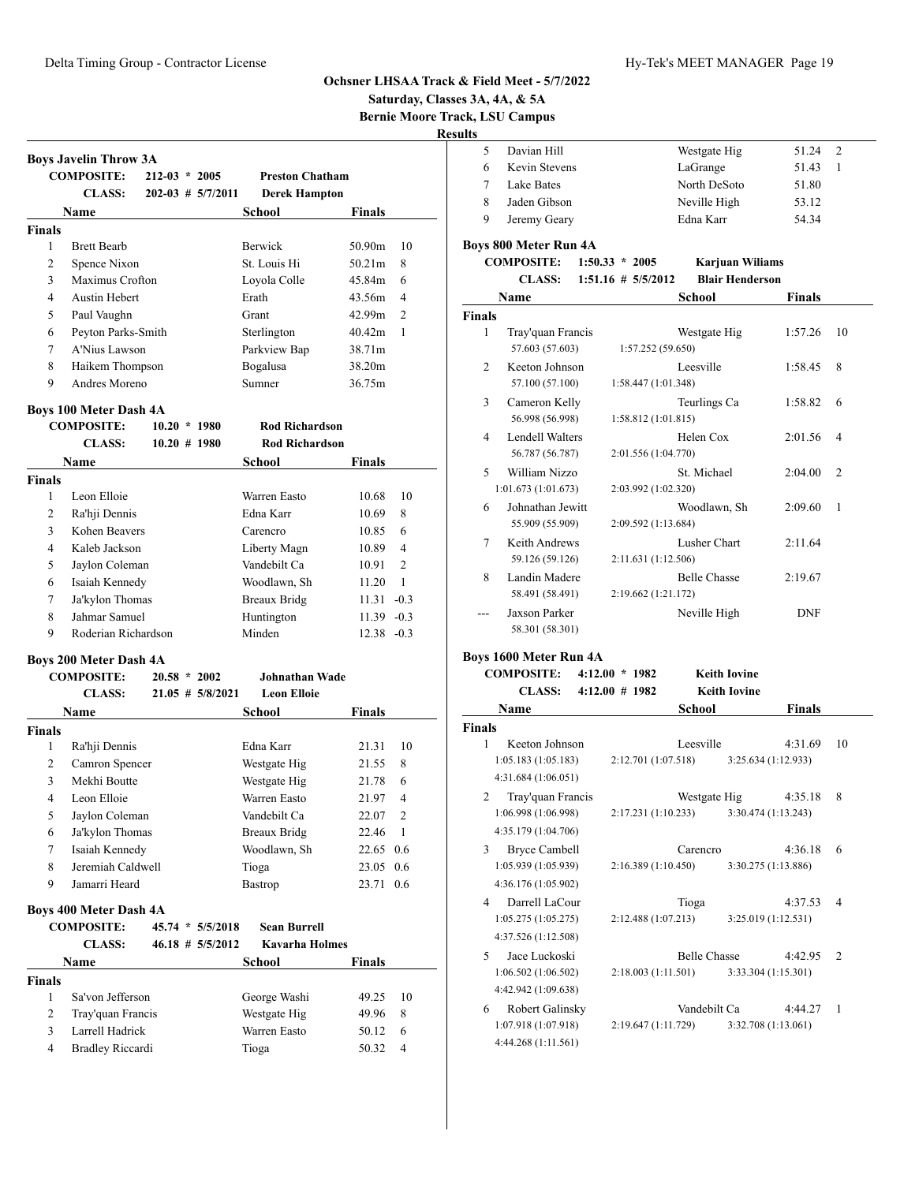**Saturday, Classes 3A, 4A, & 5A**

**Bernie Moore Track, LSU Campus**

| Davian Hill   | Westgate Hig | 51.24 |
|---------------|--------------|-------|
| Kevin Stevens | LaGrange     | 51.43 |
| Lake Bates    | North DeSoto | 51.80 |
| Jaden Gibson  | Neville High | 53.12 |
| Jeremy Geary  | Edna Karr    | 54.34 |
|               |              |       |

# **Boys 800 Meter Run 4A**

| <b>COMPOSITE:</b> | $1:50.33 * 2005$      | <b>Karjuan Wiliams</b> |
|-------------------|-----------------------|------------------------|
| CLASS:            | $1:51.16 \# 5/5/2012$ | <b>Blair Henderson</b> |

|                          | Name                                 | <b>School</b>                              | <b>Finals</b> |                |
|--------------------------|--------------------------------------|--------------------------------------------|---------------|----------------|
| Finals                   |                                      |                                            |               |                |
| 1                        | Tray'quan Francis<br>57.603 (57.603) | Westgate Hig<br>1:57.252(59.650)           | 1:57.26       | 10             |
| $\mathfrak{D}$           | Keeton Johnson<br>57.100 (57.100)    | Leesville<br>1:58.447(1:01.348)            | 1:58.45       | 8              |
| 3                        | Cameron Kelly<br>56.998 (56.998)     | Teurlings Ca<br>1:58.812(1:01.815)         | 1:58.82       | 6              |
| 4                        | Lendell Walters<br>56.787 (56.787)   | Helen Cox<br>2:01.556 (1:04.770)           | 2:01.56       | 4              |
| $\overline{\phantom{0}}$ | William Nizzo<br>1:01.673(1:01.673)  | St. Michael<br>2:03.992 (1:02.320)         | 2:04.00       | $\overline{c}$ |
| 6                        | Johnathan Jewitt<br>55.909 (55.909)  | Woodlawn, Sh<br>2:09.592 (1:13.684)        | 2:09.60       | 1              |
| 7                        | Keith Andrews<br>59.126 (59.126)     | Lusher Chart<br>2:11.631 (1:12.506)        | 2:11.64       |                |
| 8                        | Landin Madere<br>58.491 (58.491)     | <b>Belle Chasse</b><br>2:19.662 (1:21.172) | 2:19.67       |                |
|                          | Jaxson Parker<br>58.301 (58.301)     | Neville High                               | <b>DNF</b>    |                |
|                          | <b>Bovs 1600 Meter Run 4A</b>        |                                            |               |                |

#### **Boys 1600 Meter Run 4A**

|                          | <b>COMPOSITE:</b>                                                                                          | $4:12.00 * 1982$   |                     | <b>Keith Iovine</b> |               |                |
|--------------------------|------------------------------------------------------------------------------------------------------------|--------------------|---------------------|---------------------|---------------|----------------|
|                          | <b>CLASS:</b>                                                                                              | $4:12.00 \# 1982$  |                     | <b>Keith Iovine</b> |               |                |
|                          | Name                                                                                                       |                    | School              |                     | <b>Finals</b> |                |
| <b>Finals</b>            |                                                                                                            |                    |                     |                     |               |                |
| 1                        | Keeton Johnson                                                                                             |                    | Leesville           |                     | 4:31.69       | 10             |
|                          | 1:05.183(1:05.183)                                                                                         |                    | 2:12.701 (1:07.518) | 3:25.634(1:12.933)  |               |                |
|                          | 4:31.684 (1:06.051)                                                                                        |                    |                     |                     |               |                |
| $\overline{c}$           | Tray'quan Francis                                                                                          |                    | Westgate Hig        |                     | 4:35.18       | 8              |
|                          | 1:06.998 (1:06.998)                                                                                        |                    | 2:17.231(1:10.233)  | 3:30.474(1:13.243)  |               |                |
|                          | 4:35.179 (1:04.706)                                                                                        |                    |                     |                     |               |                |
| 3                        | <b>Bryce Cambell</b>                                                                                       |                    | Carencro            |                     | 4:36.18       | 6              |
|                          | 1:05.939 (1:05.939)                                                                                        |                    | 2:16.389(1:10.450)  | 3:30.275 (1:13.886) |               |                |
|                          | 4:36.176 (1:05.902)                                                                                        |                    |                     |                     |               |                |
| 4                        | Darrell LaCour                                                                                             |                    |                     |                     | 4:37.53       | 4              |
|                          | 1:05.275(1:05.275)                                                                                         | 2:12.488(1:07.213) |                     | 3:25.019(1:12.531)  |               |                |
|                          | 4:37.526 (1:12.508)                                                                                        |                    |                     |                     |               |                |
| $\overline{\phantom{0}}$ | Jace Luckoski                                                                                              |                    | <b>Belle Chasse</b> |                     |               | $\overline{c}$ |
|                          |                                                                                                            |                    | 2:18.003(1:11.501)  | 3:33.304 (1:15.301) |               |                |
|                          |                                                                                                            |                    |                     |                     |               |                |
| 6                        |                                                                                                            |                    | Vandebilt Ca        |                     | 4:44.27       | 1              |
|                          |                                                                                                            |                    | 2:19.647 (1:11.729) | 3:32.708 (1:13.061) |               |                |
|                          |                                                                                                            |                    |                     |                     |               |                |
|                          | 1:06.502(1:06.502)<br>4:42.942 (1:09.638)<br>Robert Galinsky<br>1:07.918 (1:07.918)<br>4:44.268 (1:11.561) |                    | Tioga               |                     | 4:42.95       |                |

|                               | <b>Boys Javelin Throw 3A</b>                       |                 |                         |                        |                |                |
|-------------------------------|----------------------------------------------------|-----------------|-------------------------|------------------------|----------------|----------------|
|                               | <b>COMPOSITE:</b>                                  | $212-03 * 2005$ |                         | <b>Preston Chatham</b> |                |                |
|                               | <b>CLASS:</b>                                      |                 | $202 - 03$ # $5/7/2011$ | <b>Derek Hampton</b>   |                |                |
|                               | Name                                               |                 |                         | <b>School</b>          | <b>Finals</b>  |                |
| <b>Finals</b>                 |                                                    |                 |                         |                        |                |                |
| 1                             | <b>Brett Bearb</b>                                 |                 |                         | Berwick                | 50.90m         | 10             |
| $\overline{2}$                | Spence Nixon                                       |                 |                         | St. Louis Hi           | 50.21m         | 8              |
| 3                             | Maximus Crofton                                    |                 |                         | Loyola Colle           | 45.84m         | 6              |
| 4                             | Austin Hebert                                      |                 |                         | Erath                  | 43.56m         | $\overline{4}$ |
| 5                             | Paul Vaughn                                        |                 |                         | Grant                  | 42.99m         | $\overline{c}$ |
| 6                             | Peyton Parks-Smith                                 |                 |                         | Sterlington            | 40.42m         | 1              |
| $\tau$                        | A'Nius Lawson                                      |                 |                         | Parkview Bap           | 38.71m         |                |
| 8                             | Haikem Thompson                                    |                 |                         | Bogalusa               | 38.20m         |                |
| 9                             | Andres Moreno                                      |                 |                         | Sumner                 | 36.75m         |                |
|                               | <b>Boys 100 Meter Dash 4A</b>                      |                 |                         |                        |                |                |
|                               | <b>COMPOSITE:</b>                                  | $10.20 * 1980$  |                         | <b>Rod Richardson</b>  |                |                |
|                               | <b>CLASS:</b>                                      | $10.20 \# 1980$ |                         | <b>Rod Richardson</b>  |                |                |
|                               | <b>Name</b>                                        |                 |                         | School                 | Finals         |                |
| <b>Finals</b>                 |                                                    |                 |                         |                        |                |                |
| 1                             | Leon Elloie                                        |                 |                         | Warren Easto           | 10.68          | 10             |
| $\overline{2}$                | Ra'hji Dennis                                      |                 |                         | Edna Karr              | 10.69          | 8              |
| 3                             | Kohen Beavers                                      |                 |                         | Carencro               | 10.85          | 6              |
| $\overline{4}$                | Kaleb Jackson                                      |                 |                         | Liberty Magn           | 10.89          | $\overline{4}$ |
| 5                             | Jaylon Coleman                                     |                 |                         | Vandebilt Ca           | 10.91          | 2              |
| 6                             | Isaiah Kennedy                                     |                 |                         | Woodlawn, Sh           | 11.20          | 1              |
| 7                             | Ja'kylon Thomas                                    |                 |                         | <b>Breaux Bridg</b>    | $11.31 - 0.3$  |                |
| 8                             | Jahmar Samuel                                      |                 |                         | Huntington             | $11.39 -0.3$   |                |
| 9                             | Roderian Richardson                                |                 |                         | Minden                 | $12.38 - 0.3$  |                |
|                               |                                                    |                 |                         |                        |                |                |
|                               | <b>Boys 200 Meter Dash 4A</b><br><b>COMPOSITE:</b> | $20.58 * 2002$  |                         | Johnathan Wade         |                |                |
|                               | <b>CLASS:</b>                                      |                 | $21.05$ # $5/8/2021$    | <b>Leon Elloie</b>     |                |                |
|                               | Name                                               |                 |                         | School                 | Finals         |                |
| <b>Finals</b>                 |                                                    |                 |                         |                        |                |                |
| 1                             | Ra'hji Dennis                                      |                 |                         | Edna Karr              | 21.31          | 10             |
| 2                             | Camron Spencer                                     |                 |                         | Westgate Hig           | 21.55          | 8              |
| 3                             | Mekhi Boutte                                       |                 |                         | Westgate Hig           | 21.78          | 6              |
| $\overline{4}$                | Leon Elloie                                        |                 |                         | Warren Easto           | 21.97          | 4              |
| 5                             | Jaylon Coleman                                     |                 |                         | Vandebilt Ca           | 22.07          | $\overline{2}$ |
| 6                             | Ja'kylon Thomas                                    |                 |                         | <b>Breaux Bridg</b>    | 22.46          | 1              |
| 7                             | Isaiah Kennedy                                     |                 |                         | Woodlawn, Sh           | 22.65          | 0.6            |
| 8                             | Jeremiah Caldwell                                  |                 |                         | Tioga                  | 23.05          | 0.6            |
| 9                             | Jamarri Heard                                      |                 |                         | Bastrop                | 23.71 0.6      |                |
|                               |                                                    |                 |                         |                        |                |                |
|                               | <b>Boys 400 Meter Dash 4A</b><br><b>COMPOSITE:</b> |                 | $45.74 * 5/5/2018$      | <b>Sean Burrell</b>    |                |                |
|                               | <b>CLASS:</b>                                      |                 | $46.18 \# 5/5/2012$     | <b>Kavarha Holmes</b>  |                |                |
|                               |                                                    |                 |                         | School                 |                |                |
|                               | Name                                               |                 |                         |                        | <b>Finals</b>  |                |
| <b>Finals</b><br>$\mathbf{1}$ | Sa'von Jefferson                                   |                 |                         | George Washi           | 49.25          | 10             |
| 2                             | Tray'quan Francis                                  |                 |                         | Westgate Hig           |                | 8              |
| 3                             | Larrell Hadrick                                    |                 |                         | Warren Easto           | 49.96<br>50.12 | 6              |
| 4                             | <b>Bradley Riccardi</b>                            |                 |                         | Tioga                  | 50.32          | 4              |
|                               |                                                    |                 |                         |                        |                |                |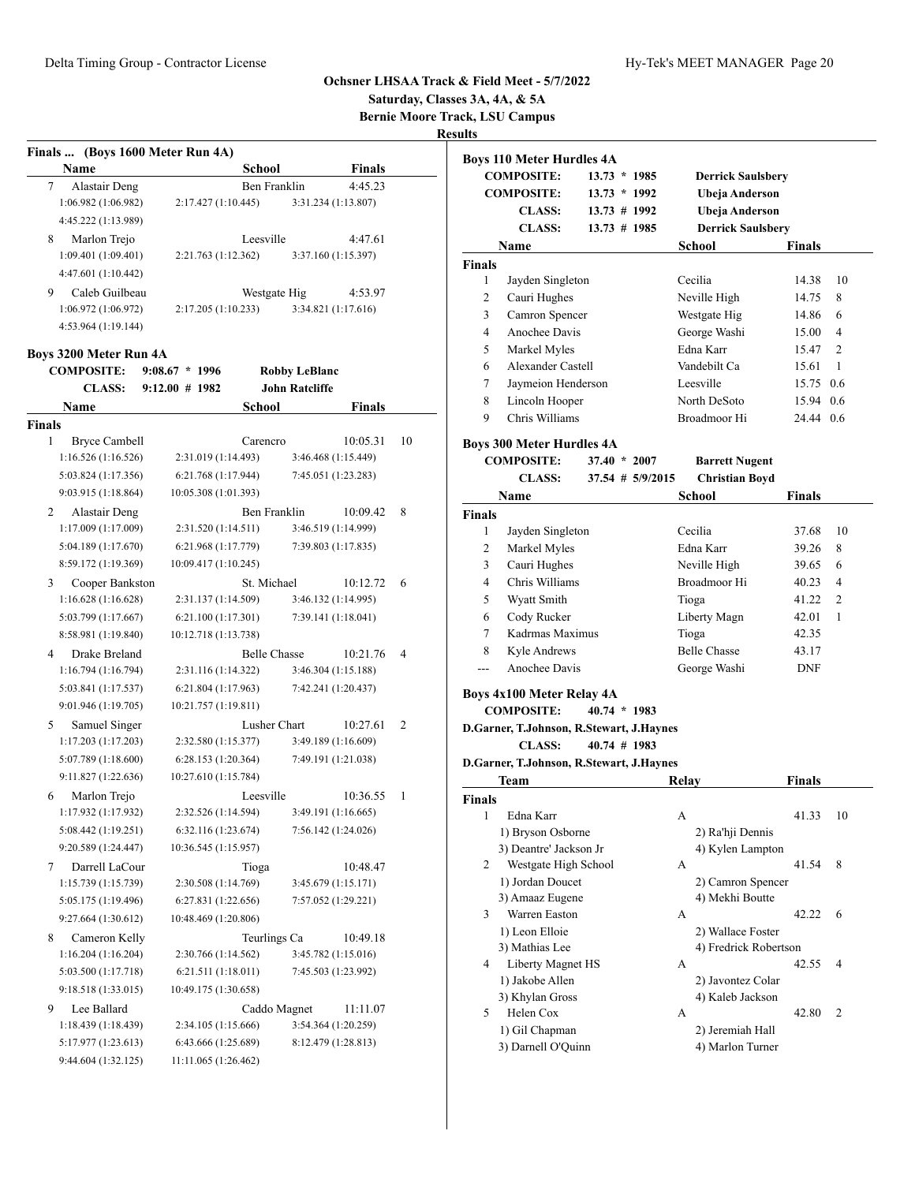# **Saturday, Classes 3A, 4A, & 5A Bernie Moore Track, LSU Campus**

| Finals  (Boys 1600 Meter Run 4A)    |                      |                     |                       |               |    |
|-------------------------------------|----------------------|---------------------|-----------------------|---------------|----|
| Name                                |                      | School              |                       | <b>Finals</b> |    |
| 7<br>Alastair Deng                  |                      | Ben Franklin        |                       | 4:45.23       |    |
| 1:06.982 (1:06.982)                 | 2:17.427(1:10.445)   |                     | 3:31.234 (1:13.807)   |               |    |
| 4:45.222 (1:13.989)                 |                      |                     |                       |               |    |
| Marlon Trejo<br>8                   |                      | Leesville           |                       | 4:47.61       |    |
| 1:09.401 (1:09.401)                 | 2:21.763 (1:12.362)  |                     | 3:37.160 (1:15.397)   |               |    |
| 4:47.601 (1:10.442)                 |                      |                     |                       |               |    |
| Caleb Guilbeau<br>9                 |                      | Westgate Hig        |                       | 4:53.97       |    |
| 1:06.972(1:06.972)                  | 2:17.205 (1:10.233)  |                     | 3:34.821 (1:17.616)   |               |    |
| 4:53.964 (1:19.144)                 |                      |                     |                       |               |    |
|                                     |                      |                     |                       |               |    |
| <b>Boys 3200 Meter Run 4A</b>       |                      |                     |                       |               |    |
| <b>COMPOSITE:</b>                   | $9:08.67 * 1996$     |                     | <b>Robby LeBlanc</b>  |               |    |
| <b>CLASS:</b>                       | $9:12.00 \# 1982$    |                     | <b>John Ratcliffe</b> |               |    |
| Name                                |                      | School              |                       | Finals        |    |
| <b>Finals</b><br>1                  |                      |                     |                       |               | 10 |
| Bryce Cambell<br>1:16.526(1:16.526) | 2:31.019 (1:14.493)  | Carencro            | 3:46.468 (1:15.449)   | 10:05.31      |    |
|                                     |                      |                     |                       |               |    |
| 5:03.824 (1:17.356)                 | 6:21.768 (1:17.944)  |                     | 7:45.051 (1:23.283)   |               |    |
| 9:03.915 (1:18.864)                 | 10:05.308 (1:01.393) |                     |                       |               |    |
| 2<br>Alastair Deng                  |                      | Ben Franklin        |                       | 10:09.42      | 8  |
| 1:17.009 (1:17.009)                 | 2:31.520 (1:14.511)  |                     | 3:46.519 (1:14.999)   |               |    |
| 5:04.189 (1:17.670)                 | 6:21.968 (1:17.779)  |                     | 7:39.803 (1:17.835)   |               |    |
| 8:59.172 (1:19.369)                 | 10:09.417 (1:10.245) |                     |                       |               |    |
| 3<br>Cooper Bankston                |                      | St. Michael         |                       | 10:12.72      | 6  |
| 1:16.628(1:16.628)                  | 2:31.137 (1:14.509)  |                     | 3:46.132 (1:14.995)   |               |    |
| 5:03.799 (1:17.667)                 | 6:21.100(1:17.301)   |                     | 7:39.141 (1:18.041)   |               |    |
| 8:58.981 (1:19.840)                 | 10:12.718 (1:13.738) |                     |                       |               |    |
| Drake Breland<br>4                  |                      | <b>Belle Chasse</b> |                       | 10:21.76      | 4  |
| 1:16.794(1:16.794)                  | 2:31.116 (1:14.322)  |                     | 3:46.304 (1:15.188)   |               |    |
| 5:03.841 (1:17.537)                 | 6:21.804(1:17.963)   |                     | 7:42.241 (1:20.437)   |               |    |
| 9:01.946 (1:19.705)                 | 10:21.757 (1:19.811) |                     |                       |               |    |
| Samuel Singer<br>5                  |                      | Lusher Chart        |                       | 10:27.61      | 2  |
| 1:17.203(1:17.203)                  | 2:32.580 (1:15.377)  |                     | 3:49.189 (1:16.609)   |               |    |
| 5:07.789 (1:18.600)                 | 6:28.153 (1:20.364)  |                     | 7:49.191 (1:21.038)   |               |    |
| 9:11.827 (1:22.636)                 | 10:27.610 (1:15.784) |                     |                       |               |    |
| Marlon Trejo<br>6                   |                      | Leesville           |                       | 10:36.55      | 1  |
| 1:17.932 (1:17.932)                 | 2:32.526 (1:14.594)  |                     | 3:49.191 (1:16.665)   |               |    |
| 5:08.442 (1:19.251)                 | 6:32.116 (1:23.674)  |                     | 7:56.142 (1:24.026)   |               |    |
| 9:20.589 (1:24.447)                 | 10:36.545 (1:15.957) |                     |                       |               |    |
| Darrell LaCour<br>7                 |                      | Tioga               |                       | 10:48.47      |    |
| 1:15.739 (1:15.739)                 | 2:30.508 (1:14.769)  |                     | 3:45.679 (1:15.171)   |               |    |
| 5:05.175 (1:19.496)                 | 6:27.831 (1:22.656)  |                     | 7:57.052 (1:29.221)   |               |    |
| 9:27.664 (1:30.612)                 | 10:48.469 (1:20.806) |                     |                       |               |    |
| 8<br>Cameron Kelly                  |                      | Teurlings Ca        |                       | 10:49.18      |    |
| 1:16.204(1:16.204)                  | 2:30.766 (1:14.562)  |                     | 3:45.782 (1:15.016)   |               |    |
| 5:03.500 (1:17.718)                 | 6:21.511(1:18.011)   |                     | 7:45.503 (1:23.992)   |               |    |
| 9:18.518 (1:33.015)                 | 10:49.175 (1:30.658) |                     |                       |               |    |
| Lee Ballard<br>9                    |                      | Caddo Magnet        |                       | 11:11.07      |    |
| 1:18.439 (1:18.439)                 | 2:34.105 (1:15.666)  |                     | 3:54.364 (1:20.259)   |               |    |
| 5:17.977 (1:23.613)                 | 6:43.666 (1:25.689)  |                     | 8:12.479 (1:28.813)   |               |    |
| 9:44.604 (1:32.125)                 | 11:11.065 (1:26.462) |                     |                       |               |    |

|               | <b>Boys 110 Meter Hurdles 4A</b>                      |                      |                                      |               |                |
|---------------|-------------------------------------------------------|----------------------|--------------------------------------|---------------|----------------|
|               | <b>COMPOSITE:</b>                                     | $13.73 * 1985$       | <b>Derrick Saulsbery</b>             |               |                |
|               | <b>COMPOSITE:</b>                                     | $13.73 * 1992$       | Ubeja Anderson                       |               |                |
|               | <b>CLASS:</b>                                         | 13.73 # 1992         | Ubeja Anderson                       |               |                |
|               | <b>CLASS:</b>                                         | $13.73 \# 1985$      | <b>Derrick Saulsbery</b>             |               |                |
|               | Name                                                  |                      | <b>School</b>                        | <b>Finals</b> |                |
| <b>Finals</b> |                                                       |                      |                                      |               |                |
| 1             | Jayden Singleton                                      |                      | Cecilia                              | 14.38         | 10             |
| 2             | Cauri Hughes                                          |                      | Neville High                         | 14.75         | 8              |
| 3             | Camron Spencer                                        |                      | Westgate Hig                         | 14.86         | 6              |
| 4             | Anochee Davis                                         |                      | George Washi                         | 15.00         | 4              |
| 5             | Markel Myles                                          |                      | Edna Karr                            | 15.47         | $\overline{c}$ |
| 6             | Alexander Castell                                     |                      | Vandebilt Ca                         | 15.61         | 1              |
| 7             | Jaymeion Henderson                                    |                      | Leesville                            | 15.75 0.6     |                |
| 8             | Lincoln Hooper                                        |                      | North DeSoto                         | 15.94 0.6     |                |
| 9             | Chris Williams                                        |                      | Broadmoor Hi                         | 24.44 0.6     |                |
|               |                                                       |                      |                                      |               |                |
|               | <b>Boys 300 Meter Hurdles 4A</b>                      |                      |                                      |               |                |
|               | <b>COMPOSITE:</b>                                     | $37.40 * 2007$       | <b>Barrett Nugent</b>                |               |                |
|               | <b>CLASS:</b>                                         | $37.54$ # $5/9/2015$ | <b>Christian Boyd</b>                |               |                |
|               | Name                                                  |                      | School                               | Finals        |                |
| <b>Finals</b> |                                                       |                      |                                      |               |                |
| 1             | Jayden Singleton                                      |                      | Cecilia                              | 37.68         | 10             |
| 2             | Markel Myles                                          |                      | Edna Karr                            | 39.26         | 8              |
| 3             | Cauri Hughes                                          |                      | Neville High                         | 39.65         | 6              |
| 4             | Chris Williams                                        |                      | Broadmoor Hi                         | 40.23         | 4              |
| 5             | Wyatt Smith                                           |                      | Tioga                                | 41.22         | 2              |
|               |                                                       |                      |                                      |               |                |
| 6             | Cody Rucker                                           |                      | Liberty Magn                         | 42.01         | 1              |
| 7             | Kadrmas Maximus                                       |                      | Tioga                                | 42.35         |                |
| 8             | Kyle Andrews                                          |                      | <b>Belle Chasse</b>                  | 43.17         |                |
| $---$         | Anochee Davis                                         |                      | George Washi                         | <b>DNF</b>    |                |
|               |                                                       |                      |                                      |               |                |
|               | <b>Boys 4x100 Meter Relay 4A</b><br><b>COMPOSITE:</b> | $40.74 * 1983$       |                                      |               |                |
|               | D.Garner, T.Johnson, R.Stewart, J.Haynes              |                      |                                      |               |                |
|               | <b>CLASS:</b>                                         | $40.74$ # 1983       |                                      |               |                |
|               | D.Garner, T.Johnson, R.Stewart, J.Haynes              |                      |                                      |               |                |
|               | Team                                                  |                      | Relay                                |               |                |
| <b>Finals</b> |                                                       |                      |                                      | <b>Finals</b> |                |
| 1             | Edna Karr                                             |                      | А                                    | 41.33         | 10             |
|               | 1) Bryson Osborne                                     |                      | 2) Ra'hji Dennis                     |               |                |
|               | 3) Deantre' Jackson Jr                                |                      | 4) Kylen Lampton                     |               |                |
| 2             | Westgate High School                                  |                      | А                                    | 41.54         | 8              |
|               | 1) Jordan Doucet                                      |                      | 2) Camron Spencer                    |               |                |
|               | 3) Amaaz Eugene                                       |                      | 4) Mekhi Boutte                      |               |                |
| 3             | Warren Easton                                         |                      | А                                    | 42.22         | 6              |
|               | 1) Leon Elloie                                        |                      | 2) Wallace Foster                    |               |                |
|               | 3) Mathias Lee                                        |                      | 4) Fredrick Robertson                |               |                |
| 4             | Liberty Magnet HS                                     |                      | А                                    | 42.55         | 4              |
|               | 1) Jakobe Allen                                       |                      | 2) Javontez Colar                    |               |                |
|               | 3) Khylan Gross                                       |                      | 4) Kaleb Jackson                     |               |                |
| 5             | Helen Cox                                             |                      | А                                    | 42.80         | 2              |
|               | 1) Gil Chapman                                        |                      | 2) Jeremiah Hall<br>4) Marlon Turner |               |                |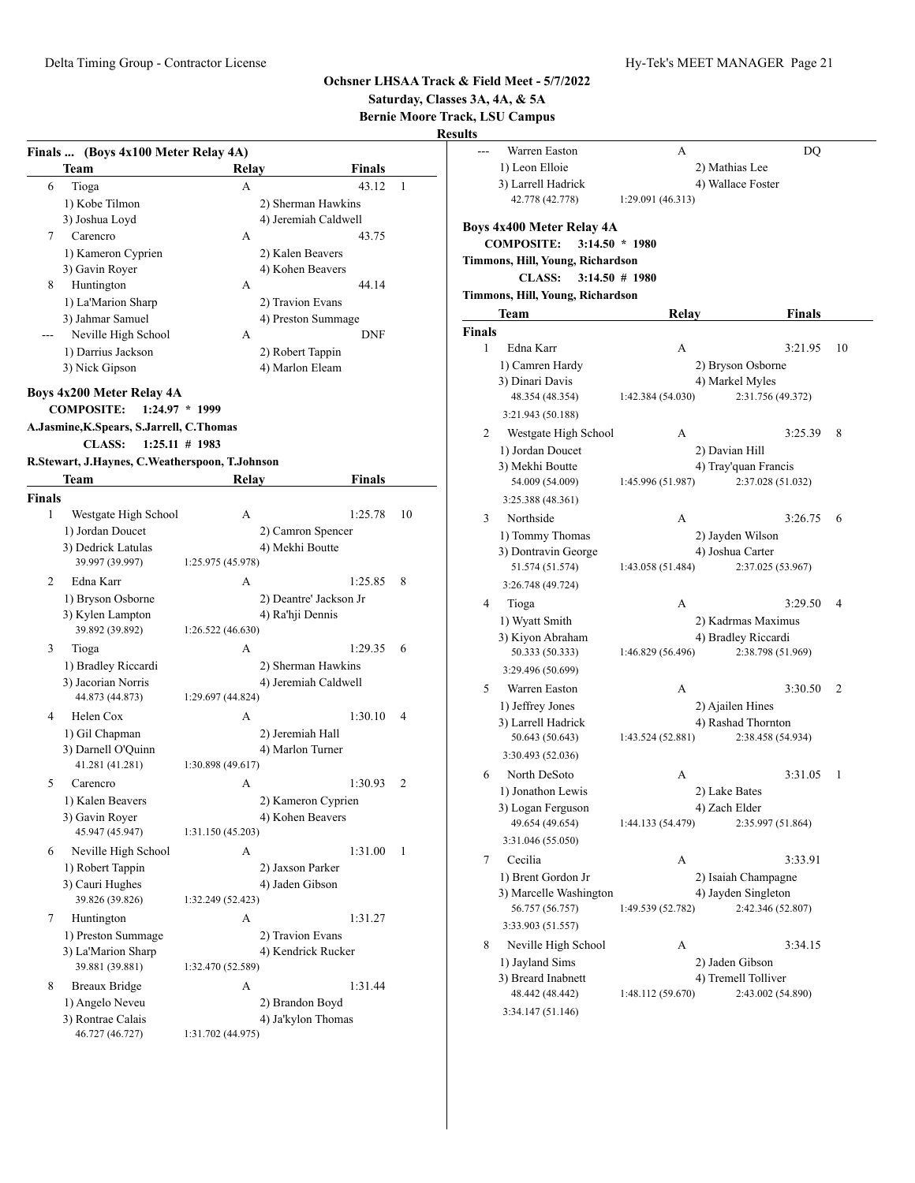**Saturday, Classes 3A, 4A, & 5A**

**Bernie Moore Track, LSU Campus Results**

|               | Finals  (Boys 4x100 Meter Relay 4A)            |                   |                        |    |
|---------------|------------------------------------------------|-------------------|------------------------|----|
|               | Team                                           | Relay             | Finals                 |    |
| 6             | Tioga                                          | А                 | 43.12                  | 1  |
|               | 1) Kobe Tilmon                                 |                   | 2) Sherman Hawkins     |    |
|               | 3) Joshua Loyd                                 |                   | 4) Jeremiah Caldwell   |    |
| 7             | Carencro                                       | А                 | 43.75                  |    |
|               | 1) Kameron Cyprien                             |                   | 2) Kalen Beavers       |    |
|               | 3) Gavin Royer                                 |                   | 4) Kohen Beavers       |    |
| 8             | Huntington                                     | А                 | 44.14                  |    |
|               | 1) La'Marion Sharp                             |                   | 2) Travion Evans       |    |
|               | 3) Jahmar Samuel                               |                   | 4) Preston Summage     |    |
|               | Neville High School                            | А                 | <b>DNF</b>             |    |
|               | 1) Darrius Jackson                             |                   | 2) Robert Tappin       |    |
|               | 3) Nick Gipson                                 |                   | 4) Marlon Eleam        |    |
|               |                                                |                   |                        |    |
|               | Boys 4x200 Meter Relay 4A                      |                   |                        |    |
|               | <b>COMPOSITE:</b>                              | $1:24.97 * 1999$  |                        |    |
|               | A.Jasmine, K.Spears, S.Jarrell, C.Thomas       |                   |                        |    |
|               | <b>CLASS:</b>                                  | $1:25.11 \# 1983$ |                        |    |
|               | R.Stewart, J.Haynes, C.Weatherspoon, T.Johnson |                   |                        |    |
|               | Team                                           | Relay             | Finals                 |    |
| <b>Finals</b> |                                                |                   |                        |    |
| 1             | Westgate High School                           | А                 | 1:25.78                | 10 |
|               | 1) Jordan Doucet                               |                   | 2) Camron Spencer      |    |
|               | 3) Dedrick Latulas                             |                   | 4) Mekhi Boutte        |    |
|               | 39.997 (39.997)                                | 1:25.975 (45.978) |                        |    |
| 2             | Edna Karr                                      | A                 | 1:25.85                | 8  |
|               | 1) Bryson Osborne                              |                   | 2) Deantre' Jackson Jr |    |
|               | 3) Kylen Lampton                               |                   | 4) Ra'hji Dennis       |    |
|               | 39.892 (39.892)                                | 1:26.522(46.630)  |                        |    |
| 3             | Tioga                                          | A                 | 1:29.35                | 6  |
|               | 1) Bradley Riccardi                            |                   | 2) Sherman Hawkins     |    |
|               | 3) Jacorian Norris                             |                   | 4) Jeremiah Caldwell   |    |
|               | 44.873 (44.873)                                | 1:29.697 (44.824) |                        |    |
| 4             | Helen Cox                                      | А                 | 1:30.10                | 4  |
|               | 1) Gil Chapman                                 |                   |                        |    |
|               | 3) Darnell O'Quinn                             |                   | 2) Jeremiah Hall       |    |
|               | 41.281 (41.281)                                | 1:30.898 (49.617) | 4) Marlon Turner       |    |
|               |                                                |                   |                        |    |
| 5             | Carencro                                       | A                 | 1:30.93                | 2  |
|               | 1) Kalen Beavers                               |                   | 2) Kameron Cyprien     |    |
|               | 3) Gavin Royer<br>45.947 (45.947)              | 1:31.150 (45.203) | 4) Kohen Beavers       |    |
|               |                                                |                   |                        |    |
| 6             | Neville High School                            | А                 | 1:31.00                | 1  |
|               | 1) Robert Tappin                               |                   | 2) Jaxson Parker       |    |
|               | 3) Cauri Hughes                                |                   | 4) Jaden Gibson        |    |
|               | 39.826 (39.826)                                | 1:32.249 (52.423) |                        |    |
| 7             | Huntington                                     | А                 | 1:31.27                |    |
|               | 1) Preston Summage                             |                   | 2) Travion Evans       |    |
|               | 3) La'Marion Sharp                             |                   | 4) Kendrick Rucker     |    |
|               | 39.881 (39.881)                                | 1:32.470 (52.589) |                        |    |
| 8             | Breaux Bridge                                  | A                 | 1:31.44                |    |
|               | 1) Angelo Neveu                                |                   | 2) Brandon Boyd        |    |
|               | 3) Rontrae Calais                              |                   | 4) Ja'kylon Thomas     |    |
|               | 46.727 (46.727)                                | 1:31.702 (44.975) |                        |    |
|               |                                                |                   |                        |    |

| ults          |                                                |                   |                      |    |
|---------------|------------------------------------------------|-------------------|----------------------|----|
|               | Warren Easton                                  | А                 | DQ                   |    |
|               | 1) Leon Elloie                                 | 2) Mathias Lee    |                      |    |
|               | 3) Larrell Hadrick                             |                   | 4) Wallace Foster    |    |
|               | 42.778 (42.778)                                | 1:29.091 (46.313) |                      |    |
|               | Boys 4x400 Meter Relay 4A<br><b>COMPOSITE:</b> | $3:14.50 * 1980$  |                      |    |
|               | Timmons, Hill, Young, Richardson               |                   |                      |    |
|               | <b>CLASS:</b>                                  | $3:14.50 \# 1980$ |                      |    |
|               | Timmons, Hill, Young, Richardson               |                   |                      |    |
|               | Team                                           | Relay             | <b>Finals</b>        |    |
| <b>Finals</b> |                                                |                   |                      |    |
| 1             | Edna Karr                                      | А                 | 3:21.95              | 10 |
|               | 1) Camren Hardy                                |                   | 2) Bryson Osborne    |    |
|               | 3) Dinari Davis                                |                   | 4) Markel Myles      |    |
|               | 48.354 (48.354)                                | 1:42.384 (54.030) | 2:31.756 (49.372)    |    |
|               | 3:21.943 (50.188)                              |                   |                      |    |
| 2             | Westgate High School                           | А                 | 3:25.39              | 8  |
|               | 1) Jordan Doucet                               | 2) Davian Hill    |                      |    |
|               | 3) Mekhi Boutte                                |                   | 4) Tray'quan Francis |    |
|               | 54.009 (54.009)                                | 1:45.996 (51.987) | 2:37.028 (51.032)    |    |
|               | 3:25.388 (48.361)                              |                   |                      |    |
| 3             | Northside                                      | А                 | 3:26.75              | 6  |
|               | 1) Tommy Thomas                                |                   | 2) Jayden Wilson     |    |
|               | 3) Dontravin George                            |                   | 4) Joshua Carter     |    |
|               | 51.574 (51.574)                                | 1:43.058 (51.484) | 2:37.025 (53.967)    |    |
|               | 3:26.748 (49.724)                              |                   |                      |    |
| 4             | Tioga                                          | А                 | 3:29.50              | 4  |
|               | 1) Wyatt Smith                                 |                   | 2) Kadrmas Maximus   |    |
|               | 3) Kiyon Abraham                               |                   | 4) Bradley Riccardi  |    |
|               | 50.333 (50.333)                                | 1:46.829 (56.496) | 2:38.798 (51.969)    |    |
|               | 3:29.496 (50.699)                              |                   |                      |    |
| 5             | Warren Easton                                  | А                 | 3:30.50              | 2  |
|               | 1) Jeffrey Jones                               |                   | 2) Ajailen Hines     |    |
|               | 3) Larrell Hadrick                             |                   | 4) Rashad Thornton   |    |
|               | 50.643 (50.643)                                | 1:43.524 (52.881) | 2:38.458 (54.934)    |    |
|               | 3:30.493 (52.036)                              |                   |                      |    |
| 6             | North DeSoto                                   | А                 | 3:31.05              | 1  |
|               | 1) Jonathon Lewis                              | 2) Lake Bates     |                      |    |
|               | 3) Logan Ferguson                              | 4) Zach Elder     |                      |    |
|               | 49.654 (49.654)                                | 1:44.133 (54.479) | 2:35.997 (51.864)    |    |
|               | 3:31.046 (55.050)                              |                   |                      |    |
| 7             | Cecilia                                        | A                 | 3:33.91              |    |
|               | 1) Brent Gordon Jr                             |                   | 2) Isaiah Champagne  |    |
|               | 3) Marcelle Washington                         |                   | 4) Jayden Singleton  |    |
|               | 56.757 (56.757)                                | 1:49.539 (52.782) | 2:42.346 (52.807)    |    |
|               | 3:33.903 (51.557)                              |                   |                      |    |
| 8             | Neville High School                            | А                 | 3:34.15              |    |
|               | 1) Jayland Sims                                |                   | 2) Jaden Gibson      |    |
|               | 3) Breard Inabnett                             |                   | 4) Tremell Tolliver  |    |
|               | 48.442 (48.442)                                | 1:48.112 (59.670) | 2:43.002 (54.890)    |    |
|               | 3:34.147 (51.146)                              |                   |                      |    |
|               |                                                |                   |                      |    |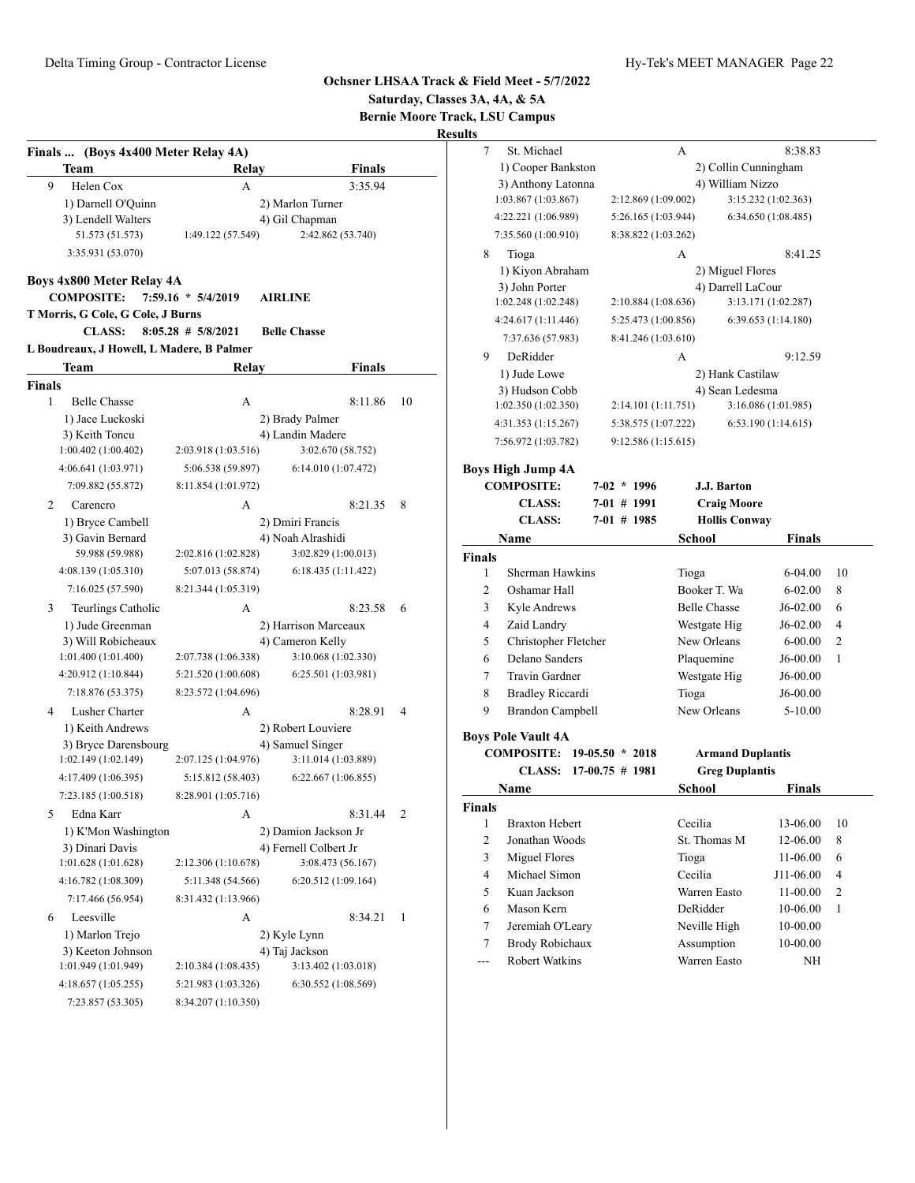$6 - 04.00$  10  $6 - 02.00$  8  $J6-02.00 = 6$  $J6-02.00$  4 6-00.00 2  $J6-00.00$  1  $\rm J6\text{-}00.00$  $J6-00.00$  $5 - 10.00$ 

 $13-06.00$  10  $12 - 06.00 \quad 8$  $11-06.00$  6 J11-06.00 4  $11-00.00$  2  $10 - 06.00$  1  $10\mbox{-} 00.00$  $10 - 00.00$ 

|               |                                             |                        |                                         |                | Saturday, Classes 3A, 4A, & 5A<br><b>Bernie Moore Track, LSU Campus</b><br><b>Results</b> |                           |                         |                      |
|---------------|---------------------------------------------|------------------------|-----------------------------------------|----------------|-------------------------------------------------------------------------------------------|---------------------------|-------------------------|----------------------|
|               | Finals  (Boys 4x400 Meter Relay 4A)         |                        |                                         |                | $\tau$<br>St. Michael                                                                     |                           | A                       | 8:38.83              |
|               | <b>Team</b>                                 | Relav                  | <b>Finals</b>                           |                | 1) Cooper Bankston                                                                        |                           |                         | 2) Collin Cunningham |
| 9             | Helen Cox                                   | A                      | 3:35.94                                 |                | 3) Anthony Latonna<br>1:03.867 (1:03.867)                                                 | 2:12.869 (1:09.002)       | 4) William Nizzo        | 3:15.232 (1:02.363)  |
|               | 1) Darnell O'Quinn<br>3) Lendell Walters    |                        | 2) Marlon Turner                        |                | 4:22.221 (1:06.989)                                                                       | 5:26.165 (1:03.944)       |                         | 6:34.650 (1:08.485)  |
|               | 51.573 (51.573)                             | 1:49.122 (57.549)      | 4) Gil Chapman<br>2:42.862 (53.740)     |                | 7:35.560 (1:00.910)                                                                       | 8:38.822 (1:03.262)       |                         |                      |
|               | 3:35.931 (53.070)                           |                        |                                         |                | 8<br>Tioga                                                                                |                           | А                       | 8:41.25              |
|               |                                             |                        |                                         |                | 1) Kiyon Abraham                                                                          |                           | 2) Miguel Flores        |                      |
|               | Boys 4x800 Meter Relay 4A                   |                        |                                         |                | 3) John Porter                                                                            |                           | 4) Darrell LaCour       |                      |
|               | <b>COMPOSITE:</b>                           | 7:59.16 * 5/4/2019     | <b>AIRLINE</b>                          |                | 1:02.248 (1:02.248)                                                                       | 2:10.884 (1:08.636)       |                         | 3:13.171 (1:02.287)  |
|               | T Morris, G Cole, G Cole, J Burns           |                        |                                         |                | 4:24.617(1:11.446)                                                                        | 5:25.473 (1:00.856)       |                         | 6:39.653 (1:14.180)  |
|               | <b>CLASS:</b>                               | $8:05.28$ # $5/8/2021$ | <b>Belle Chasse</b>                     |                | 7:37.636 (57.983)                                                                         | 8:41.246 (1:03.610)       |                         |                      |
|               | L Boudreaux, J Howell, L Madere, B Palmer   |                        |                                         |                | DeRidder<br>9                                                                             |                           | А                       | 9:12.59              |
|               | Team                                        | Relav                  | <b>Finals</b>                           |                | 1) Jude Lowe                                                                              |                           | 2) Hank Castilaw        |                      |
| <b>Finals</b> |                                             |                        |                                         |                | 3) Hudson Cobb                                                                            |                           | 4) Sean Ledesma         |                      |
| $\mathbf{1}$  | <b>Belle Chasse</b>                         | A                      | 8:11.86                                 | 10             | 1:02.350(1:02.350)                                                                        | 2:14.101 (1:11.751)       |                         | 3:16.086 (1:01.985)  |
|               | 1) Jace Luckoski<br>3) Keith Toncu          |                        | 2) Brady Palmer<br>4) Landin Madere     |                | 4:31.353 (1:15.267)                                                                       | 5:38.575 (1:07.222)       |                         | 6:53.190(1:14.615)   |
|               | 1:00.402(1:00.402)                          | 2:03.918 (1:03.516)    | 3:02.670 (58.752)                       |                | 7:56.972 (1:03.782)                                                                       | 9:12.586(1:15.615)        |                         |                      |
|               | 4:06.641 (1:03.971)                         | 5:06.538 (59.897)      | 6:14.010 (1:07.472)                     |                | <b>Boys High Jump 4A</b>                                                                  |                           |                         |                      |
|               | 7:09.882 (55.872)                           | 8:11.854 (1:01.972)    |                                         |                | <b>COMPOSITE:</b>                                                                         | $7-02 * 1996$             | J.J. Barton             |                      |
| 2             | Carencro                                    | A                      | 8:21.35                                 | - 8            | <b>CLASS:</b>                                                                             | $7-01$ # 1991             | <b>Craig Moore</b>      |                      |
|               | 1) Bryce Cambell                            |                        | 2) Dmiri Francis                        |                | <b>CLASS:</b>                                                                             | $7-01$ # 1985             | <b>Hollis Conway</b>    |                      |
|               | 3) Gavin Bernard                            |                        | 4) Noah Alrashidi                       |                | Name                                                                                      |                           | School                  | <b>Finals</b>        |
|               | 59.988 (59.988)                             | 2:02.816 (1:02.828)    | 3:02.829 (1:00.013)                     |                | <b>Finals</b>                                                                             |                           |                         |                      |
|               | 4:08.139 (1:05.310)                         | 5:07.013 (58.874)      | 6:18.435 (1:11.422)                     |                | Sherman Hawkins<br>1                                                                      |                           | Tioga                   | $6 - 04.00$          |
|               | 7:16.025 (57.590)                           | 8:21.344 (1:05.319)    |                                         |                | 2<br>Oshamar Hall                                                                         |                           | Booker T. Wa            | $6 - 02.00$          |
| 3             | Teurlings Catholic                          | А                      | 8:23.58                                 | 6              | 3<br>Kyle Andrews                                                                         |                           | <b>Belle Chasse</b>     | $J6-02.00$           |
|               | 1) Jude Greenman                            |                        | 2) Harrison Marceaux                    |                | 4<br>Zaid Landry                                                                          |                           | Westgate Hig            | $J6-02.00$           |
|               | 3) Will Robicheaux                          |                        | 4) Cameron Kelly                        |                | Christopher Fletcher<br>5                                                                 |                           | New Orleans             | $6 - 00.00$          |
|               | 1:01.400(1:01.400)                          | 2:07.738 (1:06.338)    | 3:10.068 (1:02.330)                     |                | Delano Sanders<br>6                                                                       |                           | Plaquemine              | $J6-00.00$           |
|               | 4:20.912 (1:10.844)                         | 5:21.520 (1:00.608)    | 6:25.501(1:03.981)                      |                | Travin Gardner<br>7                                                                       |                           | Westgate Hig            | $J6-00.00$           |
|               | 7:18.876 (53.375)                           | 8:23.572 (1:04.696)    |                                         |                | 8<br><b>Bradley Riccardi</b>                                                              |                           | Tioga                   | J6-00.00             |
| 4             | Lusher Charter                              | А                      | 8:28.91                                 | $\overline{4}$ | 9<br><b>Brandon Campbell</b>                                                              |                           | New Orleans             | $5 - 10.00$          |
|               | 1) Keith Andrews                            |                        | 2) Robert Louviere                      |                | <b>Boys Pole Vault 4A</b>                                                                 |                           |                         |                      |
|               | 3) Bryce Darensbourg<br>1:02.149 (1:02.149) | 2:07.125 (1:04.976)    | 4) Samuel Singer<br>3:11.014 (1:03.889) |                | COMPOSITE: 19-05.50 * 2018                                                                |                           | <b>Armand Duplantis</b> |                      |
|               | 4:17.409 (1:06.395)                         | 5:15.812 (58.403)      | 6:22.667(1:06.855)                      |                |                                                                                           | CLASS: $17-00.75 \# 1981$ | <b>Greg Duplantis</b>   |                      |
|               | 7:23.185 (1:00.518)                         | 8:28.901 (1:05.716)    |                                         |                | Name                                                                                      |                           | <b>School</b>           | <b>Finals</b>        |
|               | Edna Karr                                   |                        |                                         |                | Finals                                                                                    |                           |                         |                      |
| 5             | 1) K'Mon Washington                         | A                      | 8:31.44 2<br>2) Damion Jackson Jr       |                | <b>Braxton Hebert</b><br>1                                                                |                           | Cecilia                 | 13-06.00             |
|               | 3) Dinari Davis                             |                        | 4) Fernell Colbert Jr                   |                | 2<br>Jonathan Woods                                                                       |                           | St. Thomas M            | 12-06.00             |
|               | 1:01.628(1:01.628)                          | 2:12.306 (1:10.678)    | 3:08.473 (56.167)                       |                | <b>Miguel Flores</b><br>3                                                                 |                           | Tioga                   | 11-06.00             |
|               | 4:16.782 (1:08.309)                         | 5:11.348 (54.566)      | 6:20.512(1:09.164)                      |                | Michael Simon<br>4                                                                        |                           | Cecilia                 | J11-06.00            |
|               | 7:17.466 (56.954)                           | 8:31.432 (1:13.966)    |                                         |                | Kuan Jackson<br>5                                                                         |                           | Warren Easto            | 11-00.00             |
| 6             | Leesville                                   | A                      | $8:34.21$ 1                             |                | Mason Kern<br>6                                                                           |                           | DeRidder                | 10-06.00             |
|               | 1) Marlon Trejo                             |                        | 2) Kyle Lynn                            |                | Jeremiah O'Leary<br>7                                                                     |                           | Neville High            | 10-00.00             |
|               | 3) Keeton Johnson                           |                        | 4) Taj Jackson                          |                | Brody Robichaux<br>7                                                                      |                           | Assumption              | 10-00.00             |
|               | 1:01.949 (1:01.949)                         | 2:10.384 (1:08.435)    | 3:13.402 (1:03.018)                     |                | Robert Watkins<br>---                                                                     |                           | Warren Easto            | NH                   |
|               | 4:18.657(1:05.255)                          | 5:21.983 (1:03.326)    | 6:30.552 (1:08.569)                     |                |                                                                                           |                           |                         |                      |
|               | 7:23.857 (53.305)                           | 8:34.207 (1:10.350)    |                                         |                |                                                                                           |                           |                         |                      |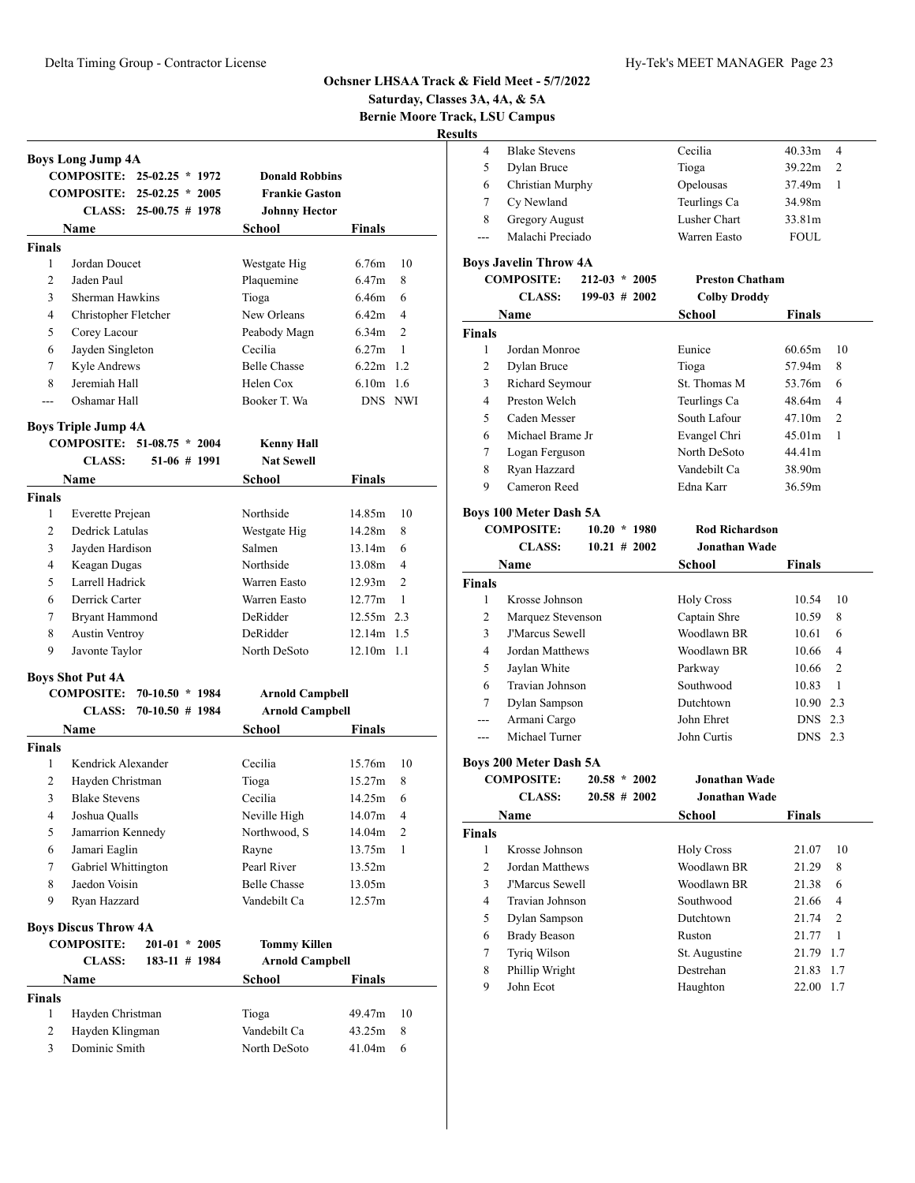**Saturday, Classes 3A, 4A, & 5A**

**Bernie Moore Track, LSU Campus Results**

|                    |                                      |                            |                        | <b>Bernie Moore Tra</b>   |
|--------------------|--------------------------------------|----------------------------|------------------------|---------------------------|
|                    |                                      |                            |                        |                           |
|                    | <b>Boys Long Jump 4A</b>             |                            |                        |                           |
|                    |                                      | COMPOSITE: 25-02.25 * 1972 | <b>Donald Robbins</b>  |                           |
|                    |                                      | COMPOSITE: 25-02.25 * 2005 | <b>Frankie Gaston</b>  |                           |
|                    |                                      | CLASS: $25-00.75 \# 1978$  | <b>Johnny Hector</b>   |                           |
|                    | <b>Name</b>                          |                            | School                 | <b>Finals</b>             |
| <b>Finals</b><br>1 | Jordan Doucet                        |                            |                        |                           |
| $\overline{c}$     | Jaden Paul                           |                            | Westgate Hig           | 6.76m<br>10<br>8<br>6.47m |
| 3                  | Sherman Hawkins                      |                            | Plaquemine             | 6.46m<br>6                |
| 4                  |                                      |                            | Tioga<br>New Orleans   | 6.42m<br>4                |
| 5                  | Christopher Fletcher<br>Corey Lacour |                            | Peabody Magn           | $\overline{2}$<br>6.34m   |
| 6                  |                                      |                            | Cecilia                | 6.27m<br>1                |
| 7                  | Jayden Singleton                     |                            | <b>Belle Chasse</b>    | $6.22m$ 1.2               |
| 8                  | Kyle Andrews<br>Jeremiah Hall        |                            | Helen Cox              | $6.10m$ 1.6               |
| ---                | Oshamar Hall                         |                            | Booker T. Wa           | DNS NWI                   |
|                    |                                      |                            |                        |                           |
|                    | <b>Boys Triple Jump 4A</b>           |                            |                        |                           |
|                    |                                      | COMPOSITE: 51-08.75 * 2004 | <b>Kenny Hall</b>      |                           |
|                    | <b>CLASS:</b>                        | $51-06$ # 1991             | <b>Nat Sewell</b>      |                           |
|                    | <b>Name</b>                          |                            | School                 | Finals                    |
| <b>Finals</b>      |                                      |                            |                        |                           |
| 1                  | Everette Prejean                     |                            | Northside              | 10<br>14.85m              |
| 2                  | Dedrick Latulas                      |                            | Westgate Hig           | 14.28m<br>8               |
| 3                  | Jayden Hardison                      |                            | Salmen                 | 13.14m<br>6               |
| $\overline{4}$     | Keagan Dugas                         |                            | Northside              | $\overline{4}$<br>13.08m  |
| 5                  | Larrell Hadrick                      |                            | Warren Easto           | 12.93m<br>$\overline{c}$  |
| 6                  | Derrick Carter                       |                            | Warren Easto           | 12.77m<br>1               |
| 7                  | Bryant Hammond                       |                            | DeRidder               | 12.55m 2.3                |
| 8                  | <b>Austin Ventroy</b>                |                            | DeRidder               | 12.14m 1.5                |
| 9                  | Javonte Taylor                       |                            | North DeSoto           | $12.10m$ 1.1              |
|                    | <b>Boys Shot Put 4A</b>              |                            |                        |                           |
|                    | <b>COMPOSITE:</b>                    | $70-10.50 * 1984$          | <b>Arnold Campbell</b> |                           |
|                    | <b>CLASS:</b>                        | $70-10.50$ # 1984          | <b>Arnold Campbell</b> |                           |
|                    | Name                                 |                            | School                 | Finals                    |
| <b>Finals</b>      |                                      |                            |                        |                           |
| 1                  | Kendrick Alexander                   |                            | Cecilia                | 15.76m<br>10              |
| 2                  | Hayden Christman                     |                            | Tioga                  | 15.27m<br>8               |
| 3                  | <b>Blake Stevens</b>                 |                            | Cecilia                | 14.25m<br>6               |
| $\overline{4}$     | Joshua Qualls                        |                            | Neville High           | $\overline{4}$<br>14.07m  |
| 5                  | Jamarrion Kennedy                    |                            | Northwood, S           | 2<br>14.04m               |
| 6                  | Jamari Eaglin                        |                            | Rayne                  | 13.75m<br>$\mathbf{1}$    |
| 7                  | Gabriel Whittington                  |                            | Pearl River            | 13.52m                    |
| 8                  | Jaedon Voisin                        |                            | <b>Belle Chasse</b>    | 13.05m                    |
| 9                  | Ryan Hazzard                         |                            | Vandebilt Ca           | 12.57m                    |
|                    | <b>Boys Discus Throw 4A</b>          |                            |                        |                           |
|                    | <b>COMPOSITE:</b>                    | $201-01 * 2005$            | <b>Tommy Killen</b>    |                           |
|                    | <b>CLASS:</b>                        | 183-11 # 1984              | <b>Arnold Campbell</b> |                           |
|                    | Name                                 |                            | School                 | Finals                    |
| <b>Finals</b>      |                                      |                            |                        |                           |
| 1                  | Hayden Christman                     |                            | Tioga                  | 10<br>49.47m              |
| 2                  | Hayden Klingman                      |                            | Vandebilt Ca           | 43.25m<br>8               |
| 3                  | Dominic Smith                        |                            | North DeSoto           | 41.04m<br>6               |

|   | <b>Blake Stevens</b>  | Cecilia      | 40.33 <sub>m</sub><br>- 4 |  |
|---|-----------------------|--------------|---------------------------|--|
|   | Dylan Bruce           | Tioga        | 39.22m<br>$\mathcal{D}$   |  |
| 6 | Christian Murphy      | Opelousas    | 37.49m                    |  |
|   | Cy Newland            | Teurlings Ca | 34.98m                    |  |
| 8 | <b>Gregory August</b> | Lusher Chart | 33.81m                    |  |
|   | Malachi Preciado      | Warren Easto | <b>FOUL</b>               |  |
|   |                       |              |                           |  |

# **Boys Javelin Throw 4A**<br>COMPOSITE: 212.03 \* 2005

|                                            | $D_{\nu}$ , $D_{\nu}$ and $D_{\nu}$ is the set of $\mu$ |                        |                     |                    |               |
|--------------------------------------------|---------------------------------------------------------|------------------------|---------------------|--------------------|---------------|
| <b>COMPOSITE:</b><br>$212 - 03$<br>$*2005$ |                                                         | <b>Preston Chatham</b> |                     |                    |               |
|                                            | <b>CLASS:</b>                                           | $199-03 \# 2002$       | <b>Colby Droddy</b> |                    |               |
|                                            | Name                                                    |                        | School              | <b>Finals</b>      |               |
| <b>Finals</b>                              |                                                         |                        |                     |                    |               |
| 1                                          | Jordan Monroe                                           |                        | Eunice              | 60.65m             | 10            |
| 2                                          | Dylan Bruce                                             |                        | Tioga               | 57.94m             | 8             |
| 3                                          | Richard Seymour                                         |                        | St. Thomas M        | 53.76m             | 6             |
| 4                                          | Preston Welch                                           |                        | Teurlings Ca        | 48.64m             | 4             |
| 5                                          | Caden Messer                                            |                        | South Lafour        | 47.10m             | $\mathcal{D}$ |
| 6                                          | Michael Brame Jr                                        |                        | Evangel Chri        | 45.01 <sub>m</sub> | 1             |
| 7                                          | Logan Ferguson                                          |                        | North DeSoto        | 44.41m             |               |
| 8                                          | Ryan Hazzard                                            |                        | Vandebilt Ca        | 38.90m             |               |
| 9                                          | Cameron Reed                                            |                        | Edna Karr           | 36.59m             |               |
|                                            |                                                         |                        |                     |                    |               |

# **Boys 100 Meter Dash 5A**

|                | <b>COMPOSITE:</b>             | $10.20 * 1980$  | <b>Rod Richardson</b> |               |                |
|----------------|-------------------------------|-----------------|-----------------------|---------------|----------------|
|                | <b>CLASS:</b>                 | $10.21 \# 2002$ | Jonathan Wade         |               |                |
|                | Name                          |                 | School                | <b>Finals</b> |                |
| <b>Finals</b>  |                               |                 |                       |               |                |
| 1              | Krosse Johnson                |                 | <b>Holy Cross</b>     | 10.54         | 10             |
| $\overline{c}$ | Marquez Stevenson             |                 | Captain Shre          | 10.59         | 8              |
| 3              | <b>FMarcus Sewell</b>         |                 | Woodlawn BR           | 10.61         | 6              |
| 4              | Jordan Matthews               |                 | Woodlawn BR           | 10.66         | 4              |
| 5              | Jaylan White                  |                 | Parkway               | 10.66         | $\overline{2}$ |
| 6              | Travian Johnson               |                 | Southwood             | 10.83         | $\mathbf{1}$   |
| 7              | Dylan Sampson                 |                 | Dutchtown             | 10.90 2.3     |                |
| ---            | Armani Cargo                  |                 | John Ehret            | DNS 2.3       |                |
| ---            | Michael Turner                |                 | John Curtis           | DNS 2.3       |                |
|                | <b>Boys 200 Meter Dash 5A</b> |                 |                       |               |                |
|                | <b>COMPOSITE:</b>             | $20.58 * 2002$  | Jonathan Wade         |               |                |
|                | <b>CLASS:</b>                 | $20.58 \# 2002$ | Jonathan Wade         |               |                |
|                | Name                          |                 | School                | <b>Finals</b> |                |
| <b>Finals</b>  |                               |                 |                       |               |                |
| 1              | Krosse Johnson                |                 | <b>Holy Cross</b>     | 21.07         | 10             |
| $\overline{c}$ | Jordan Matthews               |                 | Woodlawn BR           | 21.29         | 8              |
| 3              | <b>J'Marcus Sewell</b>        |                 | Woodlawn BR           | 21.38         | 6              |
| 4              | Travian Johnson               |                 | Southwood             | 21.66         | 4              |
| 5              | Dylan Sampson                 |                 | Dutchtown             | 21.74         | 2              |
| 6              | <b>Brady Beason</b>           |                 | Ruston                | 21.77         | 1              |
| 7              | Tyriq Wilson                  |                 | St. Augustine         | 21.79 1.7     |                |
| 8              | Phillip Wright                |                 | Destrehan             | 21.83         | 1.7            |

9 John Ecot Haughton 22.00 1.7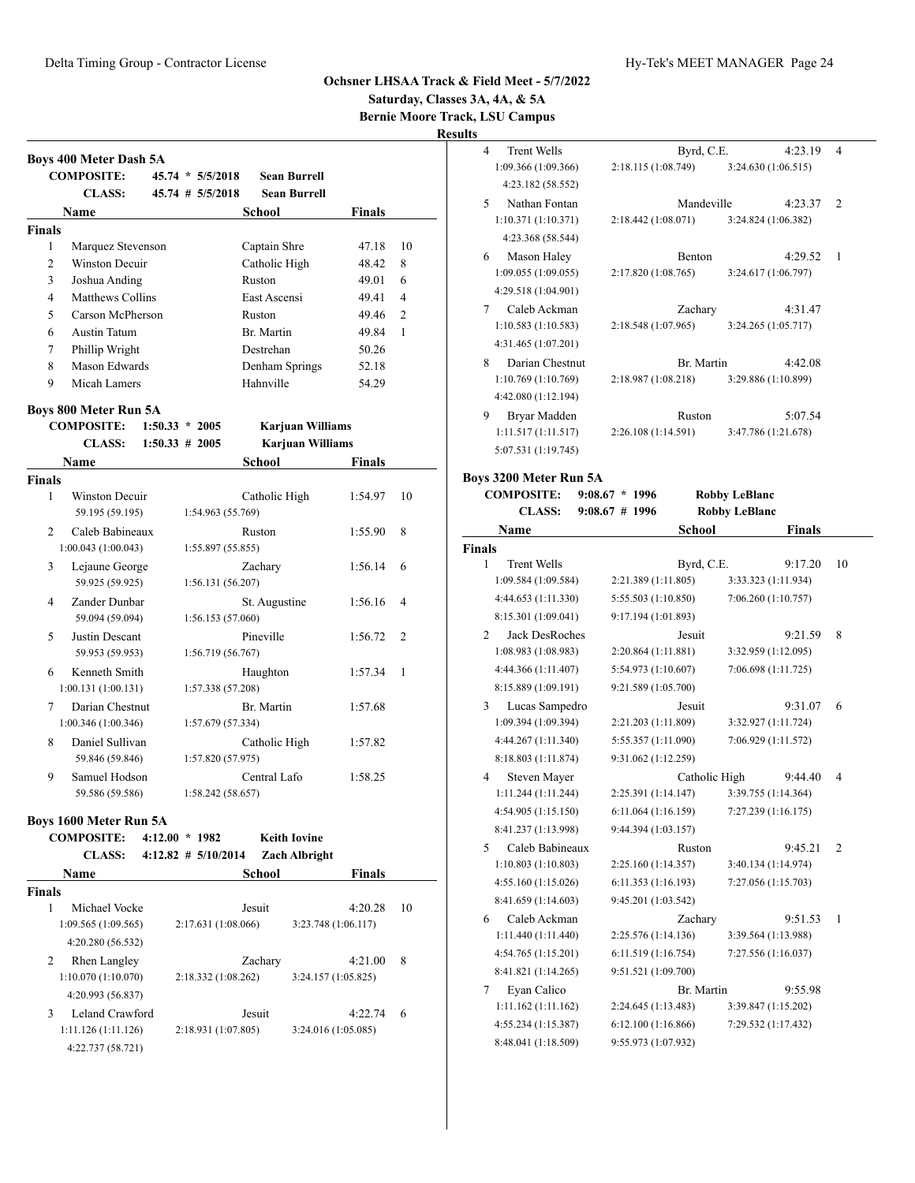**COMPOSITE: 45.74 \* 5/5/2018 Sean Burrell CLASS: 45.74 # 5/5/2018 Sean Burrell Name** School **Finals** 

 Marquez Stevenson Captain Shre 47.18 10 2 Winston Decuir Catholic High 48.42 8 Joshua Anding Ruston 49.01 6 Matthews Collins East Ascensi 49.41 4 Carson McPherson Ruston 49.46 2 Austin Tatum Br. Martin 49.84 1 Phillip Wright Destrehan 50.26 Mason Edwards Denham Springs 52.18 9 Micah Lamers Hahnville 54.29

## **Ochsner LHSAA Track & Field Meet - 5/7/2022**

**Saturday, Classes 3A, 4A, & 5A**

**Bernie Moore Track, LSU Campus**

**Results**

| <b>Trent Wells</b>  |                    | 4:23.19             | 4                                                                                                          |
|---------------------|--------------------|---------------------|------------------------------------------------------------------------------------------------------------|
| 1:09.366(1:09.366)  | 2:18.115(1:08.749) | 3:24.630 (1:06.515) |                                                                                                            |
| 4:23.182 (58.552)   |                    |                     |                                                                                                            |
| Nathan Fontan       |                    | 4:23.37             | $\overline{c}$                                                                                             |
| 1:10.371(1:10.371)  |                    |                     |                                                                                                            |
| 4:23.368 (58.544)   |                    |                     |                                                                                                            |
| Mason Haley         | Benton             | 4:29.52             | 1                                                                                                          |
| 1:09.055(1:09.055)  | 2:17.820(1:08.765) |                     |                                                                                                            |
| 4:29.518 (1:04.901) |                    |                     |                                                                                                            |
| Caleb Ackman        | Zachary            | 4:31.47             |                                                                                                            |
| 1:10.583(1:10.583)  | 2:18.548(1:07.965) | 3:24.265(1:05.717)  |                                                                                                            |
| 4:31.465 (1:07.201) |                    |                     |                                                                                                            |
| Darian Chestnut     |                    | 4:42.08             |                                                                                                            |
| 1:10.769(1:10.769)  | 2:18.987(1:08.218) | 3:29.886 (1:10.899) |                                                                                                            |
| 4:42.080 (1:12.194) |                    |                     |                                                                                                            |
| Bryar Madden        | Ruston             | 5:07.54             |                                                                                                            |
| 1:11.517(1:11.517)  | 2:26.108(1:14.591) | 3:47.786 (1:21.678) |                                                                                                            |
| 5:07.531 (1:19.745) |                    |                     |                                                                                                            |
|                     |                    |                     | Byrd, C.E.<br>Mandeville<br>$2:18.442(1:08.071)$ $3:24.824(1:06.382)$<br>3:24.617 (1:06.797)<br>Br. Martin |

#### **Boys 3200 Meter Run 5A**

|               | <b>COMPOSITE:</b><br>$9:08.67 * 1996$ |                     | <b>Robby LeBlanc</b> |                      |                |
|---------------|---------------------------------------|---------------------|----------------------|----------------------|----------------|
|               | <b>CLASS:</b>                         | $9:08.67$ # 1996    |                      | <b>Robby LeBlanc</b> |                |
|               | Name                                  |                     | <b>School</b>        | <b>Finals</b>        |                |
| <b>Finals</b> |                                       |                     |                      |                      |                |
|               | 1<br><b>Trent Wells</b>               |                     | Byrd, C.E.           | 9:17.20              | 10             |
|               | 1:09.584 (1:09.584)                   | 2:21.389 (1:11.805) |                      | 3:33.323 (1:11.934)  |                |
|               | 4:44.653 (1:11.330)                   | 5:55.503 (1:10.850) |                      | 7:06.260 (1:10.757)  |                |
|               | 8:15.301 (1:09.041)                   | 9:17.194 (1:01.893) |                      |                      |                |
|               | <b>Jack DesRoches</b><br>2            |                     | Jesuit               | 9:21.59              | 8              |
|               | 1:08.983 (1:08.983)                   | 2:20.864 (1:11.881) |                      | 3:32.959 (1:12.095)  |                |
|               | 4:44.366 (1:11.407)                   | 5:54.973 (1:10.607) |                      | 7:06.698 (1:11.725)  |                |
|               | 8:15.889 (1:09.191)                   | 9:21.589 (1:05.700) |                      |                      |                |
|               | 3<br>Lucas Sampedro                   |                     | Jesuit               | 9:31.07              | 6              |
|               | 1:09.394 (1:09.394)                   | 2:21.203 (1:11.809) |                      | 3:32.927 (1:11.724)  |                |
|               | 4:44.267 (1:11.340)                   | 5:55.357 (1:11.090) |                      | 7:06.929 (1:11.572)  |                |
|               | 8:18.803 (1:11.874)                   | 9:31.062 (1:12.259) |                      |                      |                |
|               | Steven Mayer<br>4                     |                     | Catholic High        | 9:44.40              | 4              |
|               | 1:11.244(1:11.244)                    | 2:25.391 (1:14.147) |                      | 3:39.755 (1:14.364)  |                |
|               | 4:54.905 (1:15.150)                   | 6:11.064(1:16.159)  |                      | 7:27.239 (1:16.175)  |                |
|               | 8:41.237 (1:13.998)                   | 9:44.394 (1:03.157) |                      |                      |                |
|               | Caleb Babineaux<br>5                  |                     | Ruston               | 9:45.21              | $\overline{2}$ |
|               | 1:10.803(1:10.803)                    | 2:25.160 (1:14.357) |                      | 3:40.134 (1:14.974)  |                |
|               | 4:55.160 (1:15.026)                   | 6:11.353 (1:16.193) |                      | 7:27.056 (1:15.703)  |                |
|               | 8:41.659 (1:14.603)                   | 9:45.201 (1:03.542) |                      |                      |                |
|               | Caleb Ackman<br>6                     |                     | Zachary              | 9:51.53              | 1              |
|               | 1:11.440 (1:11.440)                   | 2:25.576 (1:14.136) |                      | 3:39.564 (1:13.988)  |                |
|               | 4:54.765 (1:15.201)                   | 6:11.519 (1:16.754) |                      | 7:27.556 (1:16.037)  |                |
|               | 8:41.821 (1:14.265)                   | 9:51.521 (1:09.700) |                      |                      |                |
|               | Eyan Calico<br>7                      |                     | Br. Martin           | 9:55.98              |                |
|               | 1:11.162 (1:11.162)                   | 2:24.645 (1:13.483) |                      | 3:39.847 (1:15.202)  |                |
|               | 4:55.234 (1:15.387)                   | 6:12.100(1:16.866)  |                      | 7:29.532 (1:17.432)  |                |
|               | 8:48.041 (1:18.509)                   | 9:55.973 (1:07.932) |                      |                      |                |
|               |                                       |                     |                      |                      |                |

**Boys 800 Meter Run 5A**

**Boys 400 Meter Dash 5A**

**Finals**

**COMPOSITE: 1:50.33 \* 2005 Karjuan Williams**

|                | <b>CLASS:</b>                          | $1:50.33 \# 2005$ | <b>Karjuan Williams</b>            |         |              |
|----------------|----------------------------------------|-------------------|------------------------------------|---------|--------------|
|                | Name                                   |                   | School                             | Finals  |              |
| Finals         |                                        |                   |                                    |         |              |
| 1              | Winston Decuir<br>59.195 (59.195)      |                   | Catholic High<br>1:54.963 (55.769) | 1:54.97 | 10           |
| $\mathcal{D}$  | Caleb Babineaux<br>1:00.043(1:00.043)  |                   | Ruston<br>1:55.897(55.855)         | 1:55.90 | 8            |
| 3              | Lejaune George<br>59.925 (59.925)      |                   | Zachary<br>1:56.131(56.207)        | 1:56.14 | 6            |
| $\overline{4}$ | Zander Dunbar<br>59.094 (59.094)       |                   | St. Augustine<br>1:56.153 (57.060) | 1:56.16 | 4            |
| 5              | Justin Descant<br>59.953 (59.953)      |                   | Pineville<br>1:56.719(56.767)      | 1:56.72 | 2            |
| 6              | Kenneth Smith<br>1:00.131(1:00.131)    |                   | Haughton<br>1:57.338 (57.208)      | 1:57.34 | $\mathbf{1}$ |
| 7              | Darian Chestnut<br>1:00.346 (1:00.346) |                   | Br. Martin<br>1:57.679 (57.334)    | 1:57.68 |              |
| 8              | Daniel Sullivan<br>59.846 (59.846)     |                   | Catholic High<br>1:57.820 (57.975) | 1:57.82 |              |
| 9              | Samuel Hodson<br>59.586 (59.586)       |                   | Central Lafo<br>1:58.242 (58.657)  | 1:58.25 |              |

# **Boys 1600 Meter Run 5A**

| <b>COMPOSITE:</b><br><b>CLASS:</b> | 4:12.00<br>1982<br>$\ast$<br>$4:12.82 \# 5/10/2014$ | <b>Keith Iovine</b><br><b>Zach Albright</b> |    |
|------------------------------------|-----------------------------------------------------|---------------------------------------------|----|
| <b>Name</b>                        |                                                     | <b>Finals</b><br>School                     |    |
| <b>Finals</b>                      |                                                     |                                             |    |
| Michael Vocke<br>1                 | Jesuit                                              | 4:20.28                                     | 10 |
| 1:09.565(1:09.565)                 | 2:17.631 (1:08.066)                                 | 3:23.748 (1:06.117)                         |    |
| 4:20.280 (56.532)                  |                                                     |                                             |    |
| <b>Rhen Langley</b><br>2           |                                                     | 4:21.00<br>Zachary                          | 8  |
| 1:10.070(1:10.070)                 | 2:18.332(1:08.262)                                  | 3:24.157(1:05.825)                          |    |
| 4:20.993 (56.837)                  |                                                     |                                             |    |
| 3<br>Leland Crawford               | Jesuit                                              | 4:22.74                                     | 6  |
| 1:11.126(1:11.126)                 | 2:18.931 (1:07.805)                                 | 3:24.016 (1:05.085)                         |    |
| 4:22.737 (58.721)                  |                                                     |                                             |    |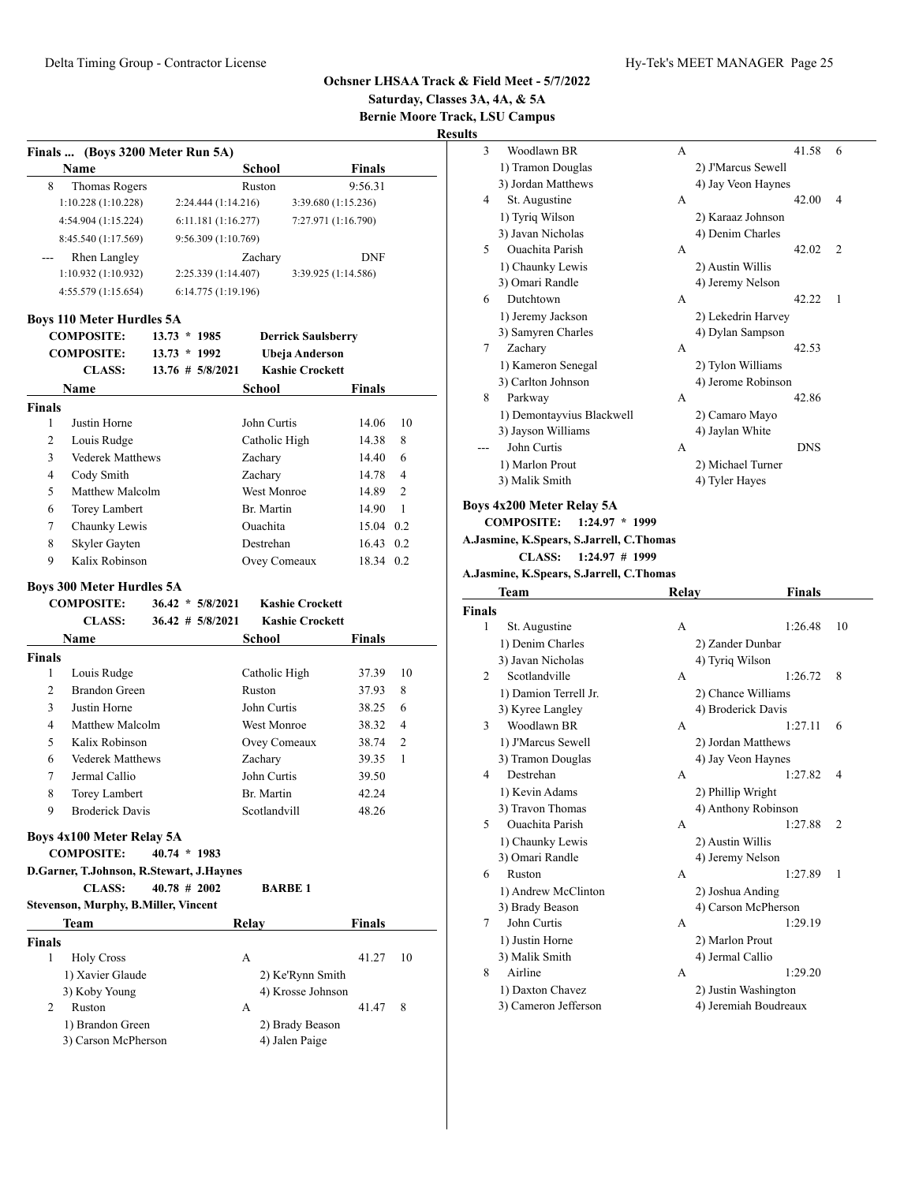**Saturday, Classes 3A, 4A, & 5A Bernie Moore Track, LSU Campus**

**Results**

|                | Finals  (Boys 3200 Meter Run 5A)<br>Name |                      |                     | <b>School</b>      |                           | Finals     |                |
|----------------|------------------------------------------|----------------------|---------------------|--------------------|---------------------------|------------|----------------|
| 8              | Thomas Rogers                            |                      |                     | Ruston             |                           | 9:56.31    |                |
|                | 1:10.228(1:10.228)                       |                      | 2:24.444(1:14.216)  |                    | 3:39.680 (1:15.236)       |            |                |
|                | 4:54.904 (1:15.224)                      |                      | 6:11.181(1:16.277)  |                    | 7:27.971 (1:16.790)       |            |                |
|                | 8:45.540 (1:17.569)                      |                      | 9:56.309 (1:10.769) |                    |                           |            |                |
|                | <b>Rhen Langley</b>                      |                      |                     | Zachary            |                           | <b>DNF</b> |                |
|                | 1:10.932 (1:10.932)                      |                      | 2:25.339 (1:14.407) |                    | 3:39.925 (1:14.586)       |            |                |
|                | 4:55.579 (1:15.654)                      |                      | 6:14.775 (1:19.196) |                    |                           |            |                |
|                |                                          |                      |                     |                    |                           |            |                |
|                | <b>Boys 110 Meter Hurdles 5A</b>         |                      |                     |                    |                           |            |                |
|                | <b>COMPOSITE:</b>                        | $13.73 * 1985$       |                     |                    | <b>Derrick Saulsberry</b> |            |                |
|                | <b>COMPOSITE:</b>                        | $13.73 * 1992$       |                     |                    | <b>Ubeja Anderson</b>     |            |                |
|                | <b>CLASS:</b>                            | $13.76 \# 5/8/2021$  |                     |                    | <b>Kashie Crockett</b>    |            |                |
|                | Name                                     |                      |                     | School             |                           | Finals     |                |
| <b>Finals</b>  |                                          |                      |                     |                    |                           |            |                |
| 1              | Justin Horne                             |                      |                     | John Curtis        |                           | 14.06      | 10             |
| $\overline{c}$ | Louis Rudge                              |                      |                     | Catholic High      |                           | 14.38      | 8              |
| 3              | <b>Vederek Matthews</b>                  |                      |                     | Zachary            |                           | 14.40      | 6              |
| 4              | Cody Smith                               |                      |                     | Zachary            |                           | 14.78      | 4              |
| 5              | Matthew Malcolm                          |                      |                     | <b>West Monroe</b> |                           | 14.89      | $\overline{2}$ |
| 6              | Torey Lambert                            |                      |                     | Br. Martin         |                           | 14.90      | $\mathbf{1}$   |
| 7              | Chaunky Lewis                            |                      |                     | Ouachita           |                           | 15.04 0.2  |                |
| 8              | Skyler Gayten                            |                      |                     | Destrehan          |                           | 16.43      | 0.2            |
| 9              | Kalix Robinson                           |                      |                     | Ovey Comeaux       |                           | 18.34 0.2  |                |
|                | <b>Boys 300 Meter Hurdles 5A</b>         |                      |                     |                    |                           |            |                |
|                | <b>COMPOSITE:</b>                        | $36.42 * 5/8/2021$   |                     |                    | <b>Kashie Crockett</b>    |            |                |
|                | <b>CLASS:</b>                            | $36.42$ # $5/8/2021$ |                     |                    | <b>Kashie Crockett</b>    |            |                |
|                | <b>Name</b>                              |                      |                     | <b>School</b>      |                           | Finals     |                |
| <b>Finals</b>  |                                          |                      |                     |                    |                           |            |                |
| 1              | Louis Rudge                              |                      |                     | Catholic High      |                           | 37.39      | 10             |
| $\overline{c}$ | <b>Brandon Green</b>                     |                      |                     | Ruston             |                           | 37.93      | 8              |
| 3              | Justin Horne                             |                      |                     | John Curtis        |                           | 38.25      | 6              |
| 4              | Matthew Malcolm                          |                      |                     | <b>West Monroe</b> |                           | 38.32      | 4              |
| 5              | Kalix Robinson                           |                      |                     | Ovey Comeaux       |                           | 38.74      | $\overline{c}$ |
| 6              | <b>Vederek Matthews</b>                  |                      |                     | Zachary            |                           | 39.35      | 1              |
| 7              | Jermal Callio                            |                      |                     | John Curtis        |                           | 39.50      |                |
| 8              | <b>Torey Lambert</b>                     |                      |                     | Br. Martin         |                           | 42.24      |                |
| 9              | <b>Broderick Davis</b>                   |                      |                     | Scotlandvill       |                           | 48.26      |                |
|                | <b>Boys 4x100 Meter Relay 5A</b>         |                      |                     |                    |                           |            |                |
|                | <b>COMPOSITE:</b>                        | $40.74 * 1983$       |                     |                    |                           |            |                |
|                | D.Garner, T.Johnson, R.Stewart, J.Haynes |                      |                     |                    |                           |            |                |
|                | <b>CLASS:</b>                            | $40.78$ # 2002       |                     |                    | <b>BARBE 1</b>            |            |                |
|                | Stevenson, Murphy, B.Miller, Vincent     |                      |                     |                    |                           |            |                |
|                | Team                                     |                      |                     | Relay              |                           | Finals     |                |
| <b>Finals</b>  |                                          |                      |                     |                    |                           |            |                |
| $\mathbf{1}$   |                                          |                      |                     | А                  |                           | 41.27      | 10             |
|                | <b>Holy Cross</b><br>1) Xavier Glaude    |                      |                     |                    | 2) Ke'Rynn Smith          |            |                |
|                | 3) Koby Young                            |                      |                     |                    | 4) Krosse Johnson         |            |                |
| 2              | Ruston                                   |                      |                     | А                  |                           | 41.47      | 8              |
|                | 1) Brandon Green                         |                      |                     |                    | 2) Brady Beason           |            |                |
|                | 3) Carson McPherson                      |                      |                     |                    | 4) Jalen Paige            |            |                |
|                |                                          |                      |                     |                    |                           |            |                |
|                |                                          |                      |                     |                    |                           |            |                |

| 3 | Woodlawn BR                                       | A |                    | 41.58      | 6              |
|---|---------------------------------------------------|---|--------------------|------------|----------------|
|   | 1) Tramon Douglas                                 |   | 2) J'Marcus Sewell |            |                |
|   | 3) Jordan Matthews                                |   | 4) Jay Veon Haynes |            |                |
| 4 | St. Augustine                                     | A |                    | 42.00      | 4              |
|   | 1) Tyriq Wilson                                   |   | 2) Karaaz Johnson  |            |                |
|   | 3) Javan Nicholas                                 |   | 4) Denim Charles   |            |                |
| 5 | <b>Ouachita Parish</b>                            | A |                    | 42.02      | $\overline{c}$ |
|   | 1) Chaunky Lewis                                  |   | 2) Austin Willis   |            |                |
|   | 3) Omari Randle                                   |   | 4) Jeremy Nelson   |            |                |
| 6 | Dutchtown                                         | A |                    | 42.22      | 1              |
|   | 1) Jeremy Jackson                                 |   | 2) Lekedrin Harvey |            |                |
|   | 3) Samyren Charles                                |   | 4) Dylan Sampson   |            |                |
| 7 | Zachary                                           | A |                    | 42.53      |                |
|   | 1) Kameron Senegal                                |   | 2) Tylon Williams  |            |                |
|   | 3) Carlton Johnson                                |   | 4) Jerome Robinson |            |                |
| 8 | Parkway                                           | A |                    | 42.86      |                |
|   | 1) Demontayvius Blackwell                         |   | 2) Camaro Mayo     |            |                |
|   | 3) Jayson Williams                                |   | 4) Jaylan White    |            |                |
|   | John Curtis                                       | A |                    | <b>DNS</b> |                |
|   | 1) Marlon Prout                                   |   | 2) Michael Turner  |            |                |
|   | 3) Malik Smith                                    |   | 4) Tyler Hayes     |            |                |
|   | $\lambda$ 200 M $\lambda$ D $\lambda$ P $\lambda$ |   |                    |            |                |

# **Boys 4x200 Meter Relay 5A**

**COMPOSITE: 1:24.97 \* 1999**

**A.Jasmine, K.Spears, S.Jarrell, C.Thomas**

**CLASS: 1:24.97 # 1999**

**A.Jasmine, K.Spears, S.Jarrell, C.Thomas**

|                | Team                   | Relay | Finals                    |
|----------------|------------------------|-------|---------------------------|
| <b>Finals</b>  |                        |       |                           |
| 1              | St. Augustine          | А     | 1:26.48<br>10             |
|                | 1) Denim Charles       |       | 2) Zander Dunbar          |
|                | 3) Javan Nicholas      |       | 4) Tyriq Wilson           |
| $\overline{c}$ | Scotlandville          | A     | 1:26.72<br>8              |
|                | 1) Damion Terrell Jr.  |       | 2) Chance Williams        |
|                | 3) Kyree Langley       |       | 4) Broderick Davis        |
| 3              | Woodlawn BR            | A     | 1:27.11<br>6              |
|                | 1) J'Marcus Sewell     |       | 2) Jordan Matthews        |
|                | 3) Tramon Douglas      |       | 4) Jay Veon Haynes        |
| 4              | Destrehan              | A     | 1:27.82<br>4              |
|                | 1) Kevin Adams         |       | 2) Phillip Wright         |
|                | 3) Travon Thomas       |       | 4) Anthony Robinson       |
| 5              | <b>Ouachita Parish</b> | А     | 1:27.88<br>$\overline{2}$ |
|                | 1) Chaunky Lewis       |       | 2) Austin Willis          |
|                | 3) Omari Randle        |       | 4) Jeremy Nelson          |
| 6              | Ruston                 | A     | 1<br>1:27.89              |
|                | 1) Andrew McClinton    |       | 2) Joshua Anding          |
|                | 3) Brady Beason        |       | 4) Carson McPherson       |
| 7              | John Curtis            | A     | 1:29.19                   |
|                | 1) Justin Horne        |       | 2) Marlon Prout           |
|                | 3) Malik Smith         |       | 4) Jermal Callio          |
| 8              | Airline                | A     | 1:29.20                   |
|                | 1) Daxton Chavez       |       | 2) Justin Washington      |
|                | 3) Cameron Jefferson   |       | 4) Jeremiah Boudreaux     |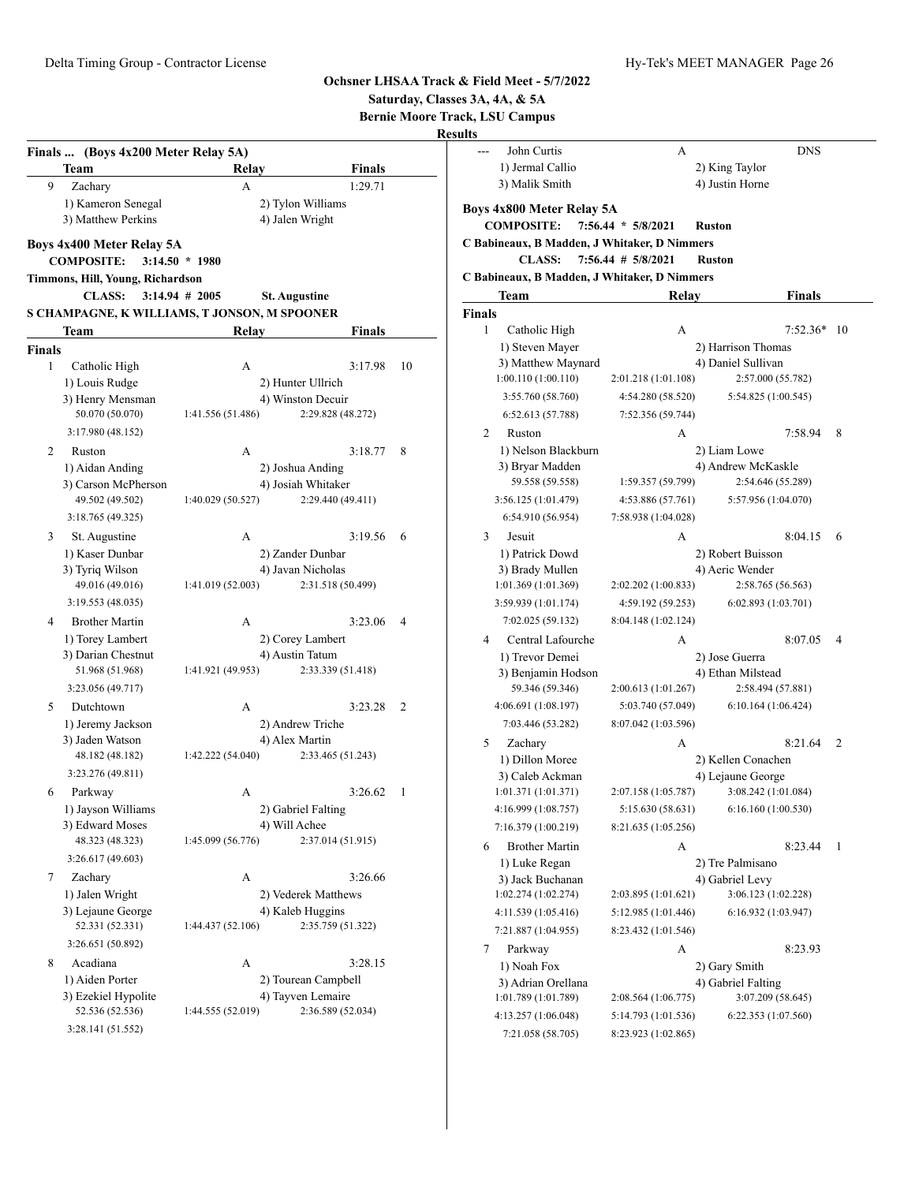| John Curtis<br>A<br>$\overline{a}$<br>Finals  (Boys 4x200 Meter Relay 5A)<br>1) Jermal Callio<br>2) King Taylor<br><b>Team</b><br><b>Finals</b><br>Relay<br>3) Malik Smith<br>4) Justin Horne<br>Zachary<br>1:29.71<br>9<br>A<br>1) Kameron Senegal<br>2) Tylon Williams<br>Boys 4x800 Meter Relay 5A<br>3) Matthew Perkins<br>4) Jalen Wright<br><b>COMPOSITE:</b><br>$7:56.44 * 5/8/2021$<br><b>Ruston</b><br>C Babineaux, B Madden, J Whitaker, D Nimmers<br>Boys 4x400 Meter Relay 5A<br><b>CLASS:</b><br>$7:56.44$ # $5/8/2021$<br><b>Ruston</b><br><b>COMPOSITE:</b><br>$3:14.50 * 1980$<br>C Babineaux, B Madden, J Whitaker, D Nimmers<br>Timmons, Hill, Young, Richardson<br><b>CLASS:</b><br>$3:14.94 \# 2005$<br>Team<br>Relay<br><b>St. Augustine</b><br>S CHAMPAGNE, K WILLIAMS, T JONSON, M SPOONER<br>Finals<br>1<br>Catholic High<br>А<br>Team<br>Relay<br><b>Finals</b><br>1) Steven Mayer<br>2) Harrison Thomas<br><b>Finals</b><br>3) Matthew Maynard<br>4) Daniel Sullivan<br>$\mathbf{1}$<br>3:17.98<br>10<br>Catholic High<br>A<br>1:00.110(1:00.110)<br>2:57.000 (55.782)<br>2:01.218 (1:01.108)<br>2) Hunter Ullrich<br>1) Louis Rudge<br>3:55.760 (58.760)<br>5:54.825 (1:00.545)<br>4:54.280 (58.520)<br>4) Winston Decuir<br>3) Henry Mensman<br>50.070 (50.070)<br>1:41.556 (51.486)<br>2:29.828 (48.272)<br>6:52.613 (57.788)<br>7:52.356 (59.744)<br>3:17.980 (48.152)<br>$\overline{2}$<br>Ruston<br>А<br>1) Nelson Blackburn<br>2) Liam Lowe<br>$\overline{c}$<br>3:18.77<br>-8<br>Ruston<br>A<br>3) Bryar Madden<br>4) Andrew McKaskle<br>1) Aidan Anding<br>2) Joshua Anding<br>59.558 (59.558)<br>1:59.357 (59.799)<br>2:54.646 (55.289)<br>4) Josiah Whitaker<br>3) Carson McPherson<br>49.502 (49.502)<br>1:40.029 (50.527)<br>2:29.440 (49.411)<br>3:56.125 (1:01.479)<br>5:57.956 (1:04.070)<br>4:53.886 (57.761)<br>3:18.765 (49.325)<br>6:54.910 (56.954)<br>7:58.938 (1:04.028)<br>St. Augustine<br>3:19.56<br>3<br>Jesuit<br>3<br>А<br>-6<br>А<br>1) Kaser Dunbar<br>2) Zander Dunbar<br>1) Patrick Dowd<br>2) Robert Buisson<br>4) Javan Nicholas<br>3) Tyriq Wilson<br>3) Brady Mullen<br>4) Aeric Wender<br>49.016 (49.016)<br>1:41.019 (52.003)<br>2:31.518 (50.499)<br>1:01.369 (1:01.369)<br>2:58.765 (56.563)<br>2:02.202 (1:00.833)<br>3:19.553 (48.035)<br>3:59.939 (1:01.174)<br>4:59.192 (59.253)<br>6:02.893(1:03.701)<br>7:02.025 (59.132)<br>8:04.148 (1:02.124)<br><b>Brother Martin</b><br>3:23.06<br>4<br>А<br>-4<br>1) Torey Lambert<br>2) Corey Lambert<br>8:07.05<br>Central Lafourche<br>4<br>А<br>4) Austin Tatum<br>3) Darian Chestnut<br>1) Trevor Demei<br>2) Jose Guerra<br>51.968 (51.968)<br>1:41.921 (49.953)<br>2:33.339 (51.418)<br>3) Benjamin Hodson<br>4) Ethan Milstead<br>3:23.056 (49.717)<br>59.346 (59.346)<br>2:00.613 (1:01.267)<br>2:58.494 (57.881)<br>4:06.691 (1:08.197)<br>Dutchtown<br>3:23.28<br>2<br>5:03.740 (57.049)<br>6:10.164(1:06.424)<br>5<br>А<br>2) Andrew Triche<br>1) Jeremy Jackson<br>7:03.446 (53.282)<br>8:07.042 (1:03.596)<br>3) Jaden Watson<br>4) Alex Martin<br>5<br>Zachary<br>А<br>1:42.222 (54.040)<br>48.182 (48.182)<br>2:33.465 (51.243)<br>1) Dillon Moree<br>2) Kellen Conachen<br>3:23.276 (49.811)<br>3) Caleb Ackman<br>4) Lejaune George<br>3:08.242 (1:01.084)<br>1:01.371 (1:01.371)<br>2:07.158 (1:05.787)<br>Parkway<br>$3:26.62 \quad 1$<br>6<br>A<br>1) Jayson Williams<br>2) Gabriel Falting<br>4:16.999 (1:08.757)<br>6:16.160(1:00.530)<br>5:15.630 (58.631)<br>3) Edward Moses<br>4) Will Achee<br>7:16.379 (1:00.219)<br>8:21.635 (1:05.256)<br>1:45.099 (56.776)<br>48.323 (48.323)<br>2:37.014 (51.915)<br><b>Brother Martin</b><br>$8:23.44$ 1<br>А<br>6<br>3:26.617 (49.603)<br>2) Tre Palmisano<br>1) Luke Regan<br>7<br>Zachary<br>A<br>3:26.66<br>3) Jack Buchanan<br>4) Gabriel Levy<br>1) Jalen Wright<br>2) Vederek Matthews<br>1:02.274 (1:02.274)<br>2:03.895 (1:01.621)<br>3:06.123 (1:02.228)<br>3) Lejaune George<br>4) Kaleb Huggins<br>4:11.539 (1:05.416)<br>5:12.985 (1:01.446)<br>6:16.932 (1:03.947)<br>52.331 (52.331)<br>1:44.437 (52.106)<br>2:35.759 (51.322)<br>7:21.887 (1:04.955)<br>8:23.432 (1:01.546)<br>3:26.651 (50.892)<br>7<br>Parkway<br>А<br>Acadiana<br>8<br>3:28.15<br>A<br>1) Noah Fox<br>2) Gary Smith<br>1) Aiden Porter<br>2) Tourean Campbell<br>3) Adrian Orellana<br>4) Gabriel Falting<br>4) Tayven Lemaire<br>3) Ezekiel Hypolite<br>1:01.789 (1:01.789)<br>3:07.209 (58.645)<br>2:08.564(1:06.775)<br>52.536 (52.536)<br>1:44.555 (52.019)<br>2:36.589 (52.034)<br>4:13.257 (1:06.048)<br>5:14.793 (1:01.536)<br>6:22.353 (1:07.560)<br>3:28.141 (51.552)<br>8:23.923 (1:02.865)<br>7:21.058 (58.705) |  |  | Saturday, Classes 3A, 4A, & 5A<br><b>Bernie Moore Track, LSU Campus</b><br><b>Results</b> |               |                |
|-----------------------------------------------------------------------------------------------------------------------------------------------------------------------------------------------------------------------------------------------------------------------------------------------------------------------------------------------------------------------------------------------------------------------------------------------------------------------------------------------------------------------------------------------------------------------------------------------------------------------------------------------------------------------------------------------------------------------------------------------------------------------------------------------------------------------------------------------------------------------------------------------------------------------------------------------------------------------------------------------------------------------------------------------------------------------------------------------------------------------------------------------------------------------------------------------------------------------------------------------------------------------------------------------------------------------------------------------------------------------------------------------------------------------------------------------------------------------------------------------------------------------------------------------------------------------------------------------------------------------------------------------------------------------------------------------------------------------------------------------------------------------------------------------------------------------------------------------------------------------------------------------------------------------------------------------------------------------------------------------------------------------------------------------------------------------------------------------------------------------------------------------------------------------------------------------------------------------------------------------------------------------------------------------------------------------------------------------------------------------------------------------------------------------------------------------------------------------------------------------------------------------------------------------------------------------------------------------------------------------------------------------------------------------------------------------------------------------------------------------------------------------------------------------------------------------------------------------------------------------------------------------------------------------------------------------------------------------------------------------------------------------------------------------------------------------------------------------------------------------------------------------------------------------------------------------------------------------------------------------------------------------------------------------------------------------------------------------------------------------------------------------------------------------------------------------------------------------------------------------------------------------------------------------------------------------------------------------------------------------------------------------------------------------------------------------------------------------------------------------------------------------------------------------------------------------------------------------------------------------------------------------------------------------------------------------------------------------------------------------------------------------------------------------------------------------------------------------------------------------------------------------------------------------------------------------------------------------------------------------------------------------------------------------------------------------------------------------------------------------------------------------------------------------------------------------------------------------------------------------------------------------------------------------------------------------------------------------------------------------------------------------------------------------------------------------|--|--|-------------------------------------------------------------------------------------------|---------------|----------------|
|                                                                                                                                                                                                                                                                                                                                                                                                                                                                                                                                                                                                                                                                                                                                                                                                                                                                                                                                                                                                                                                                                                                                                                                                                                                                                                                                                                                                                                                                                                                                                                                                                                                                                                                                                                                                                                                                                                                                                                                                                                                                                                                                                                                                                                                                                                                                                                                                                                                                                                                                                                                                                                                                                                                                                                                                                                                                                                                                                                                                                                                                                                                                                                                                                                                                                                                                                                                                                                                                                                                                                                                                                                                                                                                                                                                                                                                                                                                                                                                                                                                                                                                                                                                                                                                                                                                                                                                                                                                                                                                                                                                                                                                                                               |  |  |                                                                                           | <b>DNS</b>    |                |
|                                                                                                                                                                                                                                                                                                                                                                                                                                                                                                                                                                                                                                                                                                                                                                                                                                                                                                                                                                                                                                                                                                                                                                                                                                                                                                                                                                                                                                                                                                                                                                                                                                                                                                                                                                                                                                                                                                                                                                                                                                                                                                                                                                                                                                                                                                                                                                                                                                                                                                                                                                                                                                                                                                                                                                                                                                                                                                                                                                                                                                                                                                                                                                                                                                                                                                                                                                                                                                                                                                                                                                                                                                                                                                                                                                                                                                                                                                                                                                                                                                                                                                                                                                                                                                                                                                                                                                                                                                                                                                                                                                                                                                                                                               |  |  |                                                                                           |               |                |
|                                                                                                                                                                                                                                                                                                                                                                                                                                                                                                                                                                                                                                                                                                                                                                                                                                                                                                                                                                                                                                                                                                                                                                                                                                                                                                                                                                                                                                                                                                                                                                                                                                                                                                                                                                                                                                                                                                                                                                                                                                                                                                                                                                                                                                                                                                                                                                                                                                                                                                                                                                                                                                                                                                                                                                                                                                                                                                                                                                                                                                                                                                                                                                                                                                                                                                                                                                                                                                                                                                                                                                                                                                                                                                                                                                                                                                                                                                                                                                                                                                                                                                                                                                                                                                                                                                                                                                                                                                                                                                                                                                                                                                                                                               |  |  |                                                                                           |               |                |
|                                                                                                                                                                                                                                                                                                                                                                                                                                                                                                                                                                                                                                                                                                                                                                                                                                                                                                                                                                                                                                                                                                                                                                                                                                                                                                                                                                                                                                                                                                                                                                                                                                                                                                                                                                                                                                                                                                                                                                                                                                                                                                                                                                                                                                                                                                                                                                                                                                                                                                                                                                                                                                                                                                                                                                                                                                                                                                                                                                                                                                                                                                                                                                                                                                                                                                                                                                                                                                                                                                                                                                                                                                                                                                                                                                                                                                                                                                                                                                                                                                                                                                                                                                                                                                                                                                                                                                                                                                                                                                                                                                                                                                                                                               |  |  |                                                                                           |               |                |
|                                                                                                                                                                                                                                                                                                                                                                                                                                                                                                                                                                                                                                                                                                                                                                                                                                                                                                                                                                                                                                                                                                                                                                                                                                                                                                                                                                                                                                                                                                                                                                                                                                                                                                                                                                                                                                                                                                                                                                                                                                                                                                                                                                                                                                                                                                                                                                                                                                                                                                                                                                                                                                                                                                                                                                                                                                                                                                                                                                                                                                                                                                                                                                                                                                                                                                                                                                                                                                                                                                                                                                                                                                                                                                                                                                                                                                                                                                                                                                                                                                                                                                                                                                                                                                                                                                                                                                                                                                                                                                                                                                                                                                                                                               |  |  |                                                                                           |               |                |
|                                                                                                                                                                                                                                                                                                                                                                                                                                                                                                                                                                                                                                                                                                                                                                                                                                                                                                                                                                                                                                                                                                                                                                                                                                                                                                                                                                                                                                                                                                                                                                                                                                                                                                                                                                                                                                                                                                                                                                                                                                                                                                                                                                                                                                                                                                                                                                                                                                                                                                                                                                                                                                                                                                                                                                                                                                                                                                                                                                                                                                                                                                                                                                                                                                                                                                                                                                                                                                                                                                                                                                                                                                                                                                                                                                                                                                                                                                                                                                                                                                                                                                                                                                                                                                                                                                                                                                                                                                                                                                                                                                                                                                                                                               |  |  |                                                                                           |               |                |
|                                                                                                                                                                                                                                                                                                                                                                                                                                                                                                                                                                                                                                                                                                                                                                                                                                                                                                                                                                                                                                                                                                                                                                                                                                                                                                                                                                                                                                                                                                                                                                                                                                                                                                                                                                                                                                                                                                                                                                                                                                                                                                                                                                                                                                                                                                                                                                                                                                                                                                                                                                                                                                                                                                                                                                                                                                                                                                                                                                                                                                                                                                                                                                                                                                                                                                                                                                                                                                                                                                                                                                                                                                                                                                                                                                                                                                                                                                                                                                                                                                                                                                                                                                                                                                                                                                                                                                                                                                                                                                                                                                                                                                                                                               |  |  |                                                                                           |               |                |
|                                                                                                                                                                                                                                                                                                                                                                                                                                                                                                                                                                                                                                                                                                                                                                                                                                                                                                                                                                                                                                                                                                                                                                                                                                                                                                                                                                                                                                                                                                                                                                                                                                                                                                                                                                                                                                                                                                                                                                                                                                                                                                                                                                                                                                                                                                                                                                                                                                                                                                                                                                                                                                                                                                                                                                                                                                                                                                                                                                                                                                                                                                                                                                                                                                                                                                                                                                                                                                                                                                                                                                                                                                                                                                                                                                                                                                                                                                                                                                                                                                                                                                                                                                                                                                                                                                                                                                                                                                                                                                                                                                                                                                                                                               |  |  |                                                                                           |               |                |
|                                                                                                                                                                                                                                                                                                                                                                                                                                                                                                                                                                                                                                                                                                                                                                                                                                                                                                                                                                                                                                                                                                                                                                                                                                                                                                                                                                                                                                                                                                                                                                                                                                                                                                                                                                                                                                                                                                                                                                                                                                                                                                                                                                                                                                                                                                                                                                                                                                                                                                                                                                                                                                                                                                                                                                                                                                                                                                                                                                                                                                                                                                                                                                                                                                                                                                                                                                                                                                                                                                                                                                                                                                                                                                                                                                                                                                                                                                                                                                                                                                                                                                                                                                                                                                                                                                                                                                                                                                                                                                                                                                                                                                                                                               |  |  |                                                                                           | <b>Finals</b> |                |
|                                                                                                                                                                                                                                                                                                                                                                                                                                                                                                                                                                                                                                                                                                                                                                                                                                                                                                                                                                                                                                                                                                                                                                                                                                                                                                                                                                                                                                                                                                                                                                                                                                                                                                                                                                                                                                                                                                                                                                                                                                                                                                                                                                                                                                                                                                                                                                                                                                                                                                                                                                                                                                                                                                                                                                                                                                                                                                                                                                                                                                                                                                                                                                                                                                                                                                                                                                                                                                                                                                                                                                                                                                                                                                                                                                                                                                                                                                                                                                                                                                                                                                                                                                                                                                                                                                                                                                                                                                                                                                                                                                                                                                                                                               |  |  |                                                                                           |               |                |
|                                                                                                                                                                                                                                                                                                                                                                                                                                                                                                                                                                                                                                                                                                                                                                                                                                                                                                                                                                                                                                                                                                                                                                                                                                                                                                                                                                                                                                                                                                                                                                                                                                                                                                                                                                                                                                                                                                                                                                                                                                                                                                                                                                                                                                                                                                                                                                                                                                                                                                                                                                                                                                                                                                                                                                                                                                                                                                                                                                                                                                                                                                                                                                                                                                                                                                                                                                                                                                                                                                                                                                                                                                                                                                                                                                                                                                                                                                                                                                                                                                                                                                                                                                                                                                                                                                                                                                                                                                                                                                                                                                                                                                                                                               |  |  |                                                                                           | $7:52.36*$ 10 |                |
|                                                                                                                                                                                                                                                                                                                                                                                                                                                                                                                                                                                                                                                                                                                                                                                                                                                                                                                                                                                                                                                                                                                                                                                                                                                                                                                                                                                                                                                                                                                                                                                                                                                                                                                                                                                                                                                                                                                                                                                                                                                                                                                                                                                                                                                                                                                                                                                                                                                                                                                                                                                                                                                                                                                                                                                                                                                                                                                                                                                                                                                                                                                                                                                                                                                                                                                                                                                                                                                                                                                                                                                                                                                                                                                                                                                                                                                                                                                                                                                                                                                                                                                                                                                                                                                                                                                                                                                                                                                                                                                                                                                                                                                                                               |  |  |                                                                                           |               |                |
|                                                                                                                                                                                                                                                                                                                                                                                                                                                                                                                                                                                                                                                                                                                                                                                                                                                                                                                                                                                                                                                                                                                                                                                                                                                                                                                                                                                                                                                                                                                                                                                                                                                                                                                                                                                                                                                                                                                                                                                                                                                                                                                                                                                                                                                                                                                                                                                                                                                                                                                                                                                                                                                                                                                                                                                                                                                                                                                                                                                                                                                                                                                                                                                                                                                                                                                                                                                                                                                                                                                                                                                                                                                                                                                                                                                                                                                                                                                                                                                                                                                                                                                                                                                                                                                                                                                                                                                                                                                                                                                                                                                                                                                                                               |  |  |                                                                                           |               |                |
|                                                                                                                                                                                                                                                                                                                                                                                                                                                                                                                                                                                                                                                                                                                                                                                                                                                                                                                                                                                                                                                                                                                                                                                                                                                                                                                                                                                                                                                                                                                                                                                                                                                                                                                                                                                                                                                                                                                                                                                                                                                                                                                                                                                                                                                                                                                                                                                                                                                                                                                                                                                                                                                                                                                                                                                                                                                                                                                                                                                                                                                                                                                                                                                                                                                                                                                                                                                                                                                                                                                                                                                                                                                                                                                                                                                                                                                                                                                                                                                                                                                                                                                                                                                                                                                                                                                                                                                                                                                                                                                                                                                                                                                                                               |  |  |                                                                                           |               |                |
|                                                                                                                                                                                                                                                                                                                                                                                                                                                                                                                                                                                                                                                                                                                                                                                                                                                                                                                                                                                                                                                                                                                                                                                                                                                                                                                                                                                                                                                                                                                                                                                                                                                                                                                                                                                                                                                                                                                                                                                                                                                                                                                                                                                                                                                                                                                                                                                                                                                                                                                                                                                                                                                                                                                                                                                                                                                                                                                                                                                                                                                                                                                                                                                                                                                                                                                                                                                                                                                                                                                                                                                                                                                                                                                                                                                                                                                                                                                                                                                                                                                                                                                                                                                                                                                                                                                                                                                                                                                                                                                                                                                                                                                                                               |  |  |                                                                                           |               |                |
|                                                                                                                                                                                                                                                                                                                                                                                                                                                                                                                                                                                                                                                                                                                                                                                                                                                                                                                                                                                                                                                                                                                                                                                                                                                                                                                                                                                                                                                                                                                                                                                                                                                                                                                                                                                                                                                                                                                                                                                                                                                                                                                                                                                                                                                                                                                                                                                                                                                                                                                                                                                                                                                                                                                                                                                                                                                                                                                                                                                                                                                                                                                                                                                                                                                                                                                                                                                                                                                                                                                                                                                                                                                                                                                                                                                                                                                                                                                                                                                                                                                                                                                                                                                                                                                                                                                                                                                                                                                                                                                                                                                                                                                                                               |  |  |                                                                                           | 7:58.94       | - 8            |
|                                                                                                                                                                                                                                                                                                                                                                                                                                                                                                                                                                                                                                                                                                                                                                                                                                                                                                                                                                                                                                                                                                                                                                                                                                                                                                                                                                                                                                                                                                                                                                                                                                                                                                                                                                                                                                                                                                                                                                                                                                                                                                                                                                                                                                                                                                                                                                                                                                                                                                                                                                                                                                                                                                                                                                                                                                                                                                                                                                                                                                                                                                                                                                                                                                                                                                                                                                                                                                                                                                                                                                                                                                                                                                                                                                                                                                                                                                                                                                                                                                                                                                                                                                                                                                                                                                                                                                                                                                                                                                                                                                                                                                                                                               |  |  |                                                                                           |               |                |
|                                                                                                                                                                                                                                                                                                                                                                                                                                                                                                                                                                                                                                                                                                                                                                                                                                                                                                                                                                                                                                                                                                                                                                                                                                                                                                                                                                                                                                                                                                                                                                                                                                                                                                                                                                                                                                                                                                                                                                                                                                                                                                                                                                                                                                                                                                                                                                                                                                                                                                                                                                                                                                                                                                                                                                                                                                                                                                                                                                                                                                                                                                                                                                                                                                                                                                                                                                                                                                                                                                                                                                                                                                                                                                                                                                                                                                                                                                                                                                                                                                                                                                                                                                                                                                                                                                                                                                                                                                                                                                                                                                                                                                                                                               |  |  |                                                                                           |               |                |
|                                                                                                                                                                                                                                                                                                                                                                                                                                                                                                                                                                                                                                                                                                                                                                                                                                                                                                                                                                                                                                                                                                                                                                                                                                                                                                                                                                                                                                                                                                                                                                                                                                                                                                                                                                                                                                                                                                                                                                                                                                                                                                                                                                                                                                                                                                                                                                                                                                                                                                                                                                                                                                                                                                                                                                                                                                                                                                                                                                                                                                                                                                                                                                                                                                                                                                                                                                                                                                                                                                                                                                                                                                                                                                                                                                                                                                                                                                                                                                                                                                                                                                                                                                                                                                                                                                                                                                                                                                                                                                                                                                                                                                                                                               |  |  |                                                                                           |               |                |
|                                                                                                                                                                                                                                                                                                                                                                                                                                                                                                                                                                                                                                                                                                                                                                                                                                                                                                                                                                                                                                                                                                                                                                                                                                                                                                                                                                                                                                                                                                                                                                                                                                                                                                                                                                                                                                                                                                                                                                                                                                                                                                                                                                                                                                                                                                                                                                                                                                                                                                                                                                                                                                                                                                                                                                                                                                                                                                                                                                                                                                                                                                                                                                                                                                                                                                                                                                                                                                                                                                                                                                                                                                                                                                                                                                                                                                                                                                                                                                                                                                                                                                                                                                                                                                                                                                                                                                                                                                                                                                                                                                                                                                                                                               |  |  |                                                                                           |               |                |
|                                                                                                                                                                                                                                                                                                                                                                                                                                                                                                                                                                                                                                                                                                                                                                                                                                                                                                                                                                                                                                                                                                                                                                                                                                                                                                                                                                                                                                                                                                                                                                                                                                                                                                                                                                                                                                                                                                                                                                                                                                                                                                                                                                                                                                                                                                                                                                                                                                                                                                                                                                                                                                                                                                                                                                                                                                                                                                                                                                                                                                                                                                                                                                                                                                                                                                                                                                                                                                                                                                                                                                                                                                                                                                                                                                                                                                                                                                                                                                                                                                                                                                                                                                                                                                                                                                                                                                                                                                                                                                                                                                                                                                                                                               |  |  |                                                                                           |               |                |
|                                                                                                                                                                                                                                                                                                                                                                                                                                                                                                                                                                                                                                                                                                                                                                                                                                                                                                                                                                                                                                                                                                                                                                                                                                                                                                                                                                                                                                                                                                                                                                                                                                                                                                                                                                                                                                                                                                                                                                                                                                                                                                                                                                                                                                                                                                                                                                                                                                                                                                                                                                                                                                                                                                                                                                                                                                                                                                                                                                                                                                                                                                                                                                                                                                                                                                                                                                                                                                                                                                                                                                                                                                                                                                                                                                                                                                                                                                                                                                                                                                                                                                                                                                                                                                                                                                                                                                                                                                                                                                                                                                                                                                                                                               |  |  |                                                                                           | 8:04.15       | - 6            |
|                                                                                                                                                                                                                                                                                                                                                                                                                                                                                                                                                                                                                                                                                                                                                                                                                                                                                                                                                                                                                                                                                                                                                                                                                                                                                                                                                                                                                                                                                                                                                                                                                                                                                                                                                                                                                                                                                                                                                                                                                                                                                                                                                                                                                                                                                                                                                                                                                                                                                                                                                                                                                                                                                                                                                                                                                                                                                                                                                                                                                                                                                                                                                                                                                                                                                                                                                                                                                                                                                                                                                                                                                                                                                                                                                                                                                                                                                                                                                                                                                                                                                                                                                                                                                                                                                                                                                                                                                                                                                                                                                                                                                                                                                               |  |  |                                                                                           |               |                |
|                                                                                                                                                                                                                                                                                                                                                                                                                                                                                                                                                                                                                                                                                                                                                                                                                                                                                                                                                                                                                                                                                                                                                                                                                                                                                                                                                                                                                                                                                                                                                                                                                                                                                                                                                                                                                                                                                                                                                                                                                                                                                                                                                                                                                                                                                                                                                                                                                                                                                                                                                                                                                                                                                                                                                                                                                                                                                                                                                                                                                                                                                                                                                                                                                                                                                                                                                                                                                                                                                                                                                                                                                                                                                                                                                                                                                                                                                                                                                                                                                                                                                                                                                                                                                                                                                                                                                                                                                                                                                                                                                                                                                                                                                               |  |  |                                                                                           |               |                |
|                                                                                                                                                                                                                                                                                                                                                                                                                                                                                                                                                                                                                                                                                                                                                                                                                                                                                                                                                                                                                                                                                                                                                                                                                                                                                                                                                                                                                                                                                                                                                                                                                                                                                                                                                                                                                                                                                                                                                                                                                                                                                                                                                                                                                                                                                                                                                                                                                                                                                                                                                                                                                                                                                                                                                                                                                                                                                                                                                                                                                                                                                                                                                                                                                                                                                                                                                                                                                                                                                                                                                                                                                                                                                                                                                                                                                                                                                                                                                                                                                                                                                                                                                                                                                                                                                                                                                                                                                                                                                                                                                                                                                                                                                               |  |  |                                                                                           |               |                |
|                                                                                                                                                                                                                                                                                                                                                                                                                                                                                                                                                                                                                                                                                                                                                                                                                                                                                                                                                                                                                                                                                                                                                                                                                                                                                                                                                                                                                                                                                                                                                                                                                                                                                                                                                                                                                                                                                                                                                                                                                                                                                                                                                                                                                                                                                                                                                                                                                                                                                                                                                                                                                                                                                                                                                                                                                                                                                                                                                                                                                                                                                                                                                                                                                                                                                                                                                                                                                                                                                                                                                                                                                                                                                                                                                                                                                                                                                                                                                                                                                                                                                                                                                                                                                                                                                                                                                                                                                                                                                                                                                                                                                                                                                               |  |  |                                                                                           |               |                |
|                                                                                                                                                                                                                                                                                                                                                                                                                                                                                                                                                                                                                                                                                                                                                                                                                                                                                                                                                                                                                                                                                                                                                                                                                                                                                                                                                                                                                                                                                                                                                                                                                                                                                                                                                                                                                                                                                                                                                                                                                                                                                                                                                                                                                                                                                                                                                                                                                                                                                                                                                                                                                                                                                                                                                                                                                                                                                                                                                                                                                                                                                                                                                                                                                                                                                                                                                                                                                                                                                                                                                                                                                                                                                                                                                                                                                                                                                                                                                                                                                                                                                                                                                                                                                                                                                                                                                                                                                                                                                                                                                                                                                                                                                               |  |  |                                                                                           |               | $\overline{4}$ |
|                                                                                                                                                                                                                                                                                                                                                                                                                                                                                                                                                                                                                                                                                                                                                                                                                                                                                                                                                                                                                                                                                                                                                                                                                                                                                                                                                                                                                                                                                                                                                                                                                                                                                                                                                                                                                                                                                                                                                                                                                                                                                                                                                                                                                                                                                                                                                                                                                                                                                                                                                                                                                                                                                                                                                                                                                                                                                                                                                                                                                                                                                                                                                                                                                                                                                                                                                                                                                                                                                                                                                                                                                                                                                                                                                                                                                                                                                                                                                                                                                                                                                                                                                                                                                                                                                                                                                                                                                                                                                                                                                                                                                                                                                               |  |  |                                                                                           |               |                |
|                                                                                                                                                                                                                                                                                                                                                                                                                                                                                                                                                                                                                                                                                                                                                                                                                                                                                                                                                                                                                                                                                                                                                                                                                                                                                                                                                                                                                                                                                                                                                                                                                                                                                                                                                                                                                                                                                                                                                                                                                                                                                                                                                                                                                                                                                                                                                                                                                                                                                                                                                                                                                                                                                                                                                                                                                                                                                                                                                                                                                                                                                                                                                                                                                                                                                                                                                                                                                                                                                                                                                                                                                                                                                                                                                                                                                                                                                                                                                                                                                                                                                                                                                                                                                                                                                                                                                                                                                                                                                                                                                                                                                                                                                               |  |  |                                                                                           |               |                |
|                                                                                                                                                                                                                                                                                                                                                                                                                                                                                                                                                                                                                                                                                                                                                                                                                                                                                                                                                                                                                                                                                                                                                                                                                                                                                                                                                                                                                                                                                                                                                                                                                                                                                                                                                                                                                                                                                                                                                                                                                                                                                                                                                                                                                                                                                                                                                                                                                                                                                                                                                                                                                                                                                                                                                                                                                                                                                                                                                                                                                                                                                                                                                                                                                                                                                                                                                                                                                                                                                                                                                                                                                                                                                                                                                                                                                                                                                                                                                                                                                                                                                                                                                                                                                                                                                                                                                                                                                                                                                                                                                                                                                                                                                               |  |  |                                                                                           |               |                |
|                                                                                                                                                                                                                                                                                                                                                                                                                                                                                                                                                                                                                                                                                                                                                                                                                                                                                                                                                                                                                                                                                                                                                                                                                                                                                                                                                                                                                                                                                                                                                                                                                                                                                                                                                                                                                                                                                                                                                                                                                                                                                                                                                                                                                                                                                                                                                                                                                                                                                                                                                                                                                                                                                                                                                                                                                                                                                                                                                                                                                                                                                                                                                                                                                                                                                                                                                                                                                                                                                                                                                                                                                                                                                                                                                                                                                                                                                                                                                                                                                                                                                                                                                                                                                                                                                                                                                                                                                                                                                                                                                                                                                                                                                               |  |  |                                                                                           |               |                |
|                                                                                                                                                                                                                                                                                                                                                                                                                                                                                                                                                                                                                                                                                                                                                                                                                                                                                                                                                                                                                                                                                                                                                                                                                                                                                                                                                                                                                                                                                                                                                                                                                                                                                                                                                                                                                                                                                                                                                                                                                                                                                                                                                                                                                                                                                                                                                                                                                                                                                                                                                                                                                                                                                                                                                                                                                                                                                                                                                                                                                                                                                                                                                                                                                                                                                                                                                                                                                                                                                                                                                                                                                                                                                                                                                                                                                                                                                                                                                                                                                                                                                                                                                                                                                                                                                                                                                                                                                                                                                                                                                                                                                                                                                               |  |  |                                                                                           |               |                |
|                                                                                                                                                                                                                                                                                                                                                                                                                                                                                                                                                                                                                                                                                                                                                                                                                                                                                                                                                                                                                                                                                                                                                                                                                                                                                                                                                                                                                                                                                                                                                                                                                                                                                                                                                                                                                                                                                                                                                                                                                                                                                                                                                                                                                                                                                                                                                                                                                                                                                                                                                                                                                                                                                                                                                                                                                                                                                                                                                                                                                                                                                                                                                                                                                                                                                                                                                                                                                                                                                                                                                                                                                                                                                                                                                                                                                                                                                                                                                                                                                                                                                                                                                                                                                                                                                                                                                                                                                                                                                                                                                                                                                                                                                               |  |  |                                                                                           | 8:21.64       | $\overline{2}$ |
|                                                                                                                                                                                                                                                                                                                                                                                                                                                                                                                                                                                                                                                                                                                                                                                                                                                                                                                                                                                                                                                                                                                                                                                                                                                                                                                                                                                                                                                                                                                                                                                                                                                                                                                                                                                                                                                                                                                                                                                                                                                                                                                                                                                                                                                                                                                                                                                                                                                                                                                                                                                                                                                                                                                                                                                                                                                                                                                                                                                                                                                                                                                                                                                                                                                                                                                                                                                                                                                                                                                                                                                                                                                                                                                                                                                                                                                                                                                                                                                                                                                                                                                                                                                                                                                                                                                                                                                                                                                                                                                                                                                                                                                                                               |  |  |                                                                                           |               |                |
|                                                                                                                                                                                                                                                                                                                                                                                                                                                                                                                                                                                                                                                                                                                                                                                                                                                                                                                                                                                                                                                                                                                                                                                                                                                                                                                                                                                                                                                                                                                                                                                                                                                                                                                                                                                                                                                                                                                                                                                                                                                                                                                                                                                                                                                                                                                                                                                                                                                                                                                                                                                                                                                                                                                                                                                                                                                                                                                                                                                                                                                                                                                                                                                                                                                                                                                                                                                                                                                                                                                                                                                                                                                                                                                                                                                                                                                                                                                                                                                                                                                                                                                                                                                                                                                                                                                                                                                                                                                                                                                                                                                                                                                                                               |  |  |                                                                                           |               |                |
|                                                                                                                                                                                                                                                                                                                                                                                                                                                                                                                                                                                                                                                                                                                                                                                                                                                                                                                                                                                                                                                                                                                                                                                                                                                                                                                                                                                                                                                                                                                                                                                                                                                                                                                                                                                                                                                                                                                                                                                                                                                                                                                                                                                                                                                                                                                                                                                                                                                                                                                                                                                                                                                                                                                                                                                                                                                                                                                                                                                                                                                                                                                                                                                                                                                                                                                                                                                                                                                                                                                                                                                                                                                                                                                                                                                                                                                                                                                                                                                                                                                                                                                                                                                                                                                                                                                                                                                                                                                                                                                                                                                                                                                                                               |  |  |                                                                                           |               |                |
|                                                                                                                                                                                                                                                                                                                                                                                                                                                                                                                                                                                                                                                                                                                                                                                                                                                                                                                                                                                                                                                                                                                                                                                                                                                                                                                                                                                                                                                                                                                                                                                                                                                                                                                                                                                                                                                                                                                                                                                                                                                                                                                                                                                                                                                                                                                                                                                                                                                                                                                                                                                                                                                                                                                                                                                                                                                                                                                                                                                                                                                                                                                                                                                                                                                                                                                                                                                                                                                                                                                                                                                                                                                                                                                                                                                                                                                                                                                                                                                                                                                                                                                                                                                                                                                                                                                                                                                                                                                                                                                                                                                                                                                                                               |  |  |                                                                                           |               |                |
|                                                                                                                                                                                                                                                                                                                                                                                                                                                                                                                                                                                                                                                                                                                                                                                                                                                                                                                                                                                                                                                                                                                                                                                                                                                                                                                                                                                                                                                                                                                                                                                                                                                                                                                                                                                                                                                                                                                                                                                                                                                                                                                                                                                                                                                                                                                                                                                                                                                                                                                                                                                                                                                                                                                                                                                                                                                                                                                                                                                                                                                                                                                                                                                                                                                                                                                                                                                                                                                                                                                                                                                                                                                                                                                                                                                                                                                                                                                                                                                                                                                                                                                                                                                                                                                                                                                                                                                                                                                                                                                                                                                                                                                                                               |  |  |                                                                                           |               |                |
|                                                                                                                                                                                                                                                                                                                                                                                                                                                                                                                                                                                                                                                                                                                                                                                                                                                                                                                                                                                                                                                                                                                                                                                                                                                                                                                                                                                                                                                                                                                                                                                                                                                                                                                                                                                                                                                                                                                                                                                                                                                                                                                                                                                                                                                                                                                                                                                                                                                                                                                                                                                                                                                                                                                                                                                                                                                                                                                                                                                                                                                                                                                                                                                                                                                                                                                                                                                                                                                                                                                                                                                                                                                                                                                                                                                                                                                                                                                                                                                                                                                                                                                                                                                                                                                                                                                                                                                                                                                                                                                                                                                                                                                                                               |  |  |                                                                                           |               |                |
|                                                                                                                                                                                                                                                                                                                                                                                                                                                                                                                                                                                                                                                                                                                                                                                                                                                                                                                                                                                                                                                                                                                                                                                                                                                                                                                                                                                                                                                                                                                                                                                                                                                                                                                                                                                                                                                                                                                                                                                                                                                                                                                                                                                                                                                                                                                                                                                                                                                                                                                                                                                                                                                                                                                                                                                                                                                                                                                                                                                                                                                                                                                                                                                                                                                                                                                                                                                                                                                                                                                                                                                                                                                                                                                                                                                                                                                                                                                                                                                                                                                                                                                                                                                                                                                                                                                                                                                                                                                                                                                                                                                                                                                                                               |  |  |                                                                                           |               |                |
|                                                                                                                                                                                                                                                                                                                                                                                                                                                                                                                                                                                                                                                                                                                                                                                                                                                                                                                                                                                                                                                                                                                                                                                                                                                                                                                                                                                                                                                                                                                                                                                                                                                                                                                                                                                                                                                                                                                                                                                                                                                                                                                                                                                                                                                                                                                                                                                                                                                                                                                                                                                                                                                                                                                                                                                                                                                                                                                                                                                                                                                                                                                                                                                                                                                                                                                                                                                                                                                                                                                                                                                                                                                                                                                                                                                                                                                                                                                                                                                                                                                                                                                                                                                                                                                                                                                                                                                                                                                                                                                                                                                                                                                                                               |  |  |                                                                                           |               |                |
|                                                                                                                                                                                                                                                                                                                                                                                                                                                                                                                                                                                                                                                                                                                                                                                                                                                                                                                                                                                                                                                                                                                                                                                                                                                                                                                                                                                                                                                                                                                                                                                                                                                                                                                                                                                                                                                                                                                                                                                                                                                                                                                                                                                                                                                                                                                                                                                                                                                                                                                                                                                                                                                                                                                                                                                                                                                                                                                                                                                                                                                                                                                                                                                                                                                                                                                                                                                                                                                                                                                                                                                                                                                                                                                                                                                                                                                                                                                                                                                                                                                                                                                                                                                                                                                                                                                                                                                                                                                                                                                                                                                                                                                                                               |  |  |                                                                                           |               |                |
|                                                                                                                                                                                                                                                                                                                                                                                                                                                                                                                                                                                                                                                                                                                                                                                                                                                                                                                                                                                                                                                                                                                                                                                                                                                                                                                                                                                                                                                                                                                                                                                                                                                                                                                                                                                                                                                                                                                                                                                                                                                                                                                                                                                                                                                                                                                                                                                                                                                                                                                                                                                                                                                                                                                                                                                                                                                                                                                                                                                                                                                                                                                                                                                                                                                                                                                                                                                                                                                                                                                                                                                                                                                                                                                                                                                                                                                                                                                                                                                                                                                                                                                                                                                                                                                                                                                                                                                                                                                                                                                                                                                                                                                                                               |  |  |                                                                                           |               |                |
|                                                                                                                                                                                                                                                                                                                                                                                                                                                                                                                                                                                                                                                                                                                                                                                                                                                                                                                                                                                                                                                                                                                                                                                                                                                                                                                                                                                                                                                                                                                                                                                                                                                                                                                                                                                                                                                                                                                                                                                                                                                                                                                                                                                                                                                                                                                                                                                                                                                                                                                                                                                                                                                                                                                                                                                                                                                                                                                                                                                                                                                                                                                                                                                                                                                                                                                                                                                                                                                                                                                                                                                                                                                                                                                                                                                                                                                                                                                                                                                                                                                                                                                                                                                                                                                                                                                                                                                                                                                                                                                                                                                                                                                                                               |  |  |                                                                                           | 8:23.93       |                |
|                                                                                                                                                                                                                                                                                                                                                                                                                                                                                                                                                                                                                                                                                                                                                                                                                                                                                                                                                                                                                                                                                                                                                                                                                                                                                                                                                                                                                                                                                                                                                                                                                                                                                                                                                                                                                                                                                                                                                                                                                                                                                                                                                                                                                                                                                                                                                                                                                                                                                                                                                                                                                                                                                                                                                                                                                                                                                                                                                                                                                                                                                                                                                                                                                                                                                                                                                                                                                                                                                                                                                                                                                                                                                                                                                                                                                                                                                                                                                                                                                                                                                                                                                                                                                                                                                                                                                                                                                                                                                                                                                                                                                                                                                               |  |  |                                                                                           |               |                |
|                                                                                                                                                                                                                                                                                                                                                                                                                                                                                                                                                                                                                                                                                                                                                                                                                                                                                                                                                                                                                                                                                                                                                                                                                                                                                                                                                                                                                                                                                                                                                                                                                                                                                                                                                                                                                                                                                                                                                                                                                                                                                                                                                                                                                                                                                                                                                                                                                                                                                                                                                                                                                                                                                                                                                                                                                                                                                                                                                                                                                                                                                                                                                                                                                                                                                                                                                                                                                                                                                                                                                                                                                                                                                                                                                                                                                                                                                                                                                                                                                                                                                                                                                                                                                                                                                                                                                                                                                                                                                                                                                                                                                                                                                               |  |  |                                                                                           |               |                |
|                                                                                                                                                                                                                                                                                                                                                                                                                                                                                                                                                                                                                                                                                                                                                                                                                                                                                                                                                                                                                                                                                                                                                                                                                                                                                                                                                                                                                                                                                                                                                                                                                                                                                                                                                                                                                                                                                                                                                                                                                                                                                                                                                                                                                                                                                                                                                                                                                                                                                                                                                                                                                                                                                                                                                                                                                                                                                                                                                                                                                                                                                                                                                                                                                                                                                                                                                                                                                                                                                                                                                                                                                                                                                                                                                                                                                                                                                                                                                                                                                                                                                                                                                                                                                                                                                                                                                                                                                                                                                                                                                                                                                                                                                               |  |  |                                                                                           |               |                |
|                                                                                                                                                                                                                                                                                                                                                                                                                                                                                                                                                                                                                                                                                                                                                                                                                                                                                                                                                                                                                                                                                                                                                                                                                                                                                                                                                                                                                                                                                                                                                                                                                                                                                                                                                                                                                                                                                                                                                                                                                                                                                                                                                                                                                                                                                                                                                                                                                                                                                                                                                                                                                                                                                                                                                                                                                                                                                                                                                                                                                                                                                                                                                                                                                                                                                                                                                                                                                                                                                                                                                                                                                                                                                                                                                                                                                                                                                                                                                                                                                                                                                                                                                                                                                                                                                                                                                                                                                                                                                                                                                                                                                                                                                               |  |  |                                                                                           |               |                |
|                                                                                                                                                                                                                                                                                                                                                                                                                                                                                                                                                                                                                                                                                                                                                                                                                                                                                                                                                                                                                                                                                                                                                                                                                                                                                                                                                                                                                                                                                                                                                                                                                                                                                                                                                                                                                                                                                                                                                                                                                                                                                                                                                                                                                                                                                                                                                                                                                                                                                                                                                                                                                                                                                                                                                                                                                                                                                                                                                                                                                                                                                                                                                                                                                                                                                                                                                                                                                                                                                                                                                                                                                                                                                                                                                                                                                                                                                                                                                                                                                                                                                                                                                                                                                                                                                                                                                                                                                                                                                                                                                                                                                                                                                               |  |  |                                                                                           |               |                |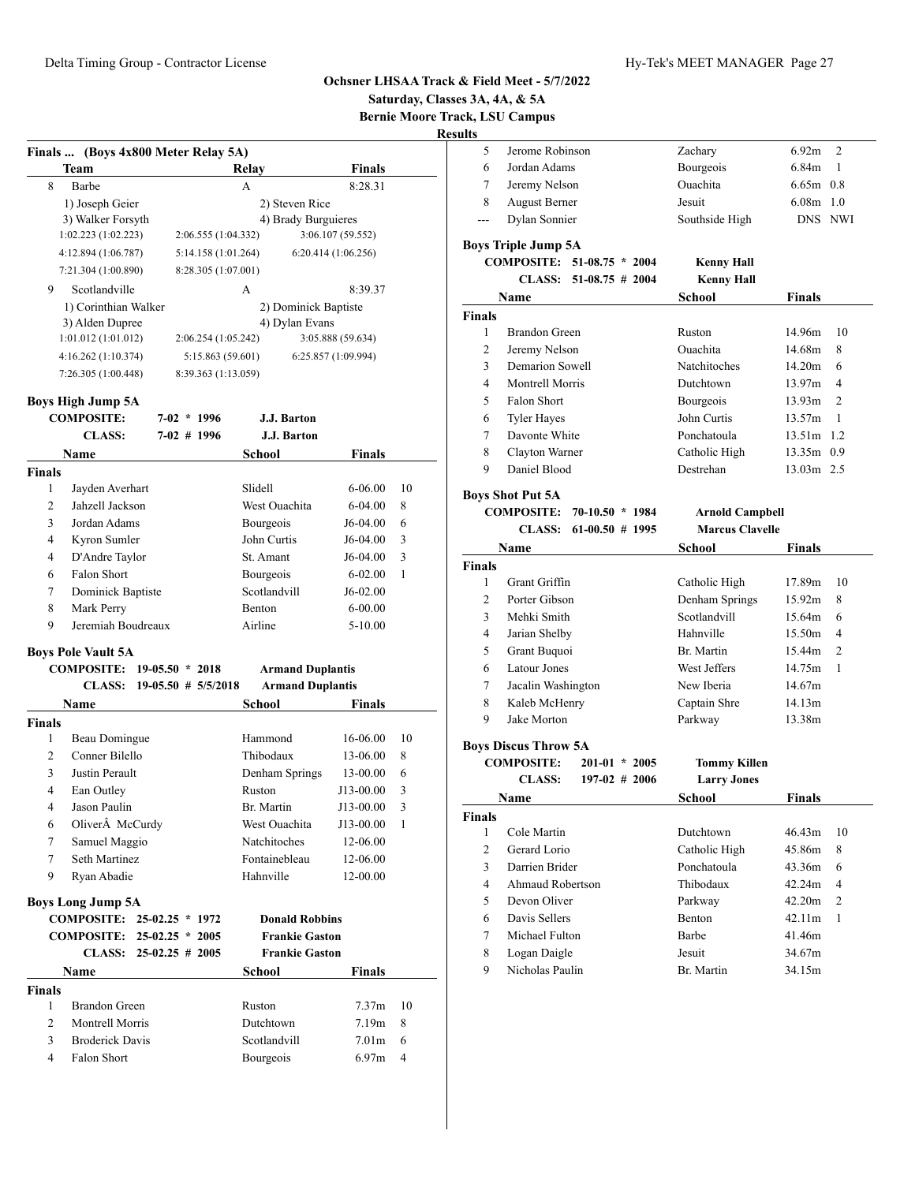**Saturday, Classes 3A, 4A, & 5A**

**Bernie Moore Track, LSU Campus**

**Resu** 

| Team                 | Relay               | <b>Finals</b>        |
|----------------------|---------------------|----------------------|
| 8<br>Barbe           | A                   | 8:28.31              |
| 1) Joseph Geier      |                     | 2) Steven Rice       |
| 3) Walker Forsyth    |                     | 4) Brady Burguieres  |
| 1:02.223(1:02.223)   | 2:06.555 (1:04.332) | 3:06.107 (59.552)    |
| 4:12.894 (1:06.787)  | 5:14.158(1:01.264)  | 6:20.414(1:06.256)   |
| 7:21.304 (1:00.890)  | 8:28.305 (1:07.001) |                      |
| 9<br>Scotlandville   | A                   | 8:39.37              |
| 1) Corinthian Walker |                     | 2) Dominick Baptiste |
| 3) Alden Dupree      |                     | 4) Dylan Evans       |
| 1:01.012(1:01.012)   | 2:06.254(1:05.242)  | 3:05.888 (59.634)    |
| 4:16.262(1:10.374)   | 5:15.863(59.601)    | 6:25.857 (1:09.994)  |
| 7:26.305(1:00.448)   | 8:39.363 (1:13.059) |                      |

## **Boys High Jump 5A**

|                | <b>COMPOSITE:</b>                             |                         | $7-02 * 1996$ | J.J. Barton             |                   |    |
|----------------|-----------------------------------------------|-------------------------|---------------|-------------------------|-------------------|----|
|                | <b>CLASS:</b>                                 |                         | $7-02$ # 1996 | J.J. Barton             |                   |    |
|                | <b>Name</b>                                   |                         |               | School                  | <b>Finals</b>     |    |
| <b>Finals</b>  |                                               |                         |               |                         |                   |    |
| $\mathbf{1}$   | Jayden Averhart                               |                         |               | Slidell                 | $6 - 06.00$       | 10 |
| $\overline{2}$ | Jahzell Jackson                               |                         |               | West Ouachita           | $6 - 04.00$       | 8  |
| 3              | Jordan Adams                                  |                         |               | Bourgeois               | $J6-04.00$        | 6  |
| 4              | Kyron Sumler                                  |                         |               | John Curtis             | J6-04.00          | 3  |
| 4              | D'Andre Taylor                                |                         |               | St. Amant               | J6-04.00          | 3  |
| 6              | Falon Short                                   |                         |               | Bourgeois               | $6 - 02.00$       | 1  |
| 7              | Dominick Baptiste                             |                         |               | Scotlandvill            | $J6-02.00$        |    |
| 8              | Mark Perry                                    |                         |               | <b>Benton</b>           | $6 - 00.00$       |    |
| 9              | Jeremiah Boudreaux                            |                         |               | Airline                 | $5 - 10.00$       |    |
|                | <b>Boys Pole Vault 5A</b>                     |                         |               |                         |                   |    |
|                | COMPOSITE: 19-05.50 * 2018                    |                         |               | <b>Armand Duplantis</b> |                   |    |
|                | <b>CLASS:</b>                                 | $19-05.50$ # $5/5/2018$ |               | <b>Armand Duplantis</b> |                   |    |
|                | Name                                          |                         |               | School                  | Finals            |    |
| <b>Finals</b>  |                                               |                         |               |                         |                   |    |
| 1              | Beau Domingue                                 |                         |               | Hammond                 | 16-06.00          | 10 |
| $\overline{c}$ | Conner Bilello                                |                         |               | Thibodaux               | 13-06.00          | 8  |
| 3              | Justin Perault                                |                         |               | Denham Springs          | 13-00.00          | 6  |
| $\overline{4}$ | Ean Outley                                    |                         |               | Ruston                  | J13-00.00         | 3  |
| 4              | Jason Paulin                                  |                         |               | Br. Martin              | J13-00.00         | 3  |
| 6              | Oliver McCurdy                                |                         |               | West Ouachita           | J13-00.00         | 1  |
| 7              | Samuel Maggio                                 |                         |               | <b>Natchitoches</b>     | 12-06.00          |    |
| 7              | Seth Martinez                                 |                         |               | Fontainebleau           | 12-06.00          |    |
| 9              | Ryan Abadie                                   |                         |               | Hahnville               | 12-00.00          |    |
|                |                                               |                         |               |                         |                   |    |
|                | <b>Boys Long Jump 5A</b><br><b>COMPOSITE:</b> | $25-02.25 * 1972$       |               | <b>Donald Robbins</b>   |                   |    |
|                | <b>COMPOSITE:</b>                             | $25-02.25 * 2005$       |               | <b>Frankie Gaston</b>   |                   |    |
|                | CLASS:                                        | $25-02.25$ # 2005       |               | <b>Frankie Gaston</b>   |                   |    |
|                | <b>Name</b>                                   |                         |               | <b>School</b>           | <b>Finals</b>     |    |
| <b>Finals</b>  |                                               |                         |               |                         |                   |    |
| 1              | <b>Brandon Green</b>                          |                         |               | Ruston                  | 7.37 <sub>m</sub> | 10 |
| 2              | Montrell Morris                               |                         |               | Dutchtown               | 7.19m             | 8  |
| 3              | <b>Broderick Davis</b>                        |                         |               | Scotlandvill            | 7.01 <sub>m</sub> | 6  |
| 4              | Falon Short                                   |                         |               | Bourgeois               | 6.97m             | 4  |
|                |                                               |                         |               |                         |                   |    |

| 6.92m<br>2               |
|--------------------------|
|                          |
| $\mathbf{1}$<br>6.84m    |
| $6.65m$ 0.8              |
| $6.08m$ 1.0              |
| DNS NWI                  |
|                          |
|                          |
|                          |
|                          |
|                          |
| 14.96m<br>10             |
| 8<br>14.68m              |
| 14.20m<br>6              |
| 13.97m<br>4              |
| $\overline{2}$<br>13.93m |
| $\mathbf{1}$<br>13.57m   |
| 13.51m 1.2               |
| 13.35m 0.9               |
| 13.03m 2.5               |
|                          |
|                          |
|                          |
|                          |
|                          |
|                          |
| 17.89m<br>10             |
| 8<br>15.92m              |
| 15.64m<br>6              |
| 15.50m<br>4              |
| $\overline{2}$<br>15.44m |
| 14.75m<br>1              |
| 14.67m                   |
|                          |
| 14.13m                   |
| 13.38m                   |
|                          |
|                          |
|                          |
|                          |
| <b>Finals</b>            |
| 46.43m<br>10             |
| 45.86m<br>8              |
| 6                        |
| 43.36m<br>4              |
| 42.24m                   |
| 42.20m<br>2              |
| 42.11m<br>1              |
| 41.46m<br>34.67m         |
| Finals<br>Finals         |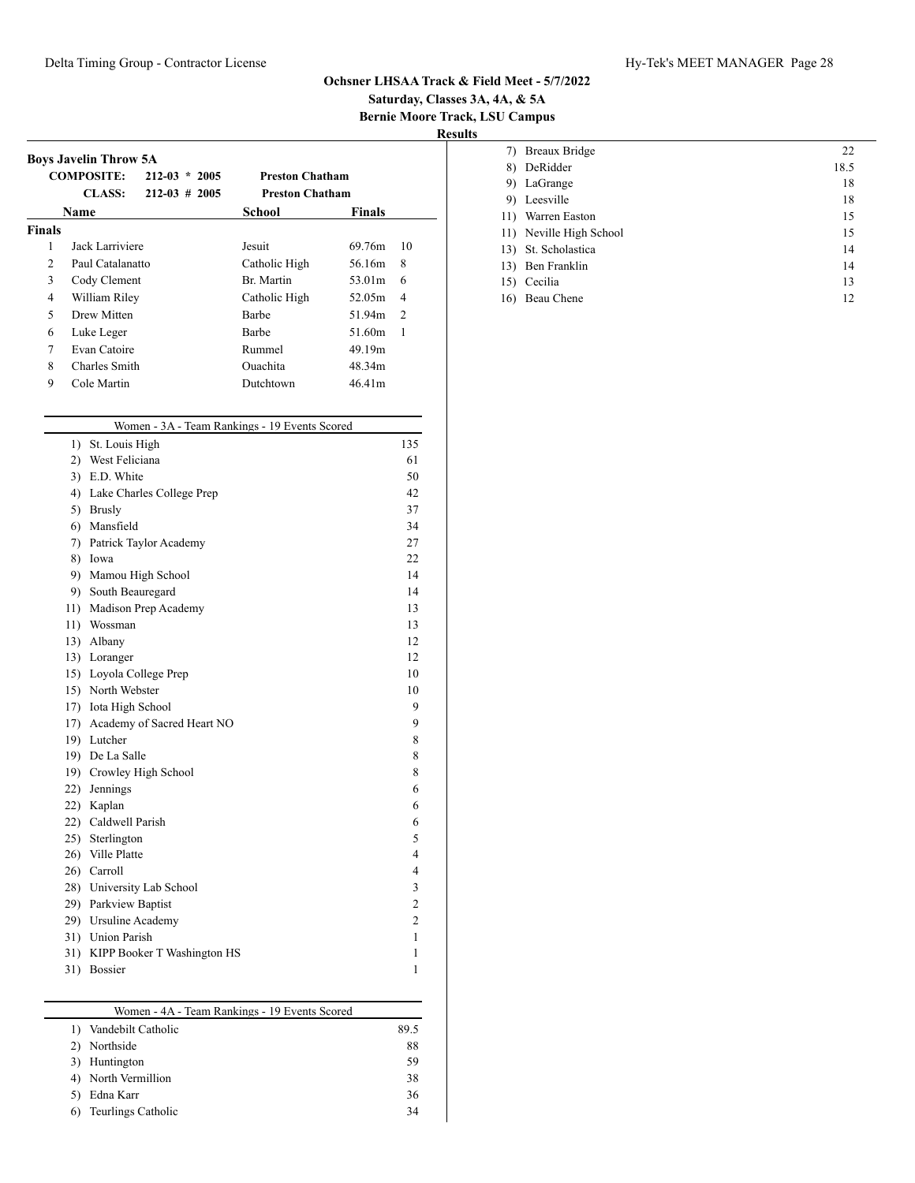# **Saturday, Classes 3A, 4A, & 5A Bernie Moore Track, LSU Campus**

|               | <b>COMPOSITE:</b> | $212 - 03 \div 2005$ | <b>Preston Chatham</b> |               |                |
|---------------|-------------------|----------------------|------------------------|---------------|----------------|
|               | <b>CLASS:</b>     | $212 - 03 \# 2005$   | <b>Preston Chatham</b> |               |                |
|               | Name              |                      | School                 | <b>Finals</b> |                |
| <b>Finals</b> |                   |                      |                        |               |                |
| 1             | Jack Larriviere   |                      | Jesuit                 | 69.76m        | 10             |
| 2             | Paul Catalanatto  |                      | Catholic High          | 56.16m        | 8              |
| 3             | Cody Clement      |                      | Br. Martin             | 53.01m        | 6              |
| 4             | William Riley     |                      | Catholic High          | 52.05m        | $\overline{4}$ |
| 5             | Drew Mitten       |                      | Barbe                  | 51.94m        | $\mathcal{L}$  |
| 6             | Luke Leger        |                      | Barbe                  | 51.60m        | 1              |
| 7             | Evan Catoire      |                      | Rummel                 | 49.19m        |                |
| 8             | Charles Smith     |                      | <b>Ouachita</b>        | 48.34m        |                |
| 9             | Cole Martin       |                      | Dutchtown              | 46.41m        |                |

| Women - 3A - Team Rankings - 19 Events Scored |                                |                |  |  |  |
|-----------------------------------------------|--------------------------------|----------------|--|--|--|
| 1)                                            | St. Louis High                 | 135            |  |  |  |
| 2)                                            | West Feliciana                 | 61             |  |  |  |
| 3)                                            | E.D. White                     | 50             |  |  |  |
| 4)                                            | Lake Charles College Prep      | 42             |  |  |  |
| 5)                                            | <b>Brusly</b>                  | 37             |  |  |  |
| 6)                                            | Mansfield                      | 34             |  |  |  |
| 7)                                            | Patrick Taylor Academy         | 27             |  |  |  |
| 8)                                            | Iowa                           | 22             |  |  |  |
| 9)                                            | Mamou High School              | 14             |  |  |  |
| 9)                                            | South Beauregard               | 14             |  |  |  |
| 11)                                           | Madison Prep Academy           | 13             |  |  |  |
|                                               | 11) Wossman                    | 13             |  |  |  |
|                                               | 13) Albany                     | 12             |  |  |  |
|                                               | 13) Loranger                   | 12             |  |  |  |
| 15)                                           | Loyola College Prep            | 10             |  |  |  |
|                                               | 15) North Webster              | 10             |  |  |  |
|                                               | 17) Iota High School           | 9              |  |  |  |
|                                               | 17) Academy of Sacred Heart NO | 9              |  |  |  |
|                                               | 19) Lutcher                    | 8              |  |  |  |
|                                               | 19) De La Salle                | 8              |  |  |  |
|                                               | 19) Crowley High School        | 8              |  |  |  |
|                                               | 22) Jennings                   | 6              |  |  |  |
|                                               | 22) Kaplan                     | 6              |  |  |  |
|                                               | 22) Caldwell Parish            | 6              |  |  |  |
|                                               | 25) Sterlington                | 5              |  |  |  |
| 26)                                           | Ville Platte                   | $\overline{4}$ |  |  |  |
|                                               | 26) Carroll                    | 4              |  |  |  |
|                                               | 28) University Lab School      | 3              |  |  |  |
|                                               | 29) Parkview Baptist           | $\overline{c}$ |  |  |  |
|                                               | 29) Ursuline Academy           | $\overline{c}$ |  |  |  |
|                                               | 31) Union Parish               | 1              |  |  |  |
| 31)                                           | KIPP Booker T Washington HS    | 1              |  |  |  |
| 31)                                           | Bossier                        | 1              |  |  |  |

| Women - 4A - Team Rankings - 19 Events Scored |      |
|-----------------------------------------------|------|
| Vandebilt Catholic                            | 89.5 |
| Northside                                     | 88   |
| Huntington                                    | 59   |
| North Vermillion                              | 38   |
| Edna Karr                                     | 36   |
| Teurlings Catholic                            | 34   |

| 7)  | Breaux Bridge           | 22   |
|-----|-------------------------|------|
| 8)  | DeRidder                | 18.5 |
| 9)  | LaGrange                | 18   |
| 9). | Leesville               | 18   |
|     | 11) Warren Easton       | 15   |
|     | 11) Neville High School | 15   |
|     | 13) St. Scholastica     | 14   |
|     | 13) Ben Franklin        | 14   |
| 15) | Cecilia                 | 13   |
|     | 16) Beau Chene          | 12   |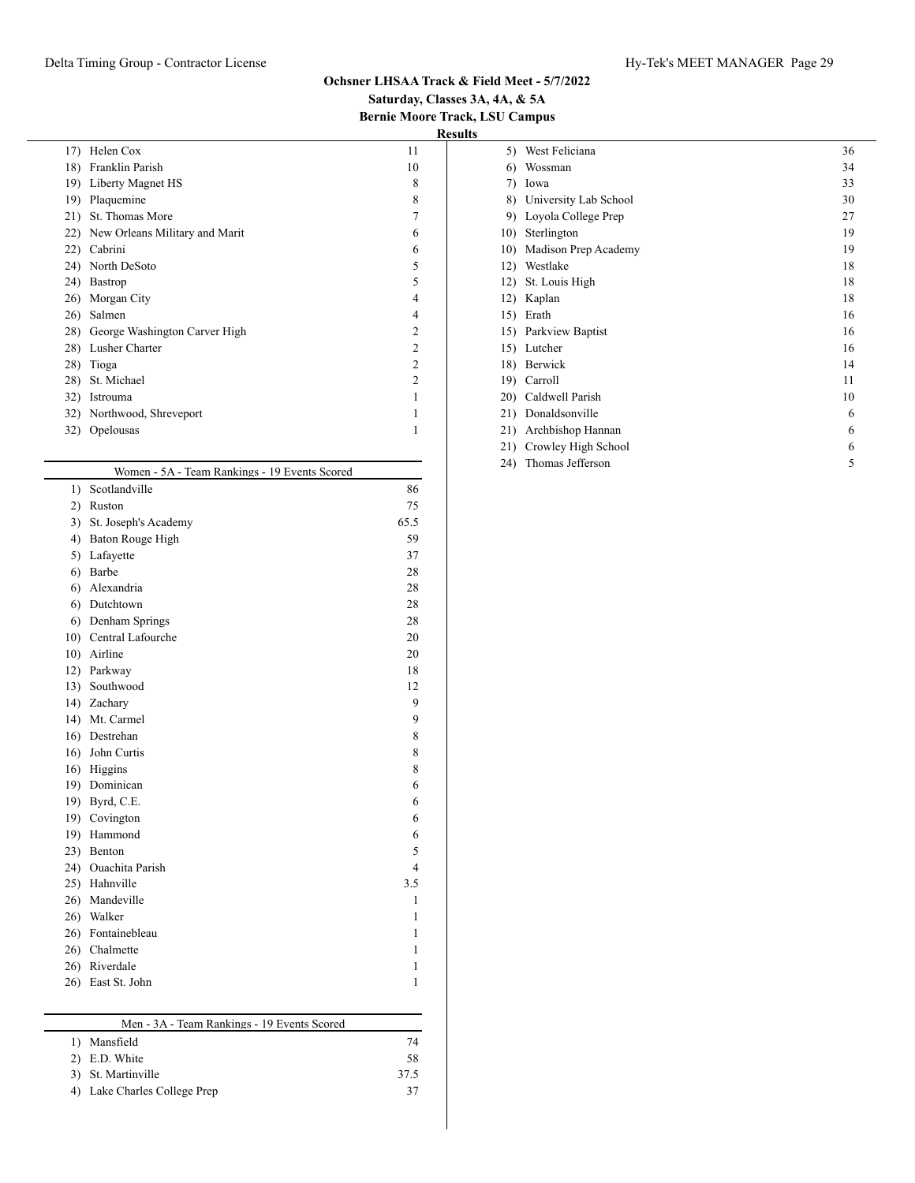# **Saturday, Classes 3A, 4A, & 5A Bernie Moore Track, LSU Campus**

| 17) | Helen Cox                      | 11             |
|-----|--------------------------------|----------------|
| 18) | Franklin Parish                | 10             |
| 19) | Liberty Magnet HS              | 8              |
| 19) | Plaquemine                     | 8              |
| 21) | St. Thomas More                |                |
| 22) | New Orleans Military and Marit | 6              |
| 22) | Cabrini                        | 6              |
| 24) | North DeSoto                   | 5              |
| 24) | Bastrop                        | 5              |
| 26) | Morgan City                    | 4              |
| 26) | Salmen                         | 4              |
| 28) | George Washington Carver High  | $\overline{2}$ |
| 28) | Lusher Charter                 | $\overline{2}$ |
| 28) | Tioga                          | $\overline{2}$ |
| 28) | St. Michael                    | $\overline{2}$ |
| 32) | Istrouma                       |                |
|     | 32) Northwood, Shreveport      |                |
| 32) | Opelousas                      |                |
|     |                                |                |

|                  | Women - 5A - Team Rankings - 19 Events Scored |              |
|------------------|-----------------------------------------------|--------------|
| $\left( \right)$ | Scotlandville                                 | 86           |
| 2)               | Ruston                                        | 75           |
| 3)               | St. Joseph's Academy                          | 65.5         |
| 4)               | Baton Rouge High                              | 59           |
| 5)               | Lafayette                                     | 37           |
| 6)               | Barbe                                         | 28           |
| 6)               | Alexandria                                    | 28           |
| 6)               | Dutchtown                                     | 28           |
| 6)               | Denham Springs                                | 28           |
| 10)              | Central Lafourche                             | 20           |
| 10)              | Airline                                       | 20           |
| 12)              | Parkway                                       | 18           |
|                  | 13) Southwood                                 | 12           |
|                  | 14) Zachary                                   | 9            |
|                  | 14) Mt. Carmel                                | 9            |
| 16)              | Destrehan                                     | 8            |
|                  | 16) John Curtis                               | 8            |
|                  | 16) Higgins                                   | 8            |
|                  | 19) Dominican                                 | 6            |
| 19)              | Byrd, C.E.                                    | 6            |
|                  | 19) Covington                                 | 6            |
|                  | 19) Hammond                                   | 6            |
| 23)              | Benton                                        | 5            |
| 24)              | Ouachita Parish                               | 4            |
|                  | 25) Hahnville                                 | 3.5          |
|                  | 26) Mandeville                                | 1            |
| 26)              | Walker                                        | 1            |
| 26)              | Fontainebleau                                 | 1            |
|                  | 26) Chalmette                                 | 1            |
|                  | 26) Riverdale                                 | 1            |
| 26)              | East St. John                                 | $\mathbf{1}$ |
|                  |                                               |              |

|  | Men - 3A - Team Rankings - 19 Events Scored |  |  |
|--|---------------------------------------------|--|--|
|  |                                             |  |  |

| 1) Mansfield                 | 74   |
|------------------------------|------|
| 2) E.D. White                | 58   |
| 3) St. Martinville           | 37.5 |
| 4) Lake Charles College Prep | 37   |

| 5)  | West Feliciana        | 36 |
|-----|-----------------------|----|
| 6)  | Wossman               | 34 |
| 7)  | Iowa                  | 33 |
| 8)  | University Lab School | 30 |
| 9)  | Loyola College Prep   | 27 |
| 10) | Sterlington           | 19 |
| 10) | Madison Prep Academy  | 19 |
| 12) | Westlake              | 18 |
| 12) | St. Louis High        | 18 |
| 12) | Kaplan                | 18 |
| 15) | Erath                 | 16 |
| 15) | Parkview Baptist      | 16 |
| 15) | Lutcher               | 16 |
| 18) | Berwick               | 14 |
| 19) | Carroll               | 11 |
| 20) | Caldwell Parish       | 10 |
| 21) | Donaldsonville        | 6  |
| 21) | Archbishop Hannan     | 6  |
| 21) | Crowley High School   | 6  |
| 24) | Thomas Jefferson      | 5  |
|     |                       |    |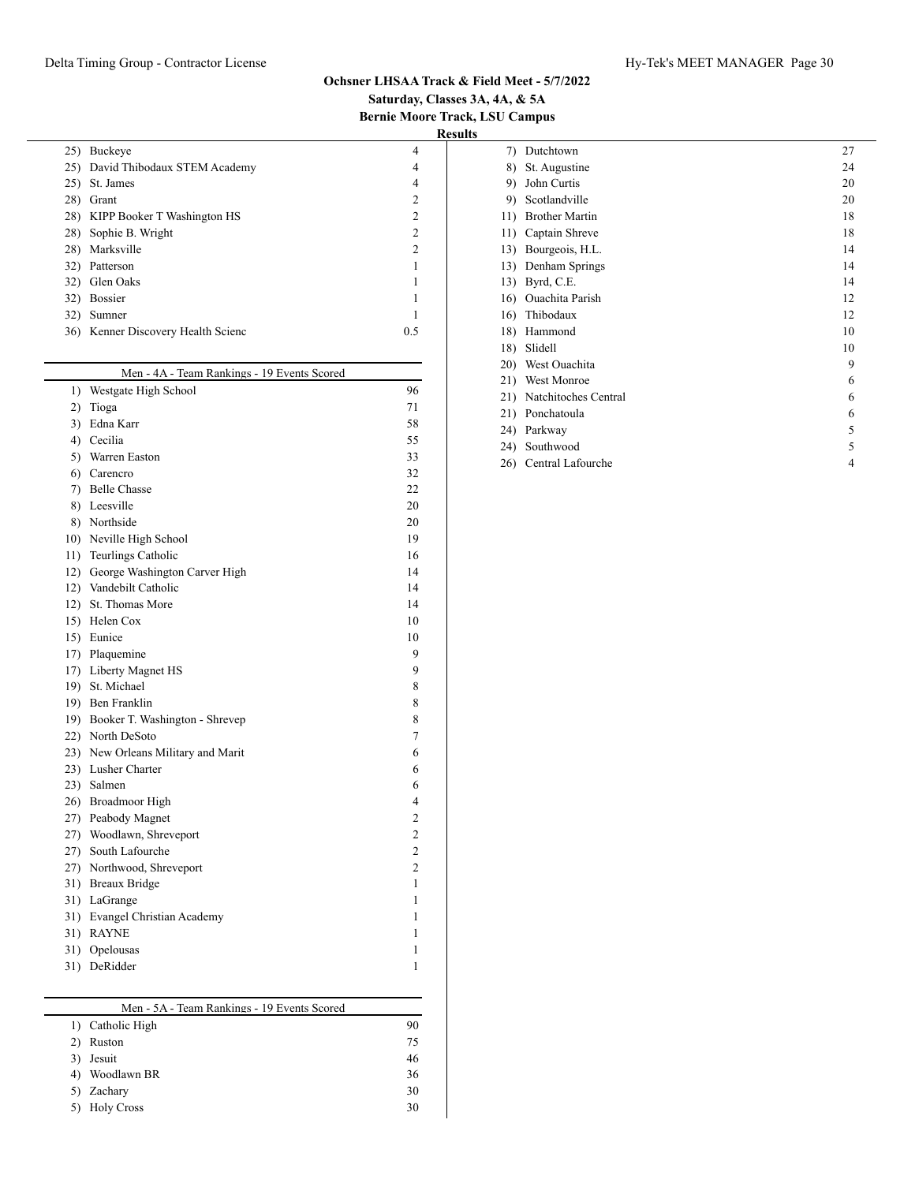# **Saturday, Classes 3A, 4A, & 5A Bernie Moore Track, LSU Campus**

**Results**

| 25) | Buckeye                            | 4              |
|-----|------------------------------------|----------------|
|     | 25) David Thibodaux STEM Academy   | 4              |
| 25) | St. James                          | 4              |
| 28) | Grant                              | $\mathcal{L}$  |
|     | 28) KIPP Booker T Washington HS    | 2              |
|     | 28) Sophie B. Wright               | 2              |
| 28) | Marksville                         | $\overline{c}$ |
| 32) | Patterson                          |                |
|     | 32) Glen Oaks                      |                |
| 32) | <b>Bossier</b>                     |                |
| 32) | Sumner                             |                |
|     | 36) Kenner Discovery Health Scienc | 0.5            |
|     |                                    |                |

|     | Men - 4A - Team Rankings - 19 Events Scored |                |
|-----|---------------------------------------------|----------------|
| 1)  | Westgate High School                        | 96             |
| 2)  | Tioga                                       | 71             |
| 3)  | Edna Karr                                   | 58             |
| 4)  | Cecilia                                     | 55             |
| 5)  | Warren Easton                               | 33             |
| 6)  | Carencro                                    | 32             |
| 7)  | <b>Belle Chasse</b>                         | 22             |
| 8)  | Leesville                                   | 20             |
| 8)  | Northside                                   | 20             |
| 10) | Neville High School                         | 19             |
|     | 11) Teurlings Catholic                      | 16             |
| 12) | George Washington Carver High               | 14             |
|     | 12) Vandebilt Catholic                      | 14             |
|     | 12) St. Thomas More                         | 14             |
|     | 15) Helen Cox                               | 10             |
|     | 15) Eunice                                  | 10             |
|     | 17) Plaquemine                              | 9              |
|     | 17) Liberty Magnet HS                       | 9              |
|     | 19) St. Michael                             | 8              |
|     | 19) Ben Franklin                            | 8              |
|     | 19) Booker T. Washington - Shrevep          | 8              |
|     | 22) North DeSoto                            | 7              |
|     | 23) New Orleans Military and Marit          | 6              |
|     | 23) Lusher Charter                          | 6              |
|     | 23) Salmen                                  | 6              |
|     | 26) Broadmoor High                          | 4              |
|     | 27) Peabody Magnet                          | $\overline{c}$ |
|     | 27) Woodlawn, Shreveport                    | $\overline{c}$ |
| 27) | South Lafourche                             | $\overline{c}$ |
|     | 27) Northwood, Shreveport                   | $\overline{c}$ |
| 31) | <b>Breaux Bridge</b>                        | 1              |
|     | 31) LaGrange                                | 1              |
|     | 31) Evangel Christian Academy               | 1              |
|     | 31) RAYNE                                   | 1              |
| 31) | Opelousas                                   | 1              |
| 31) | DeRidder                                    | 1              |

# Men - 5A - Team Rankings - 19 Events Scored 1) Catholic High 90 2) Ruston 75 3) Jesuit 46 4) Woodlawn BR 36 5) Zachary 30 5) Holy Cross 30

| 7)  | Dutchtown             | 27 |
|-----|-----------------------|----|
| 8)  | St. Augustine         | 24 |
| 9)  | John Curtis           | 20 |
| 9)  | Scotlandville         | 20 |
| 11) | <b>Brother Martin</b> | 18 |
| 11) | Captain Shreve        | 18 |
| 13) | Bourgeois, H.L.       | 14 |
| 13) | Denham Springs        | 14 |
| 13) | Byrd, C.E.            | 14 |
| 16) | Ouachita Parish       | 12 |
| 16) | Thibodaux             | 12 |
| 18) | Hammond               | 10 |
| 18) | Slidell               | 10 |
| 20) | West Ouachita         | 9  |
| 21) | West Monroe           | 6  |
| 21) | Natchitoches Central  | 6  |
| 21) | Ponchatoula           | 6  |
| 24) | Parkway               | 5  |
| 24) | Southwood             | 5  |
| 26) | Central Lafourche     | 4  |